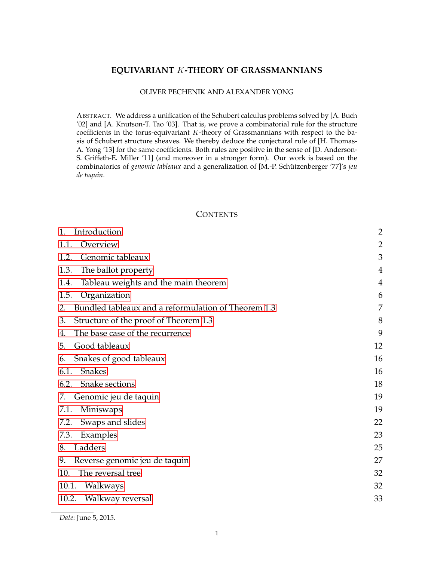# **EQUIVARIANT** K**-THEORY OF GRASSMANNIANS**

#### OLIVER PECHENIK AND ALEXANDER YONG

ABSTRACT. We address a unification of the Schubert calculus problems solved by [A. Buch '02] and [A. Knutson-T. Tao '03]. That is, we prove a combinatorial rule for the structure coefficients in the torus-equivariant  $K$ -theory of Grassmannians with respect to the basis of Schubert structure sheaves. We thereby deduce the conjectural rule of [H. Thomas-A. Yong '13] for the same coefficients. Both rules are positive in the sense of [D. Anderson-S. Griffeth-E. Miller '11] (and moreover in a stronger form). Our work is based on the combinatorics of *genomic tableaux* and a generalization of [M.-P. Schützenberger '77]'s jeu *de taquin*.

### **CONTENTS**

| Introduction<br>1.                                        | $\overline{2}$ |
|-----------------------------------------------------------|----------------|
| Overview<br>1.1.                                          | $\overline{2}$ |
| Genomic tableaux<br>1.2.                                  | 3              |
| The ballot property<br>1.3.                               | 4              |
| Tableau weights and the main theorem<br>1.4.              | $\overline{4}$ |
| Organization<br>1.5.                                      | 6              |
| Bundled tableaux and a reformulation of Theorem 1.3<br>2. | 7              |
| Structure of the proof of Theorem 1.3<br>3.               | 8              |
| The base case of the recurrence<br>4.                     | 9              |
| Good tableaux<br>5.                                       | 12             |
| Snakes of good tableaux<br>6.                             | 16             |
| <b>Snakes</b><br>6.1.                                     | 16             |
| 6.2.<br>Snake sections                                    | 18             |
| Genomic jeu de taquin<br>7.                               | 19             |
| Miniswaps<br>7.1.                                         | 19             |
| 7.2.<br>Swaps and slides                                  | 22             |
| 7.3.<br>Examples                                          | 23             |
| Ladders<br>8.                                             | 25             |
| Reverse genomic jeu de taquin<br>9.                       | 27             |
| The reversal tree<br>10.                                  | 32             |
| 10.1.<br>Walkways                                         | 32             |
| 10.2.<br>Walkway reversal                                 | 33             |

*Date*: June 5, 2015.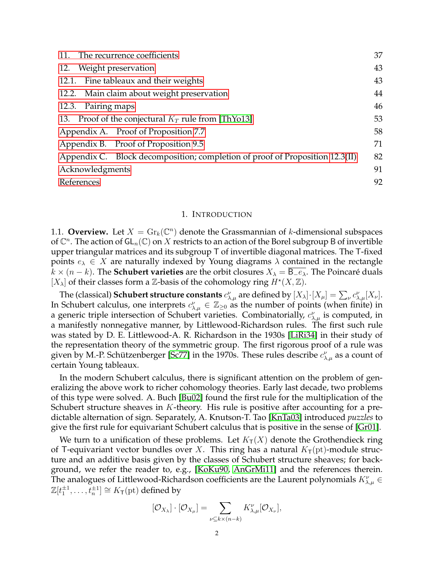| The recurrence coefficients<br>11.                                           |    |  |  |
|------------------------------------------------------------------------------|----|--|--|
| 12. Weight preservation                                                      | 43 |  |  |
| Fine tableaux and their weights<br>12.1.                                     | 43 |  |  |
| 12.2. Main claim about weight preservation                                   | 44 |  |  |
| Pairing maps<br>12.3.                                                        | 46 |  |  |
| 13. Proof of the conjectural $K_T$ rule from [ThYo13]                        | 53 |  |  |
| Appendix A. Proof of Proposition 7.7                                         | 58 |  |  |
| Appendix B. Proof of Proposition 9.5                                         | 71 |  |  |
| Appendix C. Block decomposition; completion of proof of Proposition 12.3(II) | 82 |  |  |
| Acknowledgments                                                              | 91 |  |  |
| References                                                                   | 92 |  |  |

#### 1. INTRODUCTION

<span id="page-1-1"></span><span id="page-1-0"></span>1.1. **Overview.** Let  $X = \mathrm{Gr}_k(\mathbb{C}^n)$  denote the Grassmannian of k-dimensional subspaces of  $\mathbb{C}^n$ . The action of  $\mathsf{GL}_n(\mathbb{C})$  on  $X$  restricts to an action of the Borel subgroup B of invertible upper triangular matrices and its subgroup T of invertible diagonal matrices. The T-fixed points  $e_{\lambda} \in X$  are naturally indexed by Young diagrams  $\lambda$  contained in the rectangle  $k \times (n - k)$ . The **Schubert varieties** are the orbit closures  $X_{\lambda} = B_{\lambda}$ . The Poincaré duals  $[X_{\lambda}]$  of their classes form a Z-basis of the cohomology ring  $H^*(X,\mathbb{Z})$ .

The (classical) **Schubert structure constants**  $c_{\lambda,\mu}^{\nu}$  are defined by  $[X_{\lambda}]\cdot[X_{\mu}] = \sum_{\nu} c_{\lambda,\mu}^{\nu}[X_{\nu}]$ . In Schubert calculus, one interprets  $c_{\lambda,\mu}^{\nu} \in \mathbb{Z}_{\geq 0}$  as the number of points (when finite) in a generic triple intersection of Schubert varieties. Combinatorially,  $c^{\nu}_{\lambda,\mu}$  is computed, in a manifestly nonnegative manner, by Littlewood-Richardson rules. The first such rule was stated by D. E. Littlewood-A. R. Richardson in the 1930s [\[LiRi34\]](#page-91-1) in their study of the representation theory of the symmetric group. The first rigorous proof of a rule was given by M.-P. Schützenberger [\[Sc77\]](#page-91-2) in the 1970s. These rules describe  $c^{\nu}_{\lambda,\mu}$  as a count of certain Young tableaux.

In the modern Schubert calculus, there is significant attention on the problem of generalizing the above work to richer cohomology theories. Early last decade, two problems of this type were solved. A. Buch [\[Bu02\]](#page-91-3) found the first rule for the multiplication of the Schubert structure sheaves in K-theory. His rule is positive after accounting for a predictable alternation of sign. Separately, A. Knutson-T. Tao [\[KnTa03\]](#page-91-4) introduced *puzzles* to give the first rule for equivariant Schubert calculus that is positive in the sense of [\[Gr01\]](#page-91-5).

We turn to a unification of these problems. Let  $K_T(X)$  denote the Grothendieck ring of T-equivariant vector bundles over X. This ring has a natural  $K<sub>T</sub>(pt)$ -module structure and an additive basis given by the classes of Schubert structure sheaves; for background, we refer the reader to, e.g., [\[KoKu90,](#page-91-6) [AnGrMi11\]](#page-91-7) and the references therein. The analogues of Littlewood-Richardson coefficients are the Laurent polynomials  $K_{\lambda,\mu}^{\nu} \in$  $\mathbb{Z}[t_1^{\pm 1}, \ldots, t_n^{\pm 1}] \cong K_{\mathsf{T}}(\text{pt})$  defined by

$$
[\mathcal{O}_{X_{\lambda}}] \cdot [\mathcal{O}_{X_{\mu}}] = \sum_{\nu \subseteq k \times (n-k)} K_{\lambda,\mu}^{\nu} [\mathcal{O}_{X_{\nu}}],
$$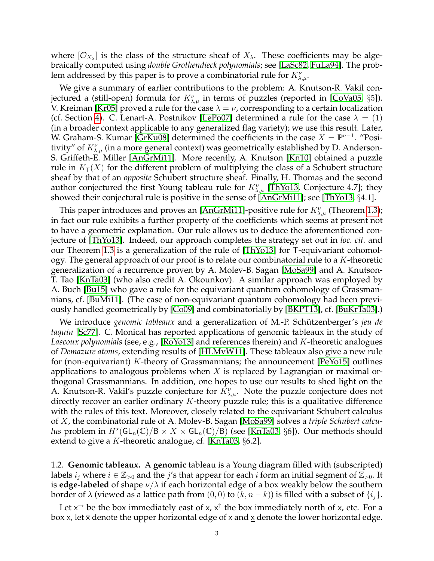where  $[O_{X_{\lambda}}]$  is the class of the structure sheaf of  $X_{\lambda}$ . These coefficients may be algebraically computed using *double Grothendieck polynomials*; see [\[LaSc82,](#page-91-8) [FuLa94\]](#page-91-9). The problem addressed by this paper is to prove a combinatorial rule for  $K_{\lambda,\mu}^{\nu}.$ 

We give a summary of earlier contributions to the problem: A. Knutson-R. Vakil conjectured a (still-open) formula for  $K_{\lambda,\mu}^{\nu}$  in terms of puzzles (reported in [\[CoVa05,](#page-91-10) §5]). V. Kreiman [\[Kr05\]](#page-91-11) proved a rule for the case  $\lambda = \nu$ , corresponding to a certain localization (cf. Section [4\)](#page-8-0). C. Lenart-A. Postnikov [\[LePo07\]](#page-91-12) determined a rule for the case  $\lambda = (1)$ (in a broader context applicable to any generalized flag variety); we use this result. Later, W. Graham-S. Kumar [\[GrKu08\]](#page-91-13) determined the coefficients in the case  $X = \mathbb{P}^{n-1}$ . "Positivity" of  $K_{\lambda,\mu}^{\nu}$  (in a more general context) was geometrically established by D. Anderson-S. Griffeth-E. Miller [\[AnGrMi11\]](#page-91-7). More recently, A. Knutson [\[Kn10\]](#page-91-14) obtained a puzzle rule in  $K<sub>T</sub>(X)$  for the different problem of multiplying the class of a Schubert structure sheaf by that of an *opposite* Schubert structure sheaf. Finally, H. Thomas and the second author conjectured the first Young tableau rule for  $K^{\nu}_{\lambda,\mu}$  [\[ThYo13,](#page-92-0) Conjecture 4.7]; they showed their conjectural rule is positive in the sense of [\[AnGrMi11\]](#page-91-7); see [\[ThYo13,](#page-92-0) §4.1].

This paper introduces and proves an [\[AnGrMi11\]](#page-91-7)-positive rule for  $K_{\lambda,\mu}^{\nu}$  (Theorem [1.3\)](#page-4-0); in fact our rule exhibits a further property of the coefficients which seems at present not to have a geometric explanation. Our rule allows us to deduce the aforementioned conjecture of [\[ThYo13\]](#page-92-0). Indeed, our approach completes the strategy set out in *loc. cit.* and our Theorem [1.3](#page-4-0) is a generalization of the rule of [\[ThYo13\]](#page-92-0) for T-equivariant cohomology. The general approach of our proof is to relate our combinatorial rule to a  $K$ -theoretic generalization of a recurrence proven by A. Molev-B. Sagan [\[MoSa99\]](#page-91-15) and A. Knutson-T. Tao [\[KnTa03\]](#page-91-4) (who also credit A. Okounkov). A similar approach was employed by A. Buch [\[Bu15\]](#page-91-16) who gave a rule for the equivariant quantum cohomology of Grassmannians, cf. [\[BuMi11\]](#page-91-17). (The case of non-equivariant quantum cohomology had been previously handled geometrically by [\[Co09\]](#page-91-18) and combinatorially by [\[BKPT13\]](#page-91-19), cf. [\[BuKrTa03\]](#page-91-20).)

We introduce *genomic tableaux* and a generalization of M.-P. Schützenberger's *jeu de taquin* [\[Sc77\]](#page-91-2). C. Monical has reported applications of genomic tableaux in the study of *Lascoux polynomials* (see, e.g., [\[RoYo13\]](#page-91-21) and references therein) and K-theoretic analogues of *Demazure atoms*, extending results of [\[HLMvW11\]](#page-91-22). These tableaux also give a new rule for (non-equivariant)  $K$ -theory of Grassmannians; the announcement [\[PeYo15\]](#page-91-23) outlines applications to analogous problems when X is replaced by Lagrangian or maximal orthogonal Grassmannians. In addition, one hopes to use our results to shed light on the A. Knutson-R. Vakil's puzzle conjecture for  $K_{\lambda,\mu}^{\nu}$ . Note the puzzle conjecture does not directly recover an earlier ordinary  $K$ -theory puzzle rule; this is a qualitative difference with the rules of this text. Moreover, closely related to the equivariant Schubert calculus of X, the combinatorial rule of A. Molev-B. Sagan [\[MoSa99\]](#page-91-15) solves a *triple Schubert calculus* problem in  $H^{\star}(\mathsf{GL}_n(\mathbb{C})/\mathsf{B}\times X \times \mathsf{GL}_n(\mathbb{C})/\mathsf{B})$  (see [\[KnTa03,](#page-91-4) §6]). Our methods should extend to give a K-theoretic analogue, cf. [\[KnTa03,](#page-91-4)  $\S6.2$ ].

<span id="page-2-0"></span>1.2. **Genomic tableaux.** A **genomic** tableau is a Young diagram filled with (subscripted) labels  $i_j$  where  $i \in \mathbb{Z}_{>0}$  and the j's that appear for each i form an initial segment of  $\mathbb{Z}_{>0}$ . It is **edge-labeled** of shape  $\nu/\lambda$  if each horizontal edge of a box weakly below the southern border of  $\lambda$  (viewed as a lattice path from  $(0, 0)$  to  $(k, n - k)$ ) is filled with a subset of  $\{i_i\}$ .

Let  $x^{\rightarrow}$  be the box immediately east of x,  $x^{\uparrow}$  the box immediately north of x, etc. For a box x, let  $\bar{x}$  denote the upper horizontal edge of x and  $\underline{x}$  denote the lower horizontal edge.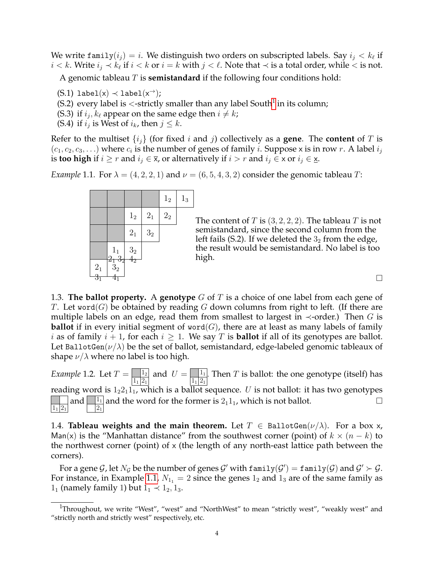We write  $\texttt{family}(i_j) = i.$  We distinguish two orders on subscripted labels. Say  $i_j < k_\ell$  if *i* < *k*. Write  $i_j$  ≺  $k_\ell$  if  $i < k$  or  $i = k$  with  $j < \ell$ . Note that ≺ is a total order, while < is not.

A genomic tableau T is **semistandard** if the following four conditions hold:

 $(S.1)$  label $(x) \prec$  label $(x^{\rightarrow})$ ;

- (S.2) every label is <-strictly smaller than any label South $^1$  $^1$  in its column;
- (S.3) if  $i_j, k_\ell$  appear on the same edge then  $i \neq k$ ;
- (S.4) if  $i_j$  is West of  $i_k$ , then  $j \leq k$ .

Refer to the multiset  $\{i_j\}$  (for fixed i and j) collectively as a **gene**. The **content** of T is  $(c_1, c_2, c_3, \ldots)$  where  $c_i$  is the number of genes of family *i*. Suppose x is in row *r*. A label  $i_j$ is **too high** if  $i \geq r$  and  $i_j \in \overline{x}$ , or alternatively if  $i > r$  and  $i_j \in x$  or  $i_j \in \underline{x}$ .

<span id="page-3-3"></span>*Example* 1.1*.* For  $\lambda = (4, 2, 2, 1)$  and  $\nu = (6, 5, 4, 3, 2)$  consider the genomic tableau *T*:

|                   |                    |                  |                | 1 <sub>2</sub> | $1_3$ |
|-------------------|--------------------|------------------|----------------|----------------|-------|
|                   |                    | 1 <sub>2</sub>   | $\mathbf{2}_1$ | 2 <sub>2</sub> |       |
|                   |                    | $\mathbf{2}_{1}$ | $\mathbf{3}_2$ |                |       |
|                   | 1 <sub>1</sub>     | $\frac{3}{4}$    |                |                |       |
| $\frac{2_1}{3_1}$ | $\frac{2}{3}3_{2}$ | $\mathbf{4}_{2}$ |                |                |       |

The content of T is  $(3, 2, 2, 2)$ . The tableau T is not semistandard, since the second column from the left fails (S.2). If we deleted the  $3<sub>2</sub>$  from the edge, the result would be semistandard. No label is too high.

 $\Box$ 

<span id="page-3-0"></span>1.3. **The ballot property.** A **genotype** G of T is a choice of one label from each gene of T. Let word(G) be obtained by reading G down columns from right to left. (If there are multiple labels on an edge, read them from smallest to largest in  $\prec$ -order.) Then G is **ballot** if in every initial segment of word $(G)$ , there are at least as many labels of family i as of family  $i + 1$ , for each  $i \geq 1$ . We say T is **ballot** if all of its genotypes are ballot. Let BallotGen( $\nu/\lambda$ ) be the set of ballot, semistandard, edge-labeled genomic tableaux of shape  $\nu/\lambda$  where no label is too high.

*Example* 1.2. Let  $T = \frac{1}{|1_1|2_1|}$  and  $U = \frac{1}{|1_1|2_1|}$ . Then  $T$  is ballot: the one genotype (itself) has reading word is  $1_22_11_1$ , which is a ballot sequence. U is not ballot: it has two genotypes  $1_1$   $2_1$ and  $\boxed{\frac{1}{21}}$  and the word for the former is  $2_1 1_1$ , which is not ballot.

<span id="page-3-1"></span>1.4. **Tableau weights and the main theorem.** Let  $T \in \text{BallotGen}(\nu/\lambda)$ . For a box x, Man(x) is the "Manhattan distance" from the southwest corner (point) of  $k \times (n - k)$  to the northwest corner (point) of  $\times$  (the length of any north-east lattice path between the corners).

For a gene  $G$ , let  $N_G$  be the number of genes  $G'$  with  $\texttt{family}(G') = \texttt{family}(G)$  and  $G' \succ G$ . For instance, in Example [1.1,](#page-3-3)  $N_{11} = 2$  since the genes  $1_2$  and  $1_3$  are of the same family as  $1_1$  (namely family 1) but  $1_1 \prec 1_2, 1_3$ .

<span id="page-3-2"></span><sup>&</sup>lt;sup>1</sup>Throughout, we write "West", "west" and "NorthWest" to mean "strictly west", "weakly west" and "strictly north and strictly west" respectively, etc.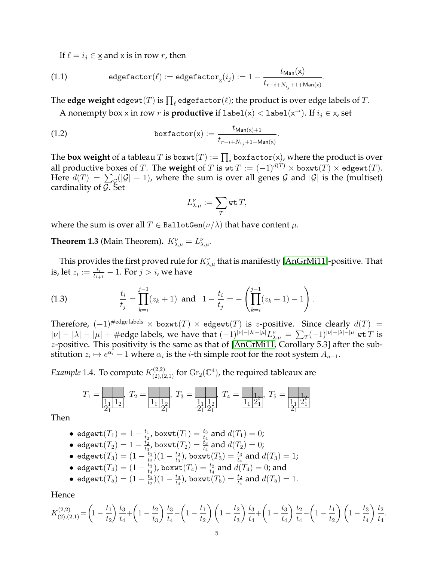If  $\ell = i_j \in \underline{x}$  and x is in row r, then

(1.1) 
$$
\text{edgefactor}(\ell) := \text{edgefactor}_{\underline{x}}(i_j) := 1 - \frac{t_{\text{Man}}(\mathsf{x})}{t_{r-i+N_{i_j}+1+\text{Man}(\mathsf{x})}}.
$$

The  $\textbf{edge weight}$  edgewt $(T)$  is  $\prod_\ell$  edgefactor $(\ell)$ ; the product is over edge labels of  $T.$ 

A nonempty box x in row r is **productive** if  $label(x) < label(x^{\rightarrow})$ . If  $i_j \in x$ , set

(1.2) 
$$
\qquad \qquad \text{boxfactor}(\mathsf{x}) := \frac{t_{\mathsf{Man}(\mathsf{x})+1}}{t_{r-i+N_{i_j}+1+\mathsf{Man}(\mathsf{x})}}.
$$

The  ${\bf box}$  weight of a tableau  $T$  is  ${\bf boxwt}(T):=\prod_{\mathsf{x}} {\bf boxfactor}(\mathsf{x})$ , where the product is over all productive boxes of T. The **weight** of T is  $wt T := (-1)^{d(T)} \times$  box $wt(T) \times$  edgewt $(T)$ . Here  $d(T) \ = \ \sum_{\mathcal{G}}(|\mathcal{G}|-1)$ , where the sum is over all genes  $\mathcal G$  and  $|\mathcal{G}|$  is the (multiset) cardinality of  $\mathcal{G}$ . Set

$$
L_{\lambda,\mu}^{\nu}:=\sum_{T}\operatorname{wt}T,
$$

where the sum is over all  $T \in \text{BallotGen}(\nu/\lambda)$  that have content  $\mu$ .

<span id="page-4-0"></span>**Theorem 1.3** (Main Theorem).  $K^{\nu}_{\lambda,\mu} = L^{\nu}_{\lambda,\mu}$ .

This provides the first proved rule for  $K_{\lambda,\mu}^{\nu}$  that is manifestly [\[AnGrMi11\]](#page-91-7)-positive. That is, let  $z_i := \frac{t_i}{t_{i+1}} - 1.$  For  $j > i$ , we have

<span id="page-4-1"></span>(1.3) 
$$
\frac{t_i}{t_j} = \prod_{k=i}^{j-1} (z_k + 1) \text{ and } 1 - \frac{t_i}{t_j} = -\left(\prod_{k=i}^{j-1} (z_k + 1) - 1\right).
$$

Therefore,  $(-1)^{\# \text{edge labels}} \times \text{boxwt}(T) \times \text{edgewt}(T)$  is z-positive. Since clearly  $d(T) =$  $|\nu|-|\lambda|-|\mu|+\#\text{edge labels, we have that } (-1)^{|\nu|-|\lambda|-|\mu|}L_{\lambda,\mu}^{\nu}=\sum_{T}(-1)^{|\nu|-|\lambda|-|\mu|}\text{wt }T\text{ is }$ z-positive. This positivity is the same as that of [\[AnGrMi11,](#page-91-7) Corollary 5.3] after the substitution  $z_i \mapsto e^{\alpha_i} - 1$  where  $\alpha_i$  is the *i*-th simple root for the root system  $A_{n-1}$ .

<span id="page-4-2"></span>*Example* 1.4. To compute  $K_{(2),(2,1)}^{(2,2)}$  for  $\text{Gr}_2(\mathbb{C}^4)$ , the required tableaux are

$$
T_1 = \boxed{\frac{1}{\frac{1}{21} \cdot 1_2}}, \ T_2 = \boxed{\frac{1}{1_1 \cdot \frac{1}{2_1^2}}}, \ T_3 = \boxed{\frac{1}{\frac{1}{21} \cdot \frac{1}{2_1^2}}}, \ T_4 = \boxed{\frac{1}{1_1 \cdot \frac{1}{2_1^2}}}, \ T_5 = \boxed{\frac{1}{\frac{1}{21} \cdot \frac{1}{2_1^2}}}
$$

Then

• 
$$
\text{edgewt}(T_1) = 1 - \frac{t_1}{t_2}
$$
,  $\text{boxwt}(T_1) = \frac{t_3}{t_4}$  and  $d(T_1) = 0$ ;

 $\bullet$  edgewt $(T_2)=1-\frac{t_2}{t_2}$  $\frac{t_2}{t_3}$ , boxwt $(T_2)=\frac{t_3}{t_4}$  and  $d(T_2)=0$ ;

• 
$$
\text{edgewt}(T_3) = (1 - \frac{t_1}{t_2})(1 - \frac{t_2}{t_3})
$$
,  $\text{boxwt}(T_3) = \frac{t_3}{t_4}$  and  $d(T_3) = 1$ ;

 $\bullet$  edgewt $(T_4)=(1-\frac{t_3}{t_4})$  $\frac{t_3}{t_4}),$  boxwt $(T_4)=\frac{t_2}{t_4}$  and  $d(T_4)=0$ ; and

• 
$$
\text{edgewt}(T_5) = (1 - \frac{t_1}{t_2})(1 - \frac{t_3}{t_4})
$$
,  $\text{boxwt}(T_5) = \frac{t_2}{t_4}$  and  $d(T_5) = 1$ .

**Hence** 

$$
K_{(2),(2,1)}^{(2,2)} = \left(1 - \frac{t_1}{t_2}\right) \frac{t_3}{t_4} + \left(1 - \frac{t_2}{t_3}\right) \frac{t_3}{t_4} - \left(1 - \frac{t_1}{t_2}\right) \left(1 - \frac{t_2}{t_3}\right) \frac{t_3}{t_4} + \left(1 - \frac{t_3}{t_4}\right) \frac{t_2}{t_4} - \left(1 - \frac{t_1}{t_2}\right) \left(1 - \frac{t_3}{t_4}\right) \frac{t_2}{t_4}.
$$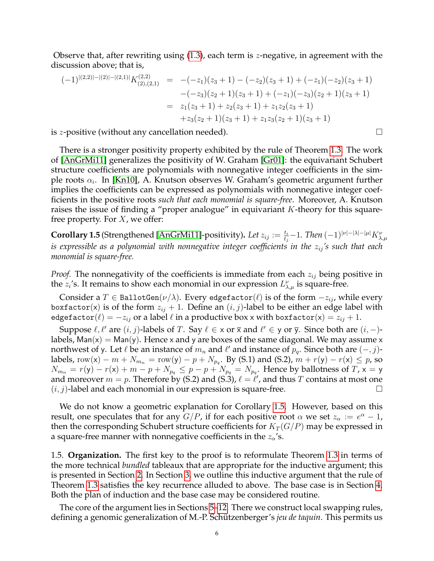Observe that, after rewriting using [\(1.3\)](#page-4-1), each term is z-negative, in agreement with the discussion above; that is,

$$
(-1)^{|(2,2)|-|(2,1)|}K_{(2),(2,1)}^{(2,2)} = -(-z_1)(z_3+1) - (-z_2)(z_3+1) + (-z_1)(-z_2)(z_3+1)
$$
  

$$
-(-z_3)(z_2+1)(z_3+1) + (-z_1)(-z_3)(z_2+1)(z_3+1)
$$
  

$$
= z_1(z_3+1) + z_2(z_3+1) + z_1z_2(z_3+1)
$$
  

$$
+z_3(z_2+1)(z_3+1) + z_1z_3(z_2+1)(z_3+1)
$$

is *z*-positive (without any cancellation needed).  $\Box$ 

There is a stronger positivity property exhibited by the rule of Theorem [1.3.](#page-4-0) The work of [\[AnGrMi11\]](#page-91-7) generalizes the positivity of W. Graham [\[Gr01\]](#page-91-5): the equivariant Schubert structure coefficients are polynomials with nonnegative integer coefficients in the simple roots  $\alpha_i$ . In [\[Kn10\]](#page-91-14), A. Knutson observes W. Graham's geometric argument further implies the coefficients can be expressed as polynomials with nonnegative integer coefficients in the positive roots *such that each monomial is square-free*. Moreover, A. Knutson raises the issue of finding a "proper analogue" in equivariant  $K$ -theory for this squarefree property. For  $X$ , we offer:

<span id="page-5-1"></span>**Corollary 1.5** (Strengthened [\[AnGrMi11\]](#page-91-7)-positivity). Let  $z_{ij} := \frac{t_i}{t_j} - 1$ . Then  $(-1)^{|\nu| - |\lambda| - |\mu|} K^{\nu}_{\lambda,\mu}$ *is expressible as a polynomial with nonnegative integer coefficients in the*  $z_{ij}$ *'s such that each monomial is square-free.*

*Proof.* The nonnegativity of the coefficients is immediate from each  $z_{ij}$  being positive in the  $z_i$ 's. It remains to show each monomial in our expression  $L^{\nu}_{\lambda,\mu}$  is square-free.

Consider a T  $\in$  BallotGen( $\nu/\lambda$ ). Every edgefactor( $\ell$ ) is of the form  $-z_{ij}$ , while every boxfactor(x) is of the form  $z_{ij} + 1$ . Define an  $(i, j)$ -label to be either an edge label with edgefactor $(\ell) = -z_{ij}$  or a label  $\ell$  in a productive box x with boxfactor $({\sf x}) = z_{ij} + 1$ .

Suppose  $\ell, \ell'$  are  $(i, j)$ -labels of T. Say  $\ell \in \times$  or  $\overline{\times}$  and  $\ell' \in \overline{y}$  or  $\overline{y}$ . Since both are  $(i, -)$ labels,  $Man(x) = Man(y)$ . Hence x and y are boxes of the same diagonal. We may assume x northwest of y. Let  $\ell$  be an instance of  $m_n$  and  $\ell'$  and instance of  $p_q$ . Since both are  $(-, j)$ labels, row(x) –  $m + N_{m_n} = \text{row}(y) - p + N_{p_q}$ . By (S.1) and (S.2),  $m + r(y) - r(x) \leq p$ , so  $N_{m_n} = r(\mathsf{y}) - r(\mathsf{x}) + m - p + N_{p_q} \leq p - p + N_{p_q} = N_{p_q}.$  Hence by ballotness of  $T$ ,  $\mathsf{x} = \mathsf{y}$ and moreover  $m = p$ . Therefore by (S.2) and (S.3),  $\ell = \ell'$ , and thus  $T$  contains at most one  $(i, j)$ -label and each monomial in our expression is square-free.

We do not know a geometric explanation for Corollary [1.5.](#page-5-1) However, based on this result, one speculates that for any  $G/P$ , if for each positive root  $\alpha$  we set  $z_{\alpha} := e^{\alpha} - 1$ , then the corresponding Schubert structure coefficients for  $K_T(G/P)$  may be expressed in a square-free manner with nonnegative coefficients in the  $z_{\alpha}$ 's.

<span id="page-5-0"></span>1.5. **Organization.** The first key to the proof is to reformulate Theorem [1.3](#page-4-0) in terms of the more technical *bundled* tableaux that are appropriate for the inductive argument; this is presented in Section [2.](#page-6-0) In Section [3,](#page-7-0) we outline this inductive argument that the rule of Theorem [1.3](#page-4-0) satisfies the key recurrence alluded to above. The base case is in Section [4.](#page-8-0) Both the plan of induction and the base case may be considered routine.

The core of the argument lies in Sections [5–](#page-11-0)[12.](#page-42-0) There we construct local swapping rules, defining a genomic generalization of M.-P. Schützenberger's *jeu de taquin*. This permits us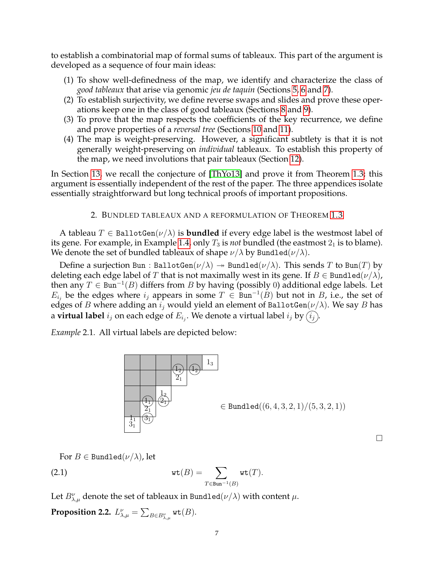to establish a combinatorial map of formal sums of tableaux. This part of the argument is developed as a sequence of four main ideas:

- (1) To show well-definedness of the map, we identify and characterize the class of *good tableaux* that arise via genomic *jeu de taquin* (Sections [5,](#page-11-0) [6](#page-15-0) and [7\)](#page-18-0).
- (2) To establish surjectivity, we define reverse swaps and slides and prove these operations keep one in the class of good tableaux (Sections [8](#page-24-0) and [9\)](#page-26-0).
- (3) To prove that the map respects the coefficients of the key recurrence, we define and prove properties of a *reversal tree* (Sections [10](#page-31-0) and [11\)](#page-36-0).
- (4) The map is weight-preserving. However, a significant subtlety is that it is not generally weight-preserving on *individual* tableaux. To establish this property of the map, we need involutions that pair tableaux (Section [12\)](#page-42-0).

In Section [13,](#page-52-0) we recall the conjecture of [\[ThYo13\]](#page-92-0) and prove it from Theorem [1.3;](#page-4-0) this argument is essentially independent of the rest of the paper. The three appendices isolate essentially straightforward but long technical proofs of important propositions.

# 2. BUNDLED TABLEAUX AND A REFORMULATION OF THEOREM [1.3](#page-4-0)

<span id="page-6-0"></span>A tableau  $T \in$  BallotGen( $\nu/\lambda$ ) is **bundled** if every edge label is the westmost label of its gene. For example, in Example [1.4,](#page-4-2) only  $T_3$  is *not* bundled (the eastmost  $2_1$  is to blame). We denote the set of bundled tableaux of shape  $\nu/\lambda$  by Bundled( $\nu/\lambda$ ).

Define a surjection Bun : BallotGen $(\nu/\lambda) \rightarrow$  Bundled $(\nu/\lambda)$ . This sends T to Bun(T) by deleting each edge label of T that is not maximally west in its gene. If  $B \in$  Bundled $(\nu/\lambda)$ , then any  $T \in \text{Bun}^{-1}(B)$  differs from B by having (possibly 0) additional edge labels. Let  $E_{i_j}$  be the edges where  $i_j$  appears in some  $T \in \text{Bun}^{-1}(B)$  but not in B, i.e., the set of edges of B where adding an  $i_j$  would yield an element of BallotGen( $\nu/\lambda$ ). We say B has a **virtual label**  $i_j$  on each edge of  $E_{i_j}.$  We denote a virtual label  $i_j$  by  $(i_j).$ 

<span id="page-6-2"></span>*Example* 2.1*.* All virtual labels are depicted below:



 $\Box$ 

<span id="page-6-1"></span>For  $B \in$  Bundled $(\nu/\lambda)$ , let

(2.1) 
$$
\operatorname{wt}(B) = \sum_{T \in \text{Bun}^{-1}(B)} \operatorname{wt}(T).
$$

Let  $B_{\lambda,\mu}^{\nu}$  denote the set of tableaux in Bundled $(\nu/\lambda)$  with content  $\mu$ .

<span id="page-6-3"></span>Proposition 2.2.  $L_{\lambda,\mu}^{\nu} = \sum_{B \in B_{\lambda,\mu}^{\nu}} \operatorname{\mathtt{wt}}(B).$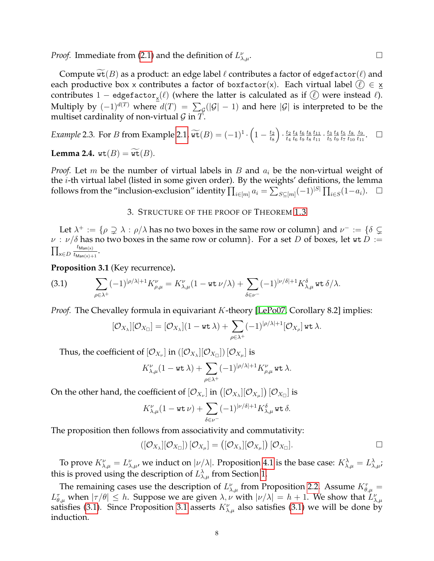*Proof.* Immediate from [\(2.1\)](#page-6-1) and the definition of  $L_{\lambda}^{\nu}$  $\lambda, \mu$ .

Compute  $\widetilde{\text{wt}}(B)$  as a product: an edge label  $\ell$  contributes a factor of edgefactor $(\ell)$  and each productive box x contributes a factor of boxfactor(x). Each virtual label  $\ell \in \mathbf{x}$ contributes  $1-$  edge $\texttt{factor}_\mathbf{x}(\ell)$  (where the latter is calculated as if  $(\ell)$  were instead  $\ell$ ). Multiply by  $(-1)^{d(T)}$  where  $d(T) = \sum_{\mathcal{G}}(|\mathcal{G}|-1)$  and here  $|\mathcal{G}|$  is interpreted to be the multiset cardinality of non-virtual  $\mathcal G$  in  $\tilde T$ .

*Example* 2.3. For *B* from Example [2.1,](#page-6-2)  $\widetilde{\text{wt}}(B) = (-1)^1 \cdot \left(1 - \frac{t_2}{t_8}\right)$  $t_8$  $\cdot \frac{t_2}{t_1}$  $t_4$  $t_4$  $t_6$  $t_6$  $t_9$  $t_8$  $t_8$  $t_{11}$  $\frac{t_{11}}{t_{11}} \cdot \frac{t_3}{t_5}$  $t_5$  $t_4$  $t_9$  $t_5$  $t_7$  $t_8$  $t_{10}$  $t_9$  $t_{11}$  $\Box$ 

**Lemma 2.4.**  $wt(B) = wt(B)$ .

*Proof.* Let m be the number of virtual labels in  $B$  and  $a_i$  be the non-virtual weight of the  $i$ -th virtual label (listed in some given order). By the weights' definitions, the lemma follows from the "inclusion-exclusion" identity  $\prod_{i\in [m]}a_i = \sum_{S\subseteq [m]}(-1)^{|S|}\prod_{i\in S}(1-a_i)$ .

### 3. STRUCTURE OF THE PROOF OF THEOREM [1.3](#page-4-0)

<span id="page-7-0"></span>Let  $\lambda^+ := \{\rho \supsetneq \lambda : \rho/\lambda \text{ has no two boxes in the same row or column}\}$  and  $\nu^- := \{\delta \supsetneq \emptyset\}$  $\nu$  :  $\nu/\delta$  has no two boxes in the same row or column}. For a set D of boxes, let wt D :=  $\prod_{\mathsf{x}\in D}$  $t_{\mathsf{Man}(\mathsf{x})}$  $\frac{\iota_{\mathsf{Man}(x)}}{\iota_{\mathsf{Man}(x)+1}}$ .

<span id="page-7-2"></span>**Proposition 3.1** (Key recurrence)**.**

<span id="page-7-1"></span>(3.1) 
$$
\sum_{\rho \in \lambda^+} (-1)^{|\rho/\lambda|+1} K_{\rho,\mu}^{\nu} = K_{\lambda,\mu}^{\nu} (1 - \text{wt } \nu/\lambda) + \sum_{\delta \in \nu^-} (-1)^{|\nu/\delta|+1} K_{\lambda,\mu}^{\delta} \text{ wt } \delta/\lambda.
$$

*Proof.* The Chevalley formula in equivariant *K*-theory [\[LePo07,](#page-91-12) Corollary 8.2] implies:

$$
[\mathcal{O}_{X_{\lambda}}][\mathcal{O}_{X_{\Box}}]=[\mathcal{O}_{X_{\lambda}}](1-\text{wt}\,\lambda)+\sum_{\rho\in\lambda^+}(-1)^{|\rho/\lambda|+1}[\mathcal{O}_{X_{\rho}}]\,\text{wt}\,\lambda.
$$

Thus, the coefficient of  $[\mathcal{O}_{X_\nu}]$  in  $([\mathcal{O}_{X_\lambda}][\mathcal{O}_{X_\square}])\,[\mathcal{O}_{X_\mu}]$  is

$$
K_{\lambda,\mu}^{\nu}(1-{\rm wt}\,\lambda)+\sum_{\rho\in\lambda^+}(-1)^{|\rho/\lambda|+1}K_{\rho,\mu}^{\nu}\,{\rm wt}\,\lambda.
$$

On the other hand, the coefficient of  $[\mathcal{O}_{X_\nu}]$  in  $\left(\left[\mathcal{O}_{X_\lambda}\right]\left[\mathcal{O}_{X_\mu}\right]\right)\left[\mathcal{O}_{X_\Box}\right]$  is

$$
K_{\lambda,\mu}^{\nu}(1-{\rm wt}\,\nu)+\sum_{\delta\in\nu^-}(-1)^{\vert\nu/\delta\vert+1}K_{\lambda,\mu}^{\delta}\,{\rm wt}\,\delta.
$$

The proposition then follows from associativity and commutativity:

$$
\left(\left[\mathcal{O}_{X_{\lambda}}\right]\left[\mathcal{O}_{X_{\square}}\right]\right)\left[\mathcal{O}_{X_{\mu}}\right] = \left(\left[\mathcal{O}_{X_{\lambda}}\right]\left[\mathcal{O}_{X_{\mu}}\right]\right)\left[\mathcal{O}_{X_{\square}}\right].
$$

To prove  $K_{\lambda,\mu}^{\nu}=L_{\lambda,\mu'}^{\nu}$ , we induct on  $|\nu/\lambda|$ . Proposition [4.1](#page-8-1) is the base case:  $K_{\lambda,\mu}^{\lambda}=L_{\lambda,\mu}^{\lambda}$ ; this is proved using the description of  $L^{\lambda}_{\lambda,\mu}$  from Section [1.](#page-1-0)

The remaining cases use the description of  $L_{\lambda,\mu}^{\nu}$  from Proposition [2.2.](#page-6-3) Assume  $K_{\theta,\mu}^{\tau}$  =  $L^{\tau}_{\theta,\mu}$  when  $|\tau/\theta| \leq h$ . Suppose we are given  $\lambda,\nu$  with  $|\nu/\lambda| = h + 1$ . We show that  $L^{\nu}_{\lambda,\mu}$ satisfies [\(3.1\)](#page-7-1). Since Proposition [3.1](#page-7-2) asserts  $K^{\nu}_{\lambda,\mu}$  also satisfies (3.1) we will be done by induction.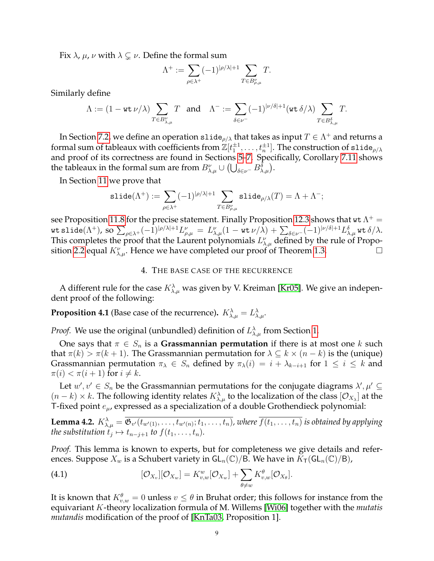Fix  $\lambda$ ,  $\mu$ ,  $\nu$  with  $\lambda \subsetneq \nu$ . Define the formal sum

$$
\Lambda^+:=\sum_{\rho\in\lambda^+}(-1)^{|\rho/\lambda|+1}\sum_{T\in B_{\rho,\mu}^\nu}T.
$$

Similarly define

$$
\Lambda:=(1-\mathop{\rm wt}\nolimits \nu/\lambda)\sum_{T\in B_{\lambda,\mu}^{\nu}}T\ \ \text{ and }\ \ \Lambda^{-}:=\sum_{\delta\in \nu^{-}}(-1)^{|\nu/\delta|+1}(\mathop{\rm wt}\nolimits \delta/\lambda)\sum_{T\in B_{\lambda,\mu}^{\delta}}T.
$$

In Section [7.2,](#page-21-0) we define an operation slide $\rho/\lambda$  that takes as input  $T\in \Lambda^+$  and returns a formal sum of tableaux with coefficients from  $\mathbb{Z}[t_1^{\pm 1},\ldots,t_n^{\pm 1}].$  The construction of slide $_{\rho/\lambda}$ and proof of its correctness are found in Sections [5](#page-11-0)[–7.](#page-18-0) Specifically, Corollary [7.11](#page-22-1) shows the tableaux in the formal sum are from  $B_{\lambda,\mu}^{\nu}\cup\left(\bigcup_{\delta\in\nu^-}B_{\lambda,\mu}^{\delta}\right)$ .

In Section [11](#page-36-0) we prove that

$$
\text{slide}(\Lambda^+):=\sum_{\rho\in\lambda^+}(-1)^{|\rho/\lambda|+1}\sum_{T\in B_{\rho,\mu}^\nu}\text{slide}_{\rho/\lambda}(T)=\Lambda+\Lambda^-;
$$

see Proposition [11.8](#page-42-2) for the precise statement. Finally Proposition [12.3](#page-43-1) shows that  $\text{wt\,} \Lambda^+=0$ wt slide $(\Lambda^{+})$ , so  $\sum_{\rho\in\lambda^{+}}(-1)^{|\rho/\lambda|+1}L^{\nu}_{\rho,\mu}\ =\ L^{\nu}_{\lambda,\mu}(1-$  wt  $\nu/\lambda)+\sum_{\delta\in\nu^{-}}(-1)^{|\nu/\delta|+1}L^{\delta}_{\lambda,\mu}$  wt  $\delta/\lambda.$ This completes the proof that the Laurent polynomials  $L^{\nu}_{\lambda,\mu}$  defined by the rule of Propo-sition [2.2](#page-6-3) equal  $K_{\lambda,\mu}^{\nu}$ . Hence we have completed our proof of Theorem [1.3.](#page-4-0)

#### 4. THE BASE CASE OF THE RECURRENCE

<span id="page-8-0"></span>A different rule for the case  $K^{\lambda}_{\lambda,\mu}$  was given by V. Kreiman [\[Kr05\]](#page-91-11). We give an independent proof of the following:

<span id="page-8-1"></span>**Proposition 4.1** (Base case of the recurrence).  $K^{\lambda}_{\lambda,\mu} = L^{\lambda}_{\lambda,\mu}$ .

*Proof.* We use the original (unbundled) definition of  $L^{\lambda}_{\lambda,\mu}$  from Section [1.](#page-1-0)

One says that  $\pi \in S_n$  is a **Grassmannian permutation** if there is at most one k such that  $\pi(k) > \pi(k+1)$ . The Grassmannian permutation for  $\lambda \subseteq k \times (n-k)$  is the (unique) Grassmannian permutation  $\pi_{\lambda} \in S_n$  defined by  $\pi_{\lambda}(i) = i + \lambda_{k-i+1}$  for  $1 \leq i \leq k$  and  $\pi(i) < \pi(i+1)$  for  $i \neq k$ .

Let  $w', v' \in S_n$  be the Grassmannian permutations for the conjugate diagrams  $\lambda', \mu' \subseteq S_n$  $(n-k)\times k$ . The following identity relates  $K_{\lambda,\mu}^{\lambda}$  to the localization of the class  $[O_{X_{\lambda}}]$  at the T-fixed point  $e_{\mu}$ , expressed as a specialization of a double Grothendieck polynomial:

<span id="page-8-3"></span>**Lemma 4.2.**  $K^{\lambda}_{\lambda,\mu} = \overline{\mathfrak{G}_{v'}(t_{w'(1)},\ldots,t_{w'(n)};t_1,\ldots,t_n)}$ , where  $\overline{f(t_1,\ldots,t_n)}$  is obtained by applying *the substitution*  $t_j \mapsto t_{n-j+1}$  *to*  $f(t_1, \ldots, t_n)$ *.* 

*Proof.* This lemma is known to experts, but for completeness we give details and references. Suppose  $X_w$  is a Schubert variety in  $GL_n(\mathbb{C})/B$ . We have in  $K_\mathsf{T}(\mathsf{GL}_n(\mathbb{C})/B)$ ,

<span id="page-8-2"></span>(4.1) 
$$
[\mathcal{O}_{X_v}][\mathcal{O}_{X_w}] = K_{v,w}^w[\mathcal{O}_{X_w}] + \sum_{\theta \neq w} K_{v,w}^{\theta}[\mathcal{O}_{X_{\theta}}].
$$

It is known that  $K^{\theta}_{v,w}=0$  unless  $v\leq \theta$  in Bruhat order; this follows for instance from the equivariant K-theory localization formula of M. Willems [\[Wi06\]](#page-92-1) together with the *mutatis mutandis* modification of the proof of [\[KnTa03,](#page-91-4) Proposition 1].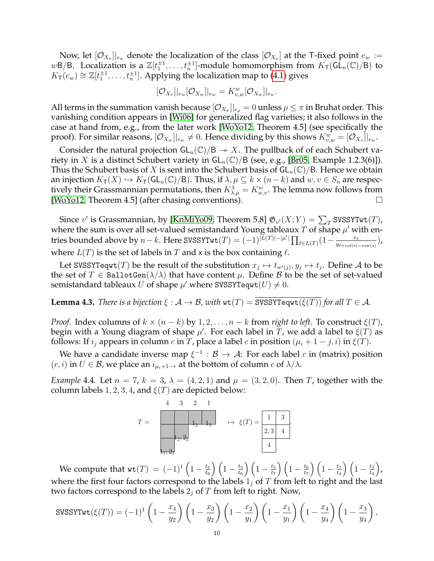Now, let  $[\mathcal{O}_{X_v}]|_{e_w}$  denote the localization of the class  $[\mathcal{O}_{X_v}]$  at the T-fixed point  $e_w :=$ wB/B. Localization is a  $\mathbb{Z}[t_1^{\pm 1},...,t_n^{\pm 1}]$ -module homomorphism from  $K_\mathsf{T}(\mathsf{GL}_n(\mathbb{C})/\mathsf{B})$  to  $K_{\mathsf{T}}(e_w) \cong \mathbb{Z}[t_1^{\pm 1}, \ldots, t_n^{\pm 1}]$ . Applying the localization map to [\(4.1\)](#page-8-2) gives

$$
[\mathcal{O}_{X_v}]|_{e_w}[\mathcal{O}_{X_w}]|_{e_w} = K^w_{v,w}[\mathcal{O}_{X_w}]|_{e_w}.
$$

All terms in the summation vanish because  $[\mathcal{O}_{X_\pi}]|_{e_\rho}=0$  unless  $\rho\leq\pi$  in Bruhat order. This vanishing condition appears in [\[Wi06\]](#page-92-1) for generalized flag varieties; it also follows in the case at hand from, e.g., from the later work [\[WoYo12,](#page-92-2) Theorem 4.5] (see specifically the proof). For similar reasons,  $[\mathcal{O}_{X_w}]|_{e_w}\neq 0.$  Hence dividing by this shows  $K_{v,w}^w=[\mathcal{O}_{X_v}]|_{e_w}.$ 

Consider the natural projection  $GL_n(\mathbb{C})/B \to X$ . The pullback of of each Schubert variety in X is a distinct Schubert variety in  $GL_n(\mathbb{C})/B$  (see, e.g., [\[Br05,](#page-91-24) Example 1.2.3(6)]). Thus the Schubert basis of X is sent into the Schubert basis of  $GL_n(\mathbb{C})/B$ . Hence we obtain an injection  $K_T(X) \hookrightarrow K_T(\mathsf{GL}_n(\mathbb{C})/\mathsf{B})$ . Thus, if  $\lambda, \mu \subseteq k \times (n-k)$  and  $w, v \in S_n$  are respectively their Grassmannian permutations, then  $K_{\lambda,\mu}^{\lambda}=K_{w,v}^w.$  The lemma now follows from [\[WoYo12,](#page-92-2) Theorem 4.5] (after chasing conventions).

Since v' is Grassmannian, by [\[KnMiYo09,](#page-91-25) Theorem 5.8]  $\mathfrak{G}_{v'}(X;Y) = \sum_{T}$ SVSSYTwt $(T)$ , where the sum is over all set-valued semistandard Young tableaux T of shape  $\mu'$  with entries bounded above by  $n-k$ . Here SVSSYTwt $(T)=(-1)^{|\widetilde{L}(T)|-|\mu'|}\prod_{\ell\in L(T)}(1-\frac{x_\ell}{y_{\ell+{\rm col}(x)}})$  $\frac{x_{\ell}}{y_{\ell+\text{col(x)}-\text{row(x)}}}\big)$ where  $L(T)$  is the set of labels in T and x is the box containing  $\ell$ .

Let SVSSYTeqwt $(T)$  be the result of the substitution  $x_j \mapsto t_{w'(j)}, y_j \mapsto t_j$ . Define A to be the set of  $T \in \text{BallotGen}(\lambda/\lambda)$  that have content  $\mu$ . Define  $\beta$  to be the set of set-valued semistandard tableaux U of shape  $\mu'$  where SVSSYTeqwt $(U) \neq 0$ .

<span id="page-9-0"></span>**Lemma 4.3.** *There is a bijection*  $\xi : A \to B$ *, with*  $wt(T) =$  SVSSYTeqwt $(\xi(T))$  *for all*  $T \in A$ *.* 

*Proof.* Index columns of  $k \times (n - k)$  by  $1, 2, ..., n - k$  from *right to left*. To construct  $\xi(T)$ , begin with a Young diagram of shape  $\mu'$ . For each label in  $\overline{T}$ , we add a label to  $\xi(T)$  as follows: If  $i_j$  appears in column c in T, place a label c in position  $(\mu_i + 1 - j, i)$  in  $\xi(T)$ .

We have a candidate inverse map  $\xi^{-1}$  :  $\mathcal{B} \to \mathcal{A}$ : For each label  $c$  in (matrix) position  $(r, i)$  in  $U \in \mathcal{B}$ , we place an  $i_{\mu_i+1-r}$  at the bottom of column  $c$  of  $\lambda/\lambda$ .

*Example* 4.4*.* Let  $n = 7$ ,  $k = 3$ ,  $\lambda = (4, 2, 1)$  and  $\mu = (3, 2, 0)$ . Then T, together with the column labels 1, 2, 3, 4, and  $\xi(T)$  are depicted below:



We compute that  $\text{wt}(T) = (-1)^1 \left(1 - \frac{t_1}{t_0}\right)$  $\left(\frac{t_1}{t_6}\right) \left(1 - \frac{t_3}{t_6}\right)$  $\left(\frac{t_3}{t_6}\right) \left(1 - \frac{t_5}{t_7}\right)$  $\left(\frac{t_5}{t_7}\right) \left(1 - \frac{t_6}{t_7}\right)$  $\left(\frac{t_6}{t_7}\right)\left(1-\frac{t_1}{t_4}\right)$  $\left(\frac{t_1}{t_4}\right) \left(1 - \frac{t_3}{t_4}\right)$  $t_4$  , where the first four factors correspond to the labels  $1<sub>j</sub>$  of T from left to right and the last two factors correspond to the labels  $2<sub>j</sub>$  of T from left to right. Now,

$$
\text{SUSSYTwt}(\xi(T)) = (-1)^1 \left( 1 - \frac{x_4}{y_2} \right) \left( 1 - \frac{x_3}{y_2} \right) \left( 1 - \frac{x_2}{y_1} \right) \left( 1 - \frac{x_1}{y_1} \right) \left( 1 - \frac{x_4}{y_4} \right) \left( 1 - \frac{x_3}{y_4} \right),
$$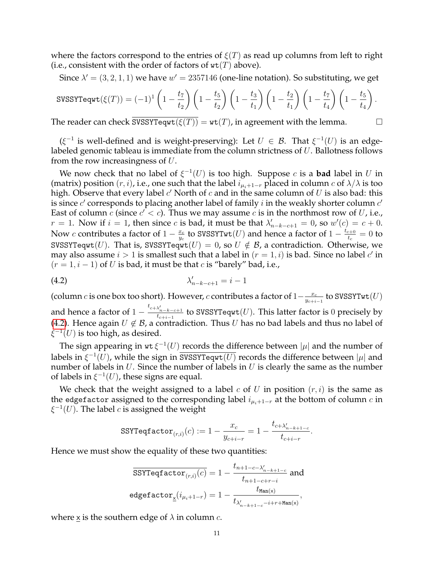where the factors correspond to the entries of  $\xi(T)$  as read up columns from left to right (i.e., consistent with the order of factors of  $wt(T)$  above).

Since  $\lambda' = (3, 2, 1, 1)$  we have  $w' = 2357146$  (one-line notation). So substituting, we get

$$
\text{SUSSYTeqwt}(\xi(T)) = (-1)^1 \left(1 - \frac{t_7}{t_2}\right) \left(1 - \frac{t_5}{t_2}\right) \left(1 - \frac{t_3}{t_1}\right) \left(1 - \frac{t_2}{t_1}\right) \left(1 - \frac{t_7}{t_4}\right) \left(1 - \frac{t_5}{t_4}\right).
$$

The reader can check  $\overline{\text{SVSSYTeqrt}(\xi(T))} = \text{wt}(T)$ , in agreement with the lemma.

 $(\xi^{-1}$  is well-defined and is weight-preserving): Let  $U \in \mathcal{B}$ . That  $\xi^{-1}(U)$  is an edgelabeled genomic tableau is immediate from the column strictness of  $U$ . Ballotness follows from the row increasingness of U.

We now check that no label of  $\xi^{-1}(U)$  is too high. Suppose c is a **bad** label in U in (matrix) position  $(r, i)$ , i.e., one such that the label  $i_{\mu_i+1-r}$  placed in column c of  $\lambda/\lambda$  is too high. Observe that every label  $c'$  North of  $c$  and in the same column of  $U$  is also bad: this is since  $c'$  corresponds to placing another label of family  $i$  in the weakly shorter column  $c'$ East of column  $c$  (since  $c' < c$ ). Thus we may assume  $c$  is in the northmost row of U, i.e.,  $r = 1$ . Now if  $i = 1$ , then since c is bad, it must be that  $\lambda'_{n-k-c+1} = 0$ , so  $w'(c) = c + 0$ . Now *c* contributes a factor of  $1 - \frac{x_c}{y_a}$  $\frac{x_c}{y_c}$  to SVSSYTwt $(U)$  and hence a factor of  $1-\frac{t_{c+0}}{t_c}$  $\frac{c+0}{t_c}=0$  to SVSSYTeqwt(U). That is, SVSSYTeqwt(U) = 0, so  $U \notin \mathcal{B}$ , a contradiction. Otherwise, we may also assume  $i > 1$  is smallest such that a label in  $(r = 1, i)$  is bad. Since no label  $c'$  in  $(r = 1, i - 1)$  of U is bad, it must be that c is "barely" bad, i.e.,

<span id="page-10-0"></span>
$$
\lambda'_{n-k-c+1} = i-1
$$

(column *c* is one box too short). However, *c* contributes a factor of  $1-\frac{x_c}{y_{c}}$  $\frac{x_c}{y_{c+i-1}}$  to SVSSYTwt $(U)$ and hence a factor of  $1-\frac{t_{c+\lambda'_{n-k-c+1}}}{t_{c+i-1}}$  to SVSSYTeqwt $(U)$ . This latter factor is  $0$  precisely by [\(4.2\)](#page-10-0). Hence again  $U \notin \mathcal{B}$ , a contradiction. Thus  $U$  has no bad labels and thus no label of  $\xi^{-1}(U)$  is too high, as desired.

The sign appearing in  $\text{wt } \xi^{-1}(U)$  records the difference between  $|\mu|$  and the number of labels in  $\xi^{-1}(U)$ , while the sign in SVSSYTeqwt $(\overline{U)}$  records the difference between  $|\mu|$  and number of labels in  $U$ . Since the number of labels in  $U$  is clearly the same as the number of labels in  $\xi^{-1}(U)$ , these signs are equal.

We check that the weight assigned to a label c of U in position  $(r, i)$  is the same as the edgefactor assigned to the corresponding label  $i_{\mu_i+1-r}$  at the bottom of column c in  $\xi^{-1}(U)$ . The label  $c$  is assigned the weight

$$
\mathrm{SSYTeqfactor}_{(r,i)}(c):=1-\frac{x_c}{y_{c+i-r}}=1-\frac{t_{c+\lambda'_{n-k+1-c}}}{t_{c+i-r}}.
$$

Hence we must show the equality of these two quantities:

$$
\overline{\text{SSYTeqfactor}_{(r,i)}(c)} = 1 - \frac{t_{n+1-c-\lambda'_{n-k+1-c}}}{t_{n+1-c+r-i}} \text{ and } \\ \text{edgefactor}_{\underline{\mathbf{x}}}(i_{\mu_i+1-r}) = 1 - \frac{t_{\text{Man}(\mathbf{x})}}{t_{\lambda'_{n-k+1-c}-i+r+\text{Man}(\mathbf{x})}},
$$

where  $\underline{x}$  is the southern edge of  $\lambda$  in column  $c$ .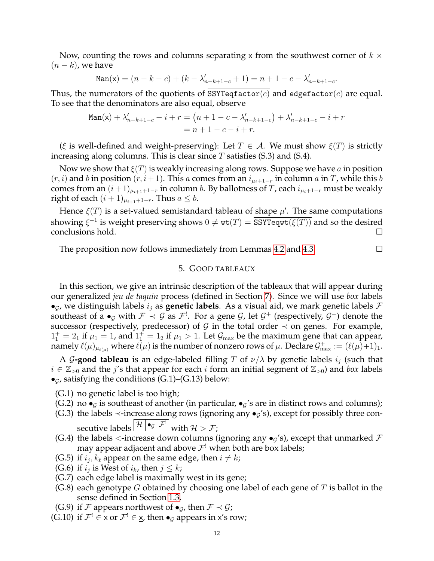Now, counting the rows and columns separating x from the southwest corner of  $k \times$  $(n - k)$ , we have

$$
\text{Man}(\mathbf{x}) = (n - k - c) + (k - \lambda'_{n - k + 1 - c} + 1) = n + 1 - c - \lambda'_{n - k + 1 - c}.
$$

Thus, the numerators of the quotients of SSYTeqfactor(c) and edgefactor(c) are equal. To see that the denominators are also equal, observe

$$
\text{Man}(\mathbf{x}) + \lambda'_{n-k+1-c} - i + r = (n+1-c - \lambda'_{n-k+1-c}) + \lambda'_{n-k+1-c} - i + r
$$
  
=  $n+1-c-i+r$ .

( $\xi$  is well-defined and weight-preserving): Let  $T \in \mathcal{A}$ . We must show  $\xi(T)$  is strictly increasing along columns. This is clear since  $T$  satisfies (S.3) and (S.4).

Now we show that  $\xi(T)$  is weakly increasing along rows. Suppose we have a in position  $(r, i)$  and b in position  $(r, i + 1)$ . This a comes from an  $i_{\mu_i+1-r}$  in column a in T, while this b comes from an  $(i+1)_{\mu_{i+1}+1-r}$  in column b. By ballotness of T, each  $i_{\mu_i+1-r}$  must be weakly right of each  $(i + 1)_{\mu_{i+1}+1-r}$ . Thus  $a \leq b$ .

Hence  $\xi(T)$  is a set-valued semistandard tableau of shape  $\mu'$ . The same computations showing  $\xi^{-1}$  is weight preserving shows  $0\neq \texttt{wt}(T)=\overline{\texttt{SSYTeqrt}(\xi(T))}$  and so the desired conclusions hold.

<span id="page-11-0"></span>The proposition now follows immediately from Lemmas [4.2](#page-8-3) and [4.3.](#page-9-0)  $\Box$ 

### 5. GOOD TABLEAUX

In this section, we give an intrinsic description of the tableaux that will appear during our generalized *jeu de taquin* process (defined in Section [7\)](#page-18-0). Since we will use *box* labels  $\bullet$ <sub>G</sub>, we distinguish labels  $i_j$  as **genetic labels**. As a visual aid, we mark genetic labels  $\mathcal{F}$ southeast of a  $\bullet_{\mathcal{G}}$  with  $\mathcal{F}\prec\mathcal{G}$  as  $\mathcal{F}^!$ . For a gene  $\mathcal{G}$ , let  $\mathcal{G}^+$  (respectively,  $\mathcal{G}^-$ ) denote the successor (respectively, predecessor) of G in the total order  $\prec$  on genes. For example,  $1_1^+=2_1$  if  $\mu_1=1$ , and  $1_1^+=1_2$  if  $\mu_1>1$ . Let  $\mathcal{G}_{\max}$  be the maximum gene that can appear, namely  $\ell(\mu)_{\mu_{\ell(\mu)}}$  where  $\ell(\mu)$  is the number of nonzero rows of  $\mu$ . Declare  $\mathcal{G}^+_{\max}:=(\ell(\mu)+1)_1$ .

A G-good tableau is an edge-labeled filling T of  $\nu/\lambda$  by genetic labels  $i_j$  (such that  $i \in \mathbb{Z}_{>0}$  and the *j's* that appear for each *i* form an initial segment of  $\mathbb{Z}_{>0}$ ) and *box* labels  $\bullet$ <sub>G</sub>, satisfying the conditions (G.1)–(G.13) below:

- (G.1) no genetic label is too high;
- (G.2) no  $\bullet$ <sub>G</sub> is southeast of another (in particular,  $\bullet$ <sub>G</sub>'s are in distinct rows and columns);
- (G.3) the labels  $\prec$ -increase along rows (ignoring any  $\bullet_g$ 's), except for possibly three con-

secutive labels 
$$
|\mathcal{H}|\bullet_{\mathcal{G}}|\mathcal{F}^{\prime}|
$$
 with  $\mathcal{H} > \mathcal{F}$ ;

- (G.4) the labels  $\lt$ -increase down columns (ignoring any  $\bullet_g$ 's), except that unmarked  $\mathcal F$ may appear adjacent and above  $\mathcal{F}^!$  when both are box labels;
- (G.5) if  $i_j, k_\ell$  appear on the same edge, then  $i \neq k$ ;
- (G.6) if  $i_j$  is West of  $i_k$ , then  $j \leq k$ ;
- (G.7) each edge label is maximally west in its gene;
- $(G.8)$  each genotype G obtained by choosing one label of each gene of T is ballot in the sense defined in Section [1.3.](#page-3-0)
- (G.9) if  $\mathcal F$  appears northwest of  $\bullet_{\mathcal G}$ , then  $\mathcal F\prec\mathcal G$ ;
- (G.10) if  $\mathcal{F}^! \in \times$  or  $\mathcal{F}^! \in \times$ , then  $\bullet_{\mathcal{G}}$  appears in x's row;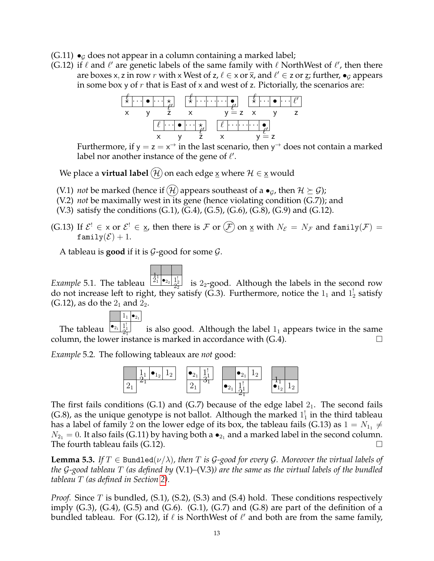- $(G.11)$   $\bullet$ <sub>G</sub> does not appear in a column containing a marked label;
- (G.12) if  $\ell$  and  $\ell'$  are genetic labels of the same family with  $\ell$  NorthWest of  $\ell'$ , then there are boxes x, z in row r with x West of z,  $\ell \in \times$  or  $\overline{\mathsf{x}}$ , and  $\ell' \in$  z or <u>z</u>; further,  $\bullet_\mathcal{G}$  appears in some box y of  $r$  that is East of x and west of z. Pictorially, the scenarios are:



Furthermore, if  $y = z = x^{\rightarrow}$  in the last scenario, then  $y^{\rightarrow}$  does not contain a marked label nor another instance of the gene of  $\ell'$ .

We place a **virtual label**  $\widehat{H}$  on each edge x where  $H \in \mathbf{x}$  would

- (V.1) *not* be marked (hence if  $(\mathcal{H})$  appears southeast of a  $\bullet_G$ , then  $\mathcal{H} \succeq \mathcal{G}$ );
- (V.2) *not* be maximally west in its gene (hence violating condition (G.7)); and
- (V.3) satisfy the conditions  $(G.1)$ ,  $(G.4)$ ,  $(G.5)$ ,  $(G.6)$ ,  $(G.8)$ ,  $(G.9)$  and  $(G.12)$ .
- (G.13) If  $\mathcal{E}^! \in \times$  or  $\mathcal{E}^! \in \times$ , then there is  $\mathcal F$  or  $(\mathcal F)$  on  $\underline{\times}$  with  $N_\mathcal{E} = N_\mathcal{F}$  and family $(\mathcal{F}) =$ family $(\mathcal{E}) + 1$ .

A tableau is **good** if it is  $G$ -good for some  $G$ .

*Example* 5.1. The tableau  $\frac{\frac{1}{21} \cdot \frac{1}{22}}{\frac{12}{22}}$  $\frac{1}{22}$  is 2<sub>2</sub>-good. Although the labels in the second row do not increase left to right, they satisfy (G.3). Furthermore, notice the  $1_1$  and  $1_2^1$  satisfy  $(G.12)$ , as do the  $2<sub>1</sub>$  and  $2<sub>2</sub>$ .

$$
\begin{array}{|c|c|}\n\hline\n1_1 & \bullet_{2_1}\n\hline\n\bullet & 1! \\
\hline\n\end{array}
$$

The tableau  $\frac{\bullet_{2_1} 1_1^1}{2_1^1}$  is also good. Although the label  $1_1$  appears twice in the same column, the lower instance is marked in accordance with  $(G.4)$ .

*Example* 5.2*.* The following tableaux are *not* good:



The first fails conditions  $(G.1)$  and  $(G.7)$  because of the edge label  $2<sub>1</sub>$ . The second fails (G.8), as the unique genotype is not ballot. Although the marked  $1_1^1$  in the third tableau has a label of family 2 on the lower edge of its box, the tableau fails (G.13) as  $1 = N_{11} \neq$  $N_{21} = 0$ . It also fails (G.11) by having both a  $\bullet_{21}$  and a marked label in the second column. The fourth tableau fails (G.12).  $\Box$ 

<span id="page-12-0"></span>**Lemma 5.3.** If  $T \in$  Bundled $(\nu/\lambda)$ , then T is G-good for every G. Moreover the virtual labels of *the* G*-good tableau* T *(as defined by* (V.1)*–*(V.3)*) are the same as the virtual labels of the bundled tableau* T *(as defined in Section [2\)](#page-6-0).*

*Proof.* Since T is bundled, (S.1), (S.2), (S.3) and (S.4) hold. These conditions respectively imply  $(G.3)$ ,  $(G.4)$ ,  $(G.5)$  and  $(G.6)$ .  $(G.1)$ ,  $(G.7)$  and  $(G.8)$  are part of the definition of a bundled tableau. For (G.12), if  $\ell$  is NorthWest of  $\ell'$  and both are from the same family,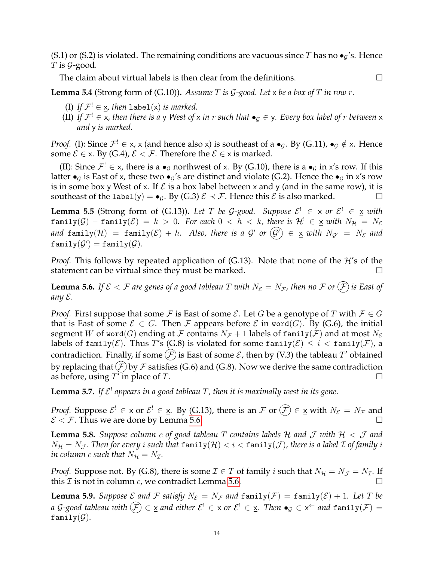(S.1) or (S.2) is violated. The remaining conditions are vacuous since T has no  $\bullet_g$ 's. Hence  $T$  is  $\mathcal{G}\text{-good}.$ 

The claim about virtual labels is then clear from the definitions.  $\Box$ 

<span id="page-13-1"></span>**Lemma 5.4** (Strong form of (G.10))**.** *Assume* T *is* G*-good. Let* x *be a box of* T *in row* r*.*

- (I) If  $\mathcal{F}^! \in \underline{\mathsf{x}}$ , then label(x) is marked.
- (II) If  $\mathcal{F}^! \in \times$ , then there is a y West of x in r such that  $\bullet_\mathcal{G} \in \mathsf{y}$ . Every box label of r between x *and* y *is marked.*

*Proof.* (I): Since  $\mathcal{F}^! \in \underline{x}$ ,  $\underline{x}$  (and hence also x) is southeast of a  $\bullet_{\mathcal{G}}$ . By (G.11),  $\bullet_{\mathcal{G}} \notin x$ . Hence some  $\mathcal{E} \in \times$ . By (G.4),  $\mathcal{E} < \mathcal{F}$ . Therefore the  $\mathcal{E} \in \times$  is marked.

(II): Since  $\mathcal{F}^! \in x$ , there is a  $\bullet_{\mathcal{G}}$  northwest of x. By (G.10), there is a  $\bullet_{\mathcal{G}}$  in x's row. If this latter  $\bullet_G$  is East of x, these two  $\bullet_G$ 's are distinct and violate (G.2). Hence the  $\bullet_G$  in x's row is in some box y West of x. If  $\mathcal E$  is a box label between x and y (and in the same row), it is southeast of the label(y) =  $\bullet_G$ . By (G.3)  $\mathcal{E} \prec \mathcal{F}$ . Hence this  $\mathcal{E}$  is also marked.

<span id="page-13-2"></span>**Lemma 5.5** (Strong form of (G.13)). Let T be G-good. Suppose  $\mathcal{E}^! \in \times$  or  $\mathcal{E}^! \in \times$  with  $\text{family}(\mathcal{G}) - \text{family}(\mathcal{E}) = k > 0$ . For each  $0 < h < k$ , there is  $\mathcal{H}^! \in \underline{\mathsf{x}}$  with  $N_{\mathcal{H}} = N_{\mathcal{E}}$ and  $\texttt{family}(\mathcal{H})~=~\texttt{family}(\mathcal{E})+h.$  Also, there is a  $\mathcal{G}'$  or  $\big(\mathcal{G}'\big)\,\in~\underline{\mathsf{x}}$  with  $N_{\mathcal{G}'}~=~N_{\mathcal{E}}$  and  $\texttt{family}(\mathcal{G}') = \texttt{family}(\mathcal{G}).$ 

*Proof.* This follows by repeated application of  $(G.13)$ . Note that none of the  $H$ 's of the statement can be virtual since they must be marked.  $\Box$ 

<span id="page-13-0"></span>**Lemma 5.6.** If  $\mathcal{E} < \mathcal{F}$  are genes of a good tableau T with  $N_{\mathcal{E}} = N_{\mathcal{F}}$ , then no  $\mathcal{F}$  or  $(\widehat{\mathcal{F}})$  is East of *any* E*.*

*Proof.* First suppose that some F is East of some  $\mathcal{E}$ . Let G be a genotype of T with  $\mathcal{F} \in G$ that is East of some  $\mathcal{E} \in G$ . Then F appears before  $\mathcal{E}$  in word(G). By (G.6), the initial segment W of word(G) ending at F contains  $N_F + 1$  labels of family(F) and at most  $N_{\mathcal{E}}$ labels of family( $\mathcal{E}$ ). Thus T's (G.8) is violated for some family( $\mathcal{E}$ )  $\leq i <$  family( $\mathcal{F}$ ), a contradiction. Finally, if some  $(F)$  is East of some  ${\mathcal E}$ , then by (V.3) the tableau  $T'$  obtained by replacing that  $(F)$  by F satisfies (G.6) and (G.8). Now we derive the same contradiction as before, using  $T'$  in place of T.

<span id="page-13-3"></span>**Lemma 5.7.** If  $\mathcal{E}^!$  appears in a good tableau  $T$ , then it is maximally west in its gene.

*Proof.* Suppose  $\mathcal{E}^! \in \times$  or  $\mathcal{E}^! \in \times$ . By (G.13), there is an  $\mathcal{F}$  or  $(\mathcal{F}) \in \times$  with  $N_{\mathcal{E}} = N_{\mathcal{F}}$  and  $\mathcal{E} < \mathcal{F}$ . Thus we are done by Lemma [5.6.](#page-13-0)

**Lemma 5.8.** *Suppose column c of good tableau*  $T$  *contains labels*  $H$  *and*  $J$  *with*  $H < J$  *and*  $N_{\mathcal{H}} = N_{\mathcal{J}}$ . Then for every *i* such that  $\text{family}(\mathcal{H}) < i < \text{family}(\mathcal{J})$ , there is a label  $\mathcal I$  of family *i in column c such that*  $N_{\mathcal{H}} = N_{\mathcal{I}}$ .

*Proof.* Suppose not. By (G.8), there is some  $\mathcal{I} \in T$  of family i such that  $N_{\mathcal{H}} = N_{\mathcal{J}} = N_{\mathcal{I}}$ . If this  $\mathcal I$  is not in column  $c$ , we contradict Lemma [5.6.](#page-13-0)

**Lemma 5.9.** Suppose  $\mathcal E$  and  $\mathcal F$  *satisfy*  $N_{\mathcal E} = N_{\mathcal F}$  and  $\text{family}(\mathcal F) = \text{family}(\mathcal E) + 1$ *. Let*  $T$  be *a G-good tableau with*  $(F) \in \underline{{\sf x}}$  *and either*  ${\cal E}^! \in {\sf x}$  *or*  ${\cal E}^! \in \underline{{\sf x}}$ *. Then*  $\bullet_{\cal G} \in {\sf x}^\leftarrow$  *and*  $\tt family(F) =$ family $(\mathcal{G})$ .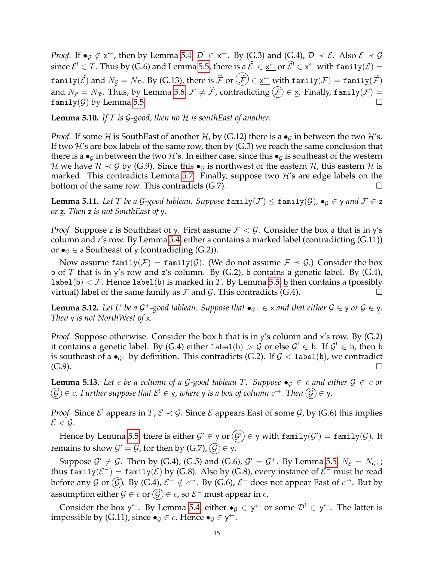*Proof.* If  $\bullet_G \notin x^{\leftarrow}$ , then by Lemma [5.4,](#page-13-1)  $\mathcal{D}^! \in x^{\leftarrow}$ . By (G.3) and (G.4),  $\mathcal{D} \prec \mathcal{E}$ . Also  $\mathcal{E} \prec \mathcal{G}$ since  $\mathcal{E}^! \in T$ . Thus by (G.6) and Lemma [5.5,](#page-13-2) there is a  $\mathcal{E}^! \in \underline{\mathsf{x}}^\leftarrow$  or  $\mathcal{E}^! \in \mathsf{x}^\leftarrow$  with family $(\mathcal{E}) =$  $\text{family}(\mathcal{E}) \text{ and } N_{\mathcal{E}} = N_{\mathcal{D}}. \text{ By (G.13), there is } \mathcal{F} \text{ or } (\mathcal{F}) \in \underline{\mathsf{x}}^{\leftarrow} \text{ with family}(\mathcal{F}) = \text{family}(\mathcal{F})$ and  $N_{\tilde{\mathcal{E}}} = N_{\tilde{\mathcal{F}}}$ . Thus, by Lemma [5.6,](#page-13-0)  $\mathcal{F} \neq \tilde{\mathcal{F}}$ , contradicting  $(\mathcal{F}) \in \underline{\mathsf{x}}$ . Finally, family( $\mathcal{F}$ ) = family( $\mathcal{G}$ ) by Lemma 5.5. family(G) by Lemma [5.5.](#page-13-2)

<span id="page-14-0"></span>**Lemma 5.10.** *If* T *is* G*-good, then no* H *is southEast of another.*

*Proof.* If some H is SouthEast of another H, by (G.12) there is a  $\bullet$ <sub>G</sub> in between the two H's. If two  $\mathcal{H}'$ s are box labels of the same row, then by (G.3) we reach the same conclusion that there is a  $\bullet_G$  in between the two H's. In either case, since this  $\bullet_G$  is southeast of the western H we have  $\mathcal{H} \prec \mathcal{G}$  by (G.9). Since this  $\bullet_{\mathcal{G}}$  is northwest of the eastern  $\mathcal{H}$ , this eastern  $\mathcal{H}$  is marked. This contradicts Lemma [5.7.](#page-13-3) Finally, suppose two  $\mathcal{H}'s$  are edge labels on the bottom of the same row. This contradicts  $(G.7)$ .

<span id="page-14-1"></span>**Lemma 5.11.** Let T be a G-good tableau. Suppose family(F)  $\leq$  family(G),  $\bullet_G \in$  y and  $F \in Z$ *or* z*. Then* z *is not SouthEast of* y*.*

*Proof.* Suppose z is SouthEast of y. First assume  $\mathcal{F} < \mathcal{G}$ . Consider the box a that is in y's column and z's row. By Lemma [5.4,](#page-13-1) either a contains a marked label (contradicting (G.11)) or  $\bullet$  ∈ a Southeast of y (contradicting (G.2)).

Now assume family( $\mathcal{F}$ ) = family( $\mathcal{G}$ ). (We do not assume  $\mathcal{F} \preceq \mathcal{G}$ .) Consider the box b of T that is in y's row and z's column. By  $(G.2)$ , b contains a genetic label. By  $(G.4)$ , label(b)  $\leq$  F. Hence label(b) is marked in T. By Lemma [5.5,](#page-13-2) b then contains a (possibly virtual) label of the same family as  $\mathcal F$  and  $\mathcal G$ . This contradicts (G.4).

<span id="page-14-2"></span>**Lemma 5.12.** Let U be a  $G^+$ -good tableau. Suppose that  $\bullet_{G^+} \in \times$  and that either  $G \in \mathsf{y}$  or  $G \in \mathsf{y}$ . *Then* y *is not NorthWest of* x*.*

*Proof.* Suppose otherwise. Consider the box b that is in y's column and x's row. By (G.2) it contains a genetic label. By (G.4) either  ${\tt label}({\tt b}) > \mathcal{G}$  or else  $\mathcal{G}^! \in {\tt b}.$  If  $\mathcal{G}^! \in {\tt b},$  then  ${\tt b}$ is southeast of a  $\bullet_{\mathcal{G}^+}$  by definition. This contradicts (G.2). If  $\mathcal{G}$  < 1abe1(b), we contradict  $(G.9)$ .

**Lemma 5.13.** Let c be a column of a G-good tableau T. Suppose  $\bullet_G \in c$  and either  $G \in c$  or  $(\widehat{\mathcal{G}})\in c.$  Further suppose that  $\mathcal{E}^!\in y$ , where  $y$  is a box of column  $c^\rightarrow.$  Then  $(\widehat{\mathcal{G}})\in y.$ 

*Proof.* Since  $\mathcal{E}^!$  appears in  $T$ ,  $\mathcal{E} \prec \mathcal{G}$ . Since  $\mathcal{E}$  appears East of some  $\mathcal{G}$ , by (G.6) this implies  $\mathcal{E} < \mathcal{G}$ .

Hence by Lemma [5.5,](#page-13-2) there is either  $\mathcal{G}'\in$  y or  $(\mathcal{G}')\in$  y with  $\texttt{family}(\mathcal{G}')=\texttt{family}(\mathcal{G}).$  It remains to show  $\mathcal{G}'=\mathcal{G}$ , for then by (G.7),  $\big(\widehat{\mathcal{G}}\big)\in\mathsf{y}.$ 

Suppose  $\mathcal{G}' \neq \mathcal{G}$ . Then by (G.4), (G.5) and (G.6),  $\mathcal{G}' = \mathcal{G}^+$ . By Lemma [5.5,](#page-13-2)  $N_{\mathcal{E}} = N_{\mathcal{G}^+}$ ; thus family $(\mathcal{E}^-) = \texttt{family}(\mathcal{E})$  by (G.8). Also by (G.8), every instance of  $\mathcal{E}^-$  must be read before any G or  $(\mathcal{G})$ . By (G.4),  $\mathcal{E}^- \notin c^\rightarrow$ . By (G.6),  $\mathcal{E}^-$  does not appear East of  $c^\rightarrow$ . But by assumption either  $\mathcal{G}\in c$  or  $(\mathcal{G})\in c$ , so  $\mathcal{E}^-$  must appear in  $c.$ 

Consider the box y<sup> $\leftarrow$ </sup>. By Lemma [5.4,](#page-13-1) either  $\bullet_g \in y^{\leftarrow}$  or some  $\mathcal{D}^! \in y^{\leftarrow}$ . The latter is impossible by (G.11), since  $\bullet_{\mathcal{G}} \in \mathcal{C}$ . Hence  $\bullet_{\mathcal{G}} \in \mathsf{y}^{\leftarrow}$ .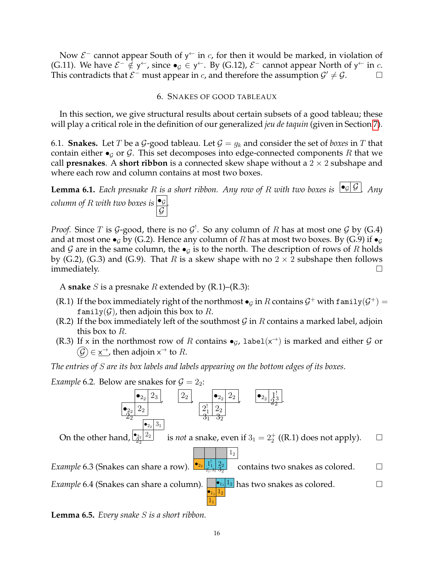Now  $\mathcal{E}^-$  cannot appear South of y<sup> $\leftarrow$ </sup> in c, for then it would be marked, in violation of (G.11). We have  $\mathcal{E}^- \notin \mathsf{y}^{\leftarrow}$ , since  $\bullet_{\mathcal{G}} \in \mathsf{y}^{\leftarrow}$ . By (G.12),  $\mathcal{E}^-$  cannot appear North of  $\mathsf{y}^{\leftarrow}$  in  $c$ . This contradicts that  $\mathcal{E}^-$  must appear in c, and therefore the assumption  $\mathcal{G}' \neq \mathcal{G}$ .

### 6. SNAKES OF GOOD TABLEAUX

<span id="page-15-0"></span>In this section, we give structural results about certain subsets of a good tableau; these will play a critical role in the definition of our generalized *jeu de taquin* (given in Section [7\)](#page-18-0).

<span id="page-15-1"></span>6.1. **Snakes.** Let T be a G-good tableau. Let  $G = g_k$  and consider the set of *boxes* in T that contain either  $\bullet$ <sub>G</sub> or G. This set decomposes into edge-connected components R that we call **presnakes**. A **short ribbon** is a connected skew shape without a  $2 \times 2$  subshape and where each row and column contains at most two boxes.

<span id="page-15-2"></span>**Lemma 6.1.** *Each presnake* R *is a short ribbon. Any row of* R *with two boxes is*  $\begin{bmatrix} \bullet_{\mathcal{G}} & \mathcal{G} \end{bmatrix}$ *Any column of* R *with two boxes is* •<sup>G</sup>  $\mathcal G$ *.*

*Proof.* Since T is G-good, there is no  $\mathcal{G}^!$ . So any column of R has at most one G by (G.4) and at most one  $\bullet_G$  by (G.2). Hence any column of R has at most two boxes. By (G.9) if  $\bullet_G$ and G are in the same column, the  $\bullet$ <sub>G</sub> is to the north. The description of rows of R holds by (G.2), (G.3) and (G.9). That R is a skew shape with no  $2 \times 2$  subshape then follows  $\Box$  immediately.  $\Box$ 

A **snake** S is a presnake R extended by (R.1)–(R.3):

- (R.1) If the box immediately right of the northmost  $\bullet_G$  in R contains  $\mathcal{G}^+$  with family $(\mathcal{G}^+)$  = family(G), then adjoin this box to R.
- (R.2) If the box immediately left of the southmost  $G$  in R contains a marked label, adjoin this box to *.*
- (R.3) If x in the northmost row of R contains  $\bullet$ <sub>G</sub>, label( $x^{\rightarrow}$ ) is marked and either G or  $\widehat{G}$ ) $\in$   $\underline{x}^{\rightarrow}$ , then adjoin  $x^{\rightarrow}$  to  $R.$

*The entries of* S *are its box labels and labels appearing on the bottom edges of its boxes*.

*Example* 6.2. Below are snakes for  $\mathcal{G} = 2_2$ :



<span id="page-15-5"></span><span id="page-15-4"></span><span id="page-15-3"></span>**Lemma 6.5.** *Every snake* S *is a short ribbon.*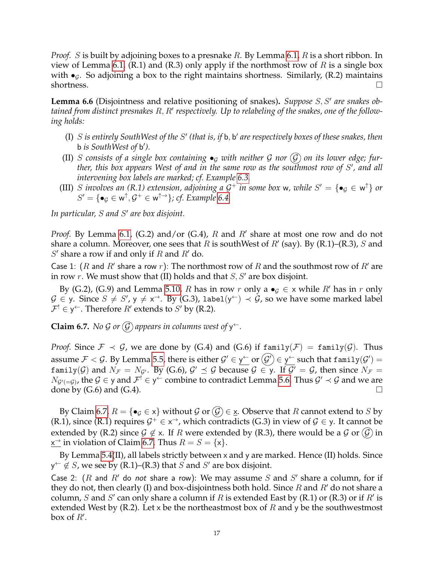*Proof.* S is built by adjoining boxes to a presnake R. By Lemma [6.1,](#page-15-2) R is a short ribbon. In view of Lemma [6.1,](#page-15-2) (R.1) and (R.3) only apply if the northmost row of R is a single box with  $\bullet$ <sub>G</sub>. So adjoining a box to the right maintains shortness. Similarly, (R.2) maintains shortness.  $\Box$ 

<span id="page-16-1"></span>Lemma 6.6 (Disjointness and relative positioning of snakes). Suppose S, S' are snakes obtained from distinct presnakes R, R' respectively. Up to relabeling of the snakes, one of the follow*ing holds:*

- (I) S is entirely SouthWest of the S' (that is, if b, b' are respectively boxes of these snakes, then b *is SouthWest of* b 0 *).*
- (II) S consists of a single box containing  $\bullet_G$  with neither G nor  $(\mathcal{G})$  on its lower edge; fur*ther, this box appears West of and in the same row as the southmost row of* S 0 *, and all intervening box labels are marked; cf. Example [6.3.](#page-15-3)*
- (III) S involves an (R.1) extension, adjoining a  $G^+$  in some box w, while  $S' = \{ \bullet_G \in \mathsf{w}^\uparrow \}$  or  $S' = \{ \bullet_{\mathcal{G}} \in \mathsf{w}^{\uparrow}, \mathcal{G}^{+} \in \mathsf{w}^{\uparrow\rightarrow} \}$ ; cf. Example [6.4.](#page-15-4)

In particular, *S* and *S'* are box disjoint.

*Proof.* By Lemma [6.1,](#page-15-2) (G.2) and/or (G.4),  $R$  and  $R'$  share at most one row and do not share a column. Moreover, one sees that R is southWest of  $R'$  (say). By (R.1)–(R.3), S and  $S'$  share a row if and only if  $R$  and  $R'$  do.

Case 1: (R and R' share a row r): The northmost row of R and the southmost row of R' are in row r. We must show that (II) holds and that  $S, S'$  are box disjoint.

By (G.2), (G.9) and Lemma [5.10,](#page-14-0) R has in row r only a  $\bullet$ <sub>G</sub>  $\in$  x while R' has in r only  $\mathcal{G} \in \mathsf{y}.$  Since  $S \neq S',$   $\mathsf{y} \neq \mathsf{x}^{\to}.$  By (G.3), label $(\mathsf{y}^{\leftarrow}) \prec \mathcal{\hat{G}}$ , so we have some marked label  $\mathcal{F}^! \in \mathsf{y}^{\leftarrow}$ . Therefore  $R'$  extends to  $S'$  by (R.2).

<span id="page-16-0"></span>**Claim 6.7.** *No G or*  $\mathcal G$  *appears in columns west of*  $y^{\leftarrow}$ *.* 

*Proof.* Since  $\mathcal{F} \prec \mathcal{G}$ , we are done by (G.4) and (G.6) if  $\text{family}(\mathcal{F}) = \text{family}(\mathcal{G})$ . Thus assume  $\mathcal F<\mathcal G.$  By Lemma [5.5,](#page-13-2) there is either  $\mathcal G'\in$  y $\vdash$  or  $(\mathcal G')\in$  y $\vdash$  such that <code>family( $\mathcal G'$ )</code>  $=$  $\texttt{family}(\mathcal{G})$  and  $N_\mathcal{F} = N_{\mathcal{G}'}$ . By (G.6),  $\mathcal{G}' \preceq \mathcal{G}$  because  $\mathcal{G} \in \mathsf{y}$ . If  $\mathcal{G}' = \mathcal{G}$ , then since  $N_\mathcal{F} = \mathcal{G}'$  $N_{\mathcal{G}'(\equiv\mathcal{G})}$ , the  $\mathcal{G}\in\mathsf{y}$  and  $\mathcal{F}^!\in\mathsf{y}^\leftarrow$  combine to contradict Lemma [5.6.](#page-13-0) Thus  $\mathcal{G}'\prec\mathcal{G}$  and we are done by  $(G.6)$  and  $(G.4)$ .

By Claim [6.7,](#page-16-0)  $R = \{\bullet_{\mathcal{G}} \in x\}$  without  $\mathcal{G}$  or  $(\mathcal{G}) \in \mathbf{X}$ . Observe that R cannot extend to S by (R.1), since (R.1) requires  $G^+ \in \times \to$ , which contradicts (G.3) in view of  $G \in \mathsf{y}$ . It cannot be extended by (R.2) since  $\mathcal{G} \notin \times$ . If R were extended by (R.3), there would be a  $\mathcal{G}$  or  $(\mathcal{G})$  in  $x^{\rightharpoonup}$  in violation of Claim [6.7.](#page-16-0) Thus  $R = S = \{x\}.$ 

By Lemma [5.4\(](#page-13-1)II), all labels strictly between x and y are marked. Hence (II) holds. Since  $y^{\leftarrow} \notin S$ , we see by (R.1)–(R.3) that  $S$  and  $S'$  are box disjoint.

Case 2:  $(R$  and  $R'$  do not share a row): We may assume  $S$  and  $S'$  share a column, for if they do not, then clearly (I) and box-disjointness both hold. Since R and R' do not share a column, S and S' can only share a column if R is extended East by (R.1) or (R.3) or if R' is extended West by (R.2). Let x be the northeastmost box of R and y be the southwestmost box of  $R'$ .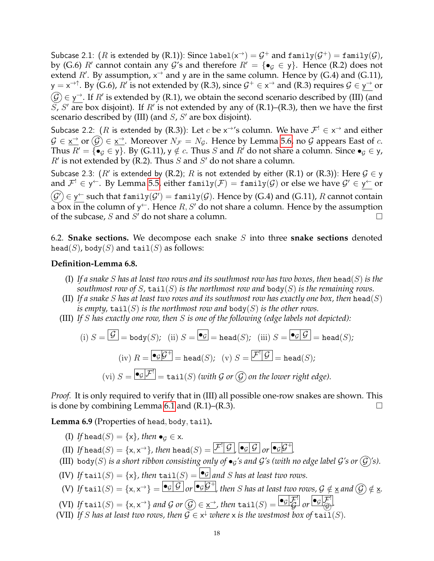Subcase 2.1: ( $R$  is extended by (R.1)): Since label $(\mathsf{x}^{\rightarrow})=\mathcal{G}^+$  and family $(\mathcal{G}^+)=$  family $(\mathcal{G})$ , by (G.6) R' cannot contain any G's and therefore  $R' = \{\bullet_{\mathcal{G}} \in y\}$ . Hence (R.2) does not extend  $R'$ . By assumption,  $x^{\rightarrow}$  and y are in the same column. Hence by (G.4) and (G.11), y = x $\rightarrow$ ^^. By (G.6)*, R'* is not extended by (R.3)*,* since  $\mathcal{G}^+ \in$  x $\rightarrow$  and (R.3) requires  $\mathcal{G} \in$  y $\rightarrow$  or  $\widehat{\mathcal{G}}$   $\in$  y $^{\rightarrow}$ . If  $R'$  is extended by (R.1), we obtain the second scenario described by (III) (and  $\overline{S}$ ,  $S'$  are box disjoint). If  $R'$  is not extended by any of (R.1)–(R.3), then we have the first scenario described by  $(III)$  (and  $S$ ,  $S'$  are box disjoint).

Subcase 2.2: (R is extended by (R.3)): Let  $c$  be  $x^{\rightarrow}$ 's column. We have  $\mathcal{F}^! \in x^{\rightarrow}$  and either  $\mathcal{G} \in \underline{\mathsf{x}}^{\to}$  or  $(\mathcal{G}) \in \underline{\mathsf{x}}^{\to}$ . Moreover  $N_{\mathcal{F}} = N_{\mathcal{G}}$ . Hence by Lemma [5.6,](#page-13-0) no  $\mathcal{G}$  appears East of  $c$ . Thus  $R' = {\sigma_g \in y}$ . By (G.11),  $y \notin c$ . Thus S and R' do not share a column. Since  $\sigma_g \in y$ ,  $R'$  is not extended by (R.2). Thus  $S$  and  $S'$  do not share a column.

Subcase 2.3:  $(R'$  is extended by  $(R.2)$ ;  $R$  is not extended by either  $(R.1)$  or  $(R.3)$ ): Here  $\mathcal{G} \in \mathsf{y}$ and  $\mathcal{F}^!\in$  y<sup> $\leftarrow$ </sup>. By Lemma [5.5,](#page-13-2) either family $(\mathcal{F})=$  family $(\mathcal{G})$  or else we have  $\mathcal{G}'\in$  y $\dot{\hspace{0.5cm}}$  or  $\mathcal{G}'\big)\in\mathsf{y}^\leftarrow$  such that <code>family( $\mathcal{G}'$ )</code>  $=$  <code>family( $\mathcal{G}$ ). Hence by (G.4)</code> and (G.11),  $R$  cannot contain a box in the column of y<sup> $\leftarrow$ </sup>. Hence  $R,S'$  do not share a column. Hence by the assumption of the subcase, S and S' do not share a column.

<span id="page-17-0"></span>6.2. **Snake sections.** We decompose each snake S into three **snake sections** denoted head(S), body(S) and tail(S) as follows:

### <span id="page-17-1"></span>**Definition-Lemma 6.8.**

- (I) *If a snake* S *has at least two rows and its southmost row has two boxes, then* head(S) *is the southmost row of* S,  $\text{tail}(S)$  *is the northmost row and*  $\text{body}(S)$  *is the remaining rows.*
- (II) If a snake S has at least two rows and its southmost row has exactly one box, then  $\text{head}(S)$ *is empty,*  $\text{tail}(S)$  *is the northmost row and*  $\text{body}(S)$  *is the other rows.*
- (III) *If* S *has exactly one row, then* S *is one of the following (edge labels not depicted):*

(i) 
$$
S = \boxed{\mathcal{G}}
$$
 = body(S); (ii)  $S = \boxed{\bullet \mathcal{G}}$  = head(S); (iii)  $S = \boxed{\bullet \mathcal{G} \mathcal{G}}$  = head(S);  
\n(iv)  $R = \boxed{\bullet \mathcal{G} \mathcal{G}^+}$  = head(S); (v)  $S = \boxed{\mathcal{F} \mathcal{G}}$  = head(S);  
\n(vi)  $S = \boxed{\bullet \mathcal{G} \mathcal{F}^!}$  = tail(S) (with G or  $\mathcal{G}$ ) on the lower right edge).

*Proof.* It is only required to verify that in (III) all possible one-row snakes are shown. This is done by combining Lemma [6.1](#page-15-2) and  $(R.1)$ – $(R.3)$ .

<span id="page-17-2"></span>**Lemma 6.9** (Properties of head, body, tail)**.**

- (I) If head(S) = {x}, then  $\bullet_G \in \mathsf{x}$ *.*
- (II) If  $\texttt{head}(S) = \{\mathsf{x}, \mathsf{x}^{\rightarrow}\}$ , then  $\texttt{head}(S) = \overline{\mathcal{F}^{\prime}[\mathcal{G}]}$  ,  $\overline{\bullet_{\mathcal{G}}[\mathcal{G}]}$  or  $\overline{\bullet_{\mathcal{G}}[\mathcal{G}^{\mp}]}$ .
- (III) body(S) is a short ribbon consisting only of  $\bullet$ <sub>G</sub>'s and G's (with no edge label G's or  $\mathcal{G}$ )'s).
- (IV) If tail(S) =  $\{x\}$ , then tail(S) =  $\bigcirc$  *and S has at least two rows.*
- (V) If  $\tanh{t}$  tail $(S) = \{x, x^{\rightarrow}\} = \boxed{\bullet_{\mathcal{G}}|\mathcal{G}}$  or  $\boxed{\bullet_{\mathcal{G}}\mathcal{G}^+}$ , then  $S$  has at least two rows,  $\mathcal{G} \notin \underline{x}$  and  $(\widehat{\mathcal{G}}) \notin \underline{x}$ .
- (VI) If  $\textrm{tail}(S) = \{\mathsf{x},\mathsf{x}^{\rightarrow}\}$  and  $\mathcal G$  or  $\textcircled{G} \in \underline{\mathsf{x}^{\rightarrow}}$ , then  $\textrm{tail}(S) = \overline{\textup{G}[\mathcal F]}$  or  $\overline{\textup{G}[\mathcal F]}$ .
- (VII) If S has at least two rows, then  $\mathcal{G} \in \mathsf{x}^\downarrow$  where x is the westmost box of  $\mathtt{tail}(S)$ .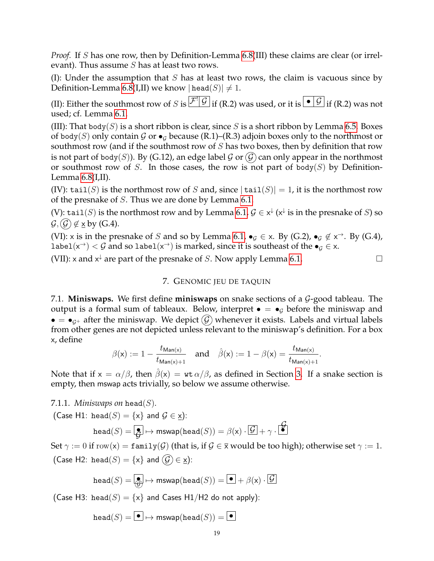*Proof.* If S has one row, then by Definition-Lemma [6.8\(](#page-17-1)III) these claims are clear (or irrelevant). Thus assume  $S$  has at least two rows.

(I): Under the assumption that  $S$  has at least two rows, the claim is vacuous since by Definition-Lemma [6.8\(](#page-17-1)I,II) we know  $|\text{head}(S)| \neq 1$ .

(II): Either the southmost row of S is  $\overline{{\cal F}^*\vert {\cal G}}$  if (R.2) was used, or it is  $\overline{\;\bullet\; \vert {\cal G}}$  if (R.2) was not used; cf. Lemma [6.1.](#page-15-2)

(III): That body(S) is a short ribbon is clear, since S is a short ribbon by Lemma [6.5.](#page-15-5) Boxes of body(S) only contain G or  $\bullet_G$  because (R.1)–(R.3) adjoin boxes only to the northmost or southmost row (and if the southmost row of  $S$  has two boxes, then by definition that row is not part of body(S)). By (G.12), an edge label G or  $(G)$  can only appear in the northmost or southmost row of S. In those cases, the row is not part of body(S) by Definition-Lemma  $6.8$ (I,II).

(IV): tail(S) is the northmost row of S and, since  $|\text{tail}(S)| = 1$ , it is the northmost row of the presnake of S. Thus we are done by Lemma [6.1.](#page-15-2)

(V): tai $1(S)$  is the northmost row and by Lemma [6.1,](#page-15-2)  $\mathcal{G} \in \mathsf{x}^{\downarrow}$  ( $\mathsf{x}^{\downarrow}$  is in the presnake of  $S$ ) so  $\mathcal{G}, (\mathcal{G}) \notin \underline{\mathsf{x}}$  by (G.4).

(VI): x is in the presnake of S and so by Lemma [6.1,](#page-15-2)  $\bullet$ <sub>G</sub>  $\in$  x. By (G.2),  $\bullet$ <sub>G</sub>  $\not\in$  x<sup> $\rightarrow$ </sup>. By (G.4), label $(x^{\to}) < \mathcal{G}$  and so label $(x^{\to})$  is marked, since it is southeast of the  $\bullet_\mathcal{G} \in \mathsf{x}.$ 

<span id="page-18-0"></span>(VII): x and  $x^{\downarrow}$  are part of the presnake of S. Now apply Lemma [6.1.](#page-15-2)

## 7. GENOMIC JEU DE TAQUIN

<span id="page-18-1"></span>7.1. **Miniswaps.** We first define **miniswaps** on snake sections of a G-good tableau. The output is a formal sum of tableaux. Below, interpret  $\bullet = \bullet_{\mathcal{G}}$  before the miniswap and  $\bullet = \bullet_{G^+}$  after the miniswap. We depict  $\mathcal{G}$  whenever it exists. Labels and virtual labels from other genes are not depicted unless relevant to the miniswap's definition. For a box x, define

$$
\beta(\mathsf{x}) := 1 - \frac{t_{\mathsf{Man}(\mathsf{x})}}{t_{\mathsf{Man}(\mathsf{x})+1}} \quad \text{and} \quad \hat{\beta}(\mathsf{x}) := 1 - \beta(\mathsf{x}) = \frac{t_{\mathsf{Man}(\mathsf{x})}}{t_{\mathsf{Man}(\mathsf{x})+1}}.
$$

Note that if  $x = \alpha/\beta$ , then  $\hat{\beta}(x) = w \frac{\alpha}{\beta}$ , as defined in Section [3.](#page-7-0) If a snake section is empty, then mswap acts trivially, so below we assume otherwise.

### 7.1.1. *Miniswaps on* head( $S$ ).

(Case H1: head(S) = {x} and 
$$
G \in \underline{x}
$$
):  
\n
$$
head(S) = \boxed{\underline{\bullet}} \mapsto \text{mswap}(\text{head}(S)) = \beta(x) \cdot \boxed{\underline{G}} + \gamma \cdot \boxed{\underline{\bullet}}
$$

Set  $\gamma := 0$  if row(x) = family(G) (that is, if  $\mathcal{G} \in \overline{\mathbf{x}}$  would be too high); otherwise set  $\gamma := 1$ . (Case H2: head(S) = {x} and  $(\widehat{G}) \in \underline{x}$ ):

$$
\mathtt{head}(S) = \boxed{\textcircled{\hspace{-1.4ex}\raisebox{-1.4ex}{\text{\circle{-1.5}}}}}\mapsto \mathsf{mswap}(\mathtt{head}(S)) = \boxed{\textcircled{\hspace{-1.4ex}\raisebox{-1.4ex}{\text{\circle{-1.5}}}}}\mapsto \beta(\mathsf{x})\cdot \boxed{\mathcal{G}}
$$

(Case H3: head( $S$ ) = {x} and Cases H1/H2 do not apply):

$$
\mathtt{head}(S) = \boxed{\bullet} \mapsto \mathsf{mswap}(\mathtt{head}(S)) = \boxed{\bullet}
$$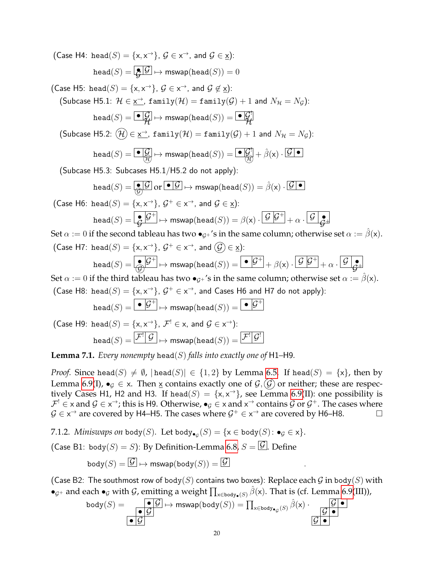(Case H4: head $(S) = \{x, x^{\rightarrow}\}, \mathcal{G} \in \mathsf{x}^{\rightarrow}$ , and  $\mathcal{G} \in \underline{\mathsf{x}}$ ):  $head(S) = \boxed{\bullet} \boxed{G} \mapsto \text{mswap}(\text{head}(S)) = 0$ (Case H5: head $(S) = \{\mathsf{x}, \mathsf{x}^{\rightarrow}\}, \mathcal{G} \in \mathsf{x}^{\rightarrow}$ , and  $\mathcal{G} \not\in \underline{\mathsf{x}}$ ): (Subcase H5.1:  $\mathcal{H} \in \underline{\mathsf{x}}^{\to}$ , family $(\mathcal{H}) = \mathtt{family}(\mathcal{G}) + 1$  and  $N_{\mathcal{H}} = N_{\mathcal{G}}$ ):  $\texttt{head}(S) = \boxed{\bullet|Q\over Q} \mapsto \mathsf{mswap}(\texttt{head}(S)) = \boxed{\bullet|Q\over Q}$  $\hat{\mathcal{H}} \stackrel{\text{def}}{=} \limsup(\text{mean}(\beta)) = \bigcup \hat{\mathcal{H}}$  $\textsf{(Subcase H5.2: } (\mathcal{H}) \in \underline{\mathsf{x}}^{\to} \textsf{, family}(\mathcal{H}) = \texttt{family}(\mathcal{G}) + 1 \textsf{ and } N_\mathcal{H} = N_\mathcal{G}\textsf{)}\textsf{.}$  $\texttt{head}(S) = \overline{\textcolor{blue}{\bullet|\mathcal{G}|}} \mapsto \textsf{mswap}(\textsf{head}(S)) = \overline{\textcolor{blue}{\bullet|\mathcal{G}|}} + \hat{\beta}(\textsf{x}) \cdot \overline{\mathcal{G} \,\textcolor{blue}{\bullet}}$ (Subcase H5.3: Subcases H5.1/H5.2 do not apply):  $\texttt{head}(S) = \overline{\bigcirc \limits_Q \mathcal{G}}$  or  $\overline{|\mathcal{G}|} \mapsto \mathsf{mswap}(\texttt{head}(S)) = \hat{\beta}(\mathsf{x}) \cdot \overline{\mathcal{G} | \bullet}$ (Case H6: head(S) = {x, x<sup>-+</sup>},  $\mathcal{G}^+ \in$  x<sup>-+</sup>, and  $\mathcal{G} \in \underline{x}$ ):  $\texttt{head}(S) = \big\lfloor \frac{\bullet}{G} \big\vert \mathcal{G}^+ \big\vert \mapsto \mathsf{mswap}(\texttt{head}(S)) = \beta(\mathsf{x}) \cdot \big\vert \frac{\mathcal{G} \, \big\vert \mathcal{G}^+}{\mathcal{G} \, \big\vert} + \alpha \cdot \big\vert \frac{\mathcal{G} \, \big\vert \mathcal{G}^+}{\mathcal{G} \, \big\vert}$  $\tilde{\mathcal{G}} \stackrel{\mathcal{G}}{\longmapsto} \mathsf{mswap}(\mathsf{head}(S)) = \beta(\mathsf{x}) \cdot \mathsf{L}' \stackrel{\mathcal{G}}{\longmapsto} + \alpha \cdot \mathsf{L}' \stackrel{\mathcal{G}}{\longmapsto}$ Set  $\alpha := 0$  if the second tableau has two  $\bullet_{G^+}$ 's in the same column; otherwise set  $\alpha := \hat{\beta}(x)$ .  $(\mathsf{Case H7: head}(S) = \{ \mathsf{x}, \mathsf{x}^{\rightarrow} \}, \, \mathcal{G}^+ \in \mathsf{x}^{\rightarrow}, \, \mathsf{and} \, \, \widehat{\mathcal{G}}) \in \underline{\mathsf{x}})$ :  $\texttt{head}(S) = \big\vert \bigoplus_{i=1}^{\infty} \mathcal{G}^+ \big\vert \mapsto \textsf{mswap}(\texttt{head}(S)) = \big\vert \bullet \big\vert \mathcal{G}^+ \big\vert + \beta(\mathsf{x}) \cdot \big\vert \mathcal{G} \big\vert \mathcal{G}^+ \big\vert + \alpha \cdot \big\vert \mathcal{G} \big\vert \mathcal{G}^+ \big\vert,$  $\widehat{\mathcal{G}}$   $\mapsto$  mswap(head(S)) =  $\Box$  P  $\Box$  +  $\beta$ (x)  $\cdot$  P  $\Box$  +  $\alpha$   $\cdot$  P  $\widehat{\mathcal{G}}$ + Set  $\alpha := 0$  if the third tableau has two  $\bullet_{G^+}$ 's in the same column; otherwise set  $\alpha := \hat{\beta}(x)$ . (Case H8: head(S) = {x, x<sup>-+</sup>},  $\mathcal{G}^+ \in x^{\rightarrow}$ , and Cases H6 and H7 do not apply):  $\texttt{head}(S) = \begin{array}{|c|c|} \hline \bullet|\mathcal{G}^+ \end{array} \mapsto \mathsf{mswap}(\texttt{head}(S)) = \begin{array}{|c|c|} \hline \bullet|\mathcal{G}^+ \end{array}$ (Case H9: head $(S) = \{\mathsf{x}, \mathsf{x}^{\rightarrow}\}$ ,  $\mathcal{F}^! \in \mathsf{x}$ , and  $\mathcal{G} \in \mathsf{x}^{\rightarrow}$ ):

$$
\mathtt{head}(S) = \boxed{\mathcal{F}^!\big[\,\mathcal{G}\,]} \mapsto \mathsf{mswap}(\mathtt{head}(S)) = \boxed{\mathcal{F}^!\big[\mathcal{G}^!}
$$

**Lemma 7.1.** *Every nonempty* head(S) *falls into exactly one of* H1–H9.

*Proof.* Since head(S)  $\neq \emptyset$ ,  $|\text{head}(S)| \in \{1,2\}$  by Lemma [6.5.](#page-15-5) If head(S) = {x}, then by Lemma [6.9\(](#page-17-2)I),  $\bullet_G \in \mathsf{x}$ . Then x contains exactly one of  $\mathcal{G}, \mathcal{G}$  or neither; these are respectively Cases H1, H2 and H3. If head(S) = { $x, x^{\rightarrow}$ }, see Lemma [6.9\(](#page-17-2)II): one possibility is  $\mathcal{F}^!\in$  x and  $\mathcal{G}\in$  x $\to$ ; this is H9. Otherwise,  $\bullet_\mathcal{G}\in$  x and x $\to$  contains  $\mathcal{G}$  or  $\mathcal{G}^+.$  The cases where  $\mathcal{G} \in x^{\rightarrow}$  are covered by H4–H5. The cases where  $\mathcal{G}^{+} \in x^{\rightarrow}$  are covered by H6–H8.  $\Box$ 

7.1.2. *Miniswaps on* body $(S)$ . Let body $_{\bullet_{\mathcal{G}}}(S) = \{ \mathsf{x} \in \mathsf{body}(S) \colon \bullet_{\mathcal{G}} \in \mathsf{x} \}.$ 

(Case B1: body $(S) = S$ ): By Definition-Lemma [6.8,](#page-17-1)  $S = \boxed{G}$ . Define

$$
\textsf{body}(S) = \boxed{\mathcal{G}} \mapsto \mathsf{mswap}(\textsf{body}(S)) = \boxed{\mathcal{G}} \qquad \qquad .
$$

(Case B2: The southmost row of  $\text{body}(S)$  contains two boxes): Replace each  $\mathcal G$  in  $\text{body}(S)$  with  $\bullet_{\mathcal{G}^+}$  and each  $\bullet_{\mathcal{G}}$  with  $\mathcal{G}$ , emitting a weight  $\prod_{x\in body_{\bullet}(S)} \hat{\beta}(x)$ . That is (cf. Lemma [6.9\(](#page-17-2)III)),

$$
\mathtt{body}(S) = \overbrace{\bullet \mathcal{G}} \overbrace{\bullet \mathcal{G}} \mapsto \mathtt{mswap}(\mathtt{body}(S)) = \prod_{\mathsf{x} \in \mathtt{body}_{\bullet_G}(S)} \hat{\beta}(\mathsf{x}) \cdot \overbrace{\mathcal{G} \bullet} \overbrace{\mathcal{G} \bullet} \overbrace{\bullet}
$$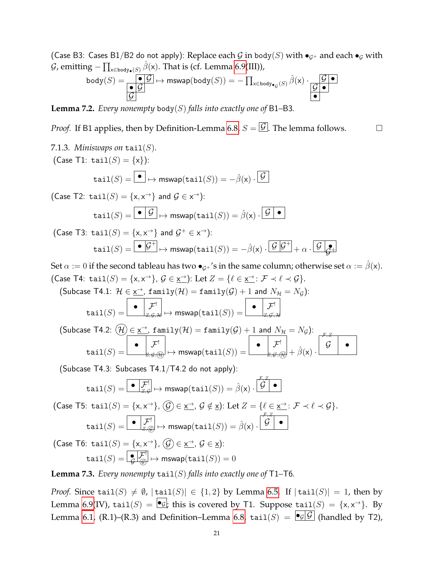(Case B3: Cases B1/B2 do not apply): Replace each G in body(S) with  $\bullet$ <sub>G+</sub> and each  $\bullet$ <sub>G</sub> with  $\mathcal G$ , emitting  $- \prod_{\mathsf{x}\in \mathtt{body}_\bullet(S)} \hat\beta(\mathsf{x}).$  That is (cf. Lemma [6.9\(](#page-17-2)III)),

$$
\mathtt{body}(S) = \overline{\underset{\mathcal{G}}{\bullet |\mathcal{G}|}} \xrightarrow{\bullet |\mathcal{G}|} \mapsto \mathsf{mswap}(\mathtt{body}(S)) = -\prod_{\mathsf{x} \in \mathtt{body}_{\bullet|\mathcal{G}}(S)} \hat{\beta}(\mathsf{x}) \cdot \overline{\underset{\bullet}{|\mathcal{G}|}} \xrightarrow{\bullet |\mathcal{G}|}
$$

**Lemma 7.2.** *Every nonempty* body(S) *falls into exactly one of* B1–B3.

*Proof.* If B1 applies, then by Definition-Lemma [6.8,](#page-17-1)  $S = \boxed{G}$ . The lemma follows.  $\Box$ 

7.1.3. Miniswaps on tail(S).  
\n(Case T1: tail(S) = {x}):  
\n
$$
tail(S) = \boxed{\bullet} \mapsto mswap(tail(S)) = -\hat{\beta}(x) \cdot \boxed{\mathcal{G}}
$$
\n(Case T2: tail(S) = {x, x<sup>→</sup>} and  $\mathcal{G} \in x→$ ):  
\n
$$
tail(S) = \boxed{\bullet \quad \mathcal{G}} \mapsto mswap(tail(S)) = \hat{\beta}(x) \cdot \boxed{\mathcal{G} \quad \bullet}
$$
\n(Case T3: tail(S) = {x, x<sup>→</sup>} and  $\mathcal{G}^+ \in x→$ ):  
\n
$$
tail(S) = \boxed{\bullet \quad \mathcal{G}^+} \mapsto mswap(tail(S)) = -\hat{\beta}(x) \cdot \boxed{\mathcal{G} \quad \mathcal{G}^+} + \alpha \cdot \boxed{\mathcal{G} \quad \mathcal{G}^+}
$$

Set  $\alpha := 0$  if the second tableau has two  $\bullet_{\mathcal{G}^+}$ 's in the same column; otherwise set  $\alpha := \hat{\beta}(x)$ . (Case T4: tail $(S) = \{x, x^{\rightarrow}\}, \mathcal{G} \in \underline{x^{\rightarrow}}$ ): Let  $Z = \{\ell \in \underline{x^{\rightarrow}} : \mathcal{F} \prec \ell \prec \mathcal{G}\}.$ 

(Subcase T4.1: 
$$
\mathcal{H} \in \underline{\mathbf{x}^{\rightarrow}}
$$
, family( $\mathcal{H}$ ) = family( $\mathcal{G}$ ) + 1 and  $N_{\mathcal{H}} = N_{\mathcal{G}}$ ):  
\ntail( $S$ ) =  $\begin{bmatrix} \bullet & \mathcal{F}^! \\ \mathbb{Z}, \mathcal{G}, \mathcal{H} \end{bmatrix} \mapsto \text{mswap}(\text{tail}(S)) = \begin{bmatrix} \bullet & \mathcal{F}^! \\ \mathbb{Z}, \mathcal{G}^!, \mathcal{H} \end{bmatrix}$   
\n(Subcase T4.2: ( $\mathcal{H}$ )  $\subset \mathcal{H}^{\rightarrow}$  family( $\mathcal{H}$ ) = family( $\mathcal{G}$ ) + 1 and  $N = N$ ).

$$
\text{(Subcase T4.2: } (\mathcal{H}) \in \underline{\underline{\mathbf{x}^+}, \ \mathbf{family}(\mathcal{H})} = \mathbf{family}(\mathcal{G}) + 1 \ \text{and} \ N_{\mathcal{H}} = N_{\mathcal{G}}\text{)}:
$$
\n
$$
\text{tail}(S) = \boxed{\bullet \quad \mathcal{F}^!}_{\mathcal{H}, \mathcal{G}, \mathcal{H}} \mapsto \text{mswap}(\text{tail}(S)) = \boxed{\bullet \quad \mathcal{F}^!}_{\mathcal{H}, \mathcal{G}^!, \mathcal{H}} + \hat{\beta}(\mathbf{x}) \cdot \boxed{\mathcal{G} \quad \bullet}
$$

(Subcase T4.3: Subcases T4.1/T4.2 do not apply):

$$
\mathtt{tail}(S) = \boxed{\bullet \begin{array}{|c|} \hline \mathcal{F}^! \\ \hline \mathcal{F}, \mathcal{G} \end{array}} \mapsto \textsf{mswap}(\mathtt{tail}(S)) = \hat{\beta}(\mathsf{x}) \cdot \boxed{\overset{\mathcal{F}, Z}{\overset{\mathcal{G}}{\bigcirc}} \bullet}
$$

(Case T5: tail $(S) = \{x, x^{\rightarrow}\}, \bigcirc \mathcal{G} \in \underline{\mathsf{x}}^{\rightarrow}$ ,  $\mathcal{G} \notin \underline{\mathsf{x}}$ ): Let  $Z = \{ \ell \in \underline{\mathsf{x}}^{\rightarrow} \colon \mathcal{F} \prec \ell \prec \mathcal{G} \}.$  $\texttt{tail}(S) = \begin{array}{|c|c|c|}\hline \bullet & \mathcal{F}^! \ \hline & & \vline & & \mathcal{E}^* \ \hline & & & \end{array}$   $\mapsto \mathsf{mswap}(\mathtt{tail}(S)) = \hat{\beta}(\mathsf{x}) \cdot \begin{array}{|c|c|c|}\hline \mathcal{G} & \bullet & \mathcal{E}^* \ \hline \end{array}$  $\mathcal{F}, Z$ 

(Case T6: tail $(S) = \{ \mathsf{x}, \mathsf{x}^{\rightarrow} \}$ ,  $(\widehat{\mathcal{G}}) \in \underline{\mathsf{x}}^{\rightarrow}$ ,  $\mathcal{G} \in \underline{\mathsf{x}}$ ):  $\texttt{tail}(S) = \fbox{$\frac{\P}{\mathcal{G}}$} \fbox{$\frac{\mathcal{F}!}{\oplus} $} \mapsto \mathsf{mswap}(\mathtt{tail}(S)) = 0$ 

**Lemma 7.3.** *Every nonempty*  $\text{tail}(S)$  *falls into exactly one of* T1–T6*.* 

*Proof.* Since tail(S)  $\neq \emptyset$ ,  $|\text{tail}(S)| \in \{1,2\}$  by Lemma [6.5.](#page-15-5) If  $|\text{tail}(S)| = 1$ , then by Lemma [6.9\(](#page-17-2)IV),  $\texttt{tail}(S) = \boxed{\bullet_{\mathcal{G}}}$ ; this is covered by T1. Suppose  $\texttt{tail}(S) = \{\mathsf{x}, \mathsf{x}^{\rightarrow}\}.$  By Lemma [6.1,](#page-15-2) (R.1)–(R.3) and Definition–Lemma [6.8,](#page-17-1) tail(S) =  $\boxed{\bullet_{\mathcal{G}}|\mathcal{G}}$  (handled by T2),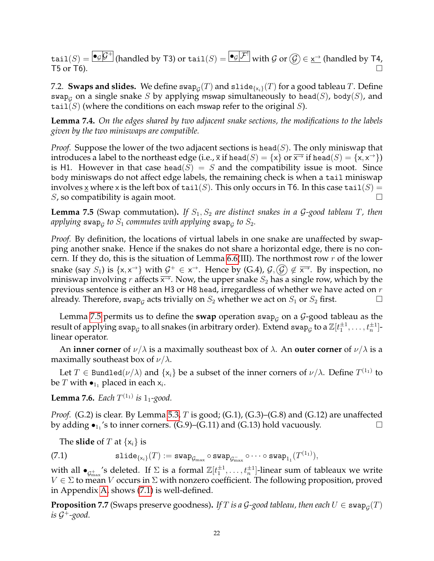$\texttt{tail}(S) = \boxed{\bullet_{\mathcal{G}}\mathcal{G}^+}$  (handled by T3) or  $\texttt{tail}(S) = \boxed{\bullet_{\mathcal{G}}|\mathcal{F}^!}$  with  $\mathcal{G}$  or  $(\mathcal{G}) \in \underline{\mathsf{x}}^\to$  (handled by T4,  $\overline{15}$  or  $\overline{16}$ ).

<span id="page-21-0"></span>7.2.  $\,$  **Swaps and slides.** We define  $\mathsf{swap}_\mathcal{G}(T)$  and  $\mathsf{slide}_{\{\mathsf{x}_i\}}(T)$  for a good tableau  $T.$  Define swap<sub>G</sub> on a single snake S by applying mswap simultaneously to head(S), body(S), and tail(S) (where the conditions on each mswap refer to the original S).

**Lemma 7.4.** *On the edges shared by two adjacent snake sections, the modifications to the labels given by the two miniswaps are compatible.*

*Proof.* Suppose the lower of the two adjacent sections is head( $S$ ). The only miniswap that introduces a label to the northeast edge (i.e.,  $\bar{x}$  if head(S) = {x} or  $\bar{x}$  if head(S) = {x,  $x$   $\to$  }) is H1. However in that case head( $S$ ) = S and the compatibility issue is moot. Since body miniswaps do not affect edge labels, the remaining check is when a tail miniswap involves x where x is the left box of tail(S). This only occurs in T6. In this case tail(S) = S, so compatibility is again moot.  $\square$ 

<span id="page-21-2"></span>**Lemma 7.5** (Swap commutation). If  $S_1, S_2$  are distinct snakes in a G-good tableau T, then applying  $\operatorname{\sf swap}_{\mathcal{G}}$  to  $S_1$  *commutes with applying*  $\operatorname{\sf swap}_{\mathcal{G}}$  *to*  $S_2.$ 

*Proof.* By definition, the locations of virtual labels in one snake are unaffected by swapping another snake. Hence if the snakes do not share a horizontal edge, there is no con-cern. If they do, this is the situation of Lemma [6.6\(](#page-16-1)III). The northmost row  $r$  of the lower snake (say  $S_1$ ) is  $\{x, x^{\to}\}$  with  $\mathcal{G}^+ \in x^{\to}$ . Hence by (G.4),  $\mathcal{G}, \mathcal{G} \notin \overline{x^{\to}}$ . By inspection, no miniswap involving r affects  $\overline{x}$ . Now, the upper snake  $S_2$  has a single row, which by the previous sentence is either an H3 or H8 head, irregardless of whether we have acted on  $r$ already. Therefore, swap<sub>G</sub> acts trivially on  $S_2$  whether we act on  $S_1$  or  $S_2$  first.  $\hfill \Box$ 

Lemma [7.5](#page-21-2) permits us to define the **swap** operation swap<sub> $G$ </sub> on a  $G$ -good tableau as the result of applying swap<sub>g</sub> to all snakes (in arbitrary order). Extend swap<sub>g</sub> to a  $\mathbb{Z}[t_1^{\pm 1},\ldots,t_n^{\pm 1}]$ linear operator.

An **inner corner** of  $\nu/\lambda$  is a maximally southeast box of  $\lambda$ . An **outer corner** of  $\nu/\lambda$  is a maximally southeast box of  $\nu/\lambda$ .

Let  $T \in \texttt{Bundled}(\nu/\lambda)$  and  $\{\mathsf x_i\}$  be a subset of the inner corners of  $\nu/\lambda$ . Define  $T^{(1_1)}$  to be  $T$  with  $\bullet_{1_1}$  placed in each  $\mathsf{x}_i.$ 

<span id="page-21-4"></span>**Lemma 7.6.** *Each*  $T^{(1_1)}$  *is*  $1_1$ *-good.* 

*Proof.* (G.2) is clear. By Lemma [5.3,](#page-12-0) T is good; (G.1), (G.3)–(G.8) and (G.12) are unaffected by adding  $\bullet_{1_1}$ 's to inner corners. (G.9)–(G.11) and (G.13) hold vacuously.

<span id="page-21-3"></span>The **slide** of T at  $\{x_i\}$  is

 $(7.1)$  slide $_{\{\mathsf{x}_i\}}(T) := \mathtt{swap}_{\mathcal{G}_{\max}} \circ \mathtt{swap}_{\mathcal{G}_{\max}^{-}} \circ \cdots \circ \mathtt{swap}_{1_1}(T^{(1_1)}),$ 

with all  $\bullet_{\mathcal{G}^+_{\max}}$ 's deleted. If  $\Sigma$  is a formal  $\mathbb{Z}[t_1^{\pm 1},\ldots,t_n^{\pm 1}]$ -linear sum of tableaux we write  $V \in \Sigma$  to mean V occurs in  $\Sigma$  with nonzero coefficient. The following proposition, proved in Appendix [A,](#page-57-0) shows [\(7.1\)](#page-21-3) is well-defined.

<span id="page-21-1"></span> ${\bf Proposition ~7.7}$  (Swaps preserve goodness). If  $T$  *is a G-good tableau, then each*  $U \in {\tt swap}_\mathcal{G}(T)$ *is* G <sup>+</sup>*-good.*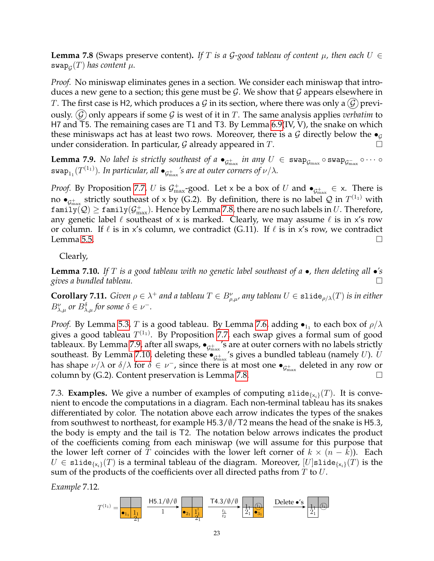<span id="page-22-2"></span>**Lemma 7.8** (Swaps preserve content). If T is a G-good tableau of content  $\mu$ , then each  $U \in$  $\operatorname{\sf swap}_{\mathcal G}(T)$  has content  $\mu.$ 

*Proof.* No miniswap eliminates genes in a section. We consider each miniswap that introduces a new gene to a section; this gene must be G. We show that G appears elsewhere in T. The first case is H2, which produces a G in its section, where there was only a  $(\mathcal{G})$  previously.  $(G)$  only appears if some G is west of it in T. The same analysis applies *verbatim* to H7 and T5. The remaining cases are T1 and T3. By Lemma [6.9\(](#page-17-2)IV, V), the snake on which these miniswaps act has at least two rows. Moreover, there is a G directly below the  $\bullet$ under consideration. In particular,  $G$  already appeared in  $T$ .

<span id="page-22-3"></span>**Lemma 7.9.** No label is strictly southeast of a  $\bullet_{\mathcal{G}^+_{\max}}$  in any  $U \in \text{swap}_{\mathcal{G}_{\max}} \circ \text{swap}_{\mathcal{G}_{\max}} \circ \cdots \circ$  $\mathsf{swap}_{1_1}(T^{(1_1)}).$  In particular, all  $\bullet_{\mathcal{G}^+_{\text{max}}}$ 's are at outer corners of  $\nu/\lambda.$ 

*Proof.* By Proposition [7.7,](#page-21-1) U is  $\mathcal{G}^+_{\max}$ -good. Let x be a box of U and  $\bullet_{\mathcal{G}^+_{\max}} \in X$ . There is no  $\bullet_{\mathcal{G}^+_{\text{max}}}$  strictly southeast of x by (G.2). By definition, there is no label  $\mathcal Q$  in  $T^{(1_1)}$  with  $\texttt{family}(\mathcal{Q})\geq \texttt{family}(\mathcal{G}^+_{\max}).$  Hence by Lemma [7.8,](#page-22-2) there are no such labels in  $U.$  Therefore, any genetic label  $\ell$  southeast of x is marked. Clearly, we may assume  $\ell$  is in x's row or column. If  $\ell$  is in x's column, we contradict (G.11). If  $\ell$  is in x's row, we contradict Lemma [5.5.](#page-13-2)  $\Box$ 

Clearly,

<span id="page-22-4"></span>**Lemma 7.10.** *If* T *is a good tableau with no genetic label southeast of a* •*, then deleting all* •*'s gives a bundled tableau.*

<span id="page-22-1"></span> $\bf{Corollary 7.11.}$  *Given*  $\rho \in \lambda^+$  and a tableau  $T \in B^\nu_{\rho,\mu'}$  any tableau  $U \in \tt{slide}_{\rho/\lambda}(T)$  is in either  $B_{\lambda,\mu}^{\nu}$  or  $B_{\lambda,\mu}^{\delta}$  for some  $\delta \in \nu^{-}$ .

*Proof.* By Lemma [5.3,](#page-12-0)  $T$  is a good tableau. By Lemma [7.6,](#page-21-4) adding  $\bullet_{1_1}$  to each box of  $\rho/\lambda$ gives a good tableau  $T^{(1_1)}$ . By Proposition [7.7,](#page-21-1) each swap gives a formal sum of good tableaux. By Lemma [7.9,](#page-22-3) after all swaps,  $\bullet_{\mathcal{G}^+_{\text{max}}}$ 's are at outer corners with no labels strictly southeast. By Lemma [7.10,](#page-22-4) deleting these  $\bullet_{\mathcal{G}^+_{\text{max}}}$ 's gives a bundled tableau (namely  $U$ ).  $U$ has shape  $\nu/\lambda$  or  $\delta/\lambda$  for  $\delta \in \nu^-$ , since there is at most one  $\bullet_{\mathcal{G}^+_{\text{max}}}$  deleted in any row or column by (G.2). Content preservation is Lemma [7.8.](#page-22-2)

<span id="page-22-0"></span>7.3. **Examples.** We give a number of examples of computing  $\text{slide}_{\{x_i\}}(T)$ . It is convenient to encode the computations in a diagram. Each non-terminal tableau has its snakes differentiated by color. The notation above each arrow indicates the types of the snakes from southwest to northeast, for example H5.3/∅/T2 means the head of the snake is H5.3, the body is empty and the tail is T2. The notation below arrows indicates the product of the coefficients coming from each miniswap (we will assume for this purpose that the lower left corner of T coincides with the lower left corner of  $k \times (n - k)$ . Each  $U \in \texttt{slide}_{\{x_i\}}(T)$  is a terminal tableau of the diagram. Moreover,  $[U]$ slide $\{x_i\}(T)$  is the sum of the products of the coefficients over all directed paths from  $T$  to  $U$ .

*Example* 7.12*.*

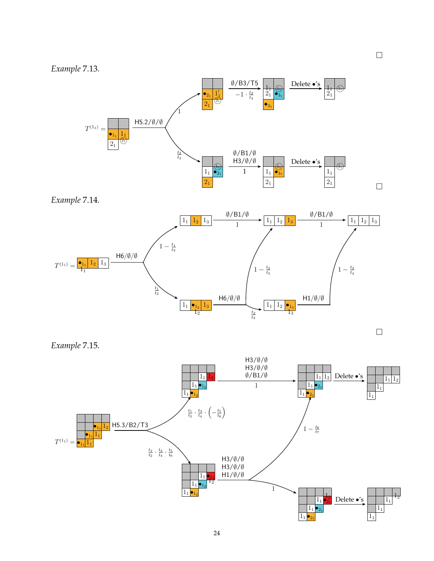



*Example* 7.14*.*



 $\Box$ 

*Example* 7.15*.*

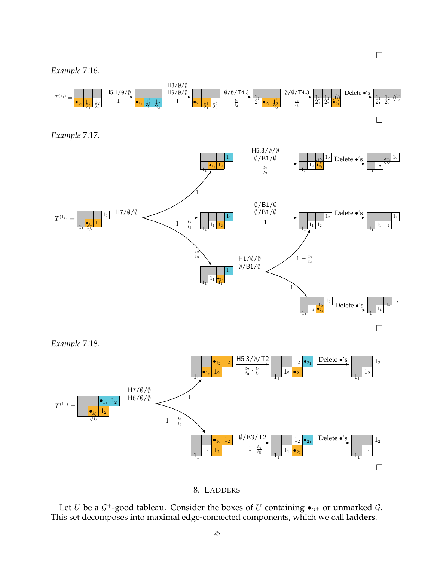





<span id="page-24-0"></span>Let U be a  $\mathcal{G}^+$ -good tableau. Consider the boxes of U containing  $\bullet_{\mathcal{G}^+}$  or unmarked  $\mathcal{G}$ . This set decomposes into maximal edge-connected components, which we call **ladders**.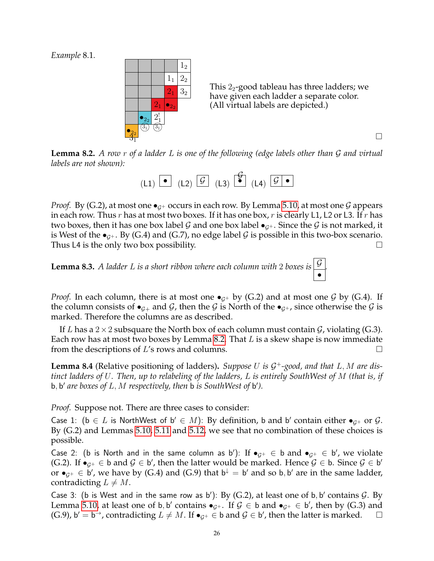*Example* 8.1*.*



This  $2<sub>2</sub>$ -good tableau has three ladders; we have given each ladder a separate color. (All virtual labels are depicted.)

*.*

<span id="page-25-0"></span>**Lemma 8.2.** *A row* r *of a ladder* L *is one of the following (edge labels other than* G *and virtual labels are not shown):*

| $(L1)$ $\bullet$ $(L2)$ $\overline{\mathcal{G}}$ $(L3)$ $\overline{\mathcal{G}}$ $(L4)$ $\overline{\mathcal{G} \bullet}$ |  |  |  |
|--------------------------------------------------------------------------------------------------------------------------|--|--|--|

*Proof.* By (G.2), at most one  $\bullet$ <sub>G+</sub> occurs in each row. By Lemma [5.10,](#page-14-0) at most one G appears in each row. Thus r has at most two boxes. If it has one box, r is clearly L1, L2 or L3. If r has two boxes, then it has one box label G and one box label  $\bullet$ <sub>G+</sub>. Since the G is not marked, it is West of the  $\bullet_{G^+}$ . By (G.4) and (G.7), no edge label G is possible in this two-box scenario. Thus L4 is the only two box possibility.  $\Box$ 

<span id="page-25-1"></span>**Lemma 8.3.** *A ladder L is a short ribbon where each column with* 2 *boxes is*  $\boxed{\mathcal{G}}$ •

*Proof.* In each column, there is at most one  $\bullet_{G^+}$  by (G.2) and at most one G by (G.4). If the column consists of  $\bullet_{\mathcal{G}+}$  and  $\mathcal{G}$ , then the  $\mathcal{G}$  is North of the  $\bullet_{\mathcal{G}+}$ , since otherwise the  $\mathcal{G}$  is marked. Therefore the columns are as described.

If L has a  $2 \times 2$  subsquare the North box of each column must contain  $\mathcal{G}$ , violating (G.3). Each row has at most two boxes by Lemma [8.2.](#page-25-0) That  $L$  is a skew shape is now immediate from the descriptions of  $L$ 's rows and columns.  $\Box$ 

**Lemma 8.4** (Relative positioning of ladders)**.** *Suppose* U *is* G <sup>+</sup>*-good, and that* L, M *are distinct ladders of* U*. Then, up to relabeling of the ladders,* L *is entirely SouthWest of* M *(that is, if* b, b 0 *are boxes of* L, M *respectively, then* b *is SouthWest of* b 0 *).*

*Proof.* Suppose not. There are three cases to consider:

Case 1: ( $b \in L$  is NorthWest of  $b' \in M$ ): By definition, b and b' contain either  $\bullet_{\mathcal{G}^+}$  or  $\mathcal{G}$ . By (G.2) and Lemmas [5.10,](#page-14-0) [5.11](#page-14-1) and [5.12,](#page-14-2) we see that no combination of these choices is possible.

Case 2: (b is North and in the same column as b'): If  $\bullet_{\mathcal{G}^+}\in \mathsf{b}$  and  $\bullet_{\mathcal{G}^+}\in \mathsf{b}'$ , we violate (G.2). If  $\bullet_{\mathcal{G}^+}\in \mathsf{b}$  and  $\mathcal{G} \in \mathsf{b}'$ , then the latter would be marked. Hence  $\mathcal{G} \in \mathsf{b}$ . Since  $\mathcal{G} \in \mathsf{b}'$ or  $\bullet_{\mathcal{G}^+}\in \mathsf{b}'$ , we have by (G.4) and (G.9) that  $\mathsf{b}^\downarrow=\mathsf{b}'$  and so  $\mathsf{b},\mathsf{b}'$  are in the same ladder, contradicting  $L \neq M$ .

Case 3: (b is West and in the same row as b'): By (G.2), at least one of b, b' contains  $G$ . By Lemma [5.10,](#page-14-0) at least one of b, b' contains  $\bullet_{\mathcal{G}^+}$ . If  $\mathcal{G} \in$  b and  $\bullet_{\mathcal{G}^+} \in$  b', then by (G.3) and (G.9), b' = b<sup>-+</sup>, contradicting  $L \neq M$ . If  $\bullet_{\mathcal{G}^+} \in \mathsf{b}$  and  $\mathcal{G} \in \mathsf{b}'$ , then the latter is marked.  $\Box$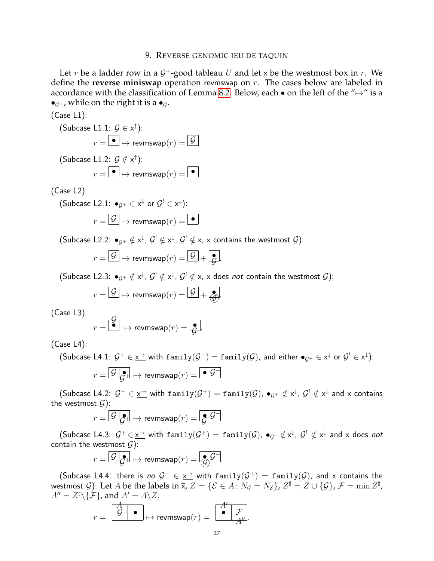#### 9. REVERSE GENOMIC JEU DE TAQUIN

<span id="page-26-0"></span>Let r be a ladder row in a  $G^+$ -good tableau U and let x be the westmost box in r. We define the **reverse miniswap** operation revmswap on r. The cases below are labeled in accordance with the classification of Lemma [8.2.](#page-25-0) Below, each  $\bullet$  on the left of the " $\mapsto$ " is a  $\bullet_{G^+}$ , while on the right it is a  $\bullet_{G^-}$ .

$$
(\mathsf{Case}\ L1)
$$

(Subcase L1.1: 
$$
\mathcal{G} \in \mathsf{x}^{\uparrow}
$$
):  $r = \boxed{\bullet} \mapsto \text{revmswap}(r) = \boxed{\mathcal{G}}$  (Subcase L1.2:  $\mathcal{G} \notin \mathsf{x}^{\uparrow}$ ):

$$
r = \boxed{\bullet} \mapsto \text{revmswap}(r) = \boxed{\bullet}
$$

(Case L2):

$$
\begin{aligned} \text{(Subcase L2.1: } \bullet_{\mathcal{G}^+} \in \mathsf{x}^\downarrow \text{ or } \mathcal{G}^! \in \mathsf{x}^\downarrow \text{)}: \\ r = \boxed{\mathcal{G}} \mapsto \text{revmswap}(r) = \boxed{\bullet} \end{aligned}
$$

(Subcase L2.2:  $\bullet_{\mathcal{G}^+}\notin x^{\downarrow}$ ,  $\mathcal{G}^!\notin x^{\downarrow}$ ,  $\mathcal{G}^!\notin x$ , x contains the westmost  $\mathcal{G}$ ):

$$
r = \boxed{\mathcal{G}} \mapsto \mathsf{revmswap}(r) = \boxed{\mathcal{G}} + \boxed{\mathcal{G}}.
$$

(Subcase L2.3:  $\bullet_{\mathcal{G}^+}\notin x^{\downarrow}$ ,  $\mathcal{G}^!\notin x^{\downarrow}$ ,  $\mathcal{G}^!\notin x$ , x does *not* contain the westmost  $\mathcal{G}$ ):

$$
r = \boxed{\mathcal{G}} \mapsto \text{revmswap}(r) = \boxed{\mathcal{G}} + \boxed{\mathcal{G}}.
$$

(Case L3):

$$
r = \begin{bmatrix} \mathcal{G} \\ \bullet \end{bmatrix} \mapsto \mathsf{revmswap}(r) = \boxed{\mathcal{G}}.
$$

(Case L4):

 $(\mathsf{Subcase}\; \mathsf{L4.1}\colon\; \mathcal{G}^+\in \underline{\mathsf{x}^{\to}}$  with  $\mathsf{family}(\mathcal{G}^+)=\mathtt{family}(\mathcal{G}),$  and either  $\bullet_{\mathcal{G}^+}\in \mathsf{x}^{\downarrow}$  or  $\mathcal{G}^!\in \mathsf{x}^{\downarrow}$ ):  $r = \fbox{$\mathcal{G}$} \big\lgroup \overline{ \mathcal{G}^+} \mapsto \mathsf{revmswap}(r) = \fbox{$\bullet$} \ \overline{ \mathcal{G}^+}$ 

(Subcase L4.2:  $\mathcal{G}^+ \in \underline{\mathsf{x}}^\to$  with  $\texttt{family}(\mathcal{G}^+)=\texttt{family}(\mathcal{G})$ ,  $\bullet_{\mathcal{G}^+}\notin \mathsf{x}^\downarrow$ ,  $\mathcal{G}^!\notin \mathsf{x}^\downarrow$  and  $\mathsf{x}$  contains the westmost  $\mathcal{G}$ :

$$
r = \boxed{\mathcal{G} \mid \mathcal{G} \mid} \mapsto \text{revmswap}(r) = \boxed{\mathcal{G}}^{\mathcal{G}^+}
$$

(Subcase L4.3:  $\mathcal{G}^+ \in \underline{\mathsf{x}}^\to$  with  $\texttt{family}(\mathcal{G}^+)=\texttt{family}(\mathcal{G}),$   $\bullet_{\mathcal{G}^+} \notin \mathsf{x}^\downarrow$ ,  $\mathcal{G}^! \notin \mathsf{x}^\downarrow$  and  $\mathsf{x}$  does  $not$ contain the westmost  $G$ ):

$$
r = \fbox{$\mathcal{G}$} \bigoplus_{\mathcal{G}^+} \rightarrow \mathsf{revmswap}(r) = \fbox{$\mathcal{G}$} \mathcal{G}^+
$$

(Subcase L4.4: there is *no*  $G^+ \in \underline{x^+}$  with  $\texttt{family}(\mathcal{G}^+) = \texttt{family}(\mathcal{G})$ , and x contains the westmost  $\cal G)$ : Let  $A$  be the labels in  $\bar x$ ,  $Z = \{ {\cal E} \in A \colon N_{\cal G} = N_{\cal E} \}$ ,  $Z^\sharp = Z \cup \{ {\cal G} \}$ ,  ${\cal F} = \min Z^\sharp$ ,  $A'' = Z^{\sharp} \backslash {\{\mathcal{F}\}}$ , and  $A' = A \backslash Z$ .

$$
r = \begin{array}{|c|c|} \hline \mathcal{G} & \bullet \\ \hline \end{array} \mapsto \mathsf{revmswap}(r) = \begin{array}{|c|} \hline \begin{array}{c} A' \\ \bullet \end{array} & \mathcal{F} \\ \hline A'' \end{array}.
$$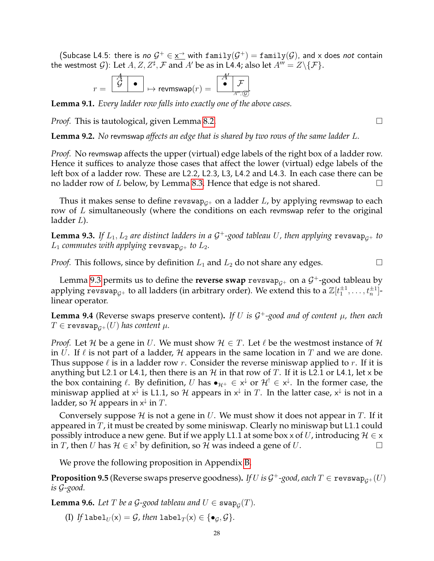(Subcase L4.5: there is *no*  $G^+ \in \underline{x}^{\to}$  with  $\text{family}(G^+) = \text{family}(G)$ , and x does *not* contain the westmost  $\mathcal{G}$ ): Let  $A, Z, Z^{\sharp}, \mathcal{F}$  and  $A'$  be as in L4.4; also let  $A''' = Z\backslash\{\mathcal{F}\}.$ 

r = G • A 7→ revmswap(r) = • <sup>F</sup> . A0 A<sup>000</sup> , G

**Lemma 9.1.** *Every ladder row falls into exactly one of the above cases.*

*Proof.* This is tautological, given Lemma [8.2.](#page-25-0) □

**Lemma 9.2.** *No* revmswap *affects an edge that is shared by two rows of the same ladder* L*.*

*Proof.* No revmswap affects the upper (virtual) edge labels of the right box of a ladder row. Hence it suffices to analyze those cases that affect the lower (virtual) edge labels of the left box of a ladder row. These are L2.2, L2.3, L3, L4.2 and L4.3. In each case there can be no ladder row of L below, by Lemma [8.3.](#page-25-1) Hence that edge is not shared.  $\Box$ 

Thus it makes sense to define revswap<sub> $G^+$ </sub> on a ladder L, by applying revmswap to each row of  $L$  simultaneously (where the conditions on each revmswap refer to the original ladder L).

<span id="page-27-1"></span>**Lemma 9.3.** If  $L_1, L_2$  are distinct ladders in a  $\mathcal{G}^+$ -good tableau  $U$ , then applying  $r$ evswap $_{\mathcal{G}^+}$  to  $L_1$  *commutes with applying* revswap<sub> $c+$ </sub> to  $L_2$ .

*Proof.* This follows, since by definition  $L_1$  and  $L_2$  do not share any edges.

Lemma [9.3](#page-27-1) permits us to define the **reverse swap**  $\text{revswap}_{\mathcal{G}^+}$  on a  $\mathcal{G}^+$ -good tableau by applying revswap $_{\mathcal{G}^+}$  to all ladders (in arbitrary order). We extend this to a  $\mathbb{Z}[t_1^{\pm 1},\ldots,t_n^{\pm 1}]$ linear operator.

**Lemma 9.4** (Reverse swaps preserve content)**.** *If* U *is* G <sup>+</sup>*-good and of content* µ*, then each*  $T \in \text{revswap}_{G^+}(U)$  has content  $\mu$ .

*Proof.* Let H be a gene in U. We must show  $H \in T$ . Let  $\ell$  be the westmost instance of H in U. If  $\ell$  is not part of a ladder, H appears in the same location in T and we are done. Thus suppose  $\ell$  is in a ladder row r. Consider the reverse miniswap applied to r. If it is anything but L2.1 or L4.1, then there is an  $H$  in that row of T. If it is L2.1 or L4.1, let x be the box containing  $\ell$ . By definition, U has  $\bullet_{\mathcal{H}^+}\in x^\downarrow$  or  $\mathcal{H}^!\in x^\downarrow$ . In the former case, the miniswap applied at  $\star^\downarrow$  is L1.1, so  ${\cal H}$  appears in  $\star^\downarrow$  in  $T.$  In the latter case,  $\star^\downarrow$  is not in a ladder, so  ${\mathcal H}$  appears in  $\mathsf{x}^\downarrow$  in  $T.$ 

Conversely suppose H is not a gene in U. We must show it does not appear in T. If it appeared in  $T$ , it must be created by some miniswap. Clearly no miniswap but L1.1 could possibly introduce a new gene. But if we apply L1.1 at some box x of U, introducing  $\mathcal{H} \in \mathsf{x}$ in T, then U has  $\mathcal{H} \in x^{\uparrow}$  by definition, so  $\mathcal{H}$  was indeed a gene of U.

We prove the following proposition in Appendix [B.](#page-70-0)

<span id="page-27-0"></span> $\bf{Proposition 9.5}$  (Reverse swaps preserve goodness). *If*  $U$  *is*  $\mathcal{G}^+$ *-good, each*  $T \in \texttt{revswap}_{\mathcal{G}^+}(U)$ *is* G*-good.*

<span id="page-27-2"></span>**Lemma 9.6.** Let T be a G-good tableau and  $U \in \text{swap}_{\mathcal{G}}(T)$ .

(I) If label<sub>U</sub>(x) = G, then label<sub>T</sub>(x)  $\in \{\bullet_G, \mathcal{G}\}.$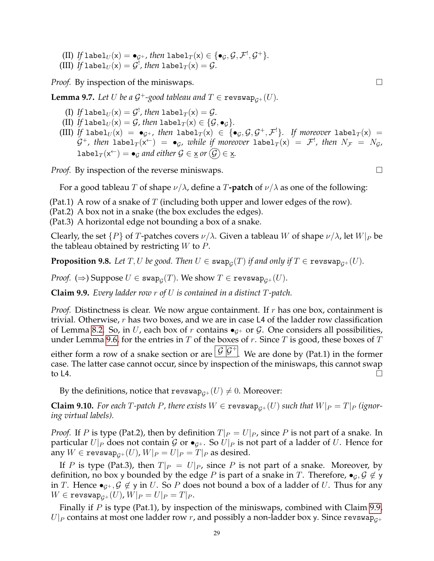- (II) If  $\text{label}_U(x) = \bullet_{\mathcal{G}^+}$ , then  $\text{label}_T(x) \in \{\bullet_{\mathcal{G}}, \mathcal{G}, \mathcal{F}^!, \mathcal{G}^+\}.$
- (III) If  $\mathtt{label}_U(\mathsf{x}) = \mathcal{G}^!$ , then  $\mathtt{label}_T(\mathsf{x}) = \mathcal{G}.$

*Proof.* By inspection of the miniswaps. □

<span id="page-28-2"></span>**Lemma 9.7.** Let U be a G<sup>+</sup>-good tableau and  $T \in \text{revswap}_{\mathcal{G}^+}(U)$ .

- (I) If  $\mathtt{label}_U(\mathsf{x}) = \mathcal{G}^!$ , then  $\mathtt{label}_T(\mathsf{x}) = \mathcal{G}.$
- (II) If label<sub>U</sub>(x) = G, then label<sub>T</sub>(x)  $\in \{\mathcal{G}, \bullet_{\mathcal{G}}\}.$
- (III) If  ${\tt label}_U({\sf x})\;=\; \bullet_{\mathcal G^+}$ , then  ${\tt label}_T({\sf x})\;\in\; \{\bullet_{\mathcal G},\mathcal G,\mathcal G^+,\mathcal F^!\}.$  If moreover  ${\tt label}_T({\sf x})\;=\;$  $\mathcal{G}^+$ , then  $\mathtt{label}_T(\mathsf{x}^{\leftarrow})~=~\bullet_{\mathcal{G}}$ , while if moreover  $\mathtt{label}_T(\mathsf{x})~=~\mathcal{F}^!$ , then  $N_\mathcal{F}~=~N_\mathcal{G}$ , label $_T(\mathsf{x}^{\leftarrow}) = \bullet_{\mathcal{G}}$  and either  $\mathcal{G} \in \underline{\mathsf{x}}$  or  $(\mathcal{G}) \in \underline{\mathsf{x}}$ .

*Proof.* By inspection of the reverse miniswaps.  $\Box$ 

For a good tableau T of shape  $\nu/\lambda$ , define a T**-patch** of  $\nu/\lambda$  as one of the following:

(Pat.1) A row of a snake of  $T$  (including both upper and lower edges of the row).

(Pat.2) A box not in a snake (the box excludes the edges).

(Pat.3) A horizontal edge not bounding a box of a snake.

Clearly, the set  $\{P\}$  of T-patches covers  $\nu/\lambda$ . Given a tableau W of shape  $\nu/\lambda$ , let  $W|_P$  be the tableau obtained by restricting  $W$  to  $P$ .

<span id="page-28-3"></span> ${\bf Proposition 9.8.}$  Let  $T,U$  be good. Then  $U\in {\tt swap}_{\mathcal{G}}(T)$  if and only if  $T\in {\tt revswap}_{\mathcal{G}^+}(U).$ 

 $\mathit{Proof.}~(\Rightarrow)$  Suppose  $U\in\mathop{\tt swap}_{\mathcal{G}}(T).$  We show  $T\in\mathop{\tt revswap}_{\mathcal{G}^+}(U).$ 

<span id="page-28-0"></span>**Claim 9.9.** *Every ladder row* r *of* U *is contained in a distinct* T*-patch.*

*Proof.* Distinctness is clear. We now argue containment. If r has one box, containment is trivial. Otherwise, r has two boxes, and we are in case L4 of the ladder row classification of Lemma [8.2.](#page-25-0) So, in U, each box of r contains  $\bullet$ <sub>G+</sub> or G. One considers all possibilities, under Lemma [9.6,](#page-27-2) for the entries in  $T$  of the boxes of  $r$ . Since  $T$  is good, these boxes of  $T$ either form a row of a snake section or are  $\boxed{\mathcal{G}|\mathcal{G}^+|}$ . We are done by (Pat.1) in the former case. The latter case cannot occur, since by inspection of the miniswaps, this cannot swap to L4.  $\Box$ 

By the definitions, notice that revswap<sub> $G^+(U) \neq 0$ </sub>. Moreover:

<span id="page-28-1"></span>**Claim 9.10.** For each T-patch P, there exists  $W \in \text{revswap}_{G^+}(U)$  such that  $W|_P = T|_P$  (ignor*ing virtual labels).*

*Proof.* If P is type (Pat.2), then by definition  $T|_P = U|_P$ , since P is not part of a snake. In particular  $U|_P$  does not contain  $\mathcal G$  or  $\bullet_{\mathcal G^+}$ . So  $U|_P$  is not part of a ladder of U. Hence for any  $W \in \text{revswap}_{G^+}(U)$ ,  $W|_P = U|_P = T|_P$  as desired.

If P is type (Pat.3), then  $T|_P = U|_P$ , since P is not part of a snake. Moreover, by definition, no box y bounded by the edge P is part of a snake in T. Therefore,  $\bullet$ <sub>G</sub>,  $\mathcal{G} \notin \mathcal{Y}$ in T. Hence  $\bullet_{\mathcal{G}^+}, \mathcal{G} \notin \mathcal{G}$  in U. So P does not bound a box of a ladder of U. Thus for any  $W \in \texttt{revswap}_{G^+}(U)$ ,  $W|_{P} = U|_{P} = T|_{P}$ .

Finally if  $P$  is type (Pat.1), by inspection of the miniswaps, combined with Claim [9.9,](#page-28-0)  $U|_P$  contains at most one ladder row r, and possibly a non-ladder box y. Since revswap<sub> $G^+$ </sub>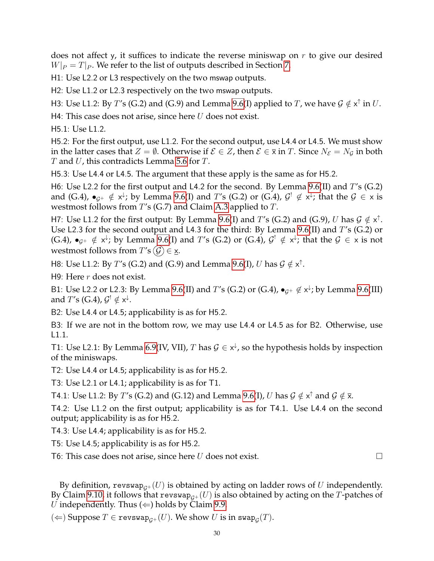does not affect y, it suffices to indicate the reverse miniswap on  $r$  to give our desired  $W|_P = T|_P$ . We refer to the list of outputs described in Section [7.](#page-18-0)

H1: Use L2.2 or L3 respectively on the two mswap outputs.

H2: Use L1.2 or L2.3 respectively on the two mswap outputs.

H3: Use L1.2: By T's (G.2) and (G.9) and Lemma [9.6\(](#page-27-2)I) applied to T, we have  $\mathcal{G} \notin x^{\uparrow}$  in U.

H4: This case does not arise, since here  $U$  does not exist.

H5.1: Use L1.2.

H5.2: For the first output, use L1.2. For the second output, use L4.4 or L4.5. We must show in the latter cases that  $Z = \emptyset$ . Otherwise if  $\mathcal{E} \in Z$ , then  $\mathcal{E} \in \overline{x}$  in  $T$ . Since  $N_{\mathcal{E}} = N_{\mathcal{G}}$  in both  $T$  and  $U$ , this contradicts Lemma [5.6](#page-13-0) for  $T$ .

H5.3: Use L4.4 or L4.5. The argument that these apply is the same as for H5.2.

H6: Use L2.2 for the first output and L4.2 for the second. By Lemma [9.6\(](#page-27-2)II) and  $T$ 's (G.2) and (G.4),  $\bullet_{\mathcal{G}^+}\notin x^{\downarrow}$ ; by Lemma [9.6\(](#page-27-2)I) and T's (G.2) or (G.4),  $\mathcal{G}^!\not\in x^{\downarrow}$ ; that the  $\mathcal{G}\in x$  is westmost follows from T's (G.7) and Claim [A.3](#page-64-0) applied to T.

H7: Use L1.2 for the first output: By Lemma [9.6\(](#page-27-2)I) and T's (G.2) and (G.9), U has  $\mathcal{G} \notin x^{\uparrow}$ . Use L2.3 for the second output and L4.3 for the third: By Lemma [9.6\(](#page-27-2)II) and  $T$ 's (G.2) or (G.4),  $\bullet_{\mathcal{G}^+}\notin x^{\downarrow}$ ; by Lemma [9.6\(](#page-27-2)I) and T's (G.2) or (G.4),  $\mathcal{G}^! \notin x^{\downarrow}$ ; that the  $\mathcal{G} \in x$  is not westmost follows from  $T'$ s  $(\mathcal{G}) \in \mathbf{x}$ .

H8: Use L1.2: By T's (G.2) and (G.9) and Lemma [9.6\(](#page-27-2)I), U has  $\mathcal{G} \notin \mathsf{x}^\uparrow$ .

H9: Here  $r$  does not exist.

B1: Use L2.2 or L2.3: By Lemma [9.6\(](#page-27-2)II) and T's (G.2) or (G.4),  $\bullet_{\mathcal{G}^+} \notin x^{\downarrow}$ ; by Lemma 9.6(III) and  $T^{\prime}$ s (G.4),  $\mathcal{G}^! \notin \mathsf{x}^\downarrow$ .

B2: Use L4.4 or L4.5; applicability is as for H5.2.

B3: If we are not in the bottom row, we may use L4.4 or L4.5 as for B2. Otherwise, use L1.1.

T1: Use L2.1: By Lemma [6.9\(](#page-17-2)IV, VII), T has  $G \in x^{\downarrow}$ , so the hypothesis holds by inspection of the miniswaps.

T2: Use L4.4 or L4.5; applicability is as for H5.2.

T3: Use L2.1 or L4.1; applicability is as for T1.

T4.1: Use L1.2: By  $T'$ s (G.2) and (G.12) and Lemma [9.6\(](#page-27-2)I),  $U$  has  $\mathcal{G} \notin \mathsf{x}^{\uparrow}$  and  $\mathcal{G} \notin \overline{\mathsf{x}}$ .

T4.2: Use L1.2 on the first output; applicability is as for T4.1. Use L4.4 on the second output; applicability is as for H5.2.

T4.3: Use L4.4; applicability is as for H5.2.

T5: Use L4.5; applicability is as for H5.2.

T6: This case does not arise, since here U does not exist.  $\Box$ 

By definition, revswap<sub> $G^+(U)$ </sub> is obtained by acting on ladder rows of U independently. By Claim [9.10,](#page-28-1) it follows that revswap<sub> $G^+(U)$ </sub> is also obtained by acting on the T-patches of U independently. Thus  $(\Leftarrow)$  holds by Claim [9.9.](#page-28-0)

 $(\Leftarrow)$  Suppose  $T \in \mathtt{revswap}_{\mathcal{G}^+}(U).$  We show  $U$  is in  $\mathtt{swap}_\mathcal{G}(T).$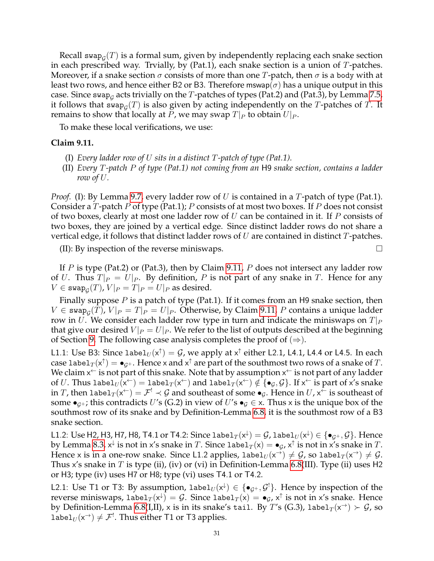Recall swap $_{\mathcal{G}}(T)$  is a formal sum, given by independently replacing each snake section in each prescribed way. Trvially, by  $(Pat.1)$ , each snake section is a union of T-patches. Moreover, if a snake section  $\sigma$  consists of more than one T-patch, then  $\sigma$  is a body with at least two rows, and hence either B2 or B3. Therefore mswap( $\sigma$ ) has a unique output in this case. Since swap $_{\mathcal{G}}$  acts trivially on the  $T$ -patches of types (Pat.2) and (Pat.3), by Lemma [7.5,](#page-21-2) it follows that  $\mathsf{swap}_\mathcal{G}(T)$  is also given by acting independently on the  $T$ -patches of  $T.$  It remains to show that locally at P, we may swap  $T|_P$  to obtain  $U|_P$ .

To make these local verifications, we use:

### <span id="page-30-0"></span>**Claim 9.11.**

- (I) *Every ladder row of* U *sits in a distinct* T*-patch of type (Pat.1).*
- (II) *Every* T*-patch* P *of type (Pat.1) not coming from an* H9 *snake section, contains a ladder row of* U*.*

*Proof.* (I): By Lemma [9.7,](#page-28-2) every ladder row of U is contained in a T-patch of type (Pat.1). Consider a T-patch P of type (Pat.1); P consists of at most two boxes. If P does not consist of two boxes, clearly at most one ladder row of  $U$  can be contained in it. If  $P$  consists of two boxes, they are joined by a vertical edge. Since distinct ladder rows do not share a vertical edge, it follows that distinct ladder rows of  $U$  are contained in distinct  $T$ -patches.

(II): By inspection of the reverse miniswaps.  $\Box$ 

If P is type (Pat.2) or (Pat.3), then by Claim [9.11,](#page-30-0) P does not intersect any ladder row of U. Thus  $T|_P = U|_P$ . By definition, P is not part of any snake in T. Hence for any  $V\in\mathop{{\rm swap}}\nolimits_{\mathcal{G}}(T)$ ,  $V|_{P}=T|_{P}=U|_{P}$  as desired.

Finally suppose  $P$  is a patch of type (Pat.1). If it comes from an H9 snake section, then  $V \in \mathsf{swap}_\mathcal{G}(T)$ ,  $V|_P = T|_P = U|_P$ . Otherwise, by Claim [9.11,](#page-30-0) P contains a unique ladder row in U. We consider each ladder row type in turn and indicate the miniswaps on  $T|_P$ that give our desired  $V|_P = U|_P$ . We refer to the list of outputs described at the beginning of Section [9.](#page-26-0) The following case analysis completes the proof of  $(\Rightarrow)$ .

L1.1: Use B3: Since labe $1_U(x^{\uparrow}) = \mathcal{G}$ , we apply at  $x^{\uparrow}$  either L2.1, L4.1, L4.4 or L4.5. In each case label $_T(x^\uparrow) = \bullet_{\mathcal{G}^+}.$  Hence x and  $x^\uparrow$  are part of the southmost two rows of a snake of  $T.$ We claim  $x^\leftarrow$  is not part of this snake. Note that by assumption  $x^\leftarrow$  is not part of any ladder of  $U.$  Thus label $_U(\mathsf{x}^\leftarrow)=\texttt{label}_T(\mathsf{x}^\leftarrow)$  and label $_T(\mathsf{x}^\leftarrow)\notin\{\bullet_{\mathcal{G}},\mathcal{G}\}.$  If  $\mathsf{x}^\leftarrow$  is part of  $\mathsf{x}'$ s snake in  $T$ , then label $_T(x^{\leftarrow})=\mathcal{F}^!\prec\mathcal{G}$  and southeast of some  $\bullet_\mathcal{G}.$  Hence in  $U$ ,  $\mathsf{x}^\leftarrow$  is southeast of some  $\bullet_{G^+}$ ; this contradicts U's (G.2) in view of U's  $\bullet_G \in \times$ . Thus x is the unique box of the southmost row of its snake and by Definition-Lemma [6.8,](#page-17-1) it is the southmost row of a B3 snake section.

<code>L1.2: Use</code> H2, H3, H7, H8, <code>T4.1</code> or <code>T4.2: Since label $_T(\mathsf{x}^\downarrow)=\mathcal{G}$ , label $_U(\mathsf{x}^\downarrow)\in\{\bullet_{\mathcal{G}^+},\mathcal{G}\}$ . Hence</code> by Lemma [8.3,](#page-25-1)  $x^\downarrow$  is not in x's snake in  $T.$  Since  ${\tt label}_T(\mathsf{x}) = \bullet_{\mathcal{G}}$ ,  $\mathsf{x}^\uparrow$  is not in x's snake in  $T.$ Hence x is in a one-row snake. Since L1.2 applies, labe $1_U(x^{\rightarrow}) \neq \mathcal{G}$ , so labe $1_T(x^{\rightarrow}) \neq \mathcal{G}$ . Thus x's snake in T is type (ii), (iv) or (vi) in Definition-Lemma [6.8\(](#page-17-1)III). Type (ii) uses H2 or H3; type (iv) uses H7 or H8; type (vi) uses T4.1 or T4.2.

L2.1: Use T1 or T3: By assumption,  $\text{label}_U(x^{\downarrow}) \in \{\bullet_{\mathcal{G}^+}, \mathcal{G}^! \}$ . Hence by inspection of the reverse miniswaps, label $_T(x^{\downarrow}) = \mathcal{G}$ . Since label $_T(x) = \bullet_{\mathcal{G}}$ ,  $x^{\uparrow}$  is not in  $x'$ s snake. Hence by Definition-Lemma [6.8\(](#page-17-1)I,II), x is in its snake's tail. By  $T'$ s (G.3), label $_T(\mathsf{x}^\rightarrow) \succ \mathcal{G}$ , so label $U_U(x^{\rightarrow}) \neq \mathcal{F}^!$ . Thus either T1 or T3 applies.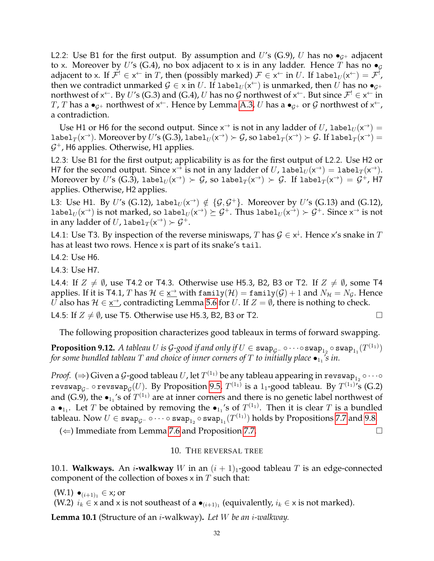L2.2: Use B1 for the first output. By assumption and U's (G.9), U has no  $\bullet_{G^+}$  adjacent to x. Moreover by U's (G.4), no box adjacent to x is in any ladder. Hence T has no  $\bullet$ <sub>G</sub> adjacent to x. If  $\mathcal{F}^!\in\mathsf{x}^\leftarrow$  in  $T$ , then (possibly marked)  $\mathcal{F}\in\mathsf{x}^\leftarrow$  in  $U.$  If  $\texttt{label}_U(\mathsf{x}^\leftarrow)=\mathcal{F}^!$ , then we contradict unmarked  $\mathcal{G}\in \mathsf{x}$  in  $U.$  If label ${}_{U}(\mathsf{x}^{\leftarrow})$  is unmarked, then  $U$  has no  $\bullet_{\mathcal{G}^+}$ northwest of x<sup> $\leftarrow$ </sup>. By  $U'$ s (G.3) and (G.4)*, U* has no  ${\cal G}$  northwest of x $\leftarrow$ . But since  ${\cal F}^! \in$  x $\leftarrow$  in T, T has a  $\bullet_{\mathcal{G}^+}$  northwest of  $\mathsf{x}^\leftarrow$ . Hence by Lemma [A.3,](#page-64-0)  $U$  has a  $\bullet_{\mathcal{G}^+}$  or  $\mathcal G$  northwest of  $\mathsf{x}^\leftarrow$ , a contradiction.

Use H1 or H6 for the second output. Since  $x^{\rightarrow}$  is not in any ladder of U, label $_U(x^{\rightarrow}) =$ label $_T(x^\to)$ . Moreover by  $U'$ s (G.3), label $_U(x^\to) \succ \mathcal{G}$ , so label $_T(x^\to) \succ \mathcal{G}$ . If label $_T(x^\to) =$  $G^+$ , H6 applies. Otherwise, H1 applies.

L2.3: Use B1 for the first output; applicability is as for the first output of L2.2. Use H2 or H7 for the second output. Since  $x^{\overrightarrow{\cdot}}$  is not in any ladder of U, label $_U(x^{\rightarrow}) = \text{label}_T(x^{\rightarrow})$ . Moreover by  $U'$ s (G.3), labe $1_U(\mathsf{x}^\to) \succ \mathcal{G}$ , so labe $1_T(\mathsf{x}^\to) \succ \mathcal{G}$ . If labe $1_T(\mathsf{x}^\to) = \mathcal{G}^+$ , H7 applies. Otherwise, H2 applies.

L3: Use H1. By U's (G.12),  $l$ abe $l_U(x^{\rightarrow}) \notin \{\mathcal{G}, \mathcal{G}^+\}$ . Moreover by U's (G.13) and (G.12), label $_{U}(\mathsf{x}^{\to})$  is not marked, so label $_{U}(\mathsf{x}^{\to})\succeq\mathcal{G}^{+}.$  Thus label $_{U}(\mathsf{x}^{\to})\succ\mathcal{G}^{+}.$  Since  $\mathsf{x}^{\to}$  is not in any ladder of U, label $_T(\mathsf{x}^{\rightarrow}) \succ \mathcal{G}^+$ .

L4.1: Use T3. By inspection of the reverse miniswaps, T has  $\mathcal{G} \in \mathsf{x}^{\downarrow}$ . Hence x's snake in T has at least two rows. Hence x is part of its snake's tail.

L4.2: Use H6.

L4.3: Use H7.

L4.4: If  $Z \neq \emptyset$ , use T4.2 or T4.3. Otherwise use H5.3, B2, B3 or T2. If  $Z \neq \emptyset$ , some T4 applies. If it is T4.1, T has  $H \in \underline{x}^{\to}$  with  $\text{family}(\mathcal{H}) = \text{family}(\mathcal{G}) + 1$  and  $N_{\mathcal{H}} = N_{\mathcal{G}}$ . Hence  $U$  also has  $\mathcal{H} \in \underline{\mathsf{x}}^{\to}$ , contradicting Lemma [5.6](#page-13-0) for  $U$ . If  $Z = \emptyset$ , there is nothing to check.

L4.5: If  $Z \neq \emptyset$ , use T5. Otherwise use H5.3, B2, B3 or T2.

The following proposition characterizes good tableaux in terms of forward swapping.

 ${\bf Proposition ~9.12.}~A$  tableau  $U$  is  ${\cal G}$ -good if and only if  $U\in\mathtt{swap}_{\cal G}$ -  $\circ\cdots\circ\mathtt{swap}_{1_2}\circ\mathtt{swap}_{1_1}(T^{(1_1)})$ for some bundled tableau  $T$  and choice of inner corners of  $T$  to initially place  $\bullet_{1_1}\!\!{}'s$  in.

*Proof.* (⇒) Given a  ${\cal G}$ -good tableau  $U$ , let  $T^{(1_1)}$  be any tableau appearing in  ${\tt revswap}_{1_2} \circ \cdots \circ$ revswap $_{\mathcal{G}^-}$   $\circ$  revswap $_{\mathcal{G}}(U).$  By Proposition [9.5,](#page-27-0)  $T^{(1_1)}$  is a  $1_1$ -good tableau. By  $T^{(1_1)}{}'$ s (G.2) and (G.9), the  $\bullet_{1_1}$ 's of  $T^{(1_1)}$  are at inner corners and there is no genetic label northwest of a  $\bullet_{1_1}$ . Let T be obtained by removing the  $\bullet_{1_1}$ 's of  $T^{(1_1)}$ . Then it is clear T is a bundled tableau. Now  $U\in\mathsf{swap}_{\mathcal{G}^-}\circ\cdots\circ\mathsf{swap}_{1_2}\circ\mathsf{swap}_{1_1}(T^{(1_1)})$  holds by Propositions [7.7](#page-21-1) and [9.8.](#page-28-3)

<span id="page-31-0"></span>(  $\Leftarrow$  ) Immediate from Lemma [7.6](#page-21-4) and Proposition [7.7.](#page-21-1)

# 10. THE REVERSAL TREE

<span id="page-31-1"></span>10.1. **Walkways.** An *i*-walkway W in an  $(i + 1)<sub>1</sub>$ -good tableau T is an edge-connected component of the collection of boxes  $x$  in  $T$  such that:

 $(W.1) ∘_{(i+1)<sub>1</sub>} ∈ x;$  or

(W.2)  $i_k \in \times$  and  $\times$  is not southeast of a  $\bullet_{(i+1)_1}$  (equivalently,  $i_k \in \times$  is not marked).

<span id="page-31-2"></span>**Lemma 10.1** (Structure of an i-walkway)**.** *Let* W *be an* i*-walkway.*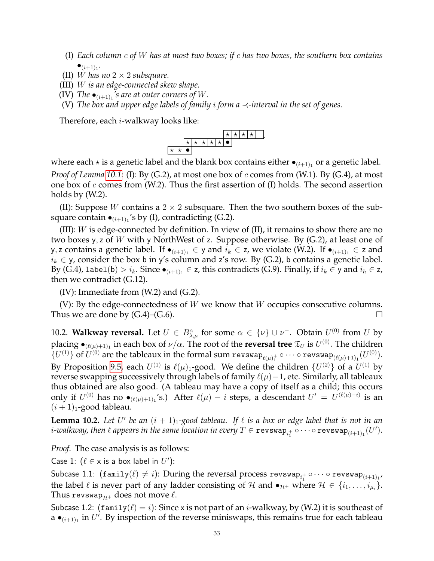- (I) *Each column* c *of* W *has at most two boxes; if* c *has two boxes, the southern box contains*  $\bullet$ <sub>(i+1)<sub>1</sub></sub>.
- (II) W has no  $2 \times 2$  *subsquare.*
- (III) W *is an edge-connected skew shape.*
- (IV) The  $\bullet_{(i+1)_1}$ 's are at outer corners of W.
- (V) *The box and upper edge labels of family* i *form a* ≺*-interval in the set of genes.*

Therefore, each i-walkway looks like:



where each  $\star$  is a genetic label and the blank box contains either  $\bullet_{(i+1)_1}$  or a genetic label. *Proof of Lemma* [10.1:](#page-31-2) (I): By (G.2), at most one box of c comes from (W.1). By (G.4), at most one box of c comes from (W.2). Thus the first assertion of (I) holds. The second assertion holds by (W.2).

(II): Suppose W contains a  $2 \times 2$  subsquare. Then the two southern boxes of the subsquare contain  $\bullet_{(i+1)_1}$ 's by (I), contradicting (G.2).

(III):  $W$  is edge-connected by definition. In view of (II), it remains to show there are no two boxes y, z of W with y NorthWest of z. Suppose otherwise. By  $(G.2)$ , at least one of y, z contains a genetic label. If  $\bullet_{(i+1)_1}$  ∈ y and  $i_k$  ∈ z, we violate (W.2). If  $\bullet_{(i+1)_1}$  ∈ z and  $i_k \in y$ , consider the box b in y's column and z's row. By (G.2), b contains a genetic label. By (G.4), label(b) >  $i_k$ . Since  $\bullet_{(i+1)_1} \in \mathsf{z}$ , this contradicts (G.9). Finally, if  $i_k \in \mathsf{y}$  and  $i_k \in \mathsf{z}$ , then we contradict (G.12).

 $(IV)$ : Immediate from  $(W.2)$  and  $(G.2)$ .

(V): By the edge-connectedness of  $W$  we know that  $W$  occupies consecutive columns. Thus we are done by  $(G.4)$ – $(G.6)$ .

<span id="page-32-0"></span>10.2. **Walkway reversal.** Let  $U \in B^{\alpha}_{\lambda,\mu}$  for some  $\alpha \in {\{\nu\}} \cup {\nu}^{-}$ . Obtain  $U^{(0)}$  from  $U$  by placing  $\bullet_{(\ell(\mu)+1)_1}$  in each box of  $\nu/\alpha.$  The root of the **reversal tree**  $\mathfrak{T}_U$  is  $U^{(0)}.$  The children  $\{U^{(1)}\}$  of  $U^{(0)}$  are the tableaux in the formal sum revswap $_{\ell(\mu)^+_1}\circ\cdots\circ$  revswap $_{(\ell(\mu)+1)_1}(U^{(0)}).$ By Proposition [9.5,](#page-27-0) each  $U^{(1)}$  is  $\ell(\mu)_1$ -good. We define the children  $\{U^{(2)}\}$  of a  $U^{(1)}$  by reverse swapping successively through labels of family  $\ell(\mu)-1$ , etc. Similarly, all tableaux thus obtained are also good. (A tableau may have a copy of itself as a child; this occurs only if  $U^{(0)}$  has no  $\bullet_{(\ell(\mu)+1)_1}'$ s.) After  $\ell(\mu)-i$  steps, a descendant  $U' = U^{(\ell(\mu)-i)}$  is an  $(i + 1)<sub>1</sub>$ -good tableau.

<span id="page-32-1"></span>**Lemma 10.2.** Let U' be an  $(i + 1)<sub>1</sub>$ -good tableau. If  $\ell$  is a box or edge label that is not in an  $i$ -walkway, then  $\ell$  appears in the same location in every  $T \in \mathtt{revswap}_{i_1^+} \circ \cdots \circ \mathtt{revswap}_{(i+1)_1}(U').$ 

*Proof.* The case analysis is as follows:

Case 1:  $(\ell \in x \text{ is a box label in } U')$ :

Subcase 1.1:  $(\mathtt{family}(\ell) \neq i)$ : During the reversal process revswap $_{i_1^+} \circ \cdots \circ \mathtt{revswap}_{(i+1)_1}$ the label  $\ell$  is never part of any ladder consisting of H and  $\bullet_{\mathcal{H}^+}$  where  $\mathcal{H} \in \{i_1, \ldots, i_{\mu_i}\}.$ Thus revswap $_{\mathcal{H}^+}$  does not move  $\ell$ .

Subcase 1.2: (family $(\ell) = i$ ): Since x is not part of an *i*-walkway, by (W.2) it is southeast of a  $\bullet$ <sub>(i+1)<sub>1</sub></sub> in U'. By inspection of the reverse miniswaps, this remains true for each tableau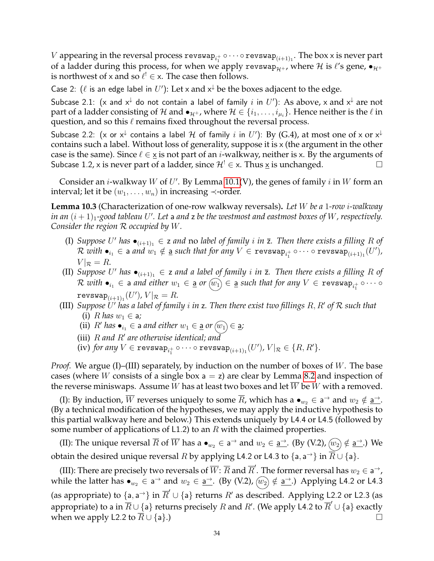$V$  appearing in the reversal process  ${\tt revswap}_{i_1^+} \circ \cdots \circ {\tt revswap}_{(i+1)_1}.$  The box x is never part of a ladder during this process, for when we apply revswap<sub> $H+$ </sub>, where H is  $\ell'$ s gene,  $\bullet_{H+}$ is northwest of x and so  $\ell^! \in \times$ . The case then follows.

Case 2: ( $\ell$  is an edge label in U'): Let x and  $x^{\downarrow}$  be the boxes adjacent to the edge.

Subcase 2.1: (x and  $x^\downarrow$  do not contain a label of family  $i$  in  $U'$ ): As above, x and  $x^\downarrow$  are not part of a ladder consisting of  $\cal H$  and  $\bullet_{\cal H^+}$ , where  $\cal H\in\{i_1,\ldots,i_{\mu_i}\}.$  Hence neither is the  $\ell$  in question, and so this  $\ell$  remains fixed throughout the reversal process.

Subcase 2.2: (x or  $x^\downarrow$  contains a label  ${\cal H}$  of family  $i$  in  $U'$ ): By (G.4), at most one of x or  $x^\downarrow$ contains such a label. Without loss of generality, suppose it is x (the argument in the other case is the same). Since  $\ell \in \underline{x}$  is not part of an *i*-walkway, neither is x. By the arguments of Subcase 1.2, x is never part of a ladder, since  $\mathcal{H}^! \in \times$ . Thus  $\underline{\times}$  is unchanged.  $□$ 

Consider an *i*-walkway W of U'. By Lemma [10.1\(](#page-31-2)V), the genes of family *i* in W form an interval; let it be  $(w_1, \ldots, w_n)$  in increasing ≺-order.

<span id="page-33-0"></span>**Lemma 10.3** (Characterization of one-row walkway reversals)**.** *Let* W *be a* 1*-row* i*-walkway*  $\int \ln a_n (i+1)_1$ -good tableau U'. Let a and z be the westmost and eastmost boxes of W, respectively. *Consider the region* R *occupied by* W*.*

- (I) Suppose U' has  $\bullet_{(i+1)_1} \in \mathsf{z}$  and no label of family i in  $\overline{\mathsf{z}}$ . Then there exists a filling R of  ${\mathcal R}$  with  $\bullet_{i_1} \in$  a and  $w_1 \notin$  <u>a</u> such that for any  $V \in \mathtt{revswap}_{i_1^+} \circ \cdots \circ \mathtt{revswap}_{(i+1)_1}(U'),$  $V|_{\mathcal{R}} = R$ .
- (II) Suppose U' has  $\bullet_{(i+1)_1} \in \mathsf{z}$  and a label of family i in  $\overline{\mathsf{z}}$ . Then there exists a filling R of  $\mathcal R$  with  $\bullet_{i_1} \in$  a and either  $w_1 \in$  <u>a</u>  $or$   $(w_1) \in$  <u>a</u> such that for any  $V \in \mathtt{revswap}_{i_1^+}$   $\circ \cdots \circ$  $\texttt{revswap}_{(i+1)_1}(U'),\, V|_{\mathcal{R}}=R.$
- (III) Suppose  $\dot{\textbf{U}}'$  has a label of family  $i$  in  $\textsf{z}.$  Then there exist two fillings  $R,R'$  of  $\mathcal R$  such that (i)  $R$  *has*  $w_1 \in \mathsf{a}$ ;
	- (ii)  $R'$  has  $\bullet_{i_1} \in$  a and either  $w_1 \in \underline{\mathsf{a}}$  or  $\widehat{(w_1)} \in \underline{\mathsf{a}}$ ;
	- (iii)  $R$  and  $R'$  are otherwise identical; and
	- (iv) for any  $V \in \texttt{revswap}_{i_1^+} \circ \cdots \circ \texttt{revswap}_{(i+1)_1}(U'),$   $V|_{\mathcal{R}} \in \{R, R'\}.$

*Proof.* We argue (I)–(III) separately, by induction on the number of boxes of W. The base cases (where W consists of a single box  $a = z$ ) are clear by Lemma [8.2](#page-25-0) and inspection of the reverse miniswaps. Assume W has at least two boxes and let  $\overline{W}$  be W with a removed.

(I): By induction,  $\overline{W}$  reverses uniquely to some  $\overline{R}$ , which has a  $\bullet_{w_2} \in \mathsf{a}^{\to}$  and  $w_2 \notin \underline{\mathsf{a}^{\to}}$ . (By a technical modification of the hypotheses, we may apply the inductive hypothesis to this partial walkway here and below.) This extends uniquely by L4.4 or L4.5 (followed by some number of applications of L1.2) to an  $R$  with the claimed properties.

(II): The unique reversal  $\overline{R}$  of  $\overline{W}$  has a  $\bullet_{w_2} \in \mathsf{a}^{\to}$  and  $w_2 \in \underline{\mathsf{a}^{\to}}$ . (By (V.2),  $(\overline{w_2}) \notin \underline{\mathsf{a}^{\to}}$ .) We obtain the desired unique reversal  $R$  by applying L4.2 or L4.3 to  $\{$ a, a $^{\rightarrow}\}$  in  $\overline{R} \cup \{$ a $\}.$ 

(III): There are precisely two reversals of  $\overline{W}$ :  $\overline{R}$  and  $\overline{R}'$ . The former reversal has  $w_2 \in \mathsf{a}^{\rightarrow}$ , while the latter has  $\bullet_{w_2} \in$  a<sup>→</sup> and  $w_2 \in \underline{\sf a}^\rightarrow$ . (By (V.2),  $\widehat{w_2} \notin \underline{\sf a}^\rightarrow$ .) Applying L4.2 or L4.3 (as appropriate) to  $\{a, a^{\rightarrow}\}$  in  $\overline{R}' \cup \{a\}$  returns  $R'$  as described. Applying L2.2 or L2.3 (as appropriate) to a in  $\overline{R} \cup \{a\}$  returns precisely R and R'. (We apply L4.2 to  $\overline{R}' \cup \{a\}$  exactly when we apply L2.2 to  $\overline{R} \cup \{a\}$ .)  $\Box$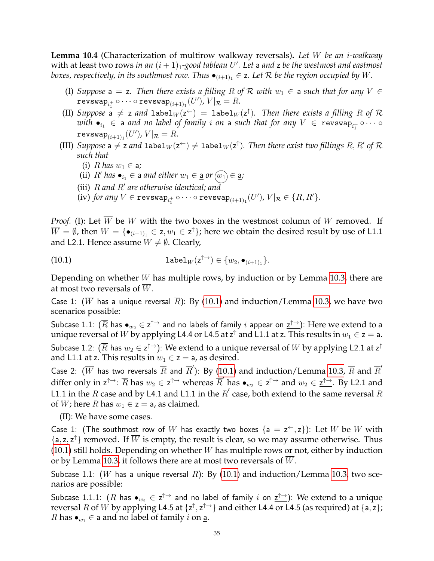<span id="page-34-1"></span>**Lemma 10.4** (Characterization of multirow walkway reversals)**.** *Let* W *be an* i*-walkway* with at least two rows *in an*  $(i + 1)_1$ -good tableau  $U'$ . Let a and z be the westmost and eastmost *boxes, respectively, in its southmost row. Thus*  $\bullet$ <sub>(*i*+1)<sub>1</sub></sub>  $\in$  z. Let  $R$  *be the region occupied by* W.

- (I) Suppose  $a = z$ . Then there exists a filling R of R with  $w_1 \in a$  such that for any  $V \in a$  $\texttt{revswap}_{i_1^+} \circ \cdots \circ \texttt{revswap}_{(i+1)_1}(U'), V|_{\mathcal{R}} = R.$
- (II) Suppose a  $\neq$  z and label $_W(z^+)$  = label $_W(z^{\uparrow})$ . Then there exists a filling R of R  $with$   $\bullet_{i_1} \in$  a *and no label of family*  $i$  *on* <u>a</u> such that for any  $V \in \mathtt{revswap}_{i_1^+} \circ \cdots \circ$  $\texttt{revswap}_{(i+1)_1}(U'),\, V|_{\mathcal{R}}=R.$
- (III) Suppose a  $\neq$  z and  $\mathtt{label}_W(\mathsf{z}^{\leftarrow})\neq \mathtt{label}_W(\mathsf{z}^{\uparrow}).$  Then there exist two fillings  $R,R'$  of  $\mathcal R$ *such that*
	- (i)  $R$  *has*  $w_1 \in \mathsf{a}$ ;
	- (ii)  $R'$  has  $\bullet_{i_1} \in$  a and either  $w_1 \in \underline{\mathsf{a}}$  or  $\widehat{(w_1)} \in \underline{\mathsf{a}}$ ;
	- (iii) R and R' are otherwise identical; and
	- (iv) for any  $V \in \texttt{revswap}_{i_1^+} \circ \cdots \circ \texttt{revswap}_{(i+1)_1}(U'),$   $V|_{\mathcal{R}} \in \{R, R'\}.$

*Proof.* (I): Let  $\overline{W}$  be W with the two boxes in the westmost column of W removed. If  $\overline{W}=\emptyset$ , then  $W=\{\bullet_{(i+1)_1}\in\textsf{z},w_1\in\textsf{z}^\uparrow\}$ ; here we obtain the desired result by use of <code>L1.1</code> and L2.1. Hence assume  $\overline{W} \neq \emptyset$ . Clearly,

<span id="page-34-0"></span>(10.1) 
$$
\text{label}_W(z^{\uparrow\rightarrow}) \in \{w_2, \bullet_{(i+1)_1}\}.
$$

Depending on whether W has multiple rows, by induction or by Lemma [10.3,](#page-33-0) there are at most two reversals of  $\overline{W}$ .

Case 1:  $(\overline{W}$  has a unique reversal  $\overline{R}$ ): By [\(10.1\)](#page-34-0) and induction/Lemma [10.3,](#page-33-0) we have two scenarios possible:

Subcase 1.1:  $(\overline{R}$  has  $\bullet_{w_2}\in {\sf z}^{\uparrow\to}$  and no labels of family  $i$  appear on  $\underline{{\sf z}^{\uparrow\to}})$ : Here we extend to a unique reversal of  $W$  by applying L4.4 or L4.5 at z $^\uparrow$  and L1.1 at z. This results in  $w_1 \in$  z  $=$  a. Subcase 1.2:  $(\overline{R}$  has  $w_2\in \sf z^{\uparrow\to})$ : We extend to a unique reversal of  $W$  by applying <code>L2.1</code> at  $\sf z^{\uparrow}$ and L1.1 at z. This results in  $w_1 \in \mathsf{z} = \mathsf{a}$ , as desired.

Case 2:  $(\overline{W}$  has two reversals  $\overline{R}$  and  $\overline{R}'$ ): By [\(10.1\)](#page-34-0) and induction/Lemma [10.3,](#page-33-0)  $\overline{R}$  and  $\overline{R}'$ differ only in  $z^{\uparrow \rightarrow}$ :  $\overline{R}$  has  $w_2 \in z^{\uparrow \rightarrow}$  whereas  $\overline{R}'$  has  $\bullet_{w_2} \in z^{\uparrow \rightarrow}$  and  $w_2 \in \underline{z^{\uparrow \rightarrow}}$ . By L2.1 and L1.1 in the  $\overline{R}$  case and by L4.1 and L1.1 in the  $\overline{R}'$  case, both extend to the same reversal  $R$ of *W*; here *R* has  $w_1 \in \mathsf{z} = \mathsf{a}$ , as claimed.

(II): We have some cases.

Case 1: (The southmost row of  $W$  has exactly two boxes  $\{{\sf a}={\sf z}^{\leftarrow}, {\sf z}\}$ ): Let  $\overline{W}$  be  $W$  with  $\{a, z, z^{\uparrow}\}\$  removed. If  $\overline{W}$  is empty, the result is clear, so we may assume otherwise. Thus  $(10.1)$  still holds. Depending on whether W has multiple rows or not, either by induction or by Lemma [10.3,](#page-33-0) it follows there are at most two reversals of W.

Subcase 1.1: ( $\overline{W}$  has a unique reversal  $\overline{R}$ ): By [\(10.1\)](#page-34-0) and induction/Lemma [10.3,](#page-33-0) two scenarios are possible:

Subcase 1.1.1:  $(\overline{R}$  has  $\bullet_{w_2}\in {\sf z}^{\uparrow\to}$  and no label of family  $i$  on  ${\sf z}^{\uparrow\to}$ ): We extend to a unique reversal R of W by applying L4.5 at  $\{z^{\uparrow}, z^{\uparrow \rightarrow}\}$  and either L4.4 or L4.5 (as required) at  $\{a, z\}$ ; *R* has  $\bullet_{w_1} \in$  a and no label of family *i* on <u>a</u>.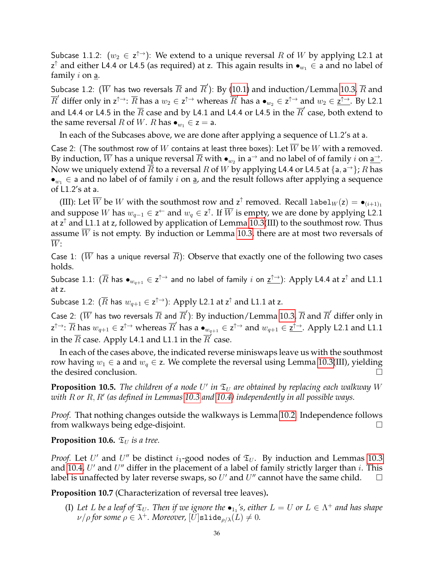Subcase 1.1.2:  $(w_2 \in \mathsf{z}^{\uparrow \rightarrow})$ : We extend to a unique reversal R of W by applying L2.1 at  $\mathsf{z}^\uparrow$  and either L4.4 or L4.5 (as required) at z. This again results in  $\bullet_{w_1}\in$  a and no label of family  $i$  on  $\underline{a}$ .

Subcase 1.2:  $(\overline{W}$  has two reversals  $\overline{R}$  and  $\overline{R}^{\prime}$ ): By [\(10.1\)](#page-34-0) and induction/Lemma [10.3,](#page-33-0)  $\overline{R}$  and  $\overline{R}'$  differ only in  $z^{\uparrow\rightarrow}$ :  $\overline{R}$  has a  $w_2\in z^{\uparrow\rightarrow}$  whereas  $\overline{R}'$  has a  $\bullet_{w_2}\in z^{\uparrow\rightarrow}$  and  $w_2\in \underline{z^{\uparrow\rightarrow}}$ . By L2.1 and L4.4 or L4.5 in the  $\overline{R}$  case and by L4.1 and L4.4 or L4.5 in the  $\overline{R}'$  case, both extend to the same reversal *R* of *W*. *R* has  $\bullet_{w_1} \in \mathsf{z} = \mathsf{a}$ .

In each of the Subcases above, we are done after applying a sequence of L1.2's at a.

Case 2: (The southmost row of W contains at least three boxes): Let W be W with a removed. By induction,  $\overline{W}$  has a unique reversal  $\overline{R}$  with  $\bullet_{w_2}$  in a $\to$  and no label of of family  $i$  on <u>a $\to$ </u>. Now we uniquely extend  $\overline{R}$  to a reversal  $R$  of  $W$  by applying L4.4 or L4.5 at  $\{$ a, a $^{\rightarrow}\}$ ;  $R$  has  $\bullet_{w_1} \in \mathsf{a}$  and no label of of family i on  $\underline{\mathsf{a}}$ , and the result follows after applying a sequence of L1.2's at a.

(III): Let  $\overline{W}$  be W with the southmost row and  $z^{\uparrow}$  removed. Recall label $_W(z) = \bullet_{(i+1)_1}$ and suppose  $W$  has  $w_{q-1}\in{\sf z}^\leftarrow$  and  $w_q\in{\sf z}^\uparrow$ . If  $\overline{W}$  is empty, we are done by applying L2.1 at z $\hat{}$  and <code>L1.1</code> at z, followed by application of Lemma [10.3\(](#page-33-0)III) to the southmost row. Thus assume W is not empty. By induction or Lemma [10.3,](#page-33-0) there are at most two reversals of  $\overline{W}$ :

Case 1: ( $\overline{W}$  has a unique reversal  $\overline{R}$ ): Observe that exactly one of the following two cases holds.

Subcase 1.1:  $(\overline{R}$  has  $\bullet_{w_{q+1}}\in {\sf z}^{\uparrow\to}$  and no label of family  $i$  on  ${\sf z}^{\uparrow\to}$ ): Apply L4.4 at  ${\sf z}^\uparrow$  and L1.1 at z.

Subcase 1.2:  $(\overline{R}$  has  $w_{q+1} \in \mathsf{z}^{\uparrow\to}$ ): Apply L2.1 at  $\mathsf{z}^{\uparrow}$  and L1.1 at z.

Case 2:  $(\overline{W}$  has two reversals  $\overline{R}$  and  $\overline{R}'$ ): By induction/Lemma [10.3,](#page-33-0)  $\overline{R}$  and  $\overline{R}'$  differ only in  $\mathbf{z}^{\uparrow\rightarrow} \colon \overline{R}$  has  $w_{q+1} \in \mathbf{z}^{\uparrow\rightarrow}$  whereas  $\overline{R}'$  has a  $\bullet_{w_{q+1}} \in \mathbf{z}^{\uparrow\rightarrow}$  and  $w_{q+1} \in \underline{\mathbf{z}^{\uparrow\rightarrow}}$ . Apply L2.1 and L1.1 in the  $\overline{R}$  case. Apply L4.1 and L1.1 in the  $\overline{R}'$  case.

In each of the cases above, the indicated reverse miniswaps leave us with the southmost row having  $w_1$  ∈ a and  $w_q$  ∈ z. We complete the reversal using Lemma [10.3\(](#page-33-0)III), yielding the desired conclusion.

**Proposition 10.5.** The children of a node U' in  $\mathfrak{T}_U$  are obtained by replacing each walkway W  $\omega$ ith  $R$  or  $R$ ,  $R'$  (as defined in Lemmas [10.3](#page-33-0) and [10.4\)](#page-34-1) independently in all possible ways.

*Proof.* That nothing changes outside the walkways is Lemma [10.2.](#page-32-1) Independence follows from walkways being edge-disjoint.

### **Proposition 10.6.**  $\mathfrak{T}_U$  *is a tree.*

*Proof.* Let U' and U'' be distinct  $i_1$ -good nodes of  $\mathfrak{T}_U$ . By induction and Lemmas [10.3](#page-33-0) and [10.4,](#page-34-1)  $U'$  and  $U''$  differ in the placement of a label of family strictly larger than i. This label is unaffected by later reverse swaps, so  $U'$  and  $U''$  cannot have the same child.  $\Box$ 

**Proposition 10.7** (Characterization of reversal tree leaves)**.**

(I) Let L be a leaf of  $\mathfrak{T}_U$ . Then if we ignore the  $\bullet_{1_1}$ 's, either  $L = U$  or  $L \in \Lambda^+$  and has shape  $\nu/\rho$  for some  $\rho \in \lambda^+$ . Moreover,  $[U]$ slide $\rho/\lambda(L) \neq 0$ .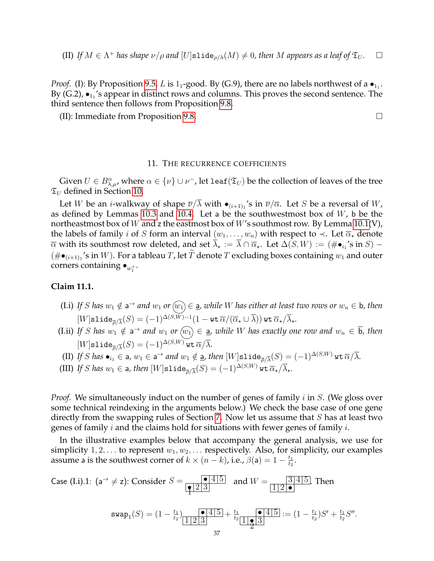(II) If  $M \in \Lambda^+$  has shape  $\nu/\rho$  and  $[U]$ slide $\rho/\lambda(M) \neq 0$ , then M appears as a leaf of  $\mathfrak{T}_U$ .  $\square$ 

*Proof.* (I): By Proposition [9.5,](#page-27-0) L is 1<sub>1</sub>-good. By (G.9), there are no labels northwest of a  $\bullet_{1_1}$ . By (G.2),  $\bullet_{1_1}$ 's appear in distinct rows and columns. This proves the second sentence. The third sentence then follows from Proposition [9.8.](#page-28-0)

(II): Immediate from Proposition [9.8.](#page-28-0)

#### 11. THE RECURRENCE COEFFICIENTS

<span id="page-36-1"></span>Given  $U\in B^{\alpha}_{\lambda,\mu}$ , where  $\alpha\in\{\nu\}\cup\nu^+$ , let leaf $(\mathfrak{T}_U)$  be the collection of leaves of the tree  $\mathfrak{T}_U$  defined in Section [10.](#page-31-0)

Let  $W$  be an *i*-walkway of shape  $\overline{\nu}/\lambda$  with  $\bullet_{(i+1)_1}$ 's in  $\overline{\nu}/\overline{\alpha}$ . Let  $S$  be a reversal of  $W$ , as defined by Lemmas [10.3](#page-33-0) and [10.4.](#page-34-0) Let a be the southwestmost box of  $W$ , b be the northeastmost box of W and z the eastmost box of W's southmost row. By Lemma  $10.1(V)$ , the labels of family *i* of S form an interval  $(w_1, \ldots, w_n)$  with respect to  $\prec$ . Let  $\overline{\alpha}_*$  denote  $\overline{\alpha}$  with its southmost row deleted, and set  $\overline{\lambda}_\star:=\overline{\lambda}\cap\overline{\alpha}_\star.$  Let  $\Delta(S,W):=(\#\bullet_{i_1}\text{'s in }S)-\overline{\alpha}_\star$  $(\# \bullet_{(i+1)_1} '$ s in  $W)$ . For a tableau  $T$ , let  $T$  denote  $T$  excluding boxes containing  $w_1$  and outer corners containing  $\bullet_{w_1^+}.$ 

#### <span id="page-36-0"></span>**Claim 11.1.**

- (I.i) If S has  $w_1 \notin a^{\rightarrow}$  and  $w_1$  or  $\widehat{w_1} \in a$ , while W has either at least two rows or  $w_n \in b$ , then  $[W]$ slide $_{\overline{\rho}/\overline{\lambda}}(S)=(-1)^{\Delta(S,W)-1}(1-\text{wt}\,\overline{\alpha}/(\overline{\alpha}_\star\cup\overline{\lambda}))$  wt  $\overline{\alpha}_\star/\overline{\lambda}_\star.$
- $(1.ii)$  If S has  $w_1 \notin a^{\rightarrow}$  and  $w_1$  or  $\widehat{(w_1)} \in a$ , while W has exactly one row and  $w_n \in \overline{b}$ , then  $[W]$ slide $_{\overline{\rho}/\overline{\lambda}}(S)=(-1)^{\Delta(S,W)}$  wt  $\overline{\alpha}/\overline{\lambda}.$
- (II) If  $S$  has  $\bullet_{i_1} \in$  a,  $w_1 \in$  a $\rightarrow$  and  $w_1 \notin$  <u>a</u>, then  $[W]$ slide ${}_{\overline{\rho}/\overline{\lambda}}(S) = (-1)^{\Delta(S,W)}$  wt  $\overline{\alpha}/\overline{\lambda}.$
- (III) *If S has*  $w_1 \in$  a*, then*  $[W]$ slide $_{\overline{\rho}/\overline{\lambda}}(S) = (-1)^{\Delta(S,W)}$  wt  $\overline{\alpha}_\star/\overline{\lambda}_\star$ *.*

*Proof.* We simultaneously induct on the number of genes of family *i* in *S*. (We gloss over some technical reindexing in the arguments below.) We check the base case of one gene directly from the swapping rules of Section [7.](#page-18-0) Now let us assume that  $S$  has at least two genes of family *i* and the claims hold for situations with fewer genes of family *i*.

In the illustrative examples below that accompany the general analysis, we use for simplicity  $1, 2, \ldots$  to represent  $w_1, w_2, \ldots$  respectively. Also, for simplicity, our examples assume a is the southwest corner of  $k \times (n - k)$ , i.e.,  $\beta(a) = 1 - \frac{t_1}{t_0}$  $\frac{t_1}{t_2}.$ 

Case (I.i).1: 
$$
(a^{\rightarrow} \neq z)
$$
: Consider  $S = \frac{\bullet 4}{\boxed{123}}$  and  $W = \frac{3}{\boxed{12 \bullet}}$ . Then  
\n
$$
swap_1(S) = (1 - \frac{t_1}{t_2}) \frac{\bullet 4}{\boxed{123}} + \frac{t_1}{t_2} \frac{\bullet 4}{\boxed{1 \bullet 3}} := (1 - \frac{t_1}{t_2})S' + \frac{t_1}{t_2}S''.
$$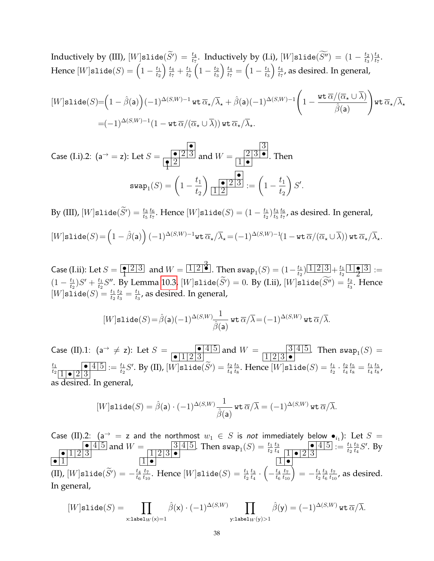Inductively by (III),  $[W]$ slide $(\widetilde{S'}) = \frac{t_4}{t_7}$ . Inductively by (I.i),  $[W]$ slide $(\widetilde{S''}) = (1 - \frac{t_2}{t_3})$  $\frac{t_2}{t_3}\big)^{\frac{t_4}{t_7}}$  $\frac{t_4}{t_7}.$ Hence  $[W]$ slide $(S) = \left(1 - \frac{t_1}{t_2}\right)$  $t_2$  $\frac{t_4}{ }$  $\frac{t_4}{t_7} + \frac{t_1}{t_2}$  $t_2$  $\left(1 - \frac{t_2}{t_2}\right)$  $t_3$  $\frac{t_4}{ }$  $\frac{t_4}{t_7}=\Bigl(1-\frac{t_1}{t_3}$  $t_3$  $\frac{t_4}{ }$  $\frac{t_4}{t_7}$ , as desired. In general,

$$
[W]\text{slide}(S) = \left(1 - \hat{\beta}(\mathbf{a})\right)(-1)^{\Delta(S,W)-1} \text{ wt } \overline{\alpha}_{\star}/\overline{\lambda}_{\star} + \hat{\beta}(\mathbf{a})(-1)^{\Delta(S,W)-1}\left(1 - \frac{\text{wt } \overline{\alpha}/(\overline{\alpha}_{\star} \cup \overline{\lambda})}{\hat{\beta}(\mathbf{a})}\right) \text{wt } \overline{\alpha}_{\star}/\overline{\lambda}_{\star}
$$

$$
= (-1)^{\Delta(S,W)-1} (1 - \text{wt } \overline{\alpha}/(\overline{\alpha}_{\star} \cup \overline{\lambda})) \text{ wt } \overline{\alpha}_{\star}/\overline{\lambda}_{\star}.
$$

 $\frac{1}{2}$ 

Case (I.i).2: 
$$
(a^{\rightarrow} = z)
$$
: Let  $S = \frac{\bullet}{\left|\frac{\bullet}{2}\right| \cdot 2}$  and  $W = \frac{2|3| \bullet}{1| \bullet}$ . Then  
\n
$$
swap_1(S) = \left(1 - \frac{t_1}{t_2}\right) \frac{\bullet}{\left|\frac{\bullet}{2}\right| \cdot 2} := \left(1 - \frac{t_1}{t_2}\right) S
$$

By (III),  $[W]$ slide $(\widetilde{S}') = \frac{t_3}{t_5}$  $t_6$  $\frac{t_6}{t_7}.$  Hence  $[W]$ slide $(S) = (1-\frac{t_1}{t_2})$  $\frac{t_1}{t_2}$  )  $\frac{t_3}{t_5}$  $t_5$  $t_6$  $\frac{t_6}{t_7}$ , as desired. In general,

$$
[W]\texttt{slide}(S) = \left(1 - \hat{\beta}(\mathbf{a})\right)(-1)^{\Delta(S,W)-1}\texttt{wt}\,\overline{\alpha}_\star/\overline{\lambda}_\star = (-1)^{\Delta(S,W)-1}\left(1 - \texttt{wt}\,\overline{\alpha}/(\overline{\alpha}_\star \cup \overline{\lambda})\right)\texttt{wt}\,\overline{\alpha}_\star/\overline{\lambda}_\star.
$$

Case (I.ii): Let  $S = \sqrt{\frac{23}{3}}$  and  $W = \sqrt{123}$ . Then  $\textsf{swap}_1(S) = (1-\frac{t_1}{t_2})$  $\frac{t_1}{t_2}$  $\frac{1}{2}$  $\frac{2}{3}$  $+$  $\frac{t_1}{t_2}$  $\frac{t_1}{t_2}$   $\boxed{1}$   $\boxed{2}$   $\boxed{3}$  $\frac{13}{2}$  :=  $(1 - \frac{t_1}{t_2})$  $\frac{t_1}{t_2}$ ) $S' + \frac{t_1}{t_2}$  $\frac{t_1}{t_2}S''$ . By Lemma [10.3,](#page-33-0)  $[W]$ slide $(\widetilde{S}')=0$ . By (I.ii),  $[W]$ slide $(\widetilde{S}'')=\frac{t_2}{t_3}$ . Hence  $[W]$ slide $(S) = \frac{t_1}{t_2}$  $t_2$  $\frac{t_2}{t_3}=\frac{t_1}{t_3}$  $\frac{t_1}{t_3}$ , as desired. In general,

$$
[W]\texttt{slide}(S)\!=\!\hat{\beta}(\mathsf{a})(-1)^{\Delta(S,W)}\!\!\frac{1}{\hat{\beta}(\mathsf{a})}\,\texttt{wt}\,\overline{\alpha}/\overline{\lambda}\!=\!(-1)^{\Delta(S,W)}\,\texttt{wt}\,\overline{\alpha}/\overline{\lambda}.
$$

Case (II).1:  $(a^{\rightarrow} \neq z)$ : Let  $S = \frac{1}{\sqrt{1+\sqrt{2}}}$  $\bullet$  1 2 3 and  $W = \frac{3 \cdot 4 \cdot 5}{1 \cdot 2 \cdot 2 \cdot 3}$  $\frac{3}{4}$ [5]. Then swap<sub>1</sub>(S) =  $t_1$  $\frac{t_1}{t_2 \mid 1 \mid \bullet \mid 2 \mid 3}$  $1\bullet 23$  $\mathcal{L}:=\frac{t_1}{t_2}S'.$  By (II),  $[W]$ slide $(\widetilde{S'})=\frac{t_2}{t_4}$  $t_5$  $\frac{t_5}{t_8}.$  Hence  $[W]$ slide $(S) = \frac{t_1}{t_2} \cdot \frac{t_2}{t_4}$  $t_4$  $t_5$  $\frac{t_5}{t_8} = \frac{t_1}{t_4}$  $t_4$  $t_5$  $\frac{t_5}{t_8}$  , as desired. In general,

$$
[W]\texttt{slide}(S) = \hat{\beta}(\mathsf{a}) \cdot (-1)^{\Delta(S,W)} \frac{1}{\hat{\beta}(\mathsf{a})} \texttt{wt}\, \overline{\alpha}/\overline{\lambda} = (-1)^{\Delta(S,W)} \texttt{wt}\, \overline{\alpha}/\overline{\lambda}.
$$

Case (II).2: (a $\rightarrow$  = z and the northmost  $w_1 \in S$  is not immediately below  $\bullet_{i_1}$ ): Let  $S$  =  $\bullet$  |4|5  $\bullet$  1 2 3  $\bullet$   $\boxed{1}$ and  $W = \frac{3 \cdot 4 \cdot 5}{1 \cdot 2 \cdot 2 \cdot 3}$  $1|2|3| \bullet$  $1\, \bullet$ . Then  $\textsf{swap}_1(S) = \frac{t_1}{t_2}$  $t_3$  $\frac{t_3}{t_4}$   $\frac{•45}{11•123}$  $1 \cdot 2 \cdot 3$  $1\, \bullet$  $:= \frac{t_1}{t_2}$  $t_3$  $\frac{t_3}{t_4}S'$ . By (II),  $[W]$ slide $(\widetilde{S}') = -\frac{t_4}{t_6}$  $t_6$  $t_7$  $\frac{t_7}{t_{10}}$ . Hence  $[W]$ slide $(S) = \frac{t_1}{t_2}$  $t_3$  $\frac{t_3}{t_4} \cdot \biggl( - \frac{t_4}{t_6}$  $t_6$  $\left(\frac{t_7}{t_{10}}\right)=-\frac{t_1}{t_2}$  $t_2$  $t_3$  $t_6$  $t_7$  $\frac{t_7}{t_{10}}$ , as desired. In general,

$$
[W]\texttt{slide}(S) = \prod_{\texttt{x}: \texttt{label}_W(\texttt{x}) = 1} \hat{\beta}(\texttt{x}) \cdot (-1)^{\Delta(S,W)} \prod_{\texttt{y}: \texttt{label}_W(\texttt{y}) > 1} \hat{\beta}(\texttt{y}) = (-1)^{\Delta(S,W)} \, \texttt{wt}\, \overline{\alpha}/\overline{\lambda}.
$$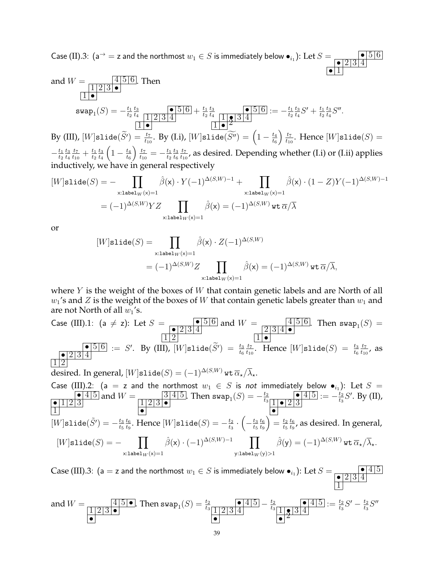Case (II).3: (a<sup>→</sup> = z and the northmost  $w_1 \in S$  is immediately below  $\bullet_{i_1}$ ): Let  $S = \frac{\bullet |5|6}{\bullet |5|6}$  $\bullet$  2 3 4  $\bullet$  1

and 
$$
W = \frac{4 \cdot 5 \cdot 6}{1 \cdot 2 \cdot 3 \cdot 6}
$$
. Then  
\n
$$
swap_1(S) = -\frac{t_1}{t_2} \frac{t_3}{t_4} \frac{1 \cdot 2 \cdot 3 \cdot 4}{1 \cdot 2 \cdot 3 \cdot 4} + \frac{t_1}{t_2} \frac{t_3}{t_4} \frac{1 \cdot 3 \cdot 4}{1 \cdot 2 \cdot 3 \cdot 4} := -\frac{t_1}{t_2} \frac{t_3}{t_4} S' + \frac{t_1}{t_2} \frac{t_3}{t_4} S''.
$$
\n
$$
H = \frac{1 \cdot 6}{1 \cdot 2 \cdot 4} = -\frac{t_1}{t_2} \frac{t_3}{t_4} S' + \frac{t_1}{t_2} \frac{t_3}{t_4} S''.
$$
\n
$$
H = \frac{1 \cdot 6}{1 \cdot 2 \cdot 4} = -\frac{t_1}{t_2} \frac{t_3}{t_4} S' + \frac{t_1}{t_2} \frac{t_3}{t_4} S''.
$$

By (III),  $[W]$ slide $(\widetilde{S'}) = \frac{t_7}{t_{10}}.$  By (I.i),  $[W]$ slide $(\widetilde{S''}) = \left(1 - \frac{t_4}{t_6}\right)$  $t_6$  $\frac{t_7}{t_{10}}$ . Hence  $[W]$ slide $(S) =$  $-\frac{t_1}{t_2}$  $t_2$  $t_3$  $t_4$  $t_7$  $\frac{t_7}{t_{10}} + \frac{t_1}{t_2}$  $t_2$  $t_3$  $t_4$  $\left(1-\frac{t_4}{t_c}\right)$  $t_6$  $\frac{t_7}{2}$  $\frac{t_7}{t_{10}} = -\frac{t_1}{t_2}$  $t_2$  $t_3$  $t_6$  $t_7$  $\frac{t_7}{t_{10}}$ , as desired. Depending whether (I.i) or (I.ii) applies inductively, we have in general respectively

$$
[W]\text{slide}(S) = -\prod_{\text{x:label}_W(\textbf{x})=1} \hat{\beta}(\textbf{x}) \cdot Y(-1)^{\Delta(S,W)-1} + \prod_{\text{x:label}_W(\textbf{x})=1} \hat{\beta}(\textbf{x}) \cdot (1-Z)Y(-1)^{\Delta(S,W)-1}
$$

$$
= (-1)^{\Delta(S,W)}YZ \prod_{\text{x:label}_W(\textbf{x})=1} \hat{\beta}(\textbf{x}) = (-1)^{\Delta(S,W)} \text{wt } \overline{\alpha}/\overline{\lambda}
$$

or

$$
\begin{aligned} [W] \text{slide}(S) &= \prod_{\text{x:label}_W(\textbf{x})=1} \hat{\beta}(\textbf{x}) \cdot Z(-1)^{\Delta(S,W)} \\ &= (-1)^{\Delta(S,W)} Z \prod_{\text{x:label}_W(\textbf{x})=1} \hat{\beta}(\textbf{x}) = (-1)^{\Delta(S,W)} \, \text{wt}\, \overline{\alpha}/\overline{\lambda}, \end{aligned}
$$

where  $Y$  is the weight of the boxes of  $W$  that contain genetic labels and are North of all  $w_1$ 's and Z is the weight of the boxes of W that contain genetic labels greater than  $w_1$  and are not North of all  $w_1$ 's.

Case (III).1: (a 
$$
\neq
$$
 z): Let  $S = \frac{12}{12}$  and  $W = \frac{456}{10}$ . Then  $\text{swap}_1(S) = \frac{1234}{10}$   
\n $\frac{12}{12}$   
\n $\frac{1234}{12}$   
\n $\frac{12}{12}$   
\n $\frac{12}{12}$   
\n $\frac{12}{12}$   
\n $\frac{12}{12}$   
\n $\frac{12}{12}$   
\n $\frac{12}{12}$   
\n $\frac{12}{12}$   
\n $\frac{12}{12}$   
\n $\frac{12}{12}$   
\nCase (III).2: (a = z and the northmost  $w_1 \in S$  is not immediately below  $\bullet_{i_1}$ ): Let  $S = \frac{1256}{123}$  and  $W = \frac{3145}{123}$ . Then  $\text{swap}_1(S) = -\frac{t_2}{t_3}$   
\n $\frac{125}{11}$   
\n $\frac{121}{11}$   
\n $\frac{121}{11}$   
\n $\frac{121}{11}$   
\n $\frac{121}{11}$   
\n $\frac{121}{11}$   
\n $\frac{121}{11}$   
\n $\frac{121}{11}$   
\n $\frac{121}{11}$   
\n $\frac{121}{11}$   
\n $\frac{121}{11}$   
\n $\frac{121}{11}$   
\n $\frac{121}{11}$   
\n $\frac{121}{11}$   
\n $\frac{121}{11}$   
\n $\frac{121}{11}$   
\n $\frac{121}{11}$   
\n $\frac{121}{11}$   
\n $\frac{121}{11}$   
\n $\frac{121}{11}$   
\n $\frac{121}{11}$   
\n $\frac{121}{11}$   
\n $\frac{121}{11}$   
\n $\frac{121$ 

 $[W]$ slide $(\tilde{S}') = -\frac{t_3}{t_5}$  $t_5$  $t_6$  $\frac{t_6}{t_9}.$  Hence  $[W]$ slide $(S)=-\frac{t_2}{t_3}$  $\frac{t_2}{t_3} \cdot \left( - \frac{t_3}{t_5} \right.$  $t_5$  $t_6$  $t_9$  $\Big) = \frac{t_2}{t_1}$  $t_5$  $t_6$  $\frac{t_6}{t_9}$ , as desired. In general,  $[W]$ slide $(S) = \prod$  $\hat{\beta}(\mathsf{x}) \cdot (-1)^{\Delta(S,W)-1}$   $\prod$  $\hat{\beta}(y) = (-1)^{\Delta(S,W)}$  wt  $\overline{\alpha}_{\star}/\overline{\lambda}_{\star}.$ 

$$
\text{Case (III).3: (a = z and the northmost } w_1 \in S \text{ is immediately below } \bullet_{i_1}) \text{:} \text{ Let } S = \frac{\bullet \{4|5\}}{\frac{\bullet \{2|3|4\}}{\frac{1}{2}}}
$$

and 
$$
W = \frac{4\,5\,\textcolor{blue}{\bullet}\,}{\frac{1\,2\,3\,\textcolor{blue}{\bullet}\,}{\bullet}}
$$
. Then  $\text{swap}_1(S) = \frac{t_2}{t_3} \frac{\textcolor{blue}{\bullet}\,4\,5\,}{\frac{1\,2\,3\,4}{3\,4}} - \frac{t_2}{t_3} \frac{\textcolor{blue}{\bullet}\,4\,5\,}{\frac{1\,1\,8\,3\,4}{3\,4}} := \frac{t_2}{t_3}S' - \frac{t_2}{t_3}S''$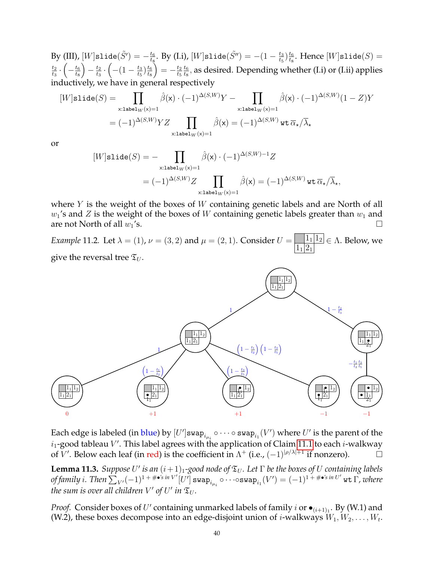$\mathrm{By}\ ( \mathrm{III})$ ,  $[W]$ slide $(\tilde{S'}) = -\frac{t_6}{t_8}$  $\frac{t_6}{t_8}.$  By (I.i),  $[W]$ slide $(\tilde{S''}) = -(1 - \frac{t_3}{t_5})$  $\frac{t_3}{t_5}$  )  $\frac{t_6}{t_8}$  $\frac{t_6}{t_8}$ . Hence  $[W]$ slide $(S)$  =  $t_2$  $\frac{t_2}{t_3} \cdot \left( - \frac{t_6}{t_8} \right.$  $t_8$  $\Big) - \frac{t_2}{t_2}$  $\frac{t_2}{t_3} \cdot \left( - (1 - \frac{t_3}{t_5}$  $\frac{t_3}{t_5}$  )  $\frac{t_6}{t_8}$  $t_8$  $= -\frac{t_2}{t_1}$  $t_5$  $t_6$  $\frac{t_6}{t_8},$  as desired. Depending whether (I.i) or (I.ii) applies inductively, we have in general respectively

$$
[W]\text{slide}(S) = \prod_{\text{x:label}_W(\textbf{x})=1} \hat{\beta}(\textbf{x}) \cdot (-1)^{\Delta(S,W)} Y - \prod_{\text{x:label}_W(\textbf{x})=1} \hat{\beta}(\textbf{x}) \cdot (-1)^{\Delta(S,W)} (1 - Z) Y
$$

$$
= (-1)^{\Delta(S,W)} Y Z \prod_{\text{x:label}_W(\textbf{x})=1} \hat{\beta}(\textbf{x}) = (-1)^{\Delta(S,W)} \text{wt } \overline{\alpha}_{\star} / \overline{\lambda}_{\star}
$$

or

$$
\begin{aligned} [W] \text{slide}(S) = & -\prod_{\text{x:label}_W(\textbf{x})=1} \hat{\beta}(\textbf{x}) \cdot (-1)^{\Delta(S,W)-1} Z \\ = & (-1)^{\Delta(S,W)} Z \prod_{\text{x:label}_W(\textbf{x})=1} \hat{\beta}(\textbf{x}) = (-1)^{\Delta(S,W)} \, \text{wt}\, \overline{\alpha}_\star / \overline{\lambda}_\star, \end{aligned}
$$

where Y is the weight of the boxes of W containing genetic labels and are North of all  $w_1$ 's and Z is the weight of the boxes of W containing genetic labels greater than  $w_1$  and are not North of all  $w_1$ 's.

<span id="page-39-1"></span>*Example* 11.2*.* Let  $\lambda = (1)$ ,  $\nu = (3, 2)$  and  $\mu = (2, 1)$ *.* Consider  $U =$  $1_1 | 2_1$  $\in \Lambda$ . Below, we give the reversal tree  $\mathfrak{T}_U$ .



Each edge is labeled (in blue) by  $[U']$ swap $_{i_{\mu_i}}\circ\cdots\circ$  swap $_{i_1}(V')$  where  $U'$  is the parent of the  $i_1$ -good tableau  $V'$ . This label agrees with the application of Claim [11.1](#page-36-0) to each *i*-walkway of V'. Below each leaf (in red) is the coefficient in  $\Lambda^+$  (i.e.,  $(-1)^{|\rho/\lambda|+1}$  if nonzero).

<span id="page-39-0"></span>**Lemma 11.3.** *Suppose* U' is an  $(i+1)_1$ *-good node of*  $\mathfrak{T}_U$ *. Let*  $\Gamma$  *be the boxes of* U *containing labels*  $of family\ i.\ Then\ \sum_{V'} (-1)^{1+\#\bullet's\ in\ V'}[U'] \ \textsf{swap}_{i_{\mu_i}}\circ \cdots \circ \textsf{swap}_{i_1}(V')=(-1)^{1+\#\bullet's\ in\ U'} \ \textsf{wt}\ \Gamma$  , where *the sum is over all children*  $V'$  *of*  $U'$  *in*  $\mathfrak{T}_U$ *.* 

*Proof.* Consider boxes of U' containing unmarked labels of family i or  $\bullet$ <sub>(i+1)1</sub>. By (W.1) and (W.2), these boxes decompose into an edge-disjoint union of *i*-walkways  $W_1, W_2, \ldots, W_t$ .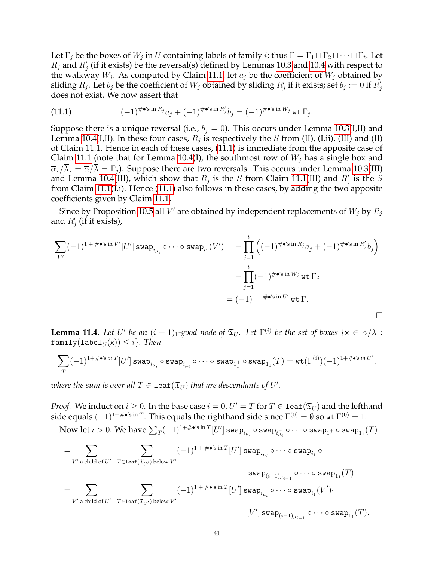Let  $\Gamma_j$  be the boxes of  $W_j$  in  $U$  containing labels of family  $i$ ; thus  $\Gamma = \Gamma_1 \sqcup \Gamma_2 \sqcup \cdots \sqcup \Gamma_t$ . Let  $R_j$  and  $R'_j$  (if it exists) be the reversal(s) defined by Lemmas [10.3](#page-33-0) and [10.4](#page-34-0) with respect to the walkway  $W_j$ . As computed by Claim [11.1,](#page-36-0) let  $a_j$  be the coefficient of  $W_j$  obtained by sliding  $R_j$ . Let  $b_j$  be the coefficient of  $W_j$  obtained by sliding  $R'_j$  if it exists; set  $b_j := 0$  if  $R'_j$ does not exist. We now assert that

<span id="page-40-0"></span>(11.1) 
$$
(-1)^{\# \bullet' \mathbf{s} \text{ in } R_j} a_j + (-1)^{\# \bullet' \mathbf{s} \text{ in } R'_j} b_j = (-1)^{\# \bullet' \mathbf{s} \text{ in } W_j} \text{ wt } \Gamma_j.
$$

Suppose there is a unique reversal (i.e.,  $b_i = 0$ ). This occurs under Lemma [10.3\(](#page-33-0)I,II) and Lemma [10.4\(](#page-34-0)I,II). In these four cases,  $R_j$  is respectively the  $S$  from (II), (I.ii), (III) and (II) of Claim [11.1.](#page-36-0) Hence in each of these cases, [\(11.1\)](#page-40-0) is immediate from the apposite case of Claim [11.1](#page-36-0) (note that for Lemma [10.4\(](#page-34-0)I), the southmost row of  $W_j$  has a single box and  $\overline{\alpha}_{\star}/\lambda_{\star} = \overline{\alpha}/\lambda = \Gamma_{i}$ ). Suppose there are two reversals. This occurs under Lemma [10.3\(](#page-33-0)III) and Lemma [10.4\(](#page-34-0)III), which show that  $R_j$  is the S from Claim [11.1\(](#page-36-0)III) and  $R'_j$  is the S from Claim [11.1\(](#page-36-0)I.i). Hence [\(11.1\)](#page-40-0) also follows in these cases, by adding the two apposite coefficients given by Claim [11.1.](#page-36-0)

Since by Proposition [10.5](#page-35-0) all  $V'$  are obtained by independent replacements of  $W_j$  by  $R_j$ and  $R'_j$  (if it exists),

$$
\sum_{V'} (-1)^{1+\#\bullet's \text{ in } V'} [U'] \text{ swap}_{i_{\mu_i}} \circ \cdots \circ \text{ swap}_{i_1}(V') = -\prod_{j=1}^t \left( (-1)^{\#\bullet's \text{ in } R_j} a_j + (-1)^{\#\bullet's \text{ in } R'_j} b_j \right)
$$

$$
= -\prod_{j=1}^t (-1)^{\#\bullet's \text{ in } W_j} \text{ wt } \Gamma_j
$$

$$
= (-1)^{1+\#\bullet's \text{ in } U'} \text{ wt } \Gamma.
$$

<span id="page-40-1"></span>**Lemma 11.4.** Let U' be an  $(i + 1)_1$ -good node of  $\mathfrak{T}_U$ . Let  $\Gamma^{(i)}$  be the set of boxes  $\{x \in \alpha/\lambda :$  $family(label_U(x)) \leq i$ *. Then* 

$$
\sum_T (-1)^{1+\#\bullet's\text{ in }T} [U'] \mathop{\rm swap}_{i_{\mu_i}}\circ\mathop{\rm swap}_{i_{\mu_i}}\circ\cdots\circ\mathop{\rm swap}_{1_1^+}\circ\mathop{\rm swap}_{1_1}(T)=\mathop{\rm wt}(\Gamma^{(i)})(-1)^{1+\#\bullet's\text{ in }U'},
$$

where the sum is over all  $T \in \texttt{leaf}(\mathfrak{T}_U)$  that are descendants of  $U'.$ 

*Proof.* We induct on  $i \geq 0$ . In the base case  $i = 0$ ,  $U' = T$  for  $T \in$  1eaf  $(\mathfrak{T}_U)$  and the lefthand side equals  $(-1)^{1+\#\bullet' \text{sin }T}$ . This equals the righthand side since  $\Gamma^{(0)} = \emptyset$  so wt  $\Gamma^{(0)} = 1$ .

 ${\rm Now\ let\ }i>0. \text{ We have } \sum_T (-1)^{1+\#\bullet'\!\circ\text{ in }T}[U']$  swap $_{i_{\mu_i}}\circ$  swap $_{i_{\overline{\mu_i}}}\circ\cdots\circ$  swap $_{1^+_1}\circ$  swap $_{1_1}(T)$ 

$$
=\sum_{V'\text{ a child of }U'}\sum_{T\in\text{leaf}(\mathfrak{T}_{U'})\text{ below }V'}(-1)^{1+\#\bullet'\text{s in }T}[U']\,\text{swap}_{i_{\mu_i}}\circ\cdots\circ\text{swap}_{i_1}\circ\\qquad \qquad \text{swap}_{(i-1)_{\mu_{i-1}}}\circ\cdots\circ\text{swap}_{1_1}(T)\\qquad \qquad \sum_{V'\text{ a child of }U'}\sum_{T\in\text{leaf}(\mathfrak{T}_{U'})\text{ below }V'}(-1)^{1+\#\bullet'\text{s in }T}[U']\,\text{swap}_{i_{\mu_i}}\circ\cdots\circ\text{swap}_{i_1}(V').\\qquad \qquad \qquad [V']\,\text{swap}_{(i-1)_{\mu_{i-1}}}\circ\cdots\circ\text{swap}_{1_1}(T).
$$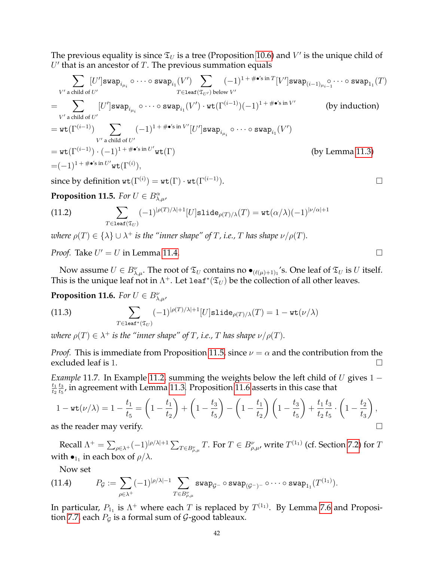The previous equality is since  $\mathfrak{T}_U$  is a tree (Proposition [10.6\)](#page-35-1) and  $V'$  is the unique child of  $U'$  that is an ancestor of  $T$ . The previous summation equals

$$
\sum_{V' \text{ a child of } U'} [U'] \text{swap}_{i_{\mu_i}} \circ \cdots \circ \text{swap}_{i_1}(V') \sum_{T \in \text{leaf}(\mathfrak{T}_{U'}) \text{ below } V'} (-1)^{1 + \# \bullet' \text{sin } T} [V'] \text{swap}_{(i-1)\mu_{i-1}} \circ \cdots \circ \text{swap}_{1_1}(T)
$$
\n
$$
= \sum_{V' \text{ a child of } U'} [U'] \text{swap}_{i_{\mu_i}} \circ \cdots \circ \text{swap}_{i_1}(V') \cdot \text{wt}(\Gamma^{(i-1)}) (-1)^{1 + \# \bullet' \text{sin } V'} \qquad \text{(by induction)}
$$
\n
$$
= \text{wt}(\Gamma^{(i-1)}) \sum_{V' \text{ a child of } U'} (-1)^{1 + \# \bullet' \text{sin } V'} [U'] \text{swap}_{i_{\mu_i}} \circ \cdots \circ \text{swap}_{i_1}(V')
$$
\n
$$
= \text{wt}(\Gamma^{(i-1)}) \cdot (-1)^{1 + \# \bullet' \text{sin } U'} \text{wt}(\Gamma) \qquad \text{(by Lemma 11.3)}
$$
\n
$$
= (-1)^{1 + \# \bullet' \text{sin } U'} \text{wt}(\Gamma^{(i)}),
$$

since by definition  $\text{wt}(\Gamma^{(i)}) = \text{wt}(\Gamma) \cdot \text{wt}(\Gamma^{(i-1)}).$ 

<span id="page-41-0"></span>**Proposition 11.5.** *For*  $U \in B^{\alpha}_{\lambda,\mu}$ ,

(11.2) 
$$
\sum_{T \in \text{leaf}(\mathfrak{T}_U)} (-1)^{|\rho(T)/\lambda|+1} [U] \text{slide}_{\rho(T)/\lambda}(T) = \text{wt}(\alpha/\lambda)(-1)^{|\nu/\alpha|+1}
$$

*where*  $\rho(T) \in {\{\lambda\}} \cup \lambda^+$  *is the "inner shape" of T, i.e., T has shape*  $\nu/\rho(T)$ *.* 

*Proof.* Take  $U' = U$  in Lemma [11.4.](#page-40-1)

Now assume  $U \in B_{\lambda,\mu}^{\nu}$ . The root of  $\mathfrak{T}_U$  contains no  $\bullet_{(\ell(\mu)+1)_1}$ 's. One leaf of  $\mathfrak{T}_U$  is U itself. This is the unique leaf not in  $\Lambda^+$ . Let 1eaf\* $(\mathfrak{T}_U)$  be the collection of all other leaves.

# <span id="page-41-1"></span>**Proposition 11.6.** *For*  $U \in B_{\lambda,\mu'}^{\nu}$

(11.3) 
$$
\sum_{T \in \text{leaf}^*(\mathfrak{T}_U)} (-1)^{|\rho(T)/\lambda|+1} [U] \text{slide}_{\rho(T)/\lambda}(T) = 1 - \text{wt}(\nu/\lambda)
$$

*where*  $\rho(T) \in \lambda^+$  *is the "inner shape" of*  $T$ *, i.e.,*  $T$  *has shape*  $\nu/\rho(T)$ *.* 

*Proof.* This is immediate from Proposition [11.5,](#page-41-0) since  $\nu = \alpha$  and the contribution from the excluded leaf is 1.

*Example* 11.7. In Example [11.2,](#page-39-1) summing the weights below the left child of U gives 1 −  $t_1$  $t_2$  $t_3$  $\frac{t_3}{t_5}$ , in agreement with Lemma [11.3.](#page-39-0) Proposition [11.6](#page-41-1) asserts in this case that

$$
1 - \text{wt}(\nu/\lambda) = 1 - \frac{t_1}{t_5} = \left(1 - \frac{t_1}{t_2}\right) + \left(1 - \frac{t_3}{t_5}\right) - \left(1 - \frac{t_1}{t_2}\right)\left(1 - \frac{t_3}{t_5}\right) + \frac{t_1}{t_2}\frac{t_3}{t_5} \cdot \left(1 - \frac{t_2}{t_3}\right),
$$
  
is the reader may verify

as the reader may verify.

Recall  $\Lambda^+=\sum_{\rho\in\lambda^+}(-1)^{|\rho/\lambda|+1}\sum_{T\in B_{\rho,\mu}^\nu}T.$  For  $T\in B_{\rho,\mu}^\nu$ , write  $T^{(1_1)}$  (cf. Section [7.2\)](#page-21-0) for  $T$ with  $\bullet_{1_1}$  in each box of  $\rho/\lambda$ .

<span id="page-41-2"></span>Now set

(11.4) 
$$
P_{\mathcal{G}} := \sum_{\rho \in \lambda^+} (-1)^{|\rho/\lambda|-1} \sum_{T \in B_{\rho,\mu}^{\nu}} \text{swap}_{\mathcal{G}^{-}} \circ \text{swap}_{(\mathcal{G}^{-})^{-}} \circ \cdots \circ \text{swap}_{1_1}(T^{(1_1)}).
$$

In particular,  $P_{1_1}$  is  $\Lambda^+$  where each  $T$  is replaced by  $T^{(1_1)}.$  By Lemma [7.6](#page-21-1) and Proposi-tion [7.7,](#page-21-2) each  $P_g$  is a formal sum of  $\mathcal G$ -good tableaux.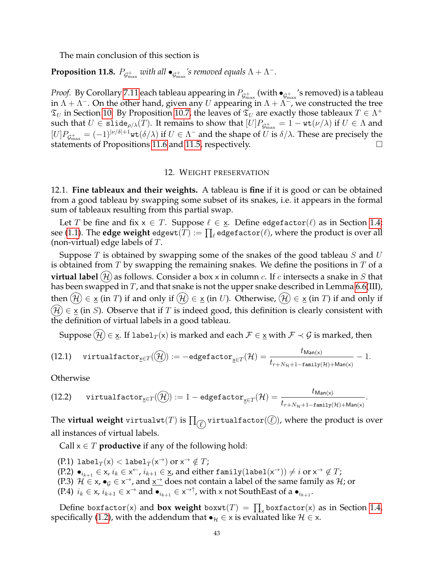The main conclusion of this section is

<span id="page-42-2"></span>**Proposition 11.8.**  $P_{\mathcal{G}_{\max}^+}$  with all  $\bullet_{\mathcal{G}_{\max}^+}$ 's removed equals  $\Lambda + \Lambda^-$ .

*Proof.* By Corollary [7.11](#page-22-0) each tableau appearing in  $P_{\mathcal{G}^+_{\max}}$  (with  $\bullet_{\mathcal{G}^+_{\max}}$ 's removed) is a tableau in  $\Lambda + \Lambda^-$ . On the other hand, given any U appearing in  $\Lambda + \Lambda^-$ , we constructed the tree  $\mathfrak{T}_U$  in Section [10.](#page-31-0) By Proposition [10.7,](#page-35-2) the leaves of  $\mathfrak{T}_U$  are exactly those tableaux  $T \in \Lambda^+$ such that  $U\in\mathsf{slide}_{\rho/\lambda}(T).$  It remains to show that  $[U]P_{\mathcal{G}^+_{\max}}=1-\mathsf{wt}(\nu/\lambda)$  if  $U\in\Lambda$  and  $[U]P_{\mathcal{G}^+_{\text{max}}} = (-1)^{|\nu/\delta|+1}$ wt $(\delta/\lambda)$  if  $U \in \Lambda^-$  and the shape of  $U$  is  $\delta/\lambda$ . These are precisely the statements of Propositions [11.6](#page-41-1) and [11.5,](#page-41-0) respectively.

#### 12. WEIGHT PRESERVATION

12.1. **Fine tableaux and their weights.** A tableau is **fine** if it is good or can be obtained from a good tableau by swapping some subset of its snakes, i.e. it appears in the formal sum of tableaux resulting from this partial swap.

Let T be fine and fix  $x \in T$ . Suppose  $\ell \in \underline{x}$ . Define edgefactor $(\ell)$  as in Section [1.4;](#page-3-0) see [\(1.1\)](#page-4-0). The  $\textbf{edge weight}$  edgewt $(T) := \prod_\ell \texttt{edgefactor}(\ell)$ , where the product is over all (non-virtual) edge labels of  $T$ .

Suppose  $T$  is obtained by swapping some of the snakes of the good tableau  $S$  and  $U$ is obtained from  $T$  by swapping the remaining snakes. We define the positions in  $T$  of a **virtual label**  $(\mathcal{H})$  as follows. Consider a box x in column c. If c intersects a snake in S that has been swapped in  $T$ , and that snake is not the upper snake described in Lemma [6.6\(](#page-16-0)III), then  $(\mathcal{H}) \in \underline{x}$  (in T) if and only if  $(\mathcal{H}) \in \underline{x}$  (in U). Otherwise,  $(\mathcal{H}) \in \underline{x}$  (in T) if and only if  $\mathcal{H}(\mathcal{H}) \in \underline{x}$  (in S). Observe that if T is indeed good, this definition is clearly consistent with the definition of virtual labels in a good tableau.

<span id="page-42-1"></span>Suppose  $(\mathcal{H}) \in \mathbf{x}$ . If label $_T(\mathbf{x})$  is marked and each  $\mathcal{F} \in \mathbf{x}$  with  $\mathcal{F} \prec \mathcal{G}$  is marked, then

$$
\text{(12.1)} \quad \text{virtual factor}_{\underline{x} \in T}(\widehat{\mathcal{H}}) := -\text{edgefactor}_{\underline{x} \in T}(\mathcal{H}) = \frac{t_{\text{Man}(x)}}{t_{r + N_{\mathcal{H}} + 1 - \text{family}(\mathcal{H}) + \text{Man}(x)}} - 1.
$$

**Otherwise** 

<span id="page-42-0"></span>
$$
\text{(12.2)} \quad \text{virtual factor}_{\underline{x} \in T}(\widehat{\mathcal{H}}) := 1-\text{edgefactor}_{\underline{x} \in T}(\mathcal{H}) = \frac{t_{\text{Man}(x)}}{t_{r+N_\mathcal{H}+1-\text{family}(\mathcal{H})+\text{Man}(x)}}.
$$

The  $\textbf{virtual weight virtualwt}(T)$  is  $\prod_{\mathcal{C}}$  virtualfactor( $\mathcal{C}$ ), where the product is over all instances of virtual labels.

Call  $x \in T$  **productive** if any of the following hold:

(P.1) label $_T(\mathsf{x}) < \mathtt{label}_T(\mathsf{x}^\rightarrow)$  or  $\mathsf{x}^\rightarrow \notin T$ ;  $(P.2) \bullet_{i_{k+1}} \in \mathsf{x}, i_k \in \mathsf{x}^{\leftarrow}, i_{k+1} \in \mathsf{x}$ , and either  $\texttt{family}(\texttt{label}(\mathsf{x}^{\rightarrow})) \neq i \text{ or } \mathsf{x}^{\rightarrow} \not\in T$ ; (P.3)  $\mathcal{H} \in \mathsf{x}$ ,  $\bullet_g \in \mathsf{x}^{\to}$ , and  $\underline{\mathsf{x}^{\to}}$  does not contain a label of the same family as  $\mathcal{H}$ ; or (P.4)  $i_k \in \mathsf{x}$ ,  $i_{k+1} \in \mathsf{x}^{\rightarrow}$  and  $\bullet_{i_{k+1}} \in \mathsf{x}^{\rightarrow\uparrow}$ , with x not SouthEast of a  $\bullet_{i_{k+1}}$ .

Define boxfactor(x) and **box weight** box $wt(T) = \prod_{x}$ boxfactor(x) as in Section [1.4,](#page-3-0) specifically [\(1.2\)](#page-4-1), with the addendum that  $\bullet_{\mathcal{H}} \in \times$  is evaluated like  $\mathcal{H} \in \times$ .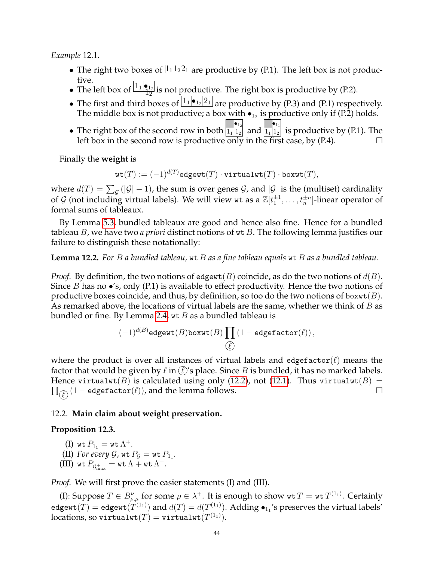*Example* 12.1*.*

- The right two boxes of  $\boxed{1_1 \cdot 1_2 \cdot 2_1}$  are productive by (P.1). The left box is not productive.
- The left box of  $\frac{1}{12}$  is not productive. The right box is productive by (P.2).
- The first and third boxes of  $\lfloor 1_1 \cdot \cdot \cdot \cdot \rfloor$  are productive by (P.3) and (P.1) respectively. The middle box is not productive; a box with  $\bullet_{1_2}$  is productive only if (P.2) holds.
- The right box of the second row in both  $\bullet_{1_2}$  $\overline{1_1}$   $\overline{1_2}$  and  $\bullet_{1_1}$  $\overline{1_{1} \vert 1_{2} \vert}$  is productive by (P.1). The left box in the second row is productive only in the first case, by (P.4).

Finally the **weight** is

$$
\texttt{wt}(T) := (-1)^{d(T)} \texttt{edgewt}(T) \cdot \texttt{virtualwt}(T) \cdot \texttt{boxwt}(T),
$$

where  $d(T) = \sum_{\mathcal{G}}{(|\mathcal{G}|-1)}$ , the sum is over genes  $\mathcal{G}$ , and  $|\mathcal{G}|$  is the (multiset) cardinality of  $\mathcal G$  (not including virtual labels). We will view  $\texttt{wt}$  as a  $\mathbb Z[t_1^{\pm 1},\ldots,t_n^{\pm n}]$ -linear operator of formal sums of tableaux.

By Lemma [5.3,](#page-12-0) bundled tableaux are good and hence also fine. Hence for a bundled tableau B, we have two *a priori* distinct notions of wt B. The following lemma justifies our failure to distinguish these notationally:

**Lemma 12.2.** *For* B *a bundled tableau,* wt B *as a fine tableau equals* wt B *as a bundled tableau.*

*Proof.* By definition, the two notions of edgewt(B) coincide, as do the two notions of  $d(B)$ . Since B has no  $\bullet$ 's, only (P.1) is available to effect productivity. Hence the two notions of productive boxes coincide, and thus, by definition, so too do the two notions of boxwt $(B)$ . As remarked above, the locations of virtual labels are the same, whether we think of  $B$  as bundled or fine. By Lemma [2.4,](#page-7-0) wt B as a bundled tableau is

$$
(-1)^{d(B)}\texttt{edgewt}(B)\texttt{boxwt}(B)\prod\limits_{\textcircled{\ell}}\left(1-\texttt{edgefactor}(\ell)\right),
$$

where the product is over all instances of virtual labels and edgefactor( $\ell$ ) means the factor that would be given by  $\ell$  in  $(\ell)$ 's place. Since B is bundled, it has no marked labels.  $\prod_{\ell \in \ell} (1 - \text{edgefactor}(\ell))$ , and the lemma follows. □ Hence virtualwt(B) is calculated using only [\(12.2\)](#page-42-0), not [\(12.1\)](#page-42-1). Thus virtualwt(B) =

## 12.2. **Main claim about weight preservation.**

## **Proposition 12.3.**

(I) wt  $P_{1_1} = \text{wt }\Lambda^+$ .

- (II) For every  $\mathcal{G}$ , wt  $P_{\mathcal{G}} = \text{wt } P_{1_1}$ .
- (III) wt  $P_{\mathcal{G}^+_{\max}} = \mathtt{wt}\,\Lambda + \mathtt{wt}\,\Lambda^-.$

*Proof.* We will first prove the easier statements (I) and (III).

(I): Suppose  $T \in B^{\nu}_{\rho,\mu}$  for some  $\rho \in \lambda^+$ . It is enough to show  $\texttt{wt } T = \texttt{wt } T^{(1_1)}$ . Certainly edgewt $(T) =$  edgewt $(T^{(1_1)})$  and  $d(T) = d(T^{(1_1)})$ . Adding  $\bullet_{1_1}$ 's preserves the virtual labels'  $\operatorname{\mathsf{locations}}$ , so virtual $\mathsf{wt}(T) = \mathtt{virtualwt}(T^{(1_1)}).$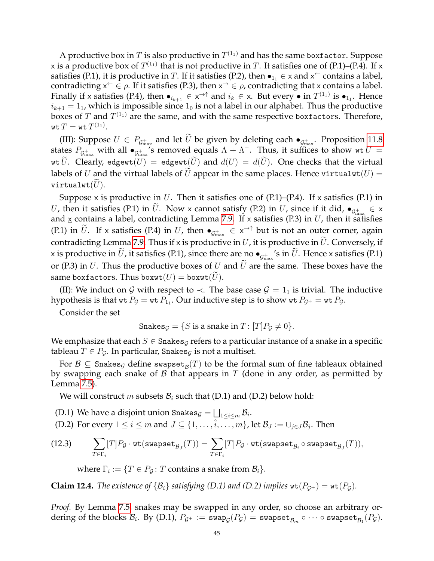A productive box in  $T$  is also productive in  $T^{(1_{1})}$  and has the same boxfactor. Suppose x is a productive box of  $T^{(1_{1})}$  that is not productive in  $T.$  It satisfies one of (P.1)–(P.4). If x satisfies (P.1), it is productive in  $T$ . If it satisfies (P.2), then  $\bullet_{1_1} \in \times$  and  $\times\sp{\leftarrow}$  contains a label, contradicting  $x^{\leftarrow} \in \rho$ . If it satisfies (P.3), then  $x^{\rightarrow} \in \rho$ , contradicting that x contains a label. Finally if x satisfies (P.4), then  $\bullet_{i_{k+1}} \in x^{\to \uparrow}$  and  $i_k \in x$ . But every  $\bullet$  in  $T^{(1_1)}$  is  $\bullet_{1_1}$ . Hence  $i_{k+1} = 1$ , which is impossible since  $1_0$  is not a label in our alphabet. Thus the productive boxes of  $T$  and  $T^{(1_{1})}$  are the same, and with the same respective boxfactors. Therefore, wt  $T=$  wt  $T^{(1_1)}.$ 

(III): Suppose  $U \in P_{\mathcal{G}^+_{\text{max}}}$  and let U be given by deleting each  $\bullet_{\mathcal{G}^+_{\text{max}}}$ . Proposition [11.8](#page-42-2) states  $P_{\mathcal{G}_{\max}^+}$  with all  $\bullet_{\mathcal{G}_{\max}^+}$ 's removed equals  $\Lambda + \Lambda^-$ . Thus, it suffices to show wt  $U =$ wt U. Clearly, edgewt(U) = edgewt(U) and  $d(U) = d(U)$ . One checks that the virtual labels of U and the virtual labels of U appear in the same places. Hence virtualwt( $U$ ) = virtualwt $(U)$ .

Suppose x is productive in U. Then it satisfies one of  $(P.1)$ – $(P.4)$ . If x satisfies  $(P.1)$  in U, then it satisfies (P.1) in U. Now x cannot satisfy (P.2) in U, since if it did,  $\bullet_{\mathcal{G}^+_{\text{max}}} \in \times$ and  $\underline{x}$  contains a label, contradicting Lemma [7.9.](#page-22-1) If x satisfies (P.3) in  $U$ , then it satisfies (P.1) in  $\tilde{U}$ . If x satisfies (P.4) in U, then  $\bullet_{\mathcal{G}^+_{\text{max}}}\in x^{\to\uparrow}$  but is not an outer corner, again contradicting Lemma [7.9.](#page-22-1) Thus if x is productive in  $U$ , it is productive in  $\tilde{U}$ . Conversely, if  $\times$  is productive in  $U$ , it satisfies (P.1), since there are no  $\bullet_{\mathcal{G}^+_{\text{max}}}$ 's in  $U.$  Hence  $\times$  satisfies (P.1) or (P.3) in U. Thus the productive boxes of U and  $\tilde{U}$  are the same. These boxes have the same boxfactors. Thus boxwt $(U)$  = boxwt $(U)$ .

(II): We induct on G with respect to  $\prec$ . The base case  $\mathcal{G} = 1_1$  is trivial. The inductive hypothesis is that wt  $P_{\mathcal{G}} =$  wt  $P_{1_1}.$  Our inductive step is to show wt  $P_{\mathcal{G}^+} =$  wt  $P_{\mathcal{G}}.$ 

Consider the set

Snakes<sub>G</sub> = {S is a snake in  $T: [T]P_G \neq 0$  }.

We emphasize that each  $S \in$  Snakes<sub> $G$ </sub> refers to a particular instance of a snake in a specific tableau  $T \in P_G$ . In particular, Snakes<sub>G</sub> is not a multiset.

For  $\mathcal{B} \subseteq \texttt{Snakes}_{\mathcal{G}}$  define swapse $\texttt{t}_{\mathcal{B}}(T)$  to be the formal sum of fine tableaux obtained by swapping each snake of  $\beta$  that appears in  $T$  (done in any order, as permitted by Lemma [7.5\)](#page-21-3).

We will construct m subsets  $B_i$  such that (D.1) and (D.2) below hold:

- (D.1) We have a disjoint union Snakes ${_{\mathcal{G}}} = \bigsqcup_{1 \leq i \leq m} \mathcal{B}_i.$
- (D.2) For every  $1 \leq i \leq m$  and  $J \subseteq \{1, \ldots, \hat{i}, \ldots, m\}$ , let  $\mathcal{B}_J := \cup_{j \in J} \mathcal{B}_j$ . Then
- $(12.3) \quad \sum$  $T \in \Gamma_i$  $[T]P_{\mathcal{G}}\cdot\texttt{wt}(\texttt{swapset}_{\mathcal{B}_J}(T)) = \sum$  $T \in \Gamma_i$  $[T]P_{\mathcal{G}}\cdot \texttt{wt}(\texttt{swapset}_{\mathcal{B}_i}\circ \texttt{swapset}_{\mathcal{B}_J}(T)),$

<span id="page-44-0"></span>where  $\Gamma_i := \{T \in P_{\mathcal{G}} \colon T \text{ contains a snake from } \mathcal{B}_i\}.$ 

**Claim 12.4.** *The existence of*  $\{B_i\}$  *satisfying (D.1) and (D.2) implies*  $wt(P_{G^+}) = wt(P_G)$ *.* 

*Proof.* By Lemma [7.5,](#page-21-3) snakes may be swapped in any order, so choose an arbitrary or- $\mathrm{dering\ of\ the\ blocks}\ {\mathcal B}_i.\ \ \mathrm{By}\ (\mathrm{D.1}),\ P_{\mathcal G^+}:=\ {\tt swap}_{\mathcal G}(P_{\mathcal G})=\ {\tt swapset}_{\mathcal B_m}\circ\cdots\circ{\tt swapset}_{\mathcal B_1}(P_{\mathcal G}).$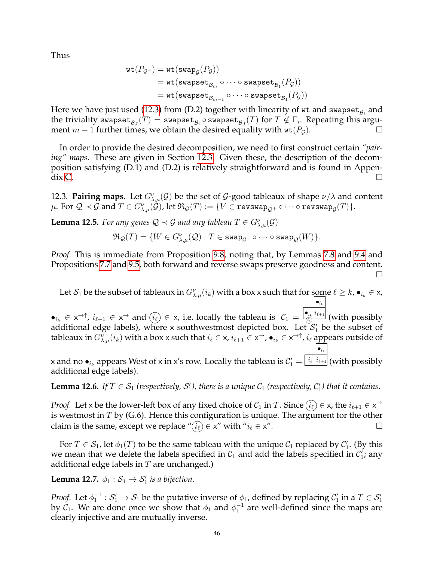Thus

$$
\begin{aligned} \texttt{wt}(P_{\mathcal{G}^+}) &= \texttt{wt}(\texttt{swap}_{\mathcal{G}}(P_{\mathcal{G}})) \\ &= \texttt{wt}(\texttt{swapset}_{\mathcal{B}_m} \circ \cdots \circ \texttt{swapset}_{\mathcal{B}_1}(P_{\mathcal{G}})) \\ &= \texttt{wt}(\texttt{swapset}_{\mathcal{B}_{m-1}} \circ \cdots \circ \texttt{swapset}_{\mathcal{B}_1}(P_{\mathcal{G}})) \end{aligned}
$$

Here we have just used [\(12.3\)](#page-44-0) from (D.2) together with linearity of  $\mathrm{wt}$  and  $\mathrm{swapset}_{\mathcal{B}_i}$  and the triviality swapset $_{\mathcal{B}_J}(T)=$  swapset $_{\mathcal{B}_i}$   $\circ$  swapset $_{\mathcal{B}_J}(T)$  for  $T\not\in\Gamma_i.$  Repeating this argument  $m-1$  further times, we obtain the desired equality with  $\text{wt}(P_{\mathcal{G}})$ .

In order to provide the desired decomposition, we need to first construct certain *"pairing" maps*. These are given in Section [12.3.](#page-45-0) Given these, the description of the decomposition satisfying (D.1) and (D.2) is relatively straightforward and is found in Appen- $\operatorname{dix}$  [C.](#page-81-0)

<span id="page-45-0"></span>12.3. **Pairing maps.** Let  $G^{\nu}_{\lambda,\mu}(\mathcal{G})$  be the set of  $\mathcal{G}$ -good tableaux of shape  $\nu/\lambda$  and content  $\mu.$  For  $\mathcal{Q}\prec\mathcal{G}$  and  $T\in G_{\lambda,\mu}^{\nu}(\mathcal{\dot{G}})$ , let  $\mathfrak{R}_{\mathcal{Q}}(T):=\{V\in\mathtt{revswap}_{\mathcal{Q}^+}\circ\cdots\circ\mathtt{revswap}_{\mathcal{G}}(T)\}.$ 

<span id="page-45-2"></span>**Lemma 12.5.** *For any genes*  $Q \prec G$  *and any tableau*  $T \in G_{\lambda,\mu}^{\nu}(\mathcal{G})$ 

$$
\mathfrak{R}_{\mathcal{Q}}(T) = \{W \in G_{\lambda,\mu}^{\nu}(\mathcal{Q}) : T \in \text{swap}_{\mathcal{G}^-} \circ \cdots \circ \text{swap}_{\mathcal{Q}}(W)\}.
$$

*Proof.* This is immediate from Proposition [9.8,](#page-28-0) noting that, by Lemmas [7.8](#page-22-2) and [9.4](#page-27-1) and Propositions [7.7](#page-21-2) and [9.5,](#page-27-0) both forward and reverse swaps preserve goodness and content.  $\Box$ 

Let  $S_1$  be the subset of tableaux in  $G_{\lambda,\mu}^{\nu}(i_k)$  with a box x such that for some  $\ell \geq k$ ,  $\bullet_{i_k} \in X$ ,  $\bullet_{i_k}$ 

 $\bullet_{i_k} \in \mathsf{x} \rightarrow \mathsf{A}$ ,  $i_{\ell+1} \in \mathsf{x} \rightarrow \mathsf{and}$   $(i_\ell) \in \mathsf{x}$ , i.e. locally the tableau is  $\mathcal{C}_1 =$  $\bullet_{i_k}$   $i_{\ell+1}$  $\frac{d_{ik}}{d_{\ell}}$  (with possibly additional edge labels), where x southwestmost depicted box. Let  $\mathcal{S}_1'$  be the subset of tableaux in  $G_{\lambda,\mu}^\nu(i_k)$  with a box x such that  $i_\ell\in$  x,  $i_{\ell+1}\in$  x $^\to$ ,  $\bullet_{i_k}\in$  x $^{\to\uparrow}$ ,  $i_\ell$  appears outside of  $\bullet_{i_k}$ 

x and no  $\bullet_{i_k}$  appears West of x in x's row. Locally the tableau is  $\mathcal{C}'_1 = \frac{\mid i_\ell \mid i_{\ell+1} \mid}{\mid}$  (with possibly additional edge labels).

<span id="page-45-1"></span>**Lemma 12.6.** If  $T \in S_1$  (respectively,  $S'_1$ ), there is a unique  $C_1$  (respectively,  $C'_1$ ) that it contains.

*Proof.* Let x be the lower-left box of any fixed choice of  $C_1$  in T. Since  $(i_\ell) \in \underline{\mathsf{x}}$ , the  $i_{\ell+1} \in \mathsf{x}^{\to}$ is westmost in  $T$  by (G.6). Hence this configuration is unique. The argument for the other claim is the same, except we replace " $(\widehat{i_\ell}) \in \underline{x}$ " with " $i_\ell \in x$ ".

For  $T \in \mathcal{S}_1$ , let  $\phi_1(T)$  to be the same tableau with the unique  $\mathcal{C}_1$  replaced by  $\mathcal{C}'_1$ . (By this we mean that we delete the labels specified in  $C_1$  and add the labels specified in  $C_1$ ; any additional edge labels in  $T$  are unchanged.)

<span id="page-45-3"></span>**Lemma 12.7.**  $\phi_1 : \mathcal{S}_1 \to \mathcal{S}'_1$  is a bijection.

*Proof.* Let  $\phi_1^{-1}: S_1' \to S_1$  be the putative inverse of  $\phi_1$ , defined by replacing  $\mathcal C_1'$  in a  $T \in \mathcal S_1'$ by  $\mathcal{C}_1$ . We are done once we show that  $\phi_1$  and  $\phi_1^{-1}$  are well-defined since the maps are clearly injective and are mutually inverse.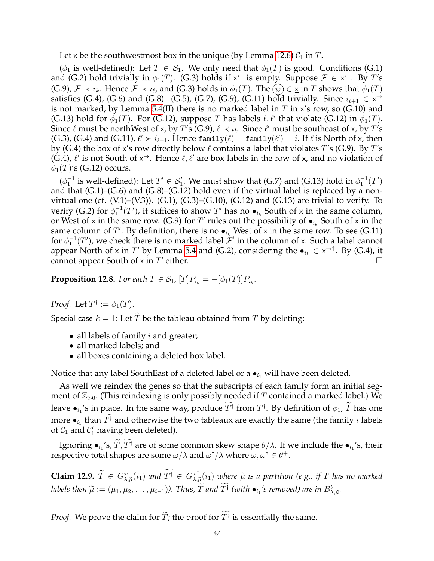Let x be the southwestmost box in the unique (by Lemma [12.6\)](#page-45-1)  $C_1$  in T.

( $\phi_1$  is well-defined): Let  $T \in \mathcal{S}_1$ . We only need that  $\phi_1(T)$  is good. Conditions (G.1) and (G.2) hold trivially in  $\phi_1(T)$ . (G.3) holds if  $x^{\leftarrow}$  is empty. Suppose  $\mathcal{F} \in x^{\leftarrow}$ . By T's (G.9),  $\mathcal{F} \prec i_k$ . Hence  $\mathcal{F} \prec i_\ell$ , and (G.3) holds in  $\phi_1(T)$ . The  $(i_\ell) \in \underline{\mathsf{x}}$  in T shows that  $\phi_1(T)$ satisfies (G.4), (G.6) and (G.8). (G.5), (G.7), (G.9), (G.11) hold trivially. Since  $i_{\ell+1} \in x^{\rightarrow}$ is not marked, by Lemma [5.4\(](#page-13-0)II) there is no marked label in  $T$  in  $x$ 's row, so (G.10) and (G.13) hold for  $\phi_1(T)$ . For (G.12), suppose T has labels  $\ell, \ell'$  that violate (G.12) in  $\phi_1(T)$ . Since  $\ell$  must be northWest of x, by  $T'$ s (G.9),  $\ell \prec i_k.$  Since  $\ell'$  must be southeast of x, by  $T'$ s (G.3), (G.4) and (G.11),  $\ell' \succ i_{\ell+1}$ . Hence family $(\ell) = \text{family}(\ell') = i$ . If  $\ell$  is North of x, then by (G.4) the box of x's row directly below  $\ell$  contains a label that violates T's (G.9). By T's (G.4),  $\ell'$  is not South of  $x^{\rightarrow}$ . Hence  $\ell, \ell'$  are box labels in the row of x, and no violation of  $\phi_1(T)$ 's (G.12) occurs.

 $(\phi_1^{-1}$  is well-defined): Let  $T' \in \mathcal{S}_1'$ . We must show that (G.7) and (G.13) hold in  $\phi_1^{-1}(T')$ and that  $(G.1)$ – $(G.6)$  and  $(G.8)$ – $(G.12)$  hold even if the virtual label is replaced by a nonvirtual one (cf.  $(V.1)$ – $(V.3)$ ).  $(G.1)$ ,  $(G.3)$ – $(G.10)$ ,  $(G.12)$  and  $(G.13)$  are trivial to verify. To verify (G.2) for  $\phi_1^{-1}(T')$ , it suffices to show  $T'$  has no  $\bullet_{i_k}$  South of x in the same column, or West of x in the same row. (G.9) for  $T'$  rules out the possibility of  $\bullet_{i_k}$  South of x in the same column of  $T'$ . By definition, there is no  $\bullet_{i_k}$  West of x in the same row. To see (G.11) for  $\phi_1^{-1}(T')$ , we check there is no marked label  $\mathcal{F}^!$  in the column of x. Such a label cannot appear North of x in  $T'$  by Lemma [5.4](#page-13-0) and (G.2), considering the  $\bullet_{i_k} \in x^{\to \uparrow}$ . By (G.4), it cannot appear South of  $\times$  in  $T'$ either.  $\Box$ 

<span id="page-46-1"></span>**Proposition 12.8.** For each  $T \in S_1$ ,  $[T]P_{i_k} = -[\phi_1(T)]P_{i_k}$ .

*Proof.* Let  $T^{\dagger} := \phi_1(T)$ .

Special case  $k = 1$ : Let  $\tilde{T}$  be the tableau obtained from  $T$  by deleting:

- all labels of family  $i$  and greater;
- all marked labels; and
- all boxes containing a deleted box label.

Notice that any label SouthEast of a deleted label or a  $\bullet_{i_1}$  will have been deleted.

As well we reindex the genes so that the subscripts of each family form an initial segment of  $\mathbb{Z}_{>0}$ . (This reindexing is only possibly needed if T contained a marked label.) We leave  $\bullet_{i_1}$ 's in place. In the same way, produce  $T^\dagger$  from  $T^\dagger$ . By definition of  $\phi_1$ ,  $\widetilde{T}$  has one more  $\bullet_{i_1}$  than  $T^{\dagger}$  and otherwise the two tableaux are exactly the same (the family *i* labels of  $C_1$  and  $C_1'$  having been deleted).

Ignoring  $\bullet_{i_1}$ 's,  $T$ ,  $T^{\dagger}$  are of some common skew shape  $\theta/\lambda$ . If we include the  $\bullet_{i_1}$ 's, their respective total shapes are some  $\omega/\lambda$  and  $\omega^\dagger/\lambda$  where  $\omega,\omega^\dagger\in\theta^+.$ 

<span id="page-46-0"></span>**Claim 12.9.**  $\widetilde{T} \in G_{\lambda,\widetilde{\mu}}^{\omega}(i_1)$  and  $\widetilde{T}^{\dagger} \in G_{\lambda,j}^{\omega^{\dagger}}$  $\overset{\omega}{\underset{\sim}{\sim}}{}_{\widetilde{\mu}}(i_1)$  where  $\widetilde{\mu}$  is a partition (e.g., if T has no marked  $labels$  then  $\widetilde{\mu} := (\mu_1, \mu_2, \ldots, \mu_{i-1})$ ). Thus,  $\widetilde{T}$  and  $T^{\dagger}$  (with  $\bullet_{i_1}$ 's removed) are in  $B^{\theta}_{\lambda, \widetilde{\mu}}$ .

*Proof.* We prove the claim for  $T$ ; the proof for  $T^{\dagger}$  is essentially the same.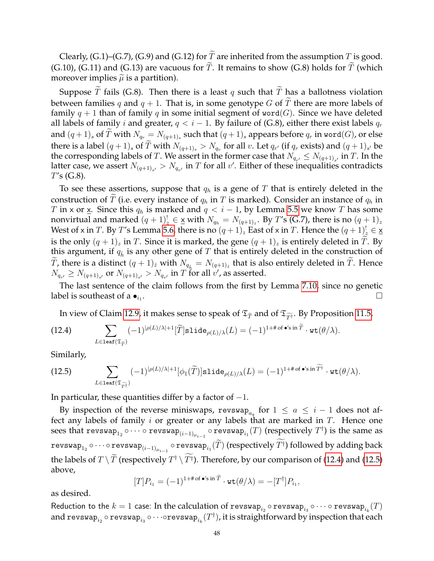Clearly, (G.1)–(G.7), (G.9) and (G.12) for  $\widetilde{T}$  are inherited from the assumption T is good. (G.10), (G.11) and (G.13) are vacuous for  $\widetilde{T}$ . It remains to show (G.8) holds for  $\widetilde{T}$  (which moreover implies  $\tilde{\mu}$  is a partition).

Suppose  $\overline{T}$  fails (G.8). Then there is a least q such that  $\overline{T}$  has a ballotness violation between families q and  $q + 1$ . That is, in some genotype G of  $\widetilde{T}$  there are more labels of family  $q + 1$  than of family q in some initial segment of word(G). Since we have deleted all labels of family i and greater,  $q < i - 1$ . By failure of (G.8), either there exist labels  $q_r$ and  $(q+1)_s$  of  $T$  with  $N_{q_r}=N_{(q+1)_s}$  such that  $(q+1)_s$  appears before  $q_r$  in word $(G)$ , or else there is a label  $(q+1)_s$  of T with  $N_{(q+1)_s} > N_{q_v}$  for all v. Let  $q_{r'}$  (if  $q_r$  exists) and  $(q+1)_{s'}$  be the corresponding labels of  $T.$  We assert in the former case that  $N_{q_{r'}}\leq N_{(q+1)_{s'}}$  in  $T.$  In the latter case, we assert  $N_{(q+1)_{s'}} > N_{q_{v'}}$  in  $T$  for all  $v'$ . Either of these inequalities contradicts  $T's$  (G.8).

To see these assertions, suppose that  $q_h$  is a gene of T that is entirely deleted in the construction of  $\widetilde{T}$  (i.e. every instance of  $q_h$  in T is marked). Consider an instance of  $q_h$  in T in x or  $\underline{x}$ . Since this  $q_h$  is marked and  $q < i - 1$ , by Lemma [5.5](#page-13-1) we know T has some nonvirtual and marked  $(q + 1)_z^! \in \underline{x}$  with  $N_{q_h} = N_{(q+1)_z}$ . By  $T'$ s (G.7), there is no  $(q + 1)_z$ West of x in  $T$ . By  $T'$ s Lemma [5.6,](#page-13-2) there is no  $(q+1)_z$  East of x in  $T$ . Hence the  $(q+1)_{z}^{!} \in \underline{\mathsf{x}}$ is the only  $(q + 1)$ <sub>z</sub> in T. Since it is marked, the gene  $(q + 1)$ <sub>z</sub> is entirely deleted in T. By this argument, if  $q_{\hat{h}}$  is any other gene of T that is entirely deleted in the construction of T, there is a distinct  $(q + 1)_{\hat{z}}$  with  $N_{q_{\hat{h}}} = N_{(q+1)_{\hat{z}}}$  that is also entirely deleted in T. Hence  $N_{q_{r'}} \ge N_{(q+1)_{s'}}$  or  $N_{(q+1)_{s'}} > N_{q_{v'}}$  in  $T$  for all  $v'$ , as asserted.

The last sentence of the claim follows from the first by Lemma [7.10,](#page-22-3) since no genetic label is southeast of a  $\bullet_{i_1}$ . . В последните при последните последните последните последните последните последните последните последните по<br>В последните последните последните последните последните последните последните последните последните последнит<br>

<span id="page-47-0"></span>In view of Claim [12.9,](#page-46-0) it makes sense to speak of  $\mathfrak{T}_{\widetilde{T}}$  and of  $\mathfrak{T}_{\widetilde{T}^{\dag}}.$  By Proposition [11.5,](#page-41-0)

(12.4) 
$$
\sum_{L \in \text{leaf}(\mathfrak{T}_{\widetilde{T}})} (-1)^{|\rho(L)/\lambda|+1} [\widetilde{T}] \text{slide}_{\rho(L)/\lambda}(L) = (-1)^{1+\# \text{ of } \bullet' \text{sin } \widetilde{T}} \cdot \text{wt}(\theta/\lambda).
$$

Similarly,

<span id="page-47-1"></span>(12.5) 
$$
\sum_{L \in \text{leaf}(\mathfrak{T}_{\widetilde{T}^{\dagger}})} (-1)^{|\rho(L)/\lambda|+1} [\phi_1(\widetilde{T})] \text{slide}_{\rho(L)/\lambda}(L) = (-1)^{1+\# \text{ of } \bullet \text{'s in } \widetilde{T}^{\dagger}} \cdot \text{wt}(\theta/\lambda).
$$

In particular, these quantities differ by a factor of  $-1$ .

By inspection of the reverse miniswaps, revswap<sub>aq</sub> for  $1 \le a \le i-1$  does not affect any labels of family  $i$  or greater or any labels that are marked in  $T$ . Hence one sees that  ${\tt revswap}_{1_2}\circ\cdots\circ{\tt revswap}_{(i-1)\mu_{i-1}}\circ{\tt revswap}_{i_1}(T)$  (respectively  $T^\dagger)$  is the same as revswap $_{1_2}\circ\cdots\circ$  revswap $_{(i-1)\mu_{i-1}}\circ$  revswap $_{i_1}(T)$  (respectively  $T^\dagger$ ) followed by adding back the labels of  $T \setminus \widetilde{T}$  (respectively  $T^{\dagger} \setminus T^{\dagger}$ ). Therefore, by our comparison of [\(12.4\)](#page-47-0) and [\(12.5\)](#page-47-1) above,

$$
[T]P_{i_1} = (-1)^{1+\#\text{of }\bullet's\text{ in }T} \cdot \text{wt}(\theta/\lambda) = -[T^{\dagger}]P_{i_1},
$$

as desired.

Reduction to the  $k=1$  case: In the calculation of  ${\tt revswap}_{i_2} \circ {\tt revswap}_{i_3} \circ \cdots \circ {\tt revswap}_{i_k}(T)$ and revswap $_{i_2}$   $\circ$  revswap $_{i_3}$   $\circ \cdots$   $\circ$ revswap $_{i_k} (T^{\dag})$ , it is straightforward by inspection that each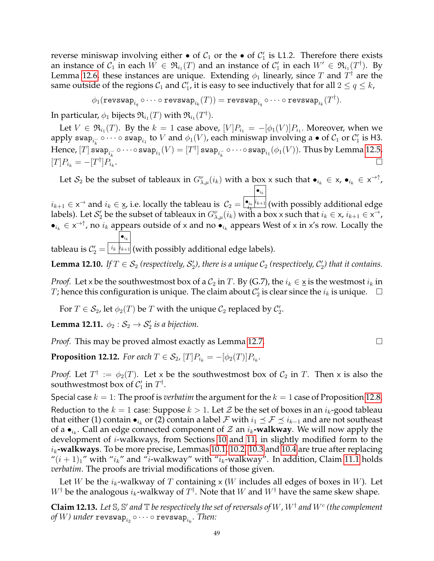reverse miniswap involving either  $\bullet$  of  $C_1$  or the  $\bullet$  of  $C_1'$  is L1.2. Therefore there exists an instance of  $\mathcal{C}_1$  in each  $W \in \mathfrak{R}_{i_1}(T)$  and an instance of  $\mathcal{C}'_1$  in each  $W' \in \mathfrak{R}_{i_1}(T^\dagger)$ . By Lemma [12.6,](#page-45-1) these instances are unique. Extending  $\phi_1$  linearly, since  $T$  and  $T^\dagger$  are the same outside of the regions  $\mathcal{C}_1$  and  $\mathcal{C}_1'$ , it is easy to see inductively that for all  $2\leq q\leq k$ ,

 $\phi_1({\tt revswap}_{i_q}\circ \cdots \circ {\tt revswap}_{i_k}(T))={\tt revswap}_{i_q}\circ \cdots \circ {\tt revswap}_{i_k}(T^\dagger).$ 

In particular,  $\phi_1$  bijects  $\mathfrak{R}_{i_1}(T)$  with  $\mathfrak{R}_{i_1}(T^\dagger).$ 

Let  $V \in \mathfrak{R}_{i_1}(T)$ . By the  $k = 1$  case above,  $[V]P_{i_1} = -[\phi_1(V)]P_{i_1}$ . Moreover, when we apply swap $_{i_k^-}\circ\cdots\circ$  swap $_{i_1}$  to  $V$  and  $\phi_1(V)$ , each miniswap involving a  $\bullet$  of  $\mathcal{C}_1$  or  $\mathcal{C}_1'$  is H3.  $\text{Hence, [}T\text{] swap}_{i_k^-} \circ \cdots \circ \text{swap}_{i_1}(V) = [T^\dagger]$  swa $\text{p}_{i_k^-} \circ \cdots \circ \text{swap}_{i_1}(\phi_1(V)).$  Thus by Lemma [12.5,](#page-45-2)  $[T]P_{i_k} = -[T^{\dagger}]P_{i_k}$ . The contract of the contract of the contract of the contract of the contract of the contract of the contract of the contract of the contract of the contract of the contract of the contract of the contract of the contrac

Let  $S_2$  be the subset of tableaux in  $G_{\lambda,\mu}^{\nu}(i_k)$  with a box x such that  $\bullet_{i_k} \in X$ ,  $\bullet_{i_k} \in X^{\to \uparrow}$ ,  $i_{k+1} \in \mathsf{x}^{\rightarrow}$  and  $i_k \in \mathsf{x}$ , i.e. locally the tableau is  $\mathcal{C}_2 =$  $\bullet_{i_k}$  $\frac{\bullet_{i_k} |_{k+1} }{t_k}$  (with possibly additional edge labels). Let  $\mathcal{S}'_2$  be the subset of tableaux in  $G_{\lambda,\mu}^\nu(i_k)$  with a box x such that  $i_k\in$  x,  $i_{k+1}\in$  x $^\to$ ,

 $\bullet_{i_k} \in x^{\to \uparrow}$ , no  $i_k$  appears outside of x and no  $\bullet_{i_k}$  appears West of x in x's row. Locally the  $\bullet_{i_k}$ 

tableau is  $\mathcal{C}_2' =$  $\left( \frac{i_{k}\left[ i_{k+1}\right] }{} \right)$  (with possibly additional edge labels).

**Lemma 12.10.** If  $T \in S_2$  (respectively,  $S_2'$ ), there is a unique  $C_2$  (respectively,  $C_2'$ ) that it contains.

*Proof.* Let x be the southwestmost box of a  $C_2$  in T. By (G.7), the  $i_k \in \underline{\mathsf{x}}$  is the westmost  $i_k$  in T; hence this configuration is unique. The claim about  $\mathcal{C}_2'$  is clear since the  $i_k$  is unique.  $\Box$ 

For  $T \in \mathcal{S}_2$ , let  $\phi_2(T)$  be  $T$  with the unique  $\mathcal{C}_2$  replaced by  $\mathcal{C}_2'$ .

**Lemma 12.11.**  $\phi_2 : \mathcal{S}_2 \to \mathcal{S}'_2$  is a bijection.

*Proof.* This may be proved almost exactly as Lemma [12.7.](#page-45-3)

**Proposition 12.12.** For each  $T \in \mathcal{S}_2$ ,  $[T]P_{i_k} = -[\phi_2(T)]P_{i_k}$ .

*Proof.* Let  $T^{\dagger} := \phi_2(T)$ . Let x be the southwestmost box of  $C_2$  in T. Then x is also the southwestmost box of  $C'_1$  in  $T^{\dagger}$ .

Special case  $k = 1$ : The proof is *verbatim* the argument for the  $k = 1$  case of Proposition [12.8.](#page-46-1) Reduction to the  $k = 1$  case: Suppose  $k > 1$ . Let  $\mathcal Z$  be the set of boxes in an  $i_k$ -good tableau that either (1) contain  $\bullet_{i_k}$  or (2) contain a label *F* with  $i_1$   $\leq$  *F*  $\leq$   $i_{k-1}$  and are not southeast of a  $\bullet_{i_k}$ . Call an edge connected component of  $\mathcal Z$  an  $i_k$ **-walkway**. We will now apply the development of i-walkways, from Sections [10](#page-31-0) and [11,](#page-36-1) in slightly modified form to the  $i_k$ **-walkways**. To be more precise, Lemmas [10.1,](#page-31-1) [10.2,](#page-32-0) [10.3](#page-33-0) and [10.4](#page-34-0) are true after replacing " $(i + 1)<sub>1</sub>$ " with " $i<sub>k</sub>$ " and "*i*-walkway" with " $i<sub>k</sub>$ -walkway". In addition, Claim [11.1](#page-36-0) holds *verbatim*. The proofs are trivial modifications of those given.

Let W be the  $i_k$ -walkway of T containing x (W includes all edges of boxes in W). Let  $W^{\dagger}$  be the analogous  $i_k$ -walkway of  $T^{\dagger}$ . Note that  $W$  and  $W^{\dagger}$  have the same skew shape.

<span id="page-48-0"></span>**Claim 12.13.** Let  $\mathbb{S}$ ,  $\mathbb{S}'$  and  $\mathbb{T}$  be respectively the set of reversals of  $W$  ,  $W^\dagger$  and  $W^c$  (the complement  $of$   $W$ ) under  $\mathtt{revswap}_{i_2} \circ \cdots \circ \mathtt{revswap}_{i_k}.$  Then: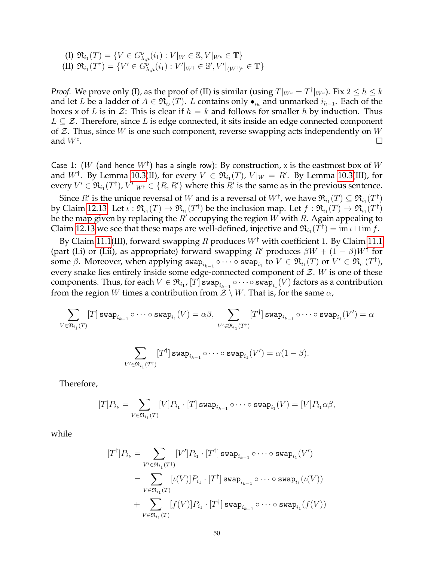(I)  $\mathfrak{R}_{i_1}(T) = \{ V \in G_{\lambda,\mu}^{\nu}(i_1) : V|_W \in \mathbb{S}, V|_{W^c} \in \mathbb{T} \}$ (II)  $\mathfrak{R}_{i_1}(T^{\dagger}) = \{V' \in G_{\lambda,\mu}^{\nu}(i_1) : V'|_{W^{\dagger}} \in \mathbb{S}', V'|_{(W^{\dagger})^c} \in \mathbb{T}\}\$ 

*Proof.* We prove only (I), as the proof of (II) is similar (using  $T|_{W^c} = T^{\dagger}|_{W^c}$ ). Fix  $2 \leq h \leq k$ and let L be a ladder of  $A \in \mathfrak{R}_{i_h}(T)$ . L contains only  $\bullet_{i_h}$  and unmarked  $i_{h-1}$ . Each of the boxes x of L is in Z: This is clear if  $h = k$  and follows for smaller h by induction. Thus  $L \subseteq \mathcal{Z}$ . Therefore, since L is edge connected, it sits inside an edge connected component of  $\mathcal Z$ . Thus, since W is one such component, reverse swapping acts independently on W and  $W<sup>c</sup>$ . .

Case 1:  $(W$  (and hence  $W^{\dagger})$  has a single row): By construction, x is the eastmost box of  $W$ and  $W^{\dagger}$ . By Lemma [10.3\(](#page-33-0)II), for every  $V \in \mathfrak{R}_{i_1}(T)$ ,  $V|_W = R'$ . By Lemma 10.3(III), for every  $V' \in \mathfrak{R}_{i_1}(T^\dagger)$ ,  $V'|_{W^\dagger} \in \{R,R'\}$  where this  $R'$  is the same as in the previous sentence.

Since  $R'$  is the unique reversal of  $W$  and is a reversal of  $W^\dagger$ , we have  $\mathfrak{R}_{i_1}(T)\subseteq \mathfrak{R}_{i_1}(T^\dagger)$ by Claim [12.13.](#page-48-0) Let  $\iota: {\mathfrak R}_{i_1}(T)\to {\mathfrak R}_{i_1}(T^\dagger)$  be the inclusion map. Let  $f: {\mathfrak R}_{i_1}(T)\to {\mathfrak R}_{i_1}(T^\dagger)$ be the map given by replacing the  $R'$  occupying the region  $W$  with  $R$ . Again appealing to Claim [12.13](#page-48-0) we see that these maps are well-defined, injective and  $\mathfrak{R}_{i_1}(T^\dagger) = \text{im } \iota \sqcup \text{im } f$ .

By Claim [11.1\(](#page-36-0)III), forward swapping R produces  $W^{\dagger}$  with coefficient 1. By Claim [11.1](#page-36-0) (part (I.i) or (I.ii), as appropriate) forward swapping R' produces  $\beta W + (1 - \beta)W^{\dagger}$  for some  $\beta.$  Moreover, when applying  $\sup_{i_{k-1}}\circ\cdots\circ\sup_{i_1}$  to  $V\in\mathfrak{R}_{i_1}(T)$  or  $V'\in\mathfrak{R}_{i_1}(T^\dagger)$ , every snake lies entirely inside some edge-connected component of  $\mathcal{Z}$ . W is one of these components. Thus, for each  $V\in \mathfrak{R}_{i_1}$ ,  $[T]$  swa $\mathrm{p}_{i_{k-1}}\circ\cdots\circ$  swa $\mathrm{p}_{i_1}(V)$  factors as a contribution from the region W times a contribution from  $\mathcal{Z} \setminus W$ . That is, for the same  $\alpha$ ,

$$
\sum_{V \in \mathfrak{R}_{i_1}(T)} [T] \operatorname{swap}_{i_{k-1}} \circ \cdots \circ \operatorname{swap}_{i_1}(V) = \alpha \beta, \sum_{V' \in \mathfrak{R}_{i_1}(T^{\dagger})} [T^{\dagger}] \operatorname{swap}_{i_{k-1}} \circ \cdots \circ \operatorname{swap}_{i_1}(V') = \alpha
$$

$$
\sum_{V'\in\mathfrak{R}_{i_1}(T^\dagger)}[T^\dagger]\operatorname{swap}_{i_{k-1}}\circ\cdots\circ\operatorname{swap}_{i_1}(V')=\alpha(1-\beta).
$$

Therefore,

$$
[T]P_{i_k} = \sum_{V \in \mathfrak{R}_{i_1}(T)} [V]P_{i_1} \cdot [T] \operatorname{swap}_{i_{k-1}} \circ \cdots \circ \operatorname{swap}_{i_1}(V) = [V]P_{i_1} \alpha \beta,
$$

while

$$
[T^{\dagger}]P_{i_k} = \sum_{V' \in \mathfrak{R}_{i_1}(T^{\dagger})} [V']P_{i_1} \cdot [T^{\dagger}] \operatorname{swap}_{i_{k-1}} \circ \cdots \circ \operatorname{swap}_{i_1}(V')
$$
  
\n
$$
= \sum_{V \in \mathfrak{R}_{i_1}(T)} [\iota(V)]P_{i_1} \cdot [T^{\dagger}] \operatorname{swap}_{i_{k-1}} \circ \cdots \circ \operatorname{swap}_{i_1}(\iota(V))
$$
  
\n
$$
+ \sum_{V \in \mathfrak{R}_{i_1}(T)} [f(V)]P_{i_1} \cdot [T^{\dagger}] \operatorname{swap}_{i_{k-1}} \circ \cdots \circ \operatorname{swap}_{i_1}(f(V))
$$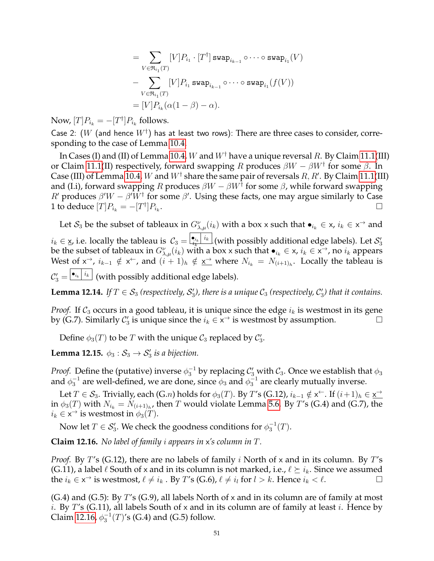$$
= \sum_{V \in \mathfrak{R}_{i_1}(T)} [V] P_{i_1} \cdot [T^{\dagger}] \operatorname{swap}_{i_{k-1}} \circ \cdots \circ \operatorname{swap}_{i_1}(V)
$$
  

$$
- \sum_{V \in \mathfrak{R}_{i_1}(T)} [V] P_{i_1} \operatorname{swap}_{i_{k-1}} \circ \cdots \circ \operatorname{swap}_{i_1}(f(V))
$$
  

$$
= [V] P_{i_k} (\alpha (1 - \beta) - \alpha).
$$

Now,  $[T]P_{i_k} = -[T^{\dagger}]P_{i_k}$  follows.

Case 2:  $(W$  (and hence  $W^{\dagger})$  has at least two rows): There are three cases to consider, corresponding to the case of Lemma [10.4.](#page-34-0)

In Cases (I) and (II) of Lemma [10.4,](#page-34-0) W and  $W^{\dagger}$  have a unique reversal R. By Claim [11.1\(](#page-36-0)III) or Claim [11.1\(](#page-36-0)II) respectively, forward swapping R produces  $\beta W - \beta W^{\dagger}$  for some  $\beta$ . In Case (III) of Lemma [10.4,](#page-34-0) W and  $W^{\dagger}$  share the same pair of reversals  $R, R'.$  By Claim [11.1\(](#page-36-0)III) and (I.i), forward swapping R produces  $\beta W - \beta W^{\dagger}$  for some  $\beta$ , while forward swapping R' produces  $\beta'W - \beta'W^{\dagger}$  for some  $\beta'$ . Using these facts, one may argue similarly to Case 1 to deduce  $[T]P_{i_k} = -[T^{\dagger}]P_{i_k}$ .

Let  $S_3$  be the subset of tableaux in  $G_{\lambda,\mu}^{\nu}(i_k)$  with a box x such that  $\bullet_{i_k} \in x$ ,  $i_k \in x^{\to}$  and  $i_k\in\mathsf{x}$ , i.e. locally the tableau is  $\|\mathcal{C}_3=\bigl|\frac{\bullet_{i_k}\mid i_k\mid}{i_k}\bigr|$  (with possibly additional edge labels). Let  $\mathcal{S}_3'$ be the subset of tableaux in  $G_{\lambda,\mu}^{\nu}(i_k)$  with a box x such that  $\bullet_{i_k} \in \times$ ,  $i_k \in \times \to$ , no  $i_k$  appears West of  $x^{\rightarrow}$ ,  $i_{k-1} \notin x^{\leftarrow}$ , and  $(i+1)_{h} \notin \underline{x^{\rightarrow}}$  where  $N_{i_k} = N_{(i+1)_{h}}$ . Locally the tableau is  $\mathcal{C}'_3=\frac{|\bullet_{i_k}|}{i_k}$  (with possibly additional edge labels).

**Lemma 12.14.** If  $T \in S_3$  (respectively,  $S'_3$ ), there is a unique  $C_3$  (respectively,  $C'_3$ ) that it contains.

*Proof.* If  $C_3$  occurs in a good tableau, it is unique since the edge  $i_k$  is westmost in its gene by (G.7). Similarly  $C'_3$  is unique since the  $i_k \in \mathsf{x}^{\rightarrow}$  is westmost by assumption.

Define  $\phi_3(T)$  to be T with the unique  $\mathcal{C}_3$  replaced by  $\mathcal{C}_3'$ .

**Lemma 12.15.**  $\phi_3 : \mathcal{S}_3 \to \mathcal{S}'_3$  is a bijection.

*Proof.* Define the (putative) inverse  $\phi_3^{-1}$  by replacing  $\mathcal{C}_3'$  with  $\mathcal{C}_3$ . Once we establish that  $\phi_3$ and  $\phi_3^{-1}$  are well-defined, we are done, since  $\phi_3$  and  $\phi_3^{-1}$  are clearly mutually inverse.

Let  $T \in \mathcal{S}_3$ . Trivially, each  $(G.n)$  holds for  $\phi_3(T)$ . By T's  $(G.12)$ ,  $i_{k-1} \notin \times \subset$ . If  $(i+1)_h \in \times \to$ in  $\phi_3(T)$  with  $N_{i_k} = N_{(i+1)_h}$ , then  $T$  would violate Lemma [5.6.](#page-13-2) By  $T$ 's (G.4) and (G.7), the  $i_k \in \mathsf{x}^\rightarrow$  is westmost in  $\phi_3(T)$ .

Now let  $T \in \mathcal{S}_3'.$  We check the goodness conditions for  $\phi_3^{-1}(T).$ 

<span id="page-50-0"></span>**Claim 12.16.** *No label of family* i *appears in* x*'s column in* T*.*

*Proof.* By T's (G.12), there are no labels of family i North of x and in its column. By T's (G.11), a label  $\ell$  South of x and in its column is not marked, i.e.,  $\ell \succeq i_k$ . Since we assumed the  $i_k \in \mathsf{x}^{\rightarrow}$  is westmost,  $\ell \neq i_k$ . By T's (G.6),  $\ell \neq i_l$  for  $l > k$ . Hence  $i_k < \ell$ .

 $(G.4)$  and  $(G.5)$ : By T's  $(G.9)$ , all labels North of x and in its column are of family at most *i*. By T's (G.11), all labels South of x and in its column are of family at least *i*. Hence by Claim [12.16,](#page-50-0)  $\phi_3^{-1}(T)$ 's (G.4) and (G.5) follow.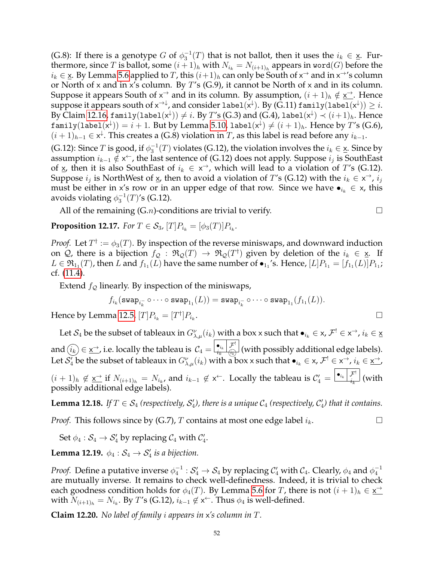(G.8): If there is a genotype G of  $\phi_3^{-1}(T)$  that is not ballot, then it uses the  $i_k \in \underline{\mathsf{x}}$ . Furthermore, since  $T$  is ballot, some  $(i+1)_h$  with  $N_{i_k}=N_{(i+1)_h}$  appears in word $(G)$  before the  $i_k\in \underline{{\sf x}}.$  By Lemma [5.6](#page-13-2) applied to  $T$ , this  $(i+1)_h$  can only be South of  ${\sf x}^\to$  and in  ${\sf x}^\to$ 's column or North of x and in x's column. By  $T$ 's (G.9), it cannot be North of x and in its column. Suppose it appears South of  $x^{\rightarrow}$  and in its column. By assumption,  $(i + 1)_h \notin \underline{x^{\rightarrow}}$ . Hence suppose it appears south of  $\mathsf{x}^{\to\downarrow}$ , and consider label $(\mathsf{x}^\downarrow)$ . By (G.11) family $(\texttt{label}(\mathsf{x}^\downarrow))\geq i.$ By Claim [12.16,](#page-50-0)  $\texttt{family}(\texttt{label}(\mathsf{x}^{\downarrow})) \neq i.$  By  $T'$ s (G.3) and (G.4),  $\texttt{label}(\mathsf{x}^{\downarrow}) \prec (i+1)_h.$  Hence  $\texttt{family}(\texttt{label}(\mathsf{x}^\downarrow)) = i+1.$  But by Lemma [5.10,](#page-14-0)  $\texttt{label}(\mathsf{x}^\downarrow) \neq (i+1)_h.$  Hence by  $T'$ s (G.6),  $(i + 1)_{h-1} \in x^{\downarrow}$ . This creates a (G.8) violation in T, as this label is read before any  $i_{k-1}$ .

(G.12): Since T is good, if  $\phi_3^{-1}(T)$  violates (G.12), the violation involves the  $i_k \in \underline{\mathsf{x}}$ . Since by assumption  $i_{k-1}\notin \mathsf{x}^{\leftarrow}$ , the last sentence of (G.12) does not apply. Suppose  $i_j$  is SouthEast of  $\times$ , then it is also SouthEast of  $i_k \in \times \rightarrow$ , which will lead to a violation of T's (G.12). Suppose  $i_j$  is NorthWest of  $\underline{x}$ , then to avoid a violation of T's (G.12) with the  $i_k \in \times \rightarrow$ ,  $i_j$ must be either in x's row or in an upper edge of that row. Since we have  $\bullet_{i_k} \in \times$ , this avoids violating  $\phi_3^{-1}(T)$ 's (G.12).

All of the remaining  $(G.n)$ -conditions are trivial to verify.

<span id="page-51-1"></span>**Proposition 12.17.** *For*  $T \in \mathcal{S}_3$ ,  $[T]P_{i_k} = [\phi_3(T)]P_{i_k}$ .

*Proof.* Let  $T^{\dagger} := \phi_3(T)$ . By inspection of the reverse miniswaps, and downward induction on  $Q$ , there is a bijection  $f_Q : \mathfrak{R}_Q(T) \to \mathfrak{R}_Q(T^{\dagger})$  given by deletion of the  $i_k \in \underline{\mathsf{x}}$ . If  $L \in \mathfrak{R}_{1_1}(T)$ , then  $L$  and  $f_{1_1}(L)$  have the same number of  $\bullet_{1_1}$ 's. Hence,  $[L]P_{1_1} = [f_{1_1}(L)]P_{1_1}$ ; cf. [\(11.4\)](#page-41-2).

Extend  $f_{\mathcal{Q}}$  linearly. By inspection of the miniswaps,

$$
f_{i_k}(\mathtt{swap}_{i_k^-} \circ \cdots \circ \mathtt{swap}_{1_1}(L)) = \mathtt{swap}_{i_k^-} \circ \cdots \circ \mathtt{swap}_{1_1}(f_{1_1}(L)).
$$

Hence by Lemma [12.5,](#page-45-2)  $[T]P_{i_k} = [T^{\dagger}]P_{i_k}$ . **Executive Contract Contract Contract Contract Contract Contract Contract Contract Contract Contract Contract** 

Let  $\mathcal{S}_4$  be the subset of tableaux in  $G_{\lambda,\mu}^{\nu}(i_k)$  with a box x such that  $\bullet_{i_k}\in$  x,  $\mathcal{F}^!\in$  x<sup>→</sup>,  $i_k\in$  <u>x</u> and  $(\widehat{i_k}) \in \underline{\mathsf{x}}$  i.e. locally the tableau is  $\mathcal{C}_4 = \begin{bmatrix} \bullet_{i_k} & \mathcal{F}^1 \ \hline \mathcal{F}^1 & \mathcal{F}^1 \end{bmatrix}$  $\frac{\sum\limits_{i_k}\sum\limits_{i} }{\sum\limits_{i}(\text{with possibly additional edge labels}).}$ Let  $\mathcal{S}_4'$  be the subset of tableaux in  $G_{\lambda,\mu}^{\nu}(i_k)$  with a box x such that  $\bullet_{i_k}\in$  x,  $\mathcal{F}^!\in$  x<sup>→</sup>,  $i_k\in$  <u>x</u><sup>→</sup>,

 $(i + 1)_h \not\in \underline{\mathsf{x}}$  if  $N_{(i+1)_h} = N_{i_k}$ , and  $i_{k-1} \notin \underline{\mathsf{x}}$  for Locally the tableau is  $\mathcal{C}'_4 = \frac{|\bullet_{i_k}|}{i_k}$  $\int\limits_{i_{k}}^{\infty}$  (with possibly additional edge labels).

**Lemma 12.18.** If  $T \in S_4$  (respectively,  $S'_4$ ), there is a unique  $C_4$  (respectively,  $C'_4$ ) that it contains.

*Proof.* This follows since by (G.7), T contains at most one edge label  $i_k$ .

Set  $\phi_4: \mathcal{S}_4 \to \mathcal{S}'_4$  by replacing  $\mathcal{C}_4$  with  $\mathcal{C}'_4$ .

**Lemma 12.19.**  $\phi_4 : \mathcal{S}_4 \to \mathcal{S}'_4$  is a bijection.

*Proof.* Define a putative inverse  $\phi_4^{-1}:S'_4\to S_4$  by replacing  $\mathcal C'_4$  with  $\mathcal C_4.$  Clearly,  $\phi_4$  and  $\phi_4^{-1}$ are mutually inverse. It remains to check well-definedness. Indeed, it is trivial to check each goodness condition holds for  $\phi_4(T)$ . By Lemma [5.6](#page-13-2) for T, there is not  $(i + 1)_h \in \underline{\mathsf{x}}^{\to}$ with  $N_{(i+1)_h}=N_{i_k}.$  By  $T'$ s (G.12),  $i_{k-1}\not\in\mathsf{x}^\leftarrow.$  Thus  $\phi_4$  is well-defined.

<span id="page-51-0"></span>**Claim 12.20.** *No label of family* i *appears in* x*'s column in* T*.*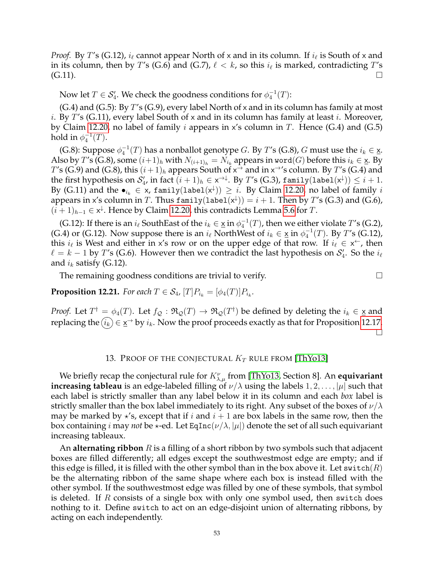*Proof.* By T's (G.12),  $i_{\ell}$  cannot appear North of x and in its column. If  $i_{\ell}$  is South of x and in its column, then by  $T'$ s (G.6) and (G.7),  $\ell < k$ , so this  $i_{\ell}$  is marked, contradicting  $T'$ s  $(C.11)$ .

Now let  $T\in \mathcal{S}_4'.$  We check the goodness conditions for  $\phi_4^{-1}(T).$ 

 $(G.4)$  and  $(G.5)$ : By T's  $(G.9)$ , every label North of x and in its column has family at most *i.* By T's (G.11), every label South of x and in its column has family at least *i*. Moreover, by Claim [12.20,](#page-51-0) no label of family *i* appears in x's column in T. Hence  $(G.4)$  and  $(G.5)$ hold in  $\phi_4^{-1}(T)$ .

(G.8): Suppose  $\phi_4^{-1}(T)$  has a nonballot genotype G. By T's (G.8), G must use the  $i_k \in \underline{\mathsf{x}}$ . Also by  $T'$ s (G.8), some  $(i+1)_h$  with  $N_{(i+1)_h} = N_{i_k}$  appears in word $(G)$  before this  $i_k \in \underline{\mathsf{x}}$ . By  $T$ 's (G.9) and (G.8), this  $(i+1)_h$  appears South of  $x^{\rightarrow}$  and in  $x^{\rightarrow}$ 's column. By  $T$ 's (G.4) and the first hypothesis on  $\mathcal{S}'_4$ , in fact  $(i+1)_h\in\mathsf{x}^{\to\downarrow}$ . By  $T'$ s (G.3), family $(\texttt{label}(\mathsf{x}^\downarrow))\leq i+1.$ By (G.11) and the  $\bullet_{i_k} \in \mathsf{x}$ , family $(\texttt{label}(\mathsf{x}^\downarrow)) \geq i$ . By Claim [12.20,](#page-51-0) no label of family  $i$ appears in x's column in  $T.$  Thus  $\texttt{family}(\texttt{label}(\mathsf{x}^\downarrow)) = i+1.$  Then by  $T'$ s (G.3) and (G.6),  $(i + 1)_{h-1}$  ∈  $x^{\downarrow}$ . Hence by Claim [12.20,](#page-51-0) this contradicts Lemma [5.6](#page-13-2) for *T*.

(G.12): If there is an  $i_{\ell}$  SouthEast of the  $i_k \in \underline{x}$  in  $\phi_4^{-1}(T)$ , then we either violate  $T$ 's (G.2), (G.4) or (G.12). Now suppose there is an  $i_\ell$  NorthWest of  $i_k \in \underline{\mathsf{x}}$  in  $\phi_4^{-1}(T)$ . By T's (G.12), this  $i_{\ell}$  is West and either in x's row or on the upper edge of that row. If  $i_{\ell} \in x^{\leftarrow}$ , then  $\ell = k - 1$  by T's (G.6). However then we contradict the last hypothesis on  $\mathcal{S}'_4$ . So the  $i_{\ell}$ and  $i_k$  satisfy (G.12).

The remaining goodness conditions are trivial to verify.  $\Box$ 

**Proposition 12.21.** For each  $T \in S_4$ ,  $[T]P_{i_k} = [\phi_4(T)]P_{i_k}$ .

*Proof.* Let  $T^{\dagger} = \phi_4(T)$ . Let  $f_{\mathcal{Q}} : \mathfrak{R}_{\mathcal{Q}}(T) \to \mathfrak{R}_{\mathcal{Q}}(T^{\dagger})$  be defined by deleting the  $i_k \in \mathbf{x}$  and replacing the  $(i_k)\in \underline{{\mathsf{x}}}^{\to}$  by  $i_k.$  Now the proof proceeds exactly as that for Proposition [12.17.](#page-51-1)  $\Box$ 

#### 13. PROOF OF THE CONJECTURAL  $K_T$  rule from [\[ThYo13\]](#page-92-0)

We briefly recap the conjectural rule for  $K^{\nu}_{\lambda,\mu}$  from [\[ThYo13,](#page-92-0) Section 8]. An **equivariant increasing tableau** is an edge-labeled filling of  $\nu/\lambda$  using the labels  $1, 2, \ldots, |\mu|$  such that each label is strictly smaller than any label below it in its column and each *box* label is strictly smaller than the box label immediately to its right. Any subset of the boxes of  $\nu/\lambda$ may be marked by  $\star$ 's, except that if i and  $i + 1$  are box labels in the same row, then the box containing *i* may *not* be  $\star$ -ed. Let EqInc( $\nu/\lambda$ ,  $|\mu|$ ) denote the set of all such equivariant increasing tableaux.

An **alternating ribbon** R is a filling of a short ribbon by two symbols such that adjacent boxes are filled differently; all edges except the southwestmost edge are empty; and if this edge is filled, it is filled with the other symbol than in the box above it. Let switch( $R$ ) be the alternating ribbon of the same shape where each box is instead filled with the other symbol. If the southwestmost edge was filled by one of these symbols, that symbol is deleted. If  $R$  consists of a single box with only one symbol used, then switch does nothing to it. Define switch to act on an edge-disjoint union of alternating ribbons, by acting on each independently.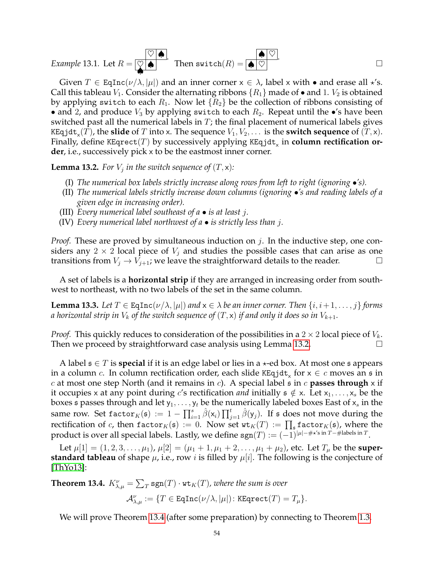Example 13.1. Let 
$$
R = \overline{\bigotimes_{\bullet} \bullet}
$$
. Then  $switch(R) = \overline{\bigotimes_{\bullet} \heartsuit}$ .

Given  $T \in \text{EqInc}(\nu/\lambda, |\mu|)$  and an inner corner  $x \in \lambda$ , label x with • and erase all  $\star$ 's. Call this tableau  $V_1$ . Consider the alternating ribbons  $\{R_1\}$  made of  $\bullet$  and 1.  $V_2$  is obtained by applying switch to each  $R_1$ . Now let  $\{R_2\}$  be the collection of ribbons consisting of • and 2, and produce  $V_3$  by applying switch to each  $R_2$ . Repeat until the •'s have been switched past all the numerical labels in  $T$ ; the final placement of numerical labels gives KEqjd $\texttt{t}_\textsf{x}(T)$ , the  $\textbf{slide}$  of  $T$  into x. The sequence  $V_1, V_2, \ldots$  is the  $\textbf{switch}$  sequence of  $(T, \textsf{x})$ . Finally, define KEqrect $(T)$  by successively applying KEq $\mathtt{jdt}_\mathsf{x}$  in  $\mathsf{column\hspace{1pt} rectification\hspace{1pt} or}$ **der**, i.e., successively pick x to be the eastmost inner corner.

<span id="page-53-0"></span>**Lemma 13.2.** For  $V_j$  in the switch sequence of  $(T, \mathsf{x})$ :

- (I) *The numerical box labels strictly increase along rows from left to right (ignoring* •*'s).*
- (II) *The numerical labels strictly increase down columns (ignoring* •*'s and reading labels of a given edge in increasing order).*
- (III) *Every numerical label southeast of a is at least* j*.*
- (IV) *Every numerical label northwest of a is strictly less than* j*.*

*Proof.* These are proved by simultaneous induction on j. In the inductive step, one considers any  $2 \times 2$  local piece of  $V_i$  and studies the possible cases that can arise as one transitions from  $V_i \rightarrow V_{i+1}$ ; we leave the straightforward details to the reader.

A set of labels is a **horizontal strip** if they are arranged in increasing order from southwest to northeast, with no two labels of the set in the same column.

<span id="page-53-2"></span>**Lemma 13.3.** *Let*  $T \in \text{EqInc}(\nu/\lambda, |\mu|)$  *and*  $x \in \lambda$  *be an inner corner. Then*  $\{i, i+1, \ldots, j\}$  *forms a* horizontal strip in  $V_k$  of the switch sequence of  $(T, \mathsf{x})$  if and only it does so in  $V_{k+1}$ .

*Proof.* This quickly reduces to consideration of the possibilities in a  $2 \times 2$  local piece of  $V_k$ . Then we proceed by straightforward case analysis using Lemma [13.2.](#page-53-0)

A label  $\mathfrak{s} \in T$  is **special** if it is an edge label or lies in a  $\star$ -ed box. At most one  $\mathfrak{s}$  appears in a column  $c.$  In column rectification order, each slide KEqjd $\texttt{t}_\textsf{x}$  for  $\textsf{x} \in c$  moves an  $\frak{s}$  in c at most one step North (and it remains in c). A special label s in c **passes through** x if it occupies x at any point during c's rectification *and* initially  $\mathfrak{s} \notin \mathsf{x}$ . Let  $x_1, \ldots, x_s$  be the boxes s passes through and let  $y_1, \ldots, y_t$  be the numerically labeled boxes East of  $x_s$  in the same row. Set  $\texttt{factor}_K(\mathfrak{s}) \,:=\, 1 - \prod_{i=1}^s \hat{\beta}(\mathsf{x}_i) \prod_{j=1}^t \hat{\beta}(\mathsf{y}_j).$  If  $\mathfrak{s}$  does not move during the rectification of  $c$ , then  $\mathtt{factor}_K(\mathfrak{s}) := 0$ . Now set  $\mathtt{wt}_K(T) := \prod_{\mathfrak{s}} \mathtt{factor}_K(\mathfrak{s})$ , where the product is over all special labels. Lastly, we define  $\text{sgn}(T) := (-1)^{|\mu| - \#\star' \text{s in } T - \#\text{labels in } T}.$ 

Let  $\mu[1] = (1, 2, 3, \dots, \mu_1)$ ,  $\mu[2] = (\mu_1 + 1, \mu_1 + 2, \dots, \mu_1 + \mu_2)$ , etc. Let  $T_{\mu}$  be the **superstandard tableau** of shape  $\mu$ , i.e., row *i* is filled by  $\mu[i]$ . The following is the conjecture of [\[ThYo13\]](#page-92-0):

<span id="page-53-1"></span>**Theorem 13.4.**  $K_{\lambda,\mu}^{\nu} = \sum_{T} \text{sgn}(T) \cdot \text{wt}_K(T)$ , where the sum is over  $\mathcal{A}_{\lambda,\mu}^{\nu} := \{T \in \texttt{EqInc}(\nu/\lambda,|\mu|) \colon \texttt{KEqrect}(T) = T_{\mu}\}.$ 

We will prove Theorem [13.4](#page-53-1) (after some preparation) by connecting to Theorem [1.3.](#page-4-2)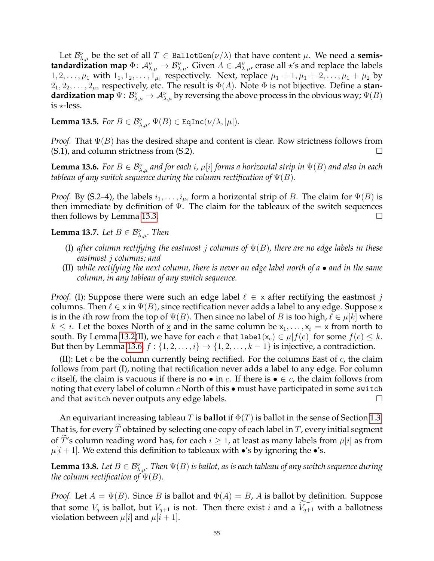Let  $\mathcal{B}_{\lambda,\mu}^{\nu}$  be the set of all  $T \in \text{BallotGen}(\nu/\lambda)$  that have content  $\mu$ . We need a **semistandardization map**  $\Phi: \mathcal{A}_{\lambda,\mu}^{\nu} \to \mathcal{B}_{\lambda,\mu}^{\nu}$ . Given  $A \in \mathcal{A}_{\lambda,\mu}^{\nu}$ , erase all  $\star$ 's and replace the labels  $1, 2, \ldots, \mu_1$  with  $1_1, 1_2, \ldots, 1_{\mu_1}$  respectively. Next, replace  $\mu_1 + 1, \mu_1 + 2, \ldots, \mu_1 + \mu_2$  by  $2_1, 2_2, \ldots, 2_{\mu_2}$  respectively, etc. The result is  $\Phi(A)$ . Note  $\Phi$  is not bijective. Define a **standardization map**  $\Psi: \mathcal{B}^{\nu}_{\lambda,\mu} \to \mathcal{A}^{\nu}_{\lambda,\mu}$  by reversing the above process in the obvious way;  $\Psi(B)$ is  $\star$ -less.

<span id="page-54-3"></span>**Lemma 13.5.** *For*  $B \in \mathcal{B}_{\lambda,\mu}^{\nu}$ ,  $\Psi(B) \in \text{EqInc}(\nu/\lambda, |\mu|)$ *.* 

*Proof.* That  $\Psi(B)$  has the desired shape and content is clear. Row strictness follows from  $(S.1)$ , and column strictness from  $(S.2)$ .

<span id="page-54-0"></span>**Lemma 13.6.** For  $B \in \mathcal{B}_{\lambda,\mu}^{\nu}$  and for each i,  $\mu[i]$  forms a horizontal strip in  $\Psi(B)$  and also in each *tableau of any switch sequence during the column rectification of*  $\Psi(B)$ *.* 

*Proof.* By (S.2–4), the labels  $i_1, \ldots, i_{\mu_i}$  form a horizontal strip of B. The claim for  $\Psi(B)$  is then immediate by definition of  $\Psi$ . The claim for the tableaux of the switch sequences then follows by Lemma [13.3.](#page-53-2)  $\Box$ 

<span id="page-54-1"></span>**Lemma 13.7.** Let  $B \in \mathcal{B}_{\lambda,\mu}^{\nu}$ . Then

- (I) *after column rectifying the eastmost* j *columns of* Ψ(B)*, there are no edge labels in these eastmost* j *columns; and*
- (II) *while rectifying the next column, there is never an edge label north of a and in the same column, in any tableau of any switch sequence.*

*Proof.* (I): Suppose there were such an edge label  $\ell \in \mathbf{x}$  after rectifying the eastmost j columns. Then  $\ell \in \chi$  in  $\Psi(B)$ , since rectification never adds a label to any edge. Suppose x is in the *i*th row from the top of  $\Psi(B)$ . Then since no label of B is too high,  $\ell \in \mu[k]$  where  $k \leq i$ . Let the boxes North of  $\underline{x}$  and in the same column be  $x_1, \ldots, x_i = x$  from north to south. By Lemma [13.2\(](#page-53-0)II), we have for each e that label( $x_e$ )  $\in \mu[f(e)]$  for some  $f(e) \leq k$ . But then by Lemma [13.6,](#page-54-0)  $f : \{1, 2, \ldots, i\} \rightarrow \{1, 2, \ldots, k-1\}$  is injective, a contradiction.

(II): Let c be the column currently being rectified. For the columns East of c, the claim follows from part (I), noting that rectification never adds a label to any edge. For column c itself, the claim is vacuous if there is no • in c. If there is  $\bullet \in c$ , the claim follows from noting that every label of column  $c$  North of this  $\bullet$  must have participated in some switch and that switch never outputs any edge labels.  $\Box$ 

An equivariant increasing tableau T is **ballot** if  $\Phi(T)$  is ballot in the sense of Section [1.3.](#page-3-1) That is, for every  $T$  obtained by selecting one copy of each label in  $T$ , every initial segment of T's column reading word has, for each  $i \geq 1$ , at least as many labels from  $\mu[i]$  as from  $\mu[i+1]$ . We extend this definition to tableaux with •'s by ignoring the •'s.

<span id="page-54-2"></span>**Lemma 13.8.** Let  $B \in \mathcal{B}_{\lambda,\mu}^{\nu}$ . Then  $\Psi(B)$  is ballot, as is each tableau of any switch sequence during *the column rectification of*  $\Psi(B)$ *.* 

*Proof.* Let  $A = \Psi(B)$ . Since B is ballot and  $\Phi(A) = B$ , A is ballot by definition. Suppose that some  $V_q$  is ballot, but  $V_{q+1}$  is not. Then there exist i and a  $V_{q+1}$  with a ballotness violation between  $\mu[i]$  and  $\mu[i+1]$ .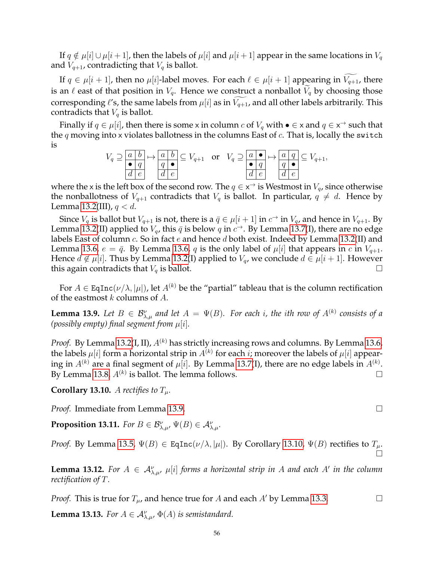If  $q \notin \mu[i] \cup \mu[i+1]$ , then the labels of  $\mu[i]$  and  $\mu[i+1]$  appear in the same locations in  $V_q$ and  $V_{q+1}$ , contradicting that  $V_q$  is ballot.

If  $q \in \mu[i+1]$ , then no  $\mu[i]$ -label moves. For each  $\ell \in \mu[i+1]$  appearing in  $V_{q+1}$ , there is an  $\ell$  east of that position in  $V_q$ . Hence we construct a nonballot  $\widetilde{V}_q$  by choosing those corresponding  $\ell'$ s, the same labels from  $\mu[i]$  as in  $\widetilde{V_{q+1}}$ , and all other labels arbitrarily. This contradicts that  $V_q$  is ballot.

Finally if  $q \in \mu[i]$ , then there is some x in column  $c$  of  $V_q$  with  $\bullet \in \times$  and  $q \in \times \rightarrow$  such that the q moving into x violates ballotness in the columns East of  $c$ . That is, locally the switch is

$$
V_q \supseteq \frac{a \mid b}{q \mid e} \mapsto \frac{a \mid b}{q \mid e} \subseteq V_{q+1} \quad \text{or} \quad V_q \supseteq \frac{a \mid \bullet}{q \mid e} \mapsto \frac{a \mid q}{q \mid \bullet} \subseteq V_{q+1},
$$

where the x is the left box of the second row. The  $q \in \mathsf{x}^{\rightarrow}$  is Westmost in  $V_q$ , since otherwise the nonballotness of  $V_{q+1}$  contradicts that  $V_q$  is ballot. In particular,  $q \neq d$ . Hence by Lemma [13.2\(](#page-53-0)III),  $q < d$ .

Since  $V_q$  is ballot but  $V_{q+1}$  is not, there is a  $\bar{q} \in \mu[i+1]$  in  $c^{\rightarrow}$  in  $V_q$ , and hence in  $V_{q+1}$ . By Lemma [13.2\(](#page-53-0)II) applied to  $V_q$ , this  $\bar{q}$  is below  $q$  in  $c^{\rightarrow}$ . By Lemma [13.7\(](#page-54-1)I), there are no edge labels East of column  $c$ . So in fact  $e$  and hence  $d$  both exist. Indeed by Lemma [13.2\(](#page-53-0)II) and Lemma [13.6,](#page-54-0)  $e = \bar{q}$ . By Lemma 13.6, q is the only label of  $\mu[i]$  that appears in c in  $V_{q+1}$ . Hence  $d \notin \mu[i]$ . Thus by Lemma [13.2\(](#page-53-0)I) applied to  $V_q$ , we conclude  $d \in \mu[i+1]$ . However this again contradicts that  $V_q$  is ballot.

For  $A \in \text{EqInc}(\nu/\lambda, |\mu|)$ , let  $A^{(k)}$  be the "partial" tableau that is the column rectification of the eastmost  $k$  columns of  $A$ .

<span id="page-55-0"></span>**Lemma 13.9.** Let  $B \in \mathcal{B}_{\lambda,\mu}^{\nu}$  and let  $A = \Psi(B)$ . For each i, the ith row of  $A^{(k)}$  consists of a *(possibly empty) final segment from*  $\mu[i]$ *.* 

*Proof.* By Lemma [13.2\(](#page-53-0)I, II),  $A^{(k)}$  has strictly increasing rows and columns. By Lemma [13.6,](#page-54-0) the labels  $\mu[i]$  form a horizontal strip in  $A^{(k)}$  for each  $i$ ; moreover the labels of  $\mu[i]$  appearing in  $A^{(k)}$  are a final segment of  $\mu[i].$  By Lemma [13.7\(](#page-54-1)I), there are no edge labels in  $A^{(k)}.$ By Lemma [13.8,](#page-54-2)  $A^{(k)}$  is ballot. The lemma follows.

<span id="page-55-1"></span>**Corollary 13.10.** A rectifies to  $T_\mu$ .

*Proof.* Immediate from Lemma [13.9.](#page-55-0)

<span id="page-55-4"></span>**Proposition 13.11.** *For*  $B \in \mathcal{B}_{\lambda,\mu}^{\nu}$ ,  $\Psi(B) \in \mathcal{A}_{\lambda,\mu}^{\nu}$ .

*Proof.* By Lemma [13.5,](#page-54-3)  $\Psi(B) \in \text{EqInc}(\nu/\lambda, |\mu|)$ . By Corollary [13.10,](#page-55-1)  $\Psi(B)$  rectifies to  $T_{\mu}$ . П

<span id="page-55-2"></span>**Lemma 13.12.** For  $A \in \mathcal{A}_{\lambda,\mu}^{\nu}$ ,  $\mu[i]$  *forms a horizontal strip in* A and each A' *in the column rectification of* T*.*

*Proof.* This is true for  $T_u$ , and hence true for A and each A' by Lemma [13.3.](#page-53-2)

<span id="page-55-3"></span>**Lemma 13.13.** *For*  $A \in \mathcal{A}_{\lambda,\mu}^{\nu}$ ,  $\Phi(A)$  *is semistandard.*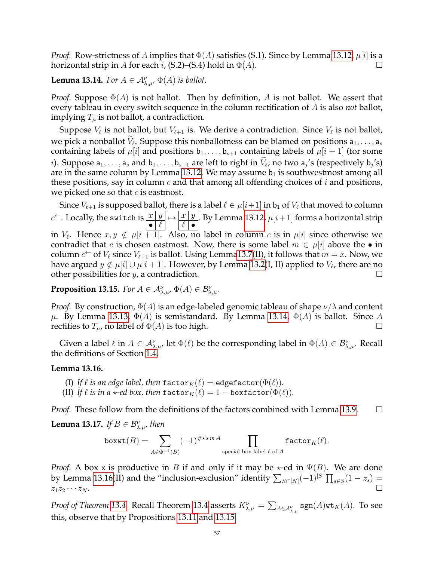*Proof.* Row-strictness of A implies that  $\Phi(A)$  satisfies (S.1). Since by Lemma [13.12,](#page-55-2)  $\mu[i]$  is a horizontal strip in A for each *i*, (S.2)–(S.4) hold in  $\Phi(A)$ .

# <span id="page-56-0"></span>**Lemma 13.14.** *For*  $A \in \mathcal{A}_{\lambda,\mu}^{\nu}$ ,  $\Phi(A)$  *is ballot.*

*Proof.* Suppose  $\Phi(A)$  is not ballot. Then by definition, A is not ballot. We assert that every tableau in every switch sequence in the column rectification of A is also *not* ballot, implying  $T_{\mu}$  is not ballot, a contradiction.

Suppose  $V_{\ell}$  is not ballot, but  $V_{\ell+1}$  is. We derive a contradiction. Since  $V_{\ell}$  is not ballot, we pick a nonballot  $V_{\ell}$ . Suppose this nonballotness can be blamed on positions  $a_1, \ldots, a_s$ containing labels of  $\mu[i]$  and positions  $b_1, \ldots, b_{s+1}$  containing labels of  $\mu[i+1]$  (for some *i*). Suppose  $a_1, \ldots, a_s$  and  $b_1, \ldots, b_{s+1}$  are left to right in  $V_{\ell}$ ; no two  $a_j$ 's (respectively  $b_j$ 's) are in the same column by Lemma [13.12.](#page-55-2) We may assume  $b_1$  is southwestmost among all these positions, say in column  $c$  and that among all offending choices of  $i$  and positions, we picked one so that  $c$  is eastmost.

Since  $V_{\ell+1}$  is supposed ballot, there is a label  $\ell \in \mu[i+1]$  in  $b_1$  of  $V_{\ell}$  that moved to column  $c^{\leftarrow}$ . Locally, the switch is  $\boxed{x/y}$  $\bullet$   $\ell$  $\mapsto$   $\frac{x}{y}$  $\ell$  • . By Lemma [13.12,](#page-55-2)  $\mu[i+1]$  forms a horizontal strip in  $V_{\ell}$ . Hence  $x, y \notin \mu[i + 1]$ . Also, no label in column  $c$  is in  $\mu[i]$  since otherwise we contradict that c is chosen eastmost. Now, there is some label  $m \in \mu[i]$  above the • in column  $c^{\leftarrow}$  of  $V_{\ell}$  since  $V_{\ell+1}$  is ballot. Using Lemm[a13.7\(](#page-54-1)II), it follows that  $m = x$ . Now, we have argued  $y \notin \mu[i] \cup \mu[i+1]$ . However, by Lemma [13.2\(](#page-53-0)I, II) applied to  $V_\ell$ , there are no other possibilities for *y*, a contradiction.  $\square$ 

<span id="page-56-2"></span>**Proposition 13.15.** *For*  $A \in \mathcal{A}_{\lambda,\mu}^{\nu}$ ,  $\Phi(A) \in \mathcal{B}_{\lambda,\mu}^{\nu}$ .

*Proof.* By construction,  $\Phi(A)$  is an edge-labeled genomic tableau of shape  $\nu/\lambda$  and content  $\mu$ . By Lemma [13.13,](#page-55-3) Φ(A) is semistandard. By Lemma [13.14,](#page-56-0) Φ(A) is ballot. Since A rectifies to  $T_{\mu}$ , no label of  $\Phi(A)$  is too high.

Given a label  $\ell$  in  $A \in \mathcal{A}_{\lambda,\mu}^{\nu}$ , let  $\Phi(\ell)$  be the corresponding label in  $\Phi(A) \in \mathcal{B}_{\lambda,\mu}^{\nu}$ . Recall the definitions of Section [1.4.](#page-3-0)

### <span id="page-56-1"></span>**Lemma 13.16.**

- (I) If  $\ell$  *is an edge label, then* factor $_K(\ell) =$  edgefactor( $\Phi(\ell)$ ).
- (II) If  $\ell$  *is in a*  $\star$ *-ed box, then* factor $_K(\ell) = 1 -$  boxfactor( $\Phi(\ell)$ ).

*Proof.* These follow from the definitions of the factors combined with Lemma [13.9.](#page-55-0)  $\Box$ 

<span id="page-56-3"></span>**Lemma 13.17.** If  $B \in \mathcal{B}_{\lambda,\mu}^{\nu}$ , then

$$
\mathtt{boxwt}(B)=\sum_{A\in \Phi^{-1}(B)} (-1)^{\#\star'\!\!\operatorname{s\mathit{in}} A}\prod_{\text{special box label }\ell\text{ of }A}\mathtt{factor}_K(\ell).
$$

*Proof.* A box x is productive in B if and only if it may be  $\star$ -ed in  $\Psi(B)$ . We are done by Lemma [13.16\(](#page-56-1)II) and the "inclusion-exclusion" identity  $\sum_{S \subset [N]} (-1)^{|S|} \prod_{s \in S} (1-z_s) =$  $z_1z_2\cdots z_N$ .

*Proof of Theorem [13.4.](#page-53-1)* Recall Theorem [13.4](#page-53-1) asserts  $K^\nu_{\lambda,\mu} = \sum_{A\in {\cal A}_{\lambda,\mu}^\nu} {\sf sgn}(A)$ wt $_K(A)$ . To see this, observe that by Propositions [13.11](#page-55-4) and [13.15,](#page-56-2)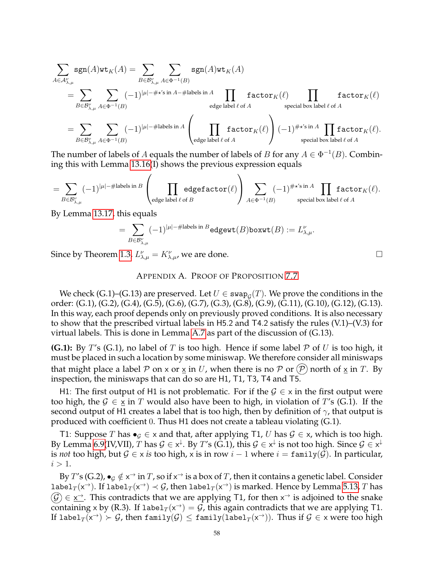$$
\begin{split} &\sum_{A\in\mathcal{A}_{\lambda,\mu}^{\nu}}\text{sgn}(A)\text{wt}_{K}(A)=\sum_{B\in\mathcal{B}_{\lambda,\mu}^{\nu}}\sum_{A\in\Phi^{-1}(B)}\text{sgn}(A)\text{wt}_{K}(A)\\ &=\sum_{B\in\mathcal{B}_{\lambda,\mu}^{\nu}}\sum_{A\in\Phi^{-1}(B)}(-1)^{|\mu|-\#\star'\text{s in }A-\#\text{labels in }A}\prod_{\text{edge label }\ell\text{ of }A}\text{factor}_{K}(\ell)\prod_{\text{special box label }\ell\text{ of }A}\text{factor}_{K}(\ell)\\ &=\sum_{B\in\mathcal{B}_{\lambda,\mu}^{\nu}}\sum_{A\in\Phi^{-1}(B)}(-1)^{|\mu|-\#\text{labels in }A}\left(\prod_{\text{edge label }\ell\text{ of }A}\text{factor}_{K}(\ell)\right)(-1)^{\#\star'\text{s in }A}\prod_{\text{special box label }\ell\text{ of }A}\text{factor}_{K}(\ell). \end{split}
$$

The number of labels of A equals the number of labels of B for any  $A \in \Phi^{-1}(B)$ . Combining this with Lemma [13.16\(](#page-56-1)I) shows the previous expression equals

$$
=\sum_{B\in {\cal B}_{\lambda,\mu}^{\nu}}(-1)^{|\mu|-\#\text{labels in }B}\left(\prod_{\text{edge label }\ell\text{ of }B}\text{edgefactor}(\ell)\right)\sum_{A\in \Phi^{-1}(B)}(-1)^{\#\star'\text{s in }A}\prod_{\text{special box label }\ell\text{ of }A}\text{factor}_K(\ell).
$$

By Lemma [13.17,](#page-56-3) this equals

$$
=\sum_{B\in {\mathcal B}_{\lambda,\mu}^{\nu}}(-1)^{|\mu|-\#{\rm labels\ in\ }B}{\rm edgewt}(B){\rm boxwt}(B):=L_{\lambda,\mu}^{\nu}.
$$

Since by Theorem [1.3,](#page-4-2)  $L^{\nu}_{\lambda,\mu} = K^{\nu}_{\lambda,\mu}$ , we are done.

### APPENDIX A. PROOF OF PROPOSITION [7.7](#page-21-2)

We check (G.1)–(G.13) are preserved. Let  $U \in \mathtt{swap}_\mathcal{G}(T).$  We prove the conditions in the order: (G.1), (G.2), (G.4), (G.5), (G.6), (G.7), (G.3), (G.8), (G.9), (G.11), (G.10), (G.12), (G.13). In this way, each proof depends only on previously proved conditions. It is also necessary to show that the prescribed virtual labels in H5.2 and T4.2 satisfy the rules (V.1)–(V.3) for virtual labels. This is done in Lemma [A.7](#page-69-0) as part of the discussion of (G.13).

**(G.1):** By T's (G.1), no label of T is too high. Hence if some label  $P$  of U is too high, it must be placed in such a location by some miniswap. We therefore consider all miniswaps that might place a label P on x or  $\underline{x}$  in U, when there is no P or  $(\mathcal{P})$  north of  $\underline{x}$  in T. By inspection, the miniswaps that can do so are H1, T1, T3, T4 and T5.

H1: The first output of H1 is not problematic. For if the  $\mathcal{G} \in \times$  in the first output were too high, the  $G \in \underline{x}$  in T would also have been to high, in violation of T's (G.1). If the second output of H1 creates a label that is too high, then by definition of  $\gamma$ , that output is produced with coefficient 0. Thus H1 does not create a tableau violating (G.1).

T1: Suppose T has  $\bullet$ <sub>G</sub> ∈ x and that, after applying T1, U has  $\mathcal{G}$  ∈ x, which is too high. By Lemma [6.9\(](#page-17-0)IV,VII),  $T$  has  $\mathcal{G}\in\mathsf{x}^\downarrow$ . By  $T'$ s (G.1), this  $\mathcal{G}\in\mathsf{x}^\downarrow$  is not too high. Since  $\mathcal{G}\in\mathsf{x}^\downarrow$ is *not* too high, but  $G \in x$  *is* too high, x is in row  $i - 1$  where  $i = \text{family}(G)$ . In particular,  $i > 1$ .

By T's (G.2),  $\bullet_G \notin x^{\to}$  in  $T$ , so if  $x^{\to}$  is a box of  $T$ , then it contains a genetic label. Consider label $_T(x^{\to})$ . If label $_T(x^{\to}) \prec \mathcal{G}$ , then label $_T(x^{\to})$  is marked. Hence by Lemma [5.13,](#page-14-1)  $T$  has  $\mathcal{G}(\mathcal{G}) \in \underline{x}^{\rightarrow}$ . This contradicts that we are applying T1, for then  $x^{\rightarrow}$  is adjoined to the snake containing x by (R.3). If label $_T(x^{\rightarrow}) = G$ , this again contradicts that we are applying T1. If label $_T(\mathsf{x}^\rightarrow) \succ \mathcal{G}$ , then family $(\mathcal{G})\leq \mathsf{family}(\mathtt{label}_T(\mathsf{x}^\rightarrow)).$  Thus if  $\mathcal{G}\in \mathsf{x}$  were too high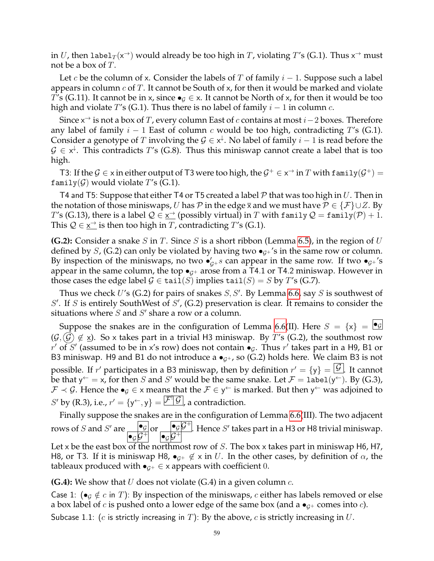in  $U$ , then label $_T(\mathsf{x}^\rightarrow)$  would already be too high in  $T$ , violating  $T'$ s (G.1). Thus  $\mathsf{x}^\rightarrow$  must not be a box of T.

Let c be the column of x. Consider the labels of T of family  $i - 1$ . Suppose such a label appears in column  $c$  of T. It cannot be South of x, for then it would be marked and violate T's (G.11). It cannot be in x, since  $\bullet$ <sub>G</sub>  $\in$  x. It cannot be North of x, for then it would be too high and violate T's (G.1). Thus there is no label of family  $i-1$  in column c.

Since x<sup>→</sup> is not a box of T, every column East of  $c$  contains at most  $i-2$  boxes. Therefore any label of family  $i - 1$  East of column c would be too high, contradicting T's (G.1). Consider a genotype of T involving the  $\mathcal{G} \in \mathsf{x}^{\downarrow}$ . No label of family  $i-1$  is read before the  $\mathcal{G} \in \mathsf{x}^{\downarrow}$ . This contradicts T's (G.8). Thus this miniswap cannot create a label that is too high.

T3: If the  $G \in \times$  in either output of T3 were too high, the  $G^+ \in \times^{\to}$  in  $T$  with family $(G^+)$  = family( $G$ ) would violate T's (G.1).

T4 and T5: Suppose that either T4 or T5 created a label P that was too high in U. Then in the notation of those miniswaps, U has P in the edge  $\overline{x}$  and we must have  $\mathcal{P} \in \{\mathcal{F}\} \cup \mathcal{Z}$ . By T's (G.13), there is a label  $Q \in \underline{x}^{\rightarrow}$  (possibly virtual) in T with family  $Q = \text{family}(P) + 1$ . This  $Q \in \underline{x}^{\rightarrow}$  is then too high in T, contradicting T's (G.1).

**(G.2):** Consider a snake S in T. Since S is a short ribbon (Lemma [6.5\)](#page-15-0), in the region of U defined by S, (G.2) can only be violated by having two  $\bullet$ <sub>G+</sub>'s in the same row or column. By inspection of the miniswaps, no two  $\bullet'_{\mathcal{G}^+} s$  can appear in the same row. If two  $\bullet_{\mathcal{G}^+} s$ appear in the same column, the top  $\bullet$ <sub>G+</sub> arose from a T4.1 or T4.2 miniswap. However in those cases the edge label  $G \in \text{tail}(S)$  implies  $\text{tail}(S) = S$  by T's (G.7).

Thus we check  $U$ 's (G.2) for pairs of snakes  $S, S'$ . By Lemma [6.6,](#page-16-0) say  $S$  is southwest of  $S'$ . If S is entirely SouthWest of  $S'$ , (G.2) preservation is clear. It remains to consider the situations where  $S$  and  $S'$  share a row or a column.

Suppose the snakes are in the configuration of Lemma [6.6\(](#page-16-0)II). Here  $S = \{x\} = \bigcirc$  $(\mathcal{G}, \mathcal{G}) \notin \mathsf{x}$ ). So x takes part in a trivial H3 miniswap. By T's (G.2), the southmost row  $r'$  of  $S'$  (assumed to be in x's row) does not contain  $\bullet_{\mathcal{G}}$ . Thus  $r'$  takes part in a H9, B1 or B3 miniswap. H9 and B1 do not introduce a  $\bullet$ <sub>*G+</sub>*, so (G.2) holds here. We claim B3 is not</sub> possible. If  $r'$  participates in a B3 miniswap, then by definition  $r'=\{\mathsf{y}\}=\boxed{\mathcal{G}}$  . It cannot be that  $y^{\leftarrow} = x$ , for then S and S' would be the same snake. Let  $\mathcal{F} = \texttt{label}(y^{\leftarrow})$ . By (G.3),  $\mathcal{F} \prec \mathcal{G}$ . Hence the  $\bullet_\mathcal{G} \in X$  means that the  $\mathcal{F} \in y^\leftarrow$  is marked. But then  $y^\leftarrow$  was adjoined to  $S'$  by (R.3), i.e.,  $r' = \{y^{\leftarrow}, y\} = \boxed{\mathcal{F}^{\mathsf{T}} \mathcal{G}}$  , a contradiction.

Finally suppose the snakes are in the configuration of Lemma [6.6\(](#page-16-0)III). The two adjacent rows of S and S' are  $\frac{\bullet}{\bullet}$  $\frac{\bullet_{\mathcal{G}}}{\bullet_{\mathcal{G}}\mathcal{G}^+}$  or  $\frac{\bullet_{\mathcal{G}}\mathcal{G}^+}{\bullet_{\mathcal{G}}\mathcal{G}^+}$  $\frac{\log |\mathcal{G}|}{\log |\mathcal{G}|}$ . Hence S' takes part in a H3 or H8 trivial miniswap. Let x be the east box of the northmost row of  $S$ . The box x takes part in miniswap H6, H7, H8, or T3. If it is miniswap H8,  $\bullet_{G^+} \notin \times$  in U. In the other cases, by definition of  $\alpha$ , the tableaux produced with  $\bullet$ <sub>*G*+</sub>  $\in$  x appears with coefficient 0.

**(G.4):** We show that U does not violate (G.4) in a given column  $c$ .

Case 1: ( $\bullet$ <sub>G</sub>  $\notin$  c in T): By inspection of the miniswaps, c either has labels removed or else a box label of c is pushed onto a lower edge of the same box (and a  $\bullet_{G^+}$  comes into c).

Subcase 1.1: (c is strictly increasing in T): By the above, c is strictly increasing in  $U$ .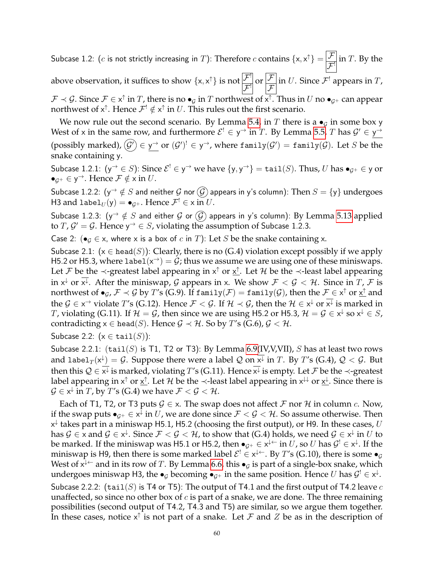Subcase 1.2: ( $c$  is not strictly increasing in  $T$ ): Therefore  $c$  contains  $\{ {\sf x},{\sf x}^\uparrow\} = \begin{bmatrix} \mathcal{F} & {} \mathcal{F} \end{bmatrix}$  $\frac{\mathcal{F}}{\mathcal{F}}$  in T. By the

above observation, it suffices to show  $\{x, x^{\uparrow}\}$  is not  $\overline{\mathcal{F}}$  $\frac{\mathcal{F}^!}{\mathcal{F}^!}$  or  $\frac{\mathcal{F}}{\mathcal{F}^!}$  $\mathcal{F}_{0}$ in  $U$ . Since  $\mathcal{F}^!$  appears in  $T$ ,

 $\mathcal{F}\prec\mathcal{G}$ . Since  $\mathcal{F}\in\times^{\uparrow}$  in  $T$ , there is no  $\bullet_{\mathcal{G}}$  in  $T$  northwest of  $\overline{\times^{\uparrow}}$ . Thus in  $U$  no  $\bullet_{\mathcal{G}^+}$  can appear northwest of  $x^\uparrow$ . Hence  $\mathcal{F}^! \notin x^\uparrow$  in  $U.$  This rules out the first scenario.

We now rule out the second scenario. By Lemma [5.4,](#page-13-0) in T there is a  $\bullet$ <sub>G</sub> in some box y West of x in the same row, and furthermore  $\mathcal{E}^! \in y^\to$  in  $T$ . By Lemma [5.5,](#page-13-1)  $T$  has  $\mathcal{G}' \in y^\to$ (possibly marked),  $(\mathcal{G}')\in$  y $\rightarrow$  or  $(\mathcal{G}')^! \in$  y $\rightarrow$ , where <code>family( $\mathcal{G}')=$ </code> <code>family( $\mathcal{G}$ ). Let  $S$  be the</code> snake containing y.

Subcase 1.2.1:  $({\sf y}^\to\in S)$ : Since  ${\cal E}^! \in {\sf y}^\to$  we have  $\{{\sf y},{\sf y}^\to\} = \texttt{tail}(S).$  Thus,  $U$  has  $\bullet_{\cal G^+}\in {\sf y}$  or  $\bullet_{\mathcal{G}^+}\in \mathsf{y}^{\to}$ . Hence  $\mathcal{F}\notin \mathsf{x}$  in  $U$ .

Subcase 1.2.2:  $(y^{\rightarrow} \notin S$  and neither G nor  $\widehat{G}$  appears in y's column): Then  $S = \{y\}$  undergoes H3 and label $_{U}(\mathsf{y})=\bullet_{\mathcal{G}^+}.$  Hence  $\mathcal{F}^!\in\mathsf{x}$  in  $U.$ 

Subcase 1.2.3:  $(y^{\rightarrow} \notin S$  and either G or  $(\widehat{G})$  appears in y's column): By Lemma [5.13](#page-14-1) applied to  $T$ ,  $\mathcal{G}' = \mathcal{G}$ . Hence  $y^{\rightarrow} \in S$ , violating the assumption of Subcase 1.2.3.

Case 2: ( $\bullet$ <sub>G</sub>  $\in$  x, where x is a box of c in T): Let S be the snake containing x.

Subcase 2.1:  $(x \in head(S))$ : Clearly, there is no (G.4) violation except possibly if we apply H5.2 or H5.3, where label $(x^{\rightarrow}) = G$ ; thus we assume we are using one of these miniswaps. Let  $\mathcal F$  be the  $\prec$ -greatest label appearing in  $x^{\uparrow}$  or  $\underline{x}^{\uparrow}$ . Let  $\mathcal H$  be the  $\prec$ -least label appearing in  $x^{\downarrow}$  or  $\overline{x^{\downarrow}}$ . After the miniswap, G appears in x. We show  $\mathcal{F} < \mathcal{G} < \mathcal{H}$ . Since in  $T$ ,  $\mathcal{F}$  is northwest of  $\bullet_{\mathcal{G}}$ ,  $\mathcal{F}\prec\mathcal{G}$  by  $T'$ s (G.9). If  $\texttt{family}(\mathcal{F})=\texttt{family}(\mathcal{G})$ , then the  $\mathcal{F}\in\mathsf{x}^\uparrow$  or  $\underline{\mathsf{x}^\uparrow}$  and the  $\mathcal{G}\in$  x<sup>→</sup> violate T's (G.12). Hence  $\mathcal{F}<\mathcal{G}$ . If  $\mathcal{H}\prec\mathcal{G}$ , then the  $\mathcal{H}\in$  x<sup>↓</sup> or  $\overline{{\mathsf{x}^{\downarrow}}}$  is marked in T, violating (G.11). If  $\mathcal{H}=\mathcal{G}$ , then since we are using H5.2 or H5.3,  $\mathcal{H}=\mathcal{G}\in X^{\downarrow}$  so  $x^{\downarrow}\in S$ , contradicting  $x \in head(S)$ . Hence  $\mathcal{G} \prec \mathcal{H}$ . So by T's (G.6),  $\mathcal{G} \prec \mathcal{H}$ .

Subcase 2.2:  $(x \in \text{tail}(S))$ :

Subcase 2.2.1:  $(tail(S)$  is T1, T2 or T3): By Lemma [6.9\(](#page-17-0)IV, V, VII), S has at least two rows and label $_T(\mathsf{x}^{\downarrow})=\mathcal{G}.$  Suppose there were a label  $\mathcal Q$  on  $\overline{\mathsf{x}^{\downarrow}}$  in  $T.$  By  $T'$ s (G.4),  $\mathcal Q<\mathcal G.$  But then this  $\mathcal{Q}\in\mathsf{x}^\downarrow$  is marked, violating  $T'$ s (G.11). Hence  $\mathsf{x}^\downarrow$  is empty. Let  $\mathcal F$  be the  $\prec$ -greatest label appearing in x $\uparrow$  or  $\underline{x}^\uparrow$ . Let  ${\cal H}$  be the  $\prec$ -least label appearing in  $x^\downarrow$  or  $\underline{x}^\downarrow$ . Since there is  $\mathcal{G}\in\mathsf{x}^\downarrow$  in  $T$ , by  $T$ 's (G.4) we have  $\mathcal{F}<\mathcal{G}<\mathcal{H}.$ 

Each of T1, T2, or T3 puts  $G \in \mathsf{x}$ . The swap does not affect  $\mathcal F$  nor  $\mathcal H$  in column  $c$ . Now, if the swap puts  $\bullet_{\mathcal{G}^+}\in\mathsf{x}^\downarrow$  in  $U$ , we are done since  $\mathcal{F}<\mathcal{G}<\mathcal{H}.$  So assume otherwise. Then  $\mathsf{x}^{\downarrow}$  takes part in a miniswap H5.1, H5.2 (choosing the first output), or H9. In these cases,  $U$ has  $\mathcal{G}\in$  x and  $\mathcal{G}\in$  x $^\downarrow$ . Since  $\mathcal{F}<\mathcal{G}<\mathcal{H}$ , to show that (G.4) holds, we need  $\mathcal{G}\in$  x $^\downarrow$  in  $U$  to be marked. If the miniswap was H5.1 or H5.2, then  $\bullet_{\mathcal{G}^+}\in\mathsf{x}^{\downarrow\leftarrow}$  in  $U$ , so  $U$  has  $\mathcal{G}^!\in\mathsf{x}^{\downarrow}$ . If the miniswap is H9, then there is some marked label  $\mathcal{E}^! \in \mathsf{x}^{\downarrow\leftarrow}$ . By  $T$ 's (G.10), there is some  $\bullet_{\mathcal{G}}$ West of  $x^{\downarrow\leftarrow}$  and in its row of  $T.$  By Lemma [6.6,](#page-16-0) this  $\bullet_{\mathcal{G}}$  is part of a single-box snake, which undergoes miniswap H3, the  $\bullet_{\mathcal{G}}$  becoming  $\bullet_{\mathcal{G}^+}$  in the same position. Hence  $U$  has  $\mathcal{G}^!\in\!\mathsf{x}^\downarrow$ . Subcase 2.2.2: (tail(S) is T4 or T5): The output of T4.1 and the first output of T4.2 leave c unaffected, so since no other box of  $c$  is part of a snake, we are done. The three remaining possibilities (second output of T4.2, T4.3 and T5) are similar, so we argue them together. In these cases, notice  $x^{\uparrow}$  is not part of a snake. Let  ${\cal F}$  and  $Z$  be as in the description of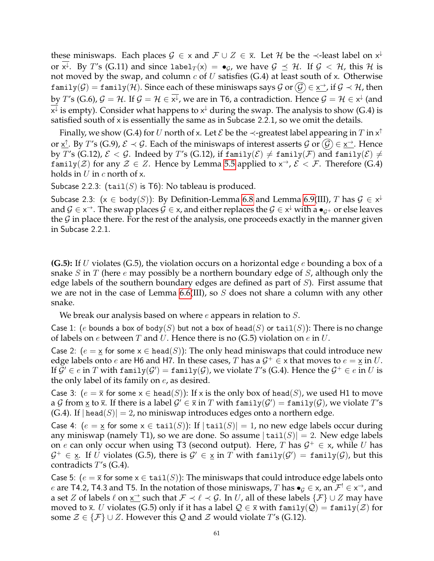these miniswaps. Each places  $G \in X$  and  $\mathcal{F} \cup Z \in \overline{X}$ . Let  $\mathcal{H}$  be the  $\prec$ -least label on  $x^{\downarrow}$ or  $x^{\downarrow}$ . By  $T'$ s (G.11) and since label $_T(x) = \bullet_G$ , we have  $\mathcal{G} \preceq \mathcal{H}$ . If  $\mathcal{G} < \mathcal{H}$ , this  $\mathcal{H}$  is not moved by the swap, and column  $c$  of  $U$  satisfies (G.4) at least south of x. Otherwise <code>family(G)</code>  $=$  <code>family(H).</code> Since each of these miniswaps says G or  $\widehat{\cal G}$   $\in$   $\underline{\mathsf{x}}^\to$ , if  $\cal G$   $\prec$   $\cal H$ , then by  $T$ 's (G.6),  $\mathcal{G}=\mathcal{H}.$  If  $\mathcal{G}=\mathcal{H}\in\overline{\mathsf{x}^{\downarrow}}$ , we are in T6, a contradiction. Hence  $\mathcal{G}=\mathcal{H}\in\mathsf{x}^{\downarrow}$  (and  $\overline{\mathsf{x}^{\downarrow}}$  is empty). Consider what happens to  $\mathsf{x}^{\downarrow}$  during the swap. The analysis to show (G.4) is satisfied south of x is essentially the same as in Subcase 2.2.1, so we omit the details.

Finally, we show (G.4) for  $U$  north of x. Let  ${\cal E}$  be the  $\prec$ -greatest label appearing in  $T$  in  $\mathsf{x}^\uparrow$ or  $\underline{x}^{\uparrow}$ . By T's (G.9),  $\mathcal{E} \prec \mathcal{G}$ . Each of the miniswaps of interest asserts  $\mathcal{G}$  or  $(\mathcal{G}) \in \underline{x^{\to}}$ . Hence by T's (G.12),  $\mathcal{E} < \mathcal{G}$ . Indeed by T's (G.12), if family( $\mathcal{E}$ )  $\neq$  family( $\mathcal{F}$ ) and family( $\mathcal{E}$ )  $\neq$ family( $\mathcal{Z}$ ) for any  $\mathcal{Z} \in \mathbb{Z}$ . Hence by Lemma [5.5](#page-13-1) applied to  $x^{\rightarrow}$ ,  $\mathcal{E} < \mathcal{F}$ . Therefore (G.4) holds in  $U$  in  $c$  north of x.

Subcase 2.2.3: (tail(S) is T6): No tableau is produced.

Subcase 2.3:  $(x \in \text{body}(S))$ : By Definition-Lemma [6.8](#page-17-1) and Lemma [6.9\(](#page-17-0)III),  $T$  has  $\mathcal{G} \in \mathsf{x}^\downarrow$ and  $\mathcal{G}\in$  x<sup>→</sup>. The swap places  $\mathcal{G}\in$  x, and either replaces the  $\mathcal{G}\in$  x<sup>↓</sup> with a  $\bullet_{\mathcal{G}^+}$  or else leaves the  $G$  in place there. For the rest of the analysis, one proceeds exactly in the manner given in Subcase 2.2.1.

**(G.5):** If U violates (G.5), the violation occurs on a horizontal edge e bounding a box of a snake S in T (here e may possibly be a northern boundary edge of S, although only the edge labels of the southern boundary edges are defined as part of  $S$ ). First assume that we are not in the case of Lemma [6.6\(](#page-16-0)III), so  $S$  does not share a column with any other snake.

We break our analysis based on where  $e$  appears in relation to  $S$ .

Case 1: (e bounds a box of body(S) but not a box of head(S) or tail(S)): There is no change of labels on e between T and U. Hence there is no  $(G.5)$  violation on e in U.

Case 2:  $(e = x \text{ for some } x \in \text{head}(S))$ : The only head miniswaps that could introduce new edge labels onto  $e$  are H6 and H7. In these cases,  $T$  has a  $\mathcal{G}^+ \in \times$  that moves to  $e = \underline{\mathsf{x}}$  in  $U.$ If  $\bar{\mathcal{G}}'\in e$  in  $T$  with  $\texttt{family}(\mathcal{G}')=\texttt{family}(\mathcal{G})$ , we violate  $T'$ s (G.4). Hence the  $\mathcal{G}^+\in e$  in  $U$  is the only label of its family on e, as desired.

Case 3:  $(e = \overline{x}$  for some  $x \in head(S)$ : If x is the only box of head(S), we used H1 to move a  $\mathcal G$  from  $\underline x$  to  $\overline x.$  If there is a label  $\mathcal G'\in\overline x$  in  $T$  with  $\mathtt{family}(\mathcal G')=\mathtt{family}(\mathcal G)$ , we violate  $T'$ s  $(G.4)$ . If  $|head(S)| = 2$ , no miniswap introduces edges onto a northern edge.

Case 4:  $(e = x \text{ for some } x \in \text{tail}(S))$ : If  $|\text{tail}(S)| = 1$ , no new edge labels occur during any miniswap (namely T1), so we are done. So assume  $|\text{tail}(S)| = 2$ . New edge labels on e can only occur when using T3 (second output). Here, T has  $\mathcal{G}^+ \in \mathsf{x}$ , while U has  $\mathcal{G}^+ \in \underline{\mathsf{x}}.$  If  $U$  violates (G.5), there is  $\mathcal{G}' \in \underline{\mathsf{x}}$  in  $T$  with  $\mathtt{family}(\mathcal{G}') = \mathtt{family}(\mathcal{G})$ , but this contradicts  $T$ 's (G.4).

Case 5:  $(e = \overline{x}$  for some  $x \in \text{tail}(S)$ ): The miniswaps that could introduce edge labels onto e are T4.2, T4.3 and T5. In the notation of those miniswaps,  $T$  has  $\bullet_G\in$  x, an  $\mathcal{F}^!\in$  x<sup>→</sup>, and a set  $Z$  of labels  $\ell$  on  $\underline{x}^\to$  such that  $\mathcal{F} \prec \ell \prec \mathcal{G}$ . In  $U$ , all of these labels  $\{\mathcal{F}\}\cup Z$  may have moved to  $\bar{x}$ . U violates (G.5) only if it has a label  $\mathcal{Q} \in \bar{x}$  with family( $\mathcal{Q}$ ) = family( $\mathcal{Z}$ ) for some  $\mathcal{Z} \in \{F\} \cup \mathcal{Z}$ . However this Q and  $\mathcal{Z}$  would violate T's (G.12).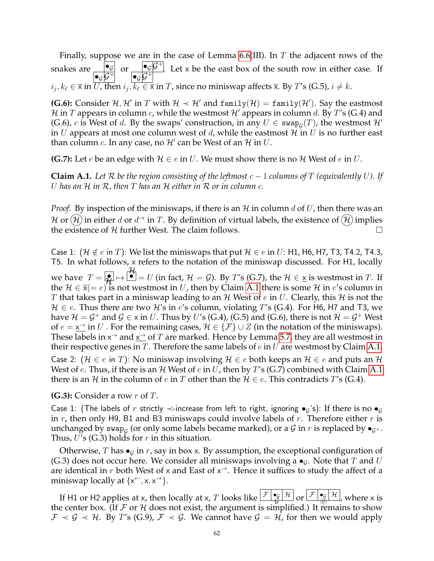Finally, suppose we are in the case of Lemma [6.6\(](#page-16-0)III). In  $T$  the adjacent rows of the snakes are  $\rule{1em}{0.15mm}$  $\begin{array}{cc} \bullet_G & \bullet_G \mathcal{G}^+ \\ \bullet_G \mathcal{G}^+ & \bullet_G \mathcal{G}^+ \end{array}$  $\frac{\log |G|}{\log |G|}$ . Let x be the east box of the south row in either case. If  $i_j, k_\ell \in \overline{\mathsf{x}}$  in  $U$ , then  $i_j, k_\ell \in \overline{\mathsf{x}}$  in  $T$ , since no miniswap affects  $\overline{\mathsf{x}}$ . By  $T'$ s (G.5),  $i \neq k$ .

**(G.6):** Consider  $H, H'$  in T with  $H \prec H'$  and  $f$  and  $f$ <sup>(H)</sup>) =  $f$  and  $f$ <sup>(H)</sup>). Say the eastmost H in T appears in column c, while the westmost H' appears in column d. By T's (G.4) and (G.6), c is West of d. By the swaps' construction, in any  $U \in \text{swap}_{\mathcal{G}}(T)$ , the westmost  $\mathcal{H}'$ in U appears at most one column west of d, while the eastmost  $\mathcal H$  in U is no further east than column  $c$ . In any case, no  $\mathcal{H}'$  can be West of an  $\mathcal{H}$  in  $U$ .

**(G.7):** Let *e* be an edge with  $H \in e$  in U. We must show there is no H West of *e* in U.

<span id="page-61-0"></span>**Claim A.1.** Let R be the region consisting of the leftmost  $c - 1$  columns of T (equivalently U). If U *has an* H *in* R*, then* T *has an* H *either in* R *or in column* c*.*

*Proof.* By inspection of the miniswaps, if there is an  $H$  in column d of U, then there was an  ${\cal H}$  or  $({\cal H})$  in either  $d$  or  $d^{\rightarrow}$  in  $T.$  By definition of virtual labels, the existence of  $({\cal H})$  implies the existence of  $H$  further West. The claim follows.

Case 1:  $(H \notin e$  in T): We list the miniswaps that put  $H \in e$  in U: H1, H6, H7, T3, T4.2, T4.3, T5. In what follows, x refers to the notation of the miniswap discussed. For H1, locally we have  $T = \frac{1}{H} \mapsto \frac{H}{L} = U$ (in fact,  $\mathcal{H} = \mathcal{G}$ ). By T's (G.7), the  $\mathcal{H} \in \underline{x}$  is westmost in T. If the  $\mathcal{H} \in \bar{\mathsf{x}} (= e)^{t}$  is not westmost in U, then by Claim [A.1](#page-61-0) there is some  $\mathcal{H}$  in  $e$ 's column in T that takes part in a miniswap leading to an H West of e in U. Clearly, this H is not the  $H \in e$ . Thus there are two H's in e's column, violating T's (G.4). For H6, H7 and T3, we have  $\mathcal{H}=\mathcal{G}^+$  and  $\mathcal{G}\in$  x in  $U.$  Thus by  $U'$ s (G.4), (G.5) and (G.6), there is not  $\mathcal{H}=\mathcal{G}^+$  West of  $e = \underline{x}^{\rightarrow}$  in U. For the remaining cases,  $\mathcal{H} \in {\{\mathcal{F}\}} \cup Z$  (in the notation of the miniswaps). These labels in  $x^{\rightarrow}$  and  $x^{\rightarrow}$  of  $T$  are marked. Hence by Lemma [5.7,](#page-13-3) they are all westmost in their respective genes in  $T$ . Therefore the same labels of  $e$  in  $U$  are westmost by Claim [A.1.](#page-61-0) Case 2: ( $\mathcal{H} \in e$  in T): No miniswap involving  $\mathcal{H} \in e$  both keeps an  $\mathcal{H} \in e$  and puts an  $\mathcal{H}$ West of e. Thus, if there is an  $H$  West of e in U, then by T's (G.7) combined with Claim [A.1](#page-61-0) there is an H in the column of e in T other than the  $H \in e$ . This contradicts T's (G.4).

**(G.3):** Consider a row r of T.

Case 1: (The labels of r strictly  $\prec$ -increase from left to right, ignoring  $\bullet_g$ 's): If there is no  $\bullet_g$ in  $r$ , then only H9, B1 and B3 miniswaps could involve labels of  $r$ . Therefore either  $r$  is unchanged by swap $_{\mathcal{G}}$  (or only some labels became marked), or a  $\mathcal G$  in  $r$  is replaced by  $\bullet_{\mathcal{G}^+}.$ Thus,  $U$ 's (G.3) holds for r in this situation.

Otherwise, T has  $\bullet$ <sub>G</sub> in r, say in box x. By assumption, the exceptional configuration of (G.3) does not occur here. We consider all miniswaps involving a  $\bullet$ <sub>G</sub>. Note that T and U are identical in r both West of x and East of  $x^{\rightarrow}$ . Hence it suffices to study the affect of a miniswap locally at  $\{x^{\leftarrow}, x, x^{\rightarrow}\}.$ 

If H1 or H2 applies at x, then locally at x, T looks like  $\frac{\mathcal{F}|\bullet_{\mathcal{G}}|\mathcal{H}}{\mathcal{G}}$  $\operatorname{or}$   $\mathcal{F}$ G)  $\frac{\mathcal{H}}{\mathcal{H}}$ , where x is the center box. (If  $\mathcal F$  or  $\mathcal H$  does not exist, the argument is simplified.) It remains to show  $\mathcal{F} \prec \mathcal{G} \prec \mathcal{H}$ . By T's (G.9),  $\mathcal{F} \prec \mathcal{G}$ . We cannot have  $\mathcal{G} = \mathcal{H}$ , for then we would apply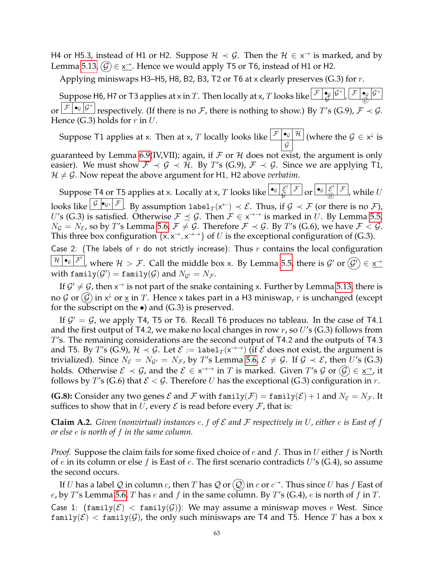H4 or H5.3, instead of H1 or H2. Suppose  $\mathcal{H} \prec \mathcal{G}$ . Then the  $\mathcal{H} \in x^{\rightarrow}$  is marked, and by Lemma [5.13,](#page-14-1)  $(\mathcal{G}) \in \underline{x}^{\rightarrow}$ . Hence we would apply T5 or T6, instead of H1 or H2.

Applying miniswaps H3–H5, H8, B2, B3, T2 or T6 at x clearly preserves  $(G.3)$  for r.

Suppose H6, H7 or T3 applies at x in T. Then locally at x, T looks like  $\mathcal{F}$ +  $\check{\mathcal{G}}$ ,  $\mathcal{F}\mid \bullet _{\mathcal{G}}|\mathcal{G}$ + G) or  $\boxed{\mathcal{F} \mid \bullet_{\mathcal{G}} \not \vert \mathcal{G}^+}$  respectively. (If there is no  $\mathcal{F}$ , there is nothing to show.) By T's (G.9),  $\mathcal{F} \prec \mathcal{G}$ . Hence (G.3) holds for  $r$  in  $U$ .

Suppose T1 applies at x. Then at x,  $T$  locally looks like  $\boxed{\mathcal{F} \bullet_\mathcal{G} \mathcal{H}}$  $\cal G$ (where the  $\mathcal{G} \in \mathsf{x}^{\downarrow}$  is

guaranteed by Lemma [6.9\(](#page-17-0)IV,VII); again, if  $\mathcal F$  or  $\mathcal H$  does not exist, the argument is only easier). We must show  $\mathcal{F} \prec \mathcal{G} \prec \mathcal{H}$ . By T's (G.9),  $\mathcal{F} \prec \mathcal{G}$ . Since we are applying T1,  $H \neq G$ . Now repeat the above argument for H1, H2 above *verbatim*.

Suppose T4 or T5 applies at x. Locally at x,  $T$  looks like  $\lceil \frac{\mathbf{e}_G}{G} \rceil \frac{\mathcal{E}^1}{\mathcal{F}}$  $\frac{\mathcal{E}^!}{\mathcal{G}}$   $\frac{\mathcal{F}}{\mathcal{G}}$  or  $\frac{\log |\mathcal{E}^!}{\mathcal{G}}$   $\frac{\mathcal{F}}{\mathcal{G}}$ , while  $U$ looks like  $\frac{|{\cal G}| \bullet_{{\cal G}^+}|{\cal F}|}{|{\cal G}^+|}$ . By assumption label $_T({\sf x}^\leftarrow)\prec{\cal E}.$  Thus, if  ${\cal G}\prec{\cal F}$  (or there is no  ${\cal F}$ ), U's (G.3) is satisfied. Otherwise  $\mathcal{F} \preceq \mathcal{G}$ . Then  $\mathcal{F} \in x^{\to\to}$  is marked in U. By Lemma [5.5,](#page-13-1)  $N_{\mathcal{G}} = N_{\mathcal{E}}$ , so by T's Lemma [5.6,](#page-13-2)  $\mathcal{F} \neq \mathcal{G}$ . Therefore  $\mathcal{F} \prec \mathcal{G}$ . By T's (G.6), we have  $\mathcal{F} \prec \mathcal{G}$ . This three box configuration  $\{x, x^{\rightarrow}, x^{\rightarrow\rightarrow}\}$  of U is the exceptional configuration of (G.3).

Case 2: (The labels of r do not strictly increase): Thus r contains the local configuration  $\frac{\mathcal{H} \,|\, \bullet_{\mathcal{G}} \,|\, \mathcal{F}^!}{\mathcal{F}}$  where  $\mathcal{H} > \mathcal{F}$ . Call the middle box x. By Lemma [5.5,](#page-13-1) there is  $\mathcal{G}'$  or  $\widehat{(\mathcal{G}')} \in \underline{\mathsf{x}}^{\to}$ with family $(\mathcal{G}') = \texttt{family}(\mathcal{G})$  and  $N_{\mathcal{G}'} = N_{\mathcal{F}}.$ 

If  $\mathcal{G}' \neq \mathcal{G}$ , then  $x^{\rightarrow}$  is not part of the snake containing x. Further by Lemma [5.13,](#page-14-1) there is no  $\mathcal G$  or  $(\mathcal G)$  in  $\mathsf x^\downarrow$  or  $\underline{\mathsf x}$  in  $T.$  Hence  $\mathsf x$  takes part in a H3 miniswap*,*  $r$  is unchanged (except for the subscript on the  $\bullet$ ) and (G.3) is preserved.

If  $\mathcal{G}' = \mathcal{G}$ , we apply T4, T5 or T6. Recall T6 produces no tableau. In the case of T4.1 and the first output of T4.2, we make no local changes in row  $r$ , so U's (G.3) follows from T's. The remaining considerations are the second output of T4.2 and the outputs of T4.3 and T5. By  $T'$ s (G.9),  $\mathcal{H}\prec\mathcal{G}$ . Let  $\mathcal{E}:=$  label $_T(\mathsf{x}^{\to\to})$  (if  $\mathcal E$  does not exist, the argument is trivialized). Since  $N_{\mathcal{E}} = N_{\mathcal{G}'} = N_{\mathcal{F}}$ , by T's Lemma [5.6,](#page-13-2)  $\mathcal{E} \neq \mathcal{G}$ . If  $\mathcal{G} \prec \mathcal{E}$ , then U's (G.3) holds. Otherwise  $\mathcal{E}\prec\mathcal{G}$ , and the  $\mathcal{E}\in$  x $\rightarrowtail$  in  $T$  is marked. Given  $T$ 's  $\mathcal{G}$  or  $(\mathcal{G})\in$  x $\rightarrowtail$ , it follows by T's (G.6) that  $\mathcal{E} < \mathcal{G}$ . Therefore U has the exceptional (G.3) configuration in r.

**(G.8):** Consider any two genes  $\mathcal E$  and  $\mathcal F$  with  $\text{family}(\mathcal F) = \text{family}(\mathcal E) + 1$  and  $N_{\mathcal E} = N_{\mathcal F}$ . It suffices to show that in U, every  $\mathcal E$  is read before every  $\mathcal F$ , that is:

**Claim A.2.** *Given (nonvirtual) instances*  $e, f$  *of*  $\mathcal E$  *and*  $\mathcal F$  *respectively in*  $U$ *, either*  $e$  *is East of*  $f$ *or else* e *is north of* f *in the same column.*

*Proof.* Suppose the claim fails for some fixed choice of e and f. Thus in U either f is North of e in its column or else f is East of e. The first scenario contradicts  $U$ 's (G.4), so assume the second occurs.

If  $U$  has a label  ${\cal Q}$  in column  $c$ , then  $T$  has  ${\cal Q}$  or  $({\cal Q})$  in  $c$  or  $c^{\to}.$  Thus since  $U$  has  $f$  East of e, by T's Lemma [5.6,](#page-13-2) T has e and f in the same column. By T's (G.4), e is north of f in T. Case 1:  $(family(\mathcal{E}) < family(\mathcal{G}))$ : We may assume a miniswap moves e West. Since  $\text{family}(\mathcal{E}) < \text{family}(\mathcal{G})$ , the only such miniswaps are T4 and T5. Hence T has a box x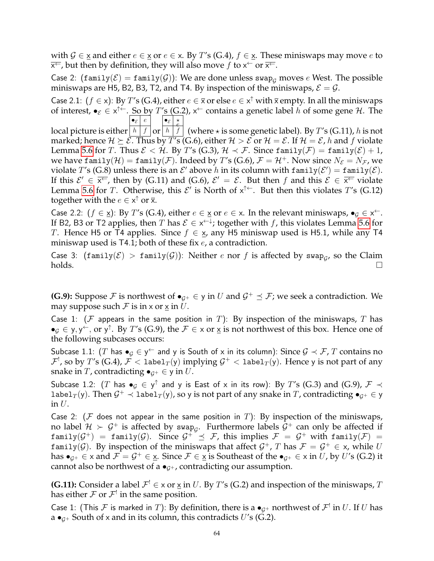with  $G \in X$  and either  $e \in X$  or  $e \in X$ . By T's (G.4),  $f \in X$ . These miniswaps may move e to  $\overline{x^{\leftarrow}}$ , but then by definition, they will also move  $f$  to  $x^{\leftarrow}$  or  $\overline{x^{\leftarrow}}$ .

Case 2:  $(\text{family}(\mathcal{E}) = \text{family}(\mathcal{G}))$ : We are done unless swap<sub>G</sub> moves e West. The possible miniswaps are H5, B2, B3, T2, and T4. By inspection of the miniswaps,  $\mathcal{E} = \mathcal{G}$ .

Case 2.1:  $(f \in x)$ : By T's (G.4), either  $e \in \overline{x}$  or else  $e \in x^{\uparrow}$  with  $\overline{x}$  empty. In all the miniswaps of interest,  $\bullet_{\mathcal{E}} \in x^{\uparrow \leftarrow}$ . So by  $T's$  (G.2),  $x^{\leftarrow}$  contains a genetic label h of some gene H. The  $\bullet_{\varepsilon}$   $\mid e \mid \neg \bullet_{\varepsilon}$   $\mid \star$ 

local picture is either $\left|\;h\;\right|\;f\;\left|\mathbf{or}\right|\;h\;\right|\;f$  $\stackrel{\stackrel{\sim}{e}}{f}$  (where  $\star$  is some genetic label). By  $T'$ s (G.11),  $h$  is not marked; hence  $\mathcal{H} \succeq \mathcal{E}$ . Thus by T's (G.6), either  $\mathcal{H} > \mathcal{E}$  or  $\mathcal{H} = \mathcal{E}$ . If  $\mathcal{H} = \mathcal{E}$ , h and f violate Lemma [5.6](#page-13-2) for T. Thus  $\mathcal{E} < \mathcal{H}$ . By T's (G.3),  $\mathcal{H} \prec \mathcal{F}$ . Since family( $\mathcal{F}$ ) = family( $\mathcal{E}$ ) + 1, we have family( $\mathcal{H}$ ) = family( $\mathcal{F}$ ). Indeed by T's (G.6),  $\mathcal{F} = \mathcal{H}^+$ . Now since  $N_{\mathcal{E}} = N_{\mathcal{F}}$ , we violate T's (G.8) unless there is an  $\mathcal{E}'$  above  $h$  in its column with family $(\mathcal{E}') = \texttt{family}(\mathcal{E}).$ If this  $\mathcal{E}' \in \overline{x^{\leftarrow}}$ , then by (G.11) and (G.6),  $\mathcal{E}' = \mathcal{E}$ . But then f and this  $\mathcal{E} \in \overline{x^{\leftarrow}}$  violate Lemma [5.6](#page-13-2) for T. Otherwise, this  $\mathcal{E}'$  is North of  $x^{\uparrow \leftarrow}$ . But then this violates T's (G.12) together with the  $e \in x^{\uparrow}$  or  $\overline{x}$ .

Case 2.2:  $(f \in \underline{x})$ : By T's (G.4), either  $e \in \underline{x}$  or  $e \in \underline{x}$ . In the relevant miniswaps,  $\bullet_g \in \underline{x}^+$ . If B2, B3 or T2 applies, then  $T$  has  $\mathcal{E} \in \mathsf{x}^{\leftarrow\downarrow}$ ; together with  $f$ , this violates Lemma [5.6](#page-13-2) for T. Hence H5 or T4 applies. Since  $f \in \mathbf{x}$ , any H5 miniswap used is H5.1, while any T4 miniswap used is  $T4.1$ ; both of these fix  $e$ , a contradiction.

Case 3:  $(\text{family}(\mathcal{E}) > \text{family}(\mathcal{G}))$ : Neither e nor f is affected by swap<sub>g</sub>, so the Claim  $holds.$ 

**(G.9):** Suppose  $\mathcal F$  is northwest of  $\bullet_{\mathcal G^+}\in\mathsf y$  in  $U$  and  $\mathcal G^+\preceq\mathcal F$ ; we seek a contradiction. We may suppose such  $\mathcal F$  is in x or  $\times$  in U.

Case 1: ( $F$  appears in the same position in T): By inspection of the miniswaps, T has  $\bullet_g \in y, y^\leftarrow$ , or y<sup> $\uparrow$ </sup>. By T's (G.9), the  $\mathcal{F} \in \times$  or  $\underline{\times}$  is not northwest of this box. Hence one of the following subcases occurs:

Subcase 1.1:  $(T$  has  $\bullet_{\mathcal{G}}\in$  y $\hookrightarrow$  and y is South of x in its column): Since  $\mathcal{G}\prec\mathcal{F},$   $T$  contains no  $\mathcal{F}^!$ , so by  $T'$ s (G.4),  $\mathcal{F}< 1$ abel $_T({\sf y})$  implying  $\mathcal{G}^+< 1$ abel $_T({\sf y}).$  Hence  ${\sf y}$  is not part of any snake in T, contradicting  $\bullet_{G^+} \in \mathsf{y}$  in U.

Subcase 1.2:  $(T$  has  $\bullet_G\in \mathsf{y}^\uparrow$  and y is East of x in its row): By  $T$ 's (G.3) and (G.9),  $\mathcal{F}\prec$ label $_T(y)$ . Then  $\mathcal{G}^+\prec1$ abel $_T(y)$ , so y is not part of any snake in  $T$ , contradicting  $\bullet_{\mathcal{G}^+}\in\mathsf{y}$ in  $U$ .

Case 2: ( $F$  does not appear in the same position in T): By inspection of the miniswaps, no label  $\mathcal{H} \succ \mathcal{G}^+$  is affected by swap $_{\mathcal{G}}.$  Furthermore labels  $\bar{\mathcal{G}}^+$  can only be affected if  $\texttt{family}(\mathcal{G}^+)$  = family $(\mathcal{G}).$  Since  $\mathcal{G}^+ \preceq \mathcal{F}$ , this implies  $\mathcal{F} \ = \ \mathcal{G}^+$  with family $(\mathcal{F}) \ =$ family(G). By inspection of the miniswaps that affect  $\mathcal{G}^+$ , T has  $\mathcal{F} = \mathcal{G}^+ \in X$ , while U has  $\bullet_{\mathcal{G}^+}\in$  x and  $\mathcal{F}=\mathcal{G}^+\in$  x. Since  $\mathcal{F}\in$  x is Southeast of the  $\bullet_{\mathcal{G}^+}\in$  x in  $U$ , by  $U'$ s (G.2) it cannot also be northwest of a  $\bullet$ <sub>*G*+</sub>, contradicting our assumption.

**(G.11):** Consider a label  $\mathcal{F}^! \in \times$  or  $\underline{\times}$  in U. By T's (G.2) and inspection of the miniswaps, T has either  ${\mathcal F}$  or  ${\mathcal F}^!$  in the same position.

Case 1: (This  ${\cal F}$  is marked in  $T)$ : By definition, there is a  $\bullet_{{\cal G}^+}$  northwest of  ${\cal F}^!$  in  $U.$  If  $U$  has a  $\bullet$ <sub>*G*+</sub> South of x and in its column, this contradicts U's (G.2).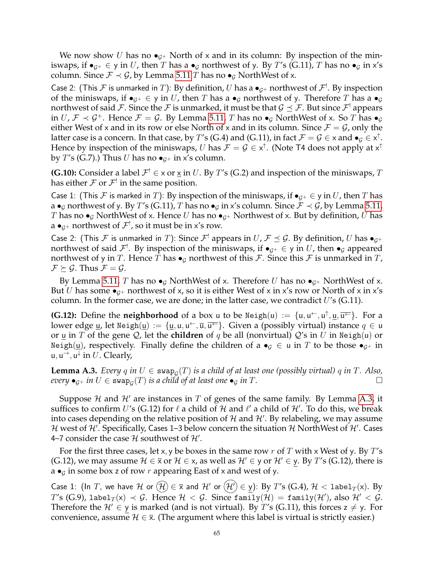We now show U has no  $\bullet$ <sub>G+</sub> North of x and in its column: By inspection of the miniswaps, if  $\bullet_{G^+} \in$  y in U, then T has a  $\bullet_G$  northwest of y. By T's (G.11), T has no  $\bullet_G$  in x's column. Since  $\mathcal{F} \prec \mathcal{G}$ , by Lemma [5.11](#page-14-2) T has no  $\bullet_{\mathcal{G}}$  NorthWest of x.

Case 2: (This  ${\cal F}$  is unmarked in  $T)$ : By definition,  $U$  has a  $\bullet_{\cal G^+}$  northwest of  ${\cal F}^!$ . By inspection of the miniswaps, if  $\bullet_{G^+} \in \mathsf{y}$  in U, then T has a  $\bullet_G$  northwest of y. Therefore T has a  $\bullet_G$ northwest of said  ${\cal F}.$  Since the  ${\cal F}$  is unmarked, it must be that  ${\cal G}\preceq {\cal F}.$  But since  ${\cal F}^!$  appears in  $U, \mathcal{F} \prec \mathcal{G}^+$ . Hence  $\mathcal{F} = \mathcal{G}$ . By Lemma [5.11,](#page-14-2) T has no  $\bullet_{\mathcal{G}}$  NorthWest of x. So T has  $\bullet_{\mathcal{G}}$ either West of x and in its row or else North of x and in its column. Since  $\mathcal{F} = \mathcal{G}$ , only the latter case is a concern. In that case, by  $T'$ s (G.4) and (G.11), in fact  $\mathcal{F}=\mathcal{G}\in$   $\times$  and  $\bullet_\mathcal{G}\in$   $\times^\uparrow$ . Hence by inspection of the miniswaps,  $U$  has  $\mathcal{F}=\mathcal{G}\in\mathsf{x}^\uparrow$ . (Note T4 does not apply at  $\mathsf{x}^\uparrow$ by T's (G.7).) Thus U has no  $\bullet$ <sub>G<sup>+</sup></sub> in x's column.

**(G.10):** Consider a label  $\mathcal{F}^! \in \times$  or  $\underline{\times}$  in U. By T's (G.2) and inspection of the miniswaps, T has either  ${\mathcal F}$  or  ${\mathcal F}^!$  in the same position.

Case 1: (This F is marked in T): By inspection of the miniswaps, if  $\bullet_{G^+} \in \mathcal{Y}$  in U, then T has a •<sub>G</sub> northwest of y. By T's (G.11), T has no •<sub>G</sub> in x's column. Since  $\mathcal{F} \prec \mathcal{G}$ , by Lemma [5.11,](#page-14-2) T has no  $\bullet$ <sub>G</sub> NorthWest of x. Hence U has no  $\bullet$ <sub>G+</sub> Northwest of x. But by definition, U has a  $\bullet_{\mathcal{G}^+}$  northwest of  $\mathcal{F}^!$ , so it must be in x's row.

Case 2: (This  $\cal F$  is unmarked in T): Since  ${\cal F}^!$  appears in  $U$ ,  ${\cal F} \preceq {\cal G}$ . By definition,  $U$  has  $\bullet_{{\cal G}^+}$ northwest of said  $\mathcal{F}^!$ . By inspection of the miniswaps, if  $\bullet_{\mathcal{G}^+}\in\mathsf{y}$  in  $U$ , then  $\bullet_{\mathcal{G}}$  appeared northwest of y in T. Hence T has  $\bullet$ <sub>G</sub> northwest of this F. Since this F is unmarked in T,  $\mathcal{F} \succeq \mathcal{G}$ . Thus  $\mathcal{F} = \mathcal{G}$ .

By Lemma [5.11,](#page-14-2) T has no  $\bullet_G$  NorthWest of x. Therefore U has no  $\bullet_{G^+}$  NorthWest of x. But *U* has some  $\bullet$ <sub>*G*+</sub> northwest of x, so it is either West of x in x's row or North of x in x's column. In the former case, we are done; in the latter case, we contradict  $U$ 's (G.11).

**(G.12):** Define the **neighborhood** of a box u to be  $\text{Neigh}(u) := \{u, u^{\leftarrow}, u^{\uparrow}, \underline{u}, \overline{u^{\leftarrow}}\}$ . For a lower edge <u>u</u>, let Neigh $(\underline{u}):=\{\underline{u},u,u^\leftarrow,\overline{u},\overline{u^\leftarrow}\}.$  Given a (possibly virtual) instance  $q\in\overline{u}$ or u in T of the gene Q, let the **children** of q be all (nonvirtual)  $Q'$ s in U in Neigh(u) or Neigh(u), respectively. Finally define the children of a  $\bullet$ <sub>G</sub>  $\in$  u in T to be those  $\bullet$ <sub>G+</sub> in u, u<sup> $\rightarrow$ </sup>, u<sup> $\downarrow$ </sup> in  $U$ . Clearly,

<span id="page-64-0"></span>**Lemma A.3.** *Every*  $q$  *in*  $U \in \text{swap}_{\mathcal{G}}(T)$  *is a child of at least one (possibly virtual)*  $q$  *in*  $T$ *. Also,*  $e^{i\theta}$  *e*<sub>G</sub>+ *in*  $U \in \text{swap}_G(T)$  *is a child of at least one* •  $\theta$  *in*  $T$ .

Suppose H and H' are instances in T of genes of the same family. By Lemma [A.3,](#page-64-0) it suffices to confirm U's (G.12) for  $\ell$  a child of  $\mathcal H$  and  $\ell'$  a child of  $\mathcal H'$ . To do this, we break into cases depending on the relative position of  $\mathcal H$  and  $\mathcal H'$ . By relabeling, we may assume  ${\cal H}$  west of  ${\cal H}'$ . Specifically, Cases 1–3 below concern the situation  ${\cal H}$  NorthWest of  ${\cal H}'$ . Cases 4–7 consider the case  $\mathcal H$  southwest of  $\mathcal H'$ .

For the first three cases, let x, y be boxes in the same row r of T with x West of y. By T's (G.12), we may assume  $\mathcal{H} \in \overline{x}$  or  $\mathcal{H} \in x$ , as well as  $\mathcal{H}' \in y$  or  $\mathcal{H}' \in y$ . By T's (G.12), there is  $a \bullet$ <sub>G</sub> in some box z of row r appearing East of x and west of y.

Case 1: (In T, we have H or  $(\mathcal{H}) \in \overline{\mathsf{x}}$  and H' or  $(\mathcal{H}') \in \mathsf{y}$ ): By T's (G.4),  $\mathcal{H}$  < label $_T(\mathsf{x})$ . By  $T$ 's (G.9), label $_T(\mathsf{x}) \prec \mathcal{G}.$  Hence  $\mathcal{H} < \mathcal{G}.$  Since  $\texttt{family}(\mathcal{H}) = \texttt{family}(\mathcal{H}'),$  also  $\mathcal{H}' < \mathcal{G}.$ Therefore the  $\mathcal{H}' \in \mathsf{y}$  is marked (and is not virtual). By T's (G.11), this forces  $z \neq \mathsf{y}$ . For convenience, assume  $\mathcal{H} \in \overline{\mathsf{x}}$ . (The argument where this label is virtual is strictly easier.)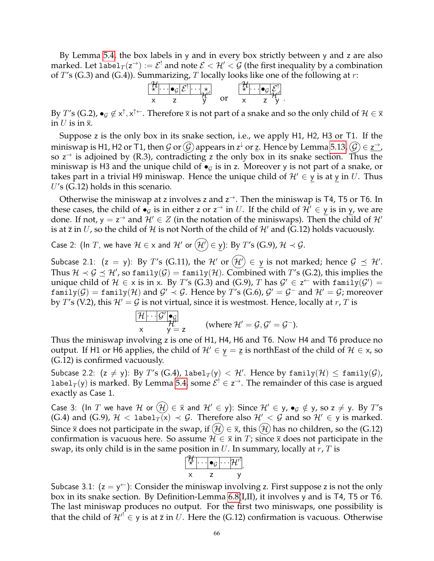By Lemma [5.4,](#page-13-0) the box labels in y and in every box strictly between y and z are also marked. Let label $_T(z^\to):=\mathcal{E}^!$  and note  $\mathcal{E}<\mathcal{H}'<\mathcal{G}$  (the first inequality by a combination of  $T$ 's (G.3) and (G.4)). Summarizing, T locally looks like one of the following at r:

$$
\begin{array}{ccc}\n\begin{array}{ccc}\n\frac{\mathcal{H}}{\mathsf{x}} & \cdots & \mathsf{e}_{\mathcal{G}} & \mathcal{E}^{\mathsf{T}} \\
\vdots & \ddots & \vdots \\
\mathsf{x} & \mathsf{z} & \mathsf{y}\n\end{array} & \text{or} & \begin{array}{ccc}\n\frac{\mathcal{H}}{\mathsf{x}} & \cdots & \mathsf{e}_{\mathcal{G}} & \mathcal{E}^{\mathsf{T}} \\
\vdots & \ddots & \vdots \\
\mathsf{x} & \mathsf{z} & \mathsf{z}\n\end{array} \\
\end{array}
$$

By  $T$ 's (G.2),  $\bullet_G\not\in\mathsf{x}^\uparrow,\mathsf{x}^{\uparrow\leftarrow}.$  Therefore  $\overline{\mathsf{x}}$  is not part of a snake and so the only child of  $\mathcal{H}\in\overline{\mathsf{x}}$ in U is in  $\bar{x}$ .

Suppose z is the only box in its snake section, i.e., we apply H1, H2, H3 or T1. If the miniswap is H1, H2 or T1, then  $\cal G$  or  $\cal G$ ) appears in  ${\sf z}^\downarrow$  or  ${\sf z}$ . Hence by Lemma [5.13,](#page-14-1)  $\cal G$   $\in$   ${\sf z}^\to$ , so  $z^{\rightarrow}$  is adjoined by (R.3), contradicting z the only box in its snake section. Thus the miniswap is H3 and the unique child of  $\bullet$  is in z. Moreover y is not part of a snake, or takes part in a trivial H9 miniswap. Hence the unique child of  $\mathcal{H}' \in \mathcal{Y}$  is at y in U. Thus  $U$ 's (G.12) holds in this scenario.

Otherwise the miniswap at z involves z and  $z^{\rightarrow}$ . Then the miniswap is T4, T5 or T6. In these cases, the child of  $\bullet_g$  is in either z or z<sup>→</sup> in  $U$ . If the child of  $\mathcal{H}' \in \mathsf{y}$  is in y, we are done. If not,  $y = z^{-\lambda}$  and  $\mathcal{H}' \in Z$  (in the notation of the miniswaps). Then the child of  $\mathcal{H}'$ is at  $\overline{z}$  in U, so the child of H is not North of the child of H' and (G.12) holds vacuously.

Case 2: (ln *T*, we have 
$$
H \in x
$$
 and  $H'$  or  $(\mathcal{H}') \in \underline{y}$ ): By *T*'s (G.9),  $H \prec \mathcal{G}$ .

Subcase 2.1:  $(z = y)$ : By T's (G.11), the H' or  $(\mathcal{H}') \in y$  is not marked; hence  $\mathcal{G} \preceq \mathcal{H}'$ . Thus  $\mathcal{H}\prec\mathcal{G}\preceq\mathcal{H}'$ , so family $(\mathcal{G})=$  family $(\mathcal{H})$ . Combined with  $T'$ s (G.2), this implies the unique child of  $H \in \times$  is in  $x$ . By T's (G.3) and (G.9), T has  $\mathcal{G}' \in \mathsf{z}^{\leftarrow}$  with family $(\mathcal{G}') =$  $\texttt{family}(\mathcal{G})=\texttt{family}(\mathcal{H})$  and  $\mathcal{G}'\prec\mathcal{G}.$  Hence by  $T'$ s (G.6),  $\mathcal{G}'=\mathcal{G}^-$  and  $\mathcal{H}'=\mathcal{G}$ ; moreover by T's (V.2), this  $\mathcal{H}' = \mathcal{G}$  is not virtual, since it is westmost. Hence, locally at r, T is

$$
\begin{array}{ll}\n\mathcal{H} \cdot \cdot \cdot | \mathcal{G}' | \bullet_{\mathcal{G}} \\
\mathcal{H}' & \mathcal{H}' = \mathbf{z} \\
\mathcal{H} & \mathcal{H}' = \mathcal{G}, \mathcal{G}' = \mathcal{G}^-\n\end{array}
$$
\n(where  $\mathcal{H}' = \mathcal{G}, \mathcal{G}' = \mathcal{G}^-\n)$ .

Thus the miniswap involving z is one of H1, H4, H6 and T6. Now H4 and T6 produce no output. If H1 or H6 applies, the child of  $\mathcal{H}' \in y = \underline{z}$  is northEast of the child of  $\mathcal{H} \in x$ , so (G.12) is confirmed vacuously.

Subcase 2.2:  $(z \neq y)$ : By  $T'$ s (G.4), label $_T(y) < H'$ . Hence by family $(\mathcal{H}) \leq$  family $(\mathcal{G})$ , label $_T(y)$  is marked. By Lemma [5.4,](#page-13-0) some  $\mathcal{E}^! \in \mathsf{z}^{\to}$ . The remainder of this case is argued exactly as Case 1.

Case 3: (In T we have H or  $(\mathcal{H}) \in \overline{x}$  and  $\mathcal{H}' \in y$ ): Since  $\mathcal{H}' \in y$ ,  $\bullet_g \notin y$ , so  $z \neq y$ . By T's (G.4) and (G.9),  $\mathcal{H} < 1$ abel $_T(x) \prec \mathcal{G}$ . Therefore also  $\mathcal{H}' < \mathcal{G}$  and so  $\mathcal{H}' \in \gamma$  is marked. Since  $\bar{x}$  does not participate in the swap, if  $(H) \in \bar{x}$ , this  $(H)$  has no children, so the (G.12) confirmation is vacuous here. So assume  $\mathcal{H} \in \overline{x}$  in T; since  $\overline{x}$  does not participate in the swap, its only child is in the same position in  $U$ . In summary, locally at  $r$ ,  $T$  is

$$
\begin{array}{c}\n\begin{bmatrix}\n\frac{1}{x} & \cdots & \mathbf{e}_G & \cdots & \mathbf{H}'\n\end{bmatrix} \\
x & z & y\n\end{array}
$$

Subcase 3.1:  $(z = y^{\leftarrow})$ : Consider the miniswap involving z. First suppose z is not the only box in its snake section. By Definition-Lemma [6.8\(](#page-17-1)I,II), it involves y and is T4, T5 or T6. The last miniswap produces no output. For the first two miniswaps, one possibility is that the child of  ${\cal H'}^! \in y$  is at  $\bar{z}$  in U. Here the (G.12) confirmation is vacuous. Otherwise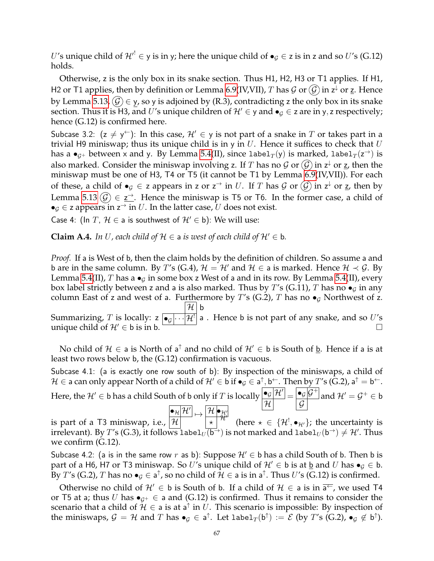U's unique child of  ${\cal H}'^! \in y$  is in y; here the unique child of  $\bullet_{\cal G} \in z$  is in z and so U's (G.12) holds.

Otherwise, z is the only box in its snake section. Thus H1, H2, H3 or T1 applies. If H1, H2 or T1 applies, then by definition or Lemma [6.9\(](#page-17-0)IV,VII),  $T$  has  $\mathcal G$  or  $\widehat{\mathcal G}$  in  $\mathsf z^\downarrow$  or  $\underline{\mathsf z}.$  Hence by Lemma [5.13,](#page-14-1)  $(\mathcal{G}) \in \mathcal{Y}$ , so y is adjoined by (R.3), contradicting z the only box in its snake section. Thus it is H3, and U's unique children of  $\mathcal{H}' \in \mathcal{Y}$  and  $\bullet_{\mathcal{G}} \in \mathcal{Z}$  are in y, z respectively; hence (G.12) is confirmed here.

Subcase 3.2:  $(z \neq y^{\leftarrow})$ : In this case,  $\mathcal{H}' \in y$  is not part of a snake in T or takes part in a trivial H9 miniswap; thus its unique child is in y in U. Hence it suffices to check that U has a  $\bullet_{\mathcal G^+}$  between x and y. By Lemma [5.4\(](#page-13-0)II), since label $_T(\mathsf y)$  is marked, label $_T(\mathsf z^{\rightarrow})$  is also marked. Consider the miniswap involving z. If  $T$  has no  $\mathcal G$  or  $\widehat{\mathcal G}$  in z $^{\downarrow}$  or <u>z</u>, then the miniswap must be one of H3, T4 or T5 (it cannot be T1 by Lemma [6.9\(](#page-17-0)IV,VII)). For each of these, a child of  $\bullet_{\mathcal{G}} \in$  z appears in z or z<sup> $\rightarrow$ </sup> in  $U$ . If  $T$  has  $\mathcal{G}$  or  $\widehat{\mathcal{G}}$  in z<sup> $\downarrow$ </sup> or <u>z</u>, then by Lemma [5.13](#page-14-1)  $(\widehat{G}) \in \underline{z}^{\rightarrow}$ . Hence the miniswap is T5 or T6. In the former case, a child of  $\bullet$   $\epsilon$   $\epsilon$  z appears in  $z^{\rightarrow}$  in  $U$ . In the latter case,  $U$  does not exist.

Case 4: (In T,  $\mathcal{H} \in$  a is southwest of  $\mathcal{H}' \in$  b): We will use:

**Claim A.4.** *In U*, each child of  $H \in$  a *is west of each child of*  $H' \in$  b.

*Proof.* If a is West of b, then the claim holds by the definition of children. So assume a and b are in the same column. By T's (G.4),  $\mathcal{H} = \mathcal{H}'$  and  $\mathcal{H} \in$  a is marked. Hence  $\mathcal{H} \prec \mathcal{G}$ . By Lemma [5.4\(](#page-13-0)II), T has a  $\bullet_G$  in some box z West of a and in its row. By Lemma 5.4(II), every box label strictly between z and a is also marked. Thus by T's (G.11), T has no  $\bullet$ <sub>G</sub> in any column East of z and west of a. Furthermore by T's (G.2), T has no  $\bullet$ <sub>G</sub> Northwest of z. Summarizing, T is locally:  $z$   $\boxed{\bullet_{\mathcal{G}}\cdots\mathcal{H}'}$  a . Hence b is not part of any snake, and so  $U'$ s  $\mathcal{H} \vert$  b unique child of  $\mathcal{H}' \in \mathfrak{b}$  is in b.

No child of  $\mathcal{H} \in$  a is North of a<sup>†</sup> and no child of  $\mathcal{H}' \in$  b is South of <u>b</u>. Hence if a is at least two rows below b, the (G.12) confirmation is vacuous.

Subcase 4.1: (a is exactly one row south of b): By inspection of the miniswaps, a child of  $\mathcal{H}\in$  a can only appear North of a child of  $\mathcal{H}'\in$  b if  $\bullet_\mathcal{G}\in$  a $^\uparrow,$  b $^\leftarrow.$  Then by  $T'$ s (G.2), a $^\uparrow$  = b $^\leftarrow.$ Here, the  $\mathcal{H}'\in$  b has a child South of b only if  $T$  is locally  $\boxed{\bullet_{\mathcal{G}}\mathcal{H}'}$  $\mathcal H$  $=\frac{\bullet_{\mathcal{G}}|\mathcal{G}^+}{\bullet_{\mathcal{G}}|\mathcal{G}^+}$  $\mathcal G$ and  $\mathcal{H}' = \mathcal{G}^+ \in \mathsf{b}$ is part of a T3 miniswap, i.e.,  $|\mathcal{H}% _{t}\!\left( \{T\}_{t}\!\right) \,|\,\mathcal{H}_{t}\!\left( \{T\}_{t}\!\right) \,|\,\mathcal{H}_{t}\!\left( \{T\}_{t}\!\right) \,|\,\mathcal{H}_{t}\!\left( \{T\}_{t}\!\right) \,|\,\mathcal{H}_{t}\!\left( \{T\}_{t}\!\right) \,|\,\mathcal{H}_{t}\!\left( \{T\}_{t}\!\right) \,|\,\mathcal{H}_{t}\!\left( \{T\}_{t}\!\right) \,|\,\mathcal{H}_{t}\!\left( \{T\}_{t}\$  $\bullet_\mathcal{H}[\mathcal{H}']\mapsto \boxed{\mathcal{H}}\bullet_{\mathcal{H}'}$  $\overline{\mathcal{H}}^{\#}$ (here  $\star \in \{\mathcal{H}^!, \bullet_{\mathcal{H}'}\}$ ; the uncertainty is irrelevant). By  $T'$ s (G.3), it follows  $1$ abe $1_U\overline{(b^{\to}})$  is not marked and  $1$ abe $1_U(b^{\to})\neq {\cal H}'$ . Thus we confirm (G.12).

Subcase 4.2: (a is in the same row r as b): Suppose  $\mathcal{H}' \in \mathfrak{b}$  has a child South of b. Then b is part of a H6, H7 or T3 miniswap. So U's unique child of  $\mathcal{H}' \in \mathfrak{b}$  is at  $\underline{\mathfrak{b}}$  and U has  $\bullet$ <sub>G</sub>  $\in \mathfrak{b}$ . By  $T$ 's (G.2),  $T$  has no  $\bullet_G\in \mathsf{a}^\uparrow$ , so no child of  $\mathcal{H}\in \mathsf{a}$  is in  $\mathsf{a}^\uparrow$ . Thus  $U$ 's (G.12) is confirmed.

Otherwise no child of  $\mathcal{H}' \in \mathfrak{b}$  is South of b. If a child of  $\mathcal{H} \in \mathfrak{a}$  is in  $\overline{a^+}$ , we used T4 or T5 at a; thus U has  $\bullet_{\mathcal{G}^+} \in$  a and (G.12) is confirmed. Thus it remains to consider the scenario that a child of  $\mathcal{H} \in$  a is at a<sup> $\uparrow$ </sup> in  $U$ . This scenario is impossible: By inspection of the miniswaps,  $G = H$  and  $T$  has  $\bullet_G \in \mathsf{a}^\uparrow$ . Let  $\mathtt{label}_T(\mathsf{b}^\uparrow) := \mathcal{E}$  (by  $T$ 's (G.2),  $\bullet_G \notin \mathsf{b}^\uparrow$ ).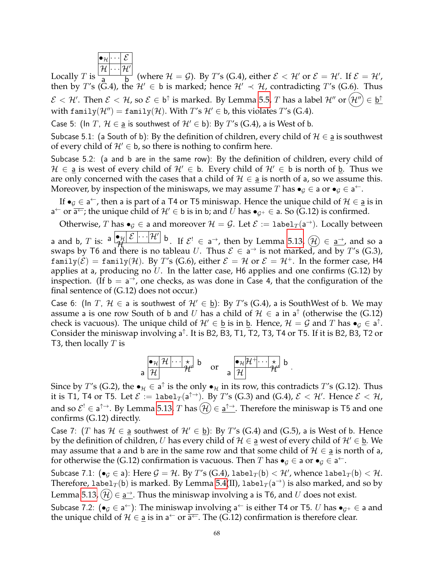$$
\boxed{\overset{\bullet_{\mathcal{H}}\cdots\mathcal{E}}{\mathcal{H}}\cdots\mathcal{H}'}
$$

Locally  $T$  is  $\frac{d}{dx}$  b (where  $\mathcal{H} = \mathcal{G}$ ). By T's (G.4), either  $\mathcal{E} < \mathcal{H}'$  or  $\mathcal{E} = \mathcal{H}'$ . If  $\mathcal{E} = \mathcal{H}'$ , then by T's (G.4), the  $\mathcal{H}' \in$  b is marked; hence  $\mathcal{H}' \prec \mathcal{H}$ , contradicting T's (G.6). Thus  $\mathcal{E} < \mathcal{H}'$ . Then  $\mathcal{E} < \mathcal{H}$ , so  $\mathcal{E} \in \mathsf{b}^\uparrow$  is marked. By Lemma [5.5,](#page-13-1)  $T$  has a label  $\mathcal{H}''$  or  $(\mathcal{H}'') \in \mathsf{b}^\uparrow$ with family( $\mathcal{H}''$ ) = family( $\mathcal{H}$ ). With T's  $\mathcal{H}' \in$  b, this violates T's (G.4).

Case 5: (In T,  $\mathcal{H} \in \underline{\mathsf{a}}$  is southwest of  $\mathcal{H}' \in \mathsf{b}$ ): By T's (G.4), a is West of b.

Subcase 5.1: (a South of b): By the definition of children, every child of  $H \in$  a is southwest of every child of  $\mathcal{H}' \in \mathfrak{b}$ , so there is nothing to confirm here.

Subcase 5.2: (a and b are in the same row): By the definition of children, every child of  $H \in \mathsf{a}$  is west of every child of  $H' \in \mathsf{b}$ . Every child of  $H' \in \mathsf{b}$  is north of b. Thus we are only concerned with the cases that a child of  $H \in \mathsf{a}$  is north of  $\mathsf{a}$ , so we assume this. Moreover, by inspection of the miniswaps, we may assume  $T$  has  $\bullet_{\mathcal{G}} \in$  a or  $\bullet_{\mathcal{G}} \in$  a<sup> $\leftarrow$ </sup>.

If  $\bullet_G \in \mathsf{a}^{\leftarrow}$ , then a is part of a T4 or T5 miniswap. Hence the unique child of  $\mathcal{H} \in \underline{\mathsf{a}}$  is in a<sup>←</sup> or  $\overline{a^+}$ ; the unique child of  $\mathcal{H}' \in \mathfrak{b}$  is in b; and  $\overline{U}$  has  $\bullet_{\mathcal{G}^+} \in$  a. So (G.12) is confirmed.

Otherwise, T has  $\bullet_{\mathcal{G}} \in$  a and moreover  $\mathcal{H} = \mathcal{G}$ . Let  $\mathcal{E} := \mathtt{label}_{T}(\mathsf{a}^{\rightarrow})$ . Locally between

a and b, T is:  $a \left| \mathcal{H} \right| \mathcal{E} \cdots \left| \mathcal{H}' \right|$  b. If  $\mathcal{E}^! \in \mathbf{a}^+$ , then by Lemma [5.13,](#page-14-1)  $\left( \mathcal{H} \right) \in \mathbf{a}^+$ , and so a swaps by T6 and there is no tableau U. Thus  $\mathcal{E} \in \mathsf{a}^{\to}$  is not marked, and by T's (G.3),  $f(\text{amily}(\mathcal{E})) = f(\text{amily}(\mathcal{H}))$ . By T's (G.6), either  $\mathcal{E} = \mathcal{H}$  or  $\mathcal{E} = \mathcal{H}^+$ . In the former case, H4 applies at a, producing no U. In the latter case, H6 applies and one confirms  $(G.12)$  by inspection. (If  $b = a^{-1}$ , one checks, as was done in Case 4, that the configuration of the final sentence of (G.12) does not occur.)

Case 6: (In T,  $H \in a$  is southwest of  $H' \in \underline{b}$ ): By T's (G.4), a is SouthWest of b. We may assume a is one row South of b and  $U$  has a child of  $\mathcal{H} \in$  a in a<sup>†</sup> (otherwise the (G.12) check is vacuous). The unique child of  $\mathcal{H}' \in \underline{\mathfrak{b}}$  is in  $\underline{\mathfrak{b}}$ . Hence,  $\mathcal{H} = \mathcal{G}$  and  $T$  has  $\bullet_{\mathcal{G}} \in \mathsf{a}^{\uparrow}$ . Consider the miniswap involving a<sup> $\dagger$ </sup>. It is B2, B3, T1, T2, T3, T4 or T5. If it is B2, B3, T2 or T3, then locally  $T$  is

a 
$$
\frac{\bullet_{\mathcal{H}} |\mathcal{H}| \cdots | \star}{\mathcal{H}}
$$
 b or a  $\frac{\bullet_{\mathcal{H}} |\mathcal{H}^+ \cdots | \star}{\mathcal{H}}$  b.

Since by T's (G.2), the  $\bullet_\mathcal{H} \in \mathsf{a}^\uparrow$  is the only  $\bullet_\mathcal{H}$  in its row, this contradicts T's (G.12). Thus it is T1, T4 or T5. Let  $\mathcal E:=\texttt{label}_T(\mathsf{a}^{\uparrow\to}).$  By  $T'$ s (G.3) and (G.4),  $\mathcal E<\mathcal H'.$  Hence  $\mathcal E<\mathcal H,$ and so  $\mathcal{E}^! \in \mathsf{a}^{\uparrow \to}$ . By Lemma [5.13,](#page-14-1)  $T$  has  $(\mathcal{H}) \in \underline{\mathsf{a}^{\uparrow \to}}$ . Therefore the miniswap is T5 and one confirms (G.12) directly.

Case 7: (T has  $H \in$  a southwest of  $H' \in$  b): By T's (G.4) and (G.5), a is West of b. Hence by the definition of children, U has every child of  $H \in \underline{a}$  west of every child of  $H' \in \underline{b}$ . We may assume that a and b are in the same row and that some child of  $H \in \underline{a}$  is north of a, for otherwise the (G.12) confirmation is vacuous. Then T has  $\bullet_{\mathcal{G}} \in$  a or  $\bullet_{\mathcal{G}} \in$  a<sup> $\leftarrow$ </sup>.

Subcase 7.1:  $(\bullet_{\mathcal{G}}\in \mathsf{a})$ : Here  $\mathcal{G}=\mathcal{H}.$  By  $T'$ s (G.4), labe $1_{T}(\mathsf{b})<\mathcal{H}'$ , whence labe $1_{T}(\mathsf{b})<\mathcal{H}.$ Therefore,  ${\tt label}_T({\tt b})$  is marked. By Lemma [5.4\(](#page-13-0)II),  ${\tt label}_T({\tt a}^\rightarrow)$  is also marked, and so by Lemma [5.13,](#page-14-1)  $(\mathcal{H}) \in \underline{\mathsf{a}}^{\to}$ . Thus the miniswap involving a is T6, and  $U$  does not exist.

Subcase 7.2: ( $\bullet_g \in \mathsf{a}^{\leftarrow}$ ): The miniswap involving  $\mathsf{a}^{\leftarrow}$  is either T4 or T5. U has  $\bullet_{g^+} \in \mathsf{a}$  and the unique child of  $\mathcal{H} \in \underline{\mathsf{a}}$  is in  $\mathsf{a} \leftarrow \text{or } \overline{\mathsf{a} \leftarrow}$ . The (G.12) confirmation is therefore clear.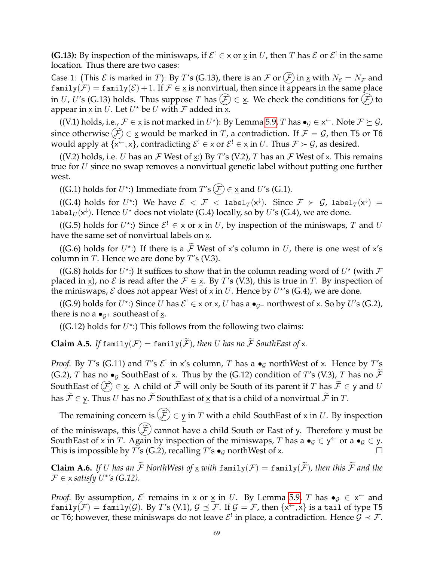**(G.13):** By inspection of the miniswaps, if  $\mathcal{E}^! \in \times$  or  $\underline{\times}$  in U, then T has  $\mathcal{E}$  or  $\mathcal{E}^!$  in the same location. Thus there are two cases:

Case 1: (This  $\mathcal E$  is marked in T): By T's (G.13), there is an  $\mathcal F$  or  $(\mathcal F)$  in  $\times$  with  $N_{\mathcal E} = N_{\mathcal F}$  and  $f(\text{amily}(\mathcal{F}) = f(\text{amily}(\mathcal{E})) + 1$ . If  $\mathcal{F} \in \underline{x}$  is nonvirtual, then since it appears in the same place in U, U's (G.13) holds. Thus suppose T has  $(F) \in \underline{\mathsf{x}}$ . We check the conditions for  $(F)$  to appear in  $\underline{x}$  in  $U$ . Let  $U^\star$  be  $U$  with  ${\mathcal F}$  added in  $\underline{x}$ .

((V.1) holds, i.e.,  $\mathcal{F} \in \underline{x}$  is not marked in  $U^*$ ): By Lemma [5.9,](#page-13-4) T has  $\bullet_{\mathcal{G}} \in x^{\leftarrow}$ . Note  $\mathcal{F} \succeq \mathcal{G}$ , since otherwise  $(F) \in \underline{x}$  would be marked in T, a contradiction. If  $F = G$ , then T5 or T6 would apply at  $\{x^{\leftarrow},x\}$ , contradicting  $\mathcal{E}^! \in \times$  or  $\mathcal{E}^! \in \times$  in  $U$ . Thus  $\mathcal{F} \succ \mathcal{G}$ , as desired.

((V.2) holds, i.e. U has an F West of x:) By T's (V.2), T has an F West of x. This remains true for U since no swap removes a nonvirtual genetic label without putting one further west.

((G.1) holds for  $U^*$ :) Immediate from  $T$ 's  $(F) \in \underline{\mathsf{x}}$  and  $U$ 's (G.1).

((G.4) holds for  $U^\star$ :) We have  ${\mathcal E}~<~{\mathcal F}~<~\texttt{label}_T(\mathsf{x}^\downarrow).$  Since  ${\mathcal F}~\succ~{\mathcal G}$ , label $_T(\mathsf{x}^\downarrow)~=~$ label $_U(\mathsf{x}^{\downarrow})$ . Hence  $U^\star$  does not violate (G.4) locally, so by  $U'$ s (G.4), we are done.

((G.5) holds for  $U^*$ :) Since  $\mathcal{E}^! \in \times$  or  $\times$  in U, by inspection of the miniswaps, T and U have the same set of nonvirtual labels on x.

((G.6) holds for  $U^*$ :) If there is a  $\overline{\mathcal{F}}$  West of x's column in U, there is one west of x's column in  $T$ . Hence we are done by  $T$ 's (V.3).

((G.8) holds for  $U^*$ :) It suffices to show that in the column reading word of  $U^*$  (with  $\mathcal F$ placed in x), no  $\mathcal E$  is read after the  $\mathcal F \in X$ . By T's (V.3), this is true in T. By inspection of the miniswaps,  $\mathcal E$  does not appear West of x in  $U$ . Hence by  $U^{\star}$ 's (G.4), we are done.

((G.9) holds for  $U^*$ :) Since  $U$  has  $\mathcal{E}^! \in \times$  or  $\underline{\times}$ ,  $U$  has a  $\bullet_{\mathcal{G}^+}$  northwest of  $\times$ . So by  $U'$ s (G.2), there is no a  $\bullet$ <sub>*G*+</sub> southeast of <u>x</u>.

((G.12) holds for  $U^*$ :) This follows from the following two claims:

**Claim A.5.** If  $f$  amily( $F$ ) =  $f$  amily( $\widetilde{F}$ ), then U has no  $\widetilde{F}$  SouthEast of  $\underline{x}$ .

*Proof.* By  $T$ 's (G.11) and  $T$ 's  $\mathcal{E}^!$  in x's column,  $T$  has a  $\bullet_{\mathcal{G}}$  northWest of x. Hence by  $T$ 's (G.2), T has no  $\bullet$ <sub>G</sub> SouthEast of x. Thus by the (G.12) condition of T's (V.3), T has no  $\widetilde{\mathcal{F}}$ SouthEast of  $(\widehat{\mathcal{F}}) \in \underline{\mathsf{x}}$ . A child of  $\widetilde{\mathcal{F}}$  will only be South of its parent if T has  $\widetilde{\mathcal{F}} \in \mathsf{y}$  and U has  $\widetilde{\mathcal{F}} \in \mathsf{y}$ . Thus U has no  $\widetilde{\mathcal{F}}$  SouthEast of x that is a child of a nonvirtual  $\widetilde{\mathcal{F}}$  in T.

The remaining concern is  $(\widetilde{\mathcal{F}}) \in y$  in T with a child SouthEast of x in U. By inspection of the miniswaps, this  $(\widetilde{\mathcal{F}})$  cannot have a child South or East of y. Therefore y must be SouthEast of x in T. Again by inspection of the miniswaps, T has a  $\bullet_{\mathcal{G}} \in \mathsf{y}^{\leftarrow}$  or a  $\bullet_{\mathcal{G}} \in \mathsf{y}$ . This is impossible by  $T$ 's (G.2), recalling  $T$ 's  $\bullet$ <sub>G</sub> northWest of x.

**Claim A.6.** If U has an  $\widetilde{\mathcal{F}}$  *NorthWest of* x *with*  $f$  and  $f(\mathcal{F}) = f$  and  $f(\widetilde{\mathcal{F}})$ , then this  $\widetilde{\mathcal{F}}$  and the  $\mathcal{F} \in \underline{\mathsf{x}}$  *satisfy*  $U^*$ 's (G.12).

*Proof.* By assumption,  $\mathcal{E}^!$  remains in x or  $\underline{x}$  in U. By Lemma [5.9,](#page-13-4) T has  $\bullet_{\mathcal{G}} \in x^+$  and  $\texttt{family}(\mathcal{F})=\texttt{family}(\mathcal{G}).$  By  $T'$ s (V.1),  $\mathcal{G}\preceq\mathcal{F}.$  If  $\mathcal{G}=\mathcal{F}$ , then  $\{\mathsf{x}^\leftarrow,\mathsf{x}\}$  is a tail of type <code>T5</code> or T6; however, these miniswaps do not leave  $\mathcal{E}^!$  in place, a contradiction. Hence  $\mathcal{G} \prec \mathcal{F}$ .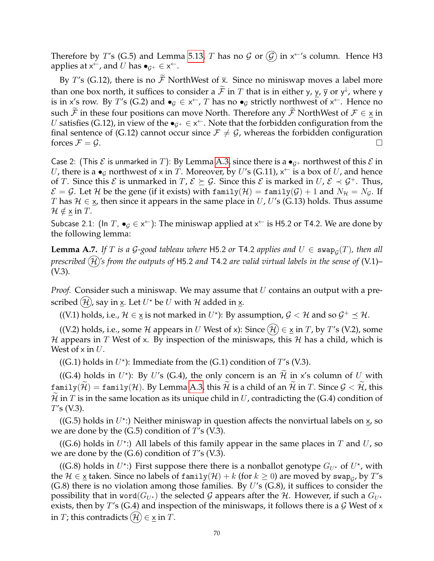Therefore by  $T'$ s (G.5) and Lemma [5.13,](#page-14-1)  $T$  has no  $\cal G$  or  $\cal (\cal G)$  in x $\ ^{\leftarrow}$ 's column. Hence H3 applies at  $x^{\leftarrow}$ , and U has  $\bullet_{\mathcal{G}^+} \in x^{\leftarrow}$ .

By T's (G.12), there is no  $\widetilde{\mathcal{F}}$  NorthWest of  $\overline{x}$ . Since no miniswap moves a label more than one box north, it suffices to consider a  $\mathcal{F}$  in T that is in either y,  $\frac{y}{2}$ ,  $\overline{y}$  or  $y^{\downarrow}$ , where y is in x's row. By T's (G.2) and  $\bullet_{\mathcal{G}} \in x^{\leftarrow}$ , T has no  $\bullet_{\mathcal{G}}$  strictly northwest of  $x^{\leftarrow}$ . Hence no such  $\mathcal F$  in these four positions can move North. Therefore any  $\mathcal F$  NorthWest of  $\mathcal F \in X$  in U satisfies (G.12), in view of the  $\bullet_{\mathcal{G}^+}\in\mathsf{x}^\leftarrow$ . Note that the forbidden configuration from the final sentence of (G.12) cannot occur since  $\mathcal{F} \neq \mathcal{G}$ , whereas the forbidden configuration forces  $\mathcal{F} = \mathcal{G}$ .

Case 2: (This  $\mathcal E$  is unmarked in T): By Lemma [A.3,](#page-64-0) since there is a  $\bullet_{G^+}$  northwest of this  $\mathcal E$  in  $U$ , there is a  $\bullet_{\mathcal{G}}$  northwest of x in  $T$ . Moreover, by  $U'$ s (G.11), x<sup> $\leftarrow$ </sup> is a box of  $U$ , and hence of T. Since this  $\mathcal E$  is unmarked in  $T, \mathcal E \succeq \mathcal G$ . Since this  $\mathcal E$  is marked in  $U, \mathcal E \prec \mathcal G^+$ . Thus,  $\mathcal{E} = \mathcal{G}$ . Let H be the gene (if it exists) with family(H) = family(G) + 1 and  $N_{\mathcal{H}} = N_{\mathcal{G}}$ . If T has  $\mathcal{H} \in \mathbf{x}$ , then since it appears in the same place in U, U's (G.13) holds. Thus assume  $\mathcal{H} \notin \times$  in T.

Subcase 2.1: (In T,  $\bullet_{\mathcal{G}} \in x^{\leftarrow}$ ): The miniswap applied at  $x^{\leftarrow}$  is H5.2 or T4.2. We are done by the following lemma:

<span id="page-69-0"></span>**Lemma A.7.** If T is a G-good tableau where H5.2 or T4.2 applies and  $U \in \text{swap}_\mathcal{G}(T)$ , then all *prescribed*  $(H)$ 's from the outputs of H5.2 and T4.2 are valid virtual labels in the sense of  $(V.1)$ – (V.3)*.*

*Proof.* Consider such a miniswap. We may assume that U contains an output with a prescribed  $(\mathcal{H})$ , say in  $\underline{\mathsf{x}}.$  Let  $U^\star$  be  $U$  with  $\mathcal H$  added in  $\underline{\mathsf{x}}.$ 

((V.1) holds, i.e.,  $\mathcal{H} \in \underline{x}$  is not marked in  $U^*$ ): By assumption,  $\mathcal{G} < \mathcal{H}$  and so  $\mathcal{G}^+ \preceq \mathcal{H}$ .

((V.2) holds, i.e., some H appears in U West of x): Since  $(\mathcal{H}) \in \underline{x}$  in T, by T's (V.2), some H appears in T West of x. By inspection of the miniswaps, this H has a child, which is West of  $x$  in  $U$ .

((G.1) holds in  $U^*$ ): Immediate from the (G.1) condition of  $T$ 's (V.3).

((G.4) holds in U<sup>\*</sup>): By U's (G.4), the only concern is an  $\mathcal{H}$  in x's column of U with  $\text{family}(\widetilde{\mathcal{H}})=\text{family}(\mathcal{H})$ . By Lemma [A.3,](#page-64-0) this  $\widetilde{\mathcal{H}}$  is a child of an  $\widetilde{\mathcal{H}}$  in T. Since  $\mathcal{G}<\widetilde{\mathcal{H}}$ , this  $\mathcal H$  in T is in the same location as its unique child in U, contradicting the (G.4) condition of  $T's$  (V.3).

((G.5) holds in  $U^*$ :) Neither miniswap in question affects the nonvirtual labels on  $\underline{x}$ , so we are done by the  $(G.5)$  condition of  $T$ 's  $(V.3)$ .

((G.6) holds in  $U^*$ :) All labels of this family appear in the same places in  $T$  and  $U$ , so we are done by the  $(G.6)$  condition of  $T$ 's (V.3).

((G.8) holds in  $U^*$ :) First suppose there there is a nonballot genotype  $G_{U^*}$  of  $U^*$ , with the  $\mathcal{H}\in$   $\underline{\mathsf{x}}$  taken. Since no labels of family $(\mathcal{H})+k$  (for  $k\geq 0$ ) are moved by swap $_{\mathcal{G}}$ , by  $T'$ s  $(G.8)$  there is no violation among those families. By U's  $(G.8)$ , it suffices to consider the possibility that in word $(G_{U^*})$  the selected G appears after the H. However, if such a  $G_{U^*}$ exists, then by T's (G.4) and inspection of the miniswaps, it follows there is a  $\mathcal G$  West of x in T; this contradicts  $(H) \in x$  in T.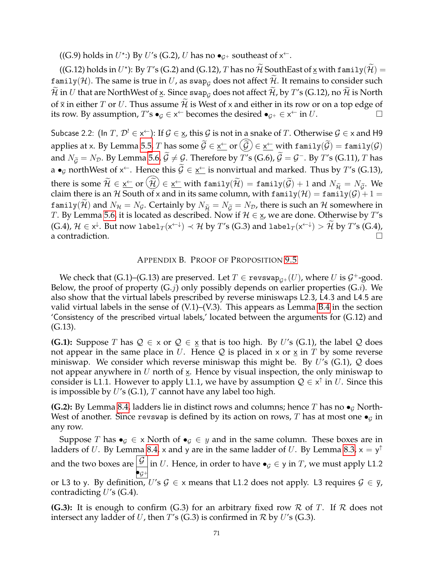((G.9) holds in  $U^*$ :) By U's (G.2), U has no  $\bullet_{\mathcal{G}^+}$  southeast of  $x^{\leftarrow}$ .

((G.12) holds in  $U^*$ ): By  $T'$ s (G.2) and (G.12),  $T$  has no  $\widetilde{\mathcal{H}}$  SouthEast of  $\underline{x}$  with  $\mathtt{family}(\widetilde{\mathcal{H}}) =$ family(H). The same is true in U, as swap<sub>G</sub> does not affect  $\widetilde{\mathcal{H}}$ . It remains to consider such  $\widetilde{\mathcal{H}}$  in U that are NorthWest of  $\underline{x}$ . Since swap<sub>G</sub> does not affect  $\widetilde{\mathcal{H}}$ , by T's (G.12), no  $\widetilde{\mathcal{H}}$  is North of  $\bar{x}$  in either T or U. Thus assume  $\hat{\mathcal{H}}$  is West of x and either in its row or on a top edge of its row. By assumption, T's  $\bullet_{\mathcal{G}} \in x^{\leftarrow}$  becomes the desired  $\bullet_{\mathcal{G}^+} \in x^{\leftarrow}$  in  $U$ .

Subcase 2.2: (In  $T$ ,  $\mathcal{D}^!\in\mathsf{x}^{\leftarrow}$ ): If  $\mathcal{G}\in\mathsf{x}$ , this  $\mathcal{G}$  is not in a snake of  $T.$  Otherwise  $\mathcal{G}\in\mathsf{x}$  and H9 applies at x. By Lemma [5.5,](#page-13-1) T has some  $\mathcal{G} \in \underline{\mathsf{x}}^{\leftarrow}$  or  $(\mathcal{G}) \in \underline{\mathsf{x}}^{\leftarrow}$  with  $\mathtt{family}(\mathcal{G}) = \mathtt{family}(\mathcal{G})$ and  $N_{\widetilde{\mathcal{G}}}=N_{\mathcal{D}}.$  By Lemma [5.6,](#page-13-2)  $\widetilde{\mathcal{G}}\neq\mathcal{G}.$  Therefore by  $T'$ s (G.6),  $\widetilde{\mathcal{G}}=\mathcal{G}^-.$  By  $T'$ s (G.11),  $T$  has a  $\bullet$ <sub>G</sub> northWest of x<sup> $\leftarrow$ </sup>. Hence this  $\mathcal{G} \in \underline{x}^{\leftarrow}$  is nonvirtual and marked. Thus by T's (G.13), there is some  $\mathcal{H} \in \underline{\mathsf{x}}^{\leftarrow}$  or  $(\mathcal{H}) \in \underline{\mathsf{x}}^{\leftarrow}$  with family $(\mathcal{H}) = \underline{\mathsf{family}}(\mathcal{G}) + 1$  and  $N_{\widetilde{\mathcal{H}}} = N_{\widetilde{\mathcal{G}}}$ . We claim there is an  ${\mathcal H}$  South of x and in its same column, with  $\texttt{family}({\mathcal H})=\texttt{family}({\mathcal G})+1=$ family( $\mathcal{H}$ ) and  $N_{\mathcal{H}} = N_{\mathcal{G}}$ . Certainly by  $N_{\widetilde{\mathcal{H}}} = N_{\widetilde{\mathcal{G}}} = N_{\mathcal{D}}$ , there is such an  $\mathcal{H}$  somewhere in T. By Lemma [5.6,](#page-13-2) it is located as described. Now if  $\mathcal{H} \in \mathcal{X}$ , we are done. Otherwise by T's  $(G.4),$   $\mathcal{H} \in \mathsf{x}^{\downarrow}$ . But now label $_T(\mathsf{x}^{\leftarrow\downarrow}) \prec \mathcal{H}$  by  $T'$ s  $(G.3)$  and label $_T(\mathsf{x}^{\leftarrow\downarrow}) > \mathcal{H}$  by  $T'$ s  $(G.4)$ , a contradiction.

#### APPENDIX B. PROOF OF PROPOSITION [9.5](#page-27-0)

We check that (G.1)–(G.13) are preserved. Let  $T \in \texttt{revswap}_{\mathcal{G}^+}(U)$ , where  $U$  is  $\mathcal{G}^+$ -good. Below, the proof of property  $(G,j)$  only possibly depends on earlier properties  $(G.i)$ . We also show that the virtual labels prescribed by reverse miniswaps L2.3, L4.3 and L4.5 are valid virtual labels in the sense of (V.1)–(V.3). This appears as Lemma [B.4](#page-77-0) in the section 'Consistency of the prescribed virtual labels,' located between the arguments for (G.12) and (G.13).

**(G.1):** Suppose T has  $Q \in x$  or  $Q \in \underline{x}$  that is too high. By U's (G.1), the label Q does not appear in the same place in U. Hence Q is placed in x or  $\times$  in T by some reverse miniswap. We consider which reverse miniswap this might be. By  $U$ 's (G.1),  $Q$  does not appear anywhere in U north of  $\times$ . Hence by visual inspection, the only miniswap to consider is L1.1. However to apply L1.1, we have by assumption  $\mathcal{Q} \in \mathsf{x}^\uparrow$  in U. Since this is impossible by  $U$ 's (G.1), T cannot have any label too high.

**(G.2):** By Lemma [8.4,](#page-25-0) ladders lie in distinct rows and columns; hence T has no  $\bullet$ <sub>G</sub> North-West of another. Since revswap is defined by its action on rows, T has at most one  $\bullet$ <sub>G</sub> in any row.

Suppose T has  $\bullet$ <sub>G</sub>  $\in$  x North of  $\bullet$ <sub>G</sub>  $\in$  y and in the same column. These boxes are in ladders of  $U$ . By Lemma [8.4,](#page-25-0) x and y are in the same ladder of  $U$ . By Lemma [8.3,](#page-25-1)  $\mathsf{x} = \mathsf{y}^{\uparrow}$ and the two boxes are  $\boxed{\mathcal{G}}$  $\bullet_{\mathcal{G}^+}$ in U. Hence, in order to have  $\bullet_{\mathcal{G}} \in \mathsf{y}$  in  $T$ , we must apply <code>L1.2</code> or L3 to y. By definition, U's  $G \in x$  means that L1.2 does not apply. L3 requires  $G \in \overline{y}$ , contradicting  $U$ 's (G.4).

**(G.3):** It is enough to confirm (G.3) for an arbitrary fixed row R of T. If R does not intersect any ladder of U, then  $T$ 's (G.3) is confirmed in  $R$  by U's (G.3).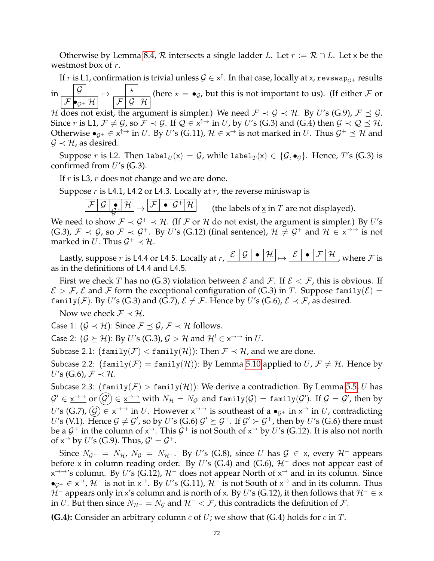Otherwise by Lemma [8.4,](#page-25-0)  $\mathcal R$  intersects a single ladder L. Let  $r := \mathcal R \cap L$ . Let x be the westmost box of r.

If  $r$  is <code>L1,</code> confirmation is trivial unless  $\mathcal{G}\in\mathsf{x}^\uparrow.$  In that case, locally at x, <code>revswap $_{\mathcal{G}^+}$  results</code>

in  $\bullet$ <sub>G+</sub>  $\mathcal{H}$   $\parallel$  $\mapsto \frac{1}{\sqrt{2\pi}}$  $\mathcal{F}$   $\mathcal{G}$   $\mathcal{H}$ (here  $\star = \bullet_G$ , but this is not important to us). (If either F or

H does not exist, the argument is simpler.) We need  $\mathcal{F} \prec \mathcal{G} \prec \mathcal{H}$ . By U's (G.9),  $\mathcal{F} \preceq \mathcal{G}$ . Since  $r$  is L1,  $\mathcal{F} \neq \mathcal{G}$ , so  $\mathcal{F} \prec \mathcal{G}$ . If  $\mathcal{Q} \in x^{\uparrow \rightarrow}$  in  $U$ , by  $U'$ s (G.3) and (G.4) then  $\mathcal{G} \prec \mathcal{Q} \preceq \mathcal{H}$ . Otherwise  $\bullet_{\mathcal{G}^+}\in$  x<sup>↑→</sup> in  $U.$  By  $U'$ s (G.11),  $\mathcal{H}\in$  x<sup>→</sup> is not marked in  $U.$  Thus  $\mathcal{G}^+\preceq\mathcal{H}$  and  $\mathcal{G} \prec \mathcal{H}$ , as desired.

Suppose r is L2. Then label $U(x) = G$ , while label $T(x) \in \{G, \bullet_G\}$ . Hence, T's (G.3) is confirmed from  $U$ 's (G.3).

If  $r$  is L3,  $r$  does not change and we are done.

Suppose  $r$  is L4.1, L4.2 or L4.3. Locally at  $r$ , the reverse miniswap is

 $\mathcal{F}\Big|\,\mathcal{G}\,\Big|_{\mathcal{C}\!+\!}\Big|\,\mathcal{H}\Big| \mathop{\mapsto}\limits \Big|\,\mathcal{F}\Big| \bullet \Big|\mathcal{G}^+\Big|\,\mathcal{H}\Big|$  $\mathcal G$ 

(the labels of  $x$  in  $T$  are not displayed).

We need to show  $\mathcal{F} \prec \mathcal{G}^+ \prec \mathcal{H}$ . (If F or H do not exist, the argument is simpler.) By U's (G.3),  $\mathcal{F} \prec \mathcal{G}$ , so  $\mathcal{F} \prec \mathcal{G}^+$ . By U's (G.12) (final sentence),  $\mathcal{H} \neq \mathcal{G}^+$  and  $\mathcal{H} \in x \rightarrow y$  is not marked in U. Thus  $\mathcal{G}^+ \prec \mathcal{H}$ .

Lastly, suppose r is L4.4 or L4.5. Locally at  $r, \lfloor \mathcal{E} \rfloor \mathcal{G}$  $\bullet$   $|\mathcal{H}| \rightarrow |\mathcal{E}| \bullet |\mathcal{F}|\mathcal{H}|$ , where F is as in the definitions of L4.4 and L4.5.

First we check T has no (G.3) violation between  $\mathcal E$  and  $\mathcal F$ . If  $\mathcal E < \mathcal F$ , this is obvious. If  $\mathcal{E} > \mathcal{F}$ ,  $\mathcal{E}$  and  $\mathcal{F}$  form the exceptional configuration of (G.3) in T. Suppose family( $\mathcal{E}$ ) = family(*F*). By U's (G.3) and (G.7),  $\mathcal{E} \neq \mathcal{F}$ . Hence by U's (G.6),  $\mathcal{E} \prec \mathcal{F}$ , as desired.

Now we check  $\mathcal{F} \prec \mathcal{H}$ .

Case 1:  $(G \prec \mathcal{H})$ : Since  $\mathcal{F} \preceq \mathcal{G}, \mathcal{F} \prec \mathcal{H}$  follows.

Case 2:  $(\mathcal{G} \succeq \mathcal{H})$ : By  $U'$ s (G.3),  $\mathcal{G} > \mathcal{H}$  and  $\mathcal{H}^! \in \mathsf{x}^{\to\to}$  in  $U.$ 

Subcase 2.1:  $(\text{family}(\mathcal{F}) < \text{family}(\mathcal{H}))$ : Then  $\mathcal{F} \prec \mathcal{H}$ , and we are done.

Subcase 2.2:  $(\text{family}(\mathcal{F}) = \text{family}(\mathcal{H}))$ : By Lemma [5.10](#page-14-0) applied to  $U, \mathcal{F} \neq \mathcal{H}$ . Hence by  $U'$ s (G.6),  $\mathcal{F} \prec \mathcal{H}$ .

Subcase 2.3:  $(\text{family}(\mathcal{F}) > \text{family}(\mathcal{H}))$ : We derive a contradiction. By Lemma [5.5,](#page-13-1) U has  $\mathcal{G}'\in\underline{\mathsf{x}}\to\overline{\mathsf{b}}$  or  $(\mathcal{G}')\in\underline{\mathsf{x}}\to\overline{\mathsf{b}}$  with  $N_\mathcal{H}=N_{\mathcal{G}'}$  and  $\mathtt{family}(\mathcal{G})=\mathtt{family}(\mathcal{G}').$  If  $\mathcal{G}=\mathcal{G}'$ , then by U's (G.7),  $\widehat{G}$ )  $\in$   $x \rightarrow$  in U. However  $x \rightarrow$  is southeast of a  $\bullet$ <sub>*G*+</sub> in  $x \rightarrow$  in U, contradicting  $U'$ s (V.1). Hence  ${\cal G}\neq {\cal G}'$ , so by  $U'$ s (G.6)  ${\cal G}'\succeq {\cal G}^+ .$  If  ${\cal G}'\succ {\cal G}^+$ , then by  $U'$ s (G.6) there must be a  $\mathcal{G}^+$  in the column of  $\mathsf{x}^\to$ . This  $\mathcal{G}^+$  is not South of  $\mathsf{x}^\to$  by  $U'$ s (G.12). It is also not north of  $x^{\rightarrow}$  by U's (G.9). Thus,  $\mathcal{G}' = \mathcal{G}^+$ .

Since  $N_{G^+} = N_{\mathcal{H}}$ ,  $N_{\mathcal{G}} = N_{\mathcal{H}^{-}}$ . By U's (G.8), since U has  $\mathcal{G} \in \mathsf{x}$ , every  $\mathcal{H}^-$  appears before x in column reading order. By U's (G.4) and (G.6),  $H^-$  does not appear east of  $\times$ <sup>→→</sup>'s column. By U's (G.12),  $\mathcal{H}^-$  does not appear North of  $\times^{\rightarrow}$  and in its column. Since  $\bullet_{\mathcal{G}^+}\in \times^{\to}$ ,  $\mathcal{H}^-$  is not in  $\times^{\to}$ . By U's (G.11),  $\mathcal{H}^-$  is not South of  $\times^{\to}$  and in its column. Thus  $H^-$  appears only in x's column and is north of x. By U's (G.12), it then follows that  $H^- \in \overline{x}$ in U. But then since  $N_{\mathcal{H}^-} = N_{\mathcal{G}}$  and  $\mathcal{H}^- < \mathcal{F}$ , this contradicts the definition of  $\mathcal{F}$ .

**(G.4):** Consider an arbitrary column  $c$  of  $U$ ; we show that (G.4) holds for  $c$  in  $T$ .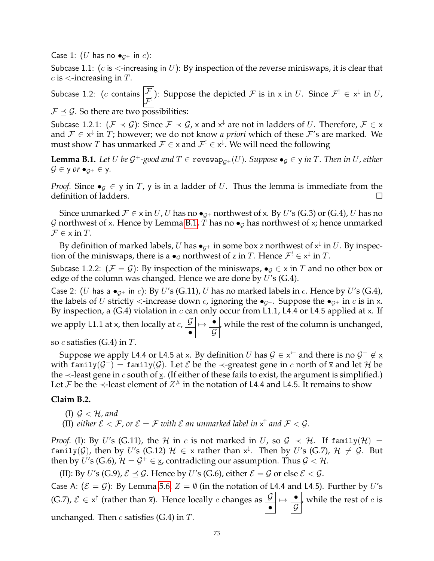Case 1: (U has no  $\bullet$ <sub>*G*+</sub> in *c*):

Subcase 1.1: ( $c$  is  $\lt$ -increasing in U): By inspection of the reverse miniswaps, it is clear that  $c$  is  $\lt$ -increasing in  $T$ .

Subcase 1.2: ( $c$  contains  $\boxed{\mathcal{F}}$  $\left\{\frac{\mathcal{F}}{\mathcal{F}}\right\}$ : Suppose the depicted  $\mathcal F$  is in x in U. Since  $\mathcal{F}^! \in \mathsf{x}^\downarrow$  in U,  $\mathcal{F} \preceq \mathcal{G}$ . So there are two possibilities:

Subcase 1.2.1:  $(\mathcal{F} \prec \mathcal{G})$ : Since  $\mathcal{F} \prec \mathcal{G}$ , x and  $x^{\downarrow}$  are not in ladders of U. Therefore,  $\mathcal{F} \in x$ and  $\mathcal{F} \in \mathsf{x}^{\downarrow}$  in  $T$ ; however; we do not know *a priori* which of these  $\mathcal{F}'$ s are marked. We must show  $T$  has unmarked  $\mathcal{F} \in \times$  and  $\mathcal{F}^! \in \times^{\downarrow}$ . We will need the following

<span id="page-72-0"></span>**Lemma B.1.** Let U be  $\mathcal{G}^+$ -good and  $T \in \text{revswap}_{\mathcal{G}^+}(U)$ . Suppose  $\bullet_{\mathcal{G}} \in \mathsf{y}$  in  $T$ . Then in U, either  $\mathcal{G} \in \mathsf{y}$  or  $\bullet_{\mathcal{G}^+} \in \mathsf{y}$ .

*Proof.* Since  $\bullet$ <sub>*G*</sub>  $\in$  *y* in *T*, *y* is in a ladder of *U*. Thus the lemma is immediate from the definition of ladders.

Since unmarked  $\mathcal{F} \in \times$  in U, U has no  $\bullet_{G^+}$  northwest of x. By U's (G.3) or (G.4), U has no G northwest of x. Hence by Lemma [B.1,](#page-72-0) T has no  $\bullet$ <sub>G</sub> has northwest of x; hence unmarked  $\mathcal{F} \in \times$  in T.

By definition of marked labels,  $U$  has  $\bullet_{\mathcal{G}^+}$  in some box z northwest of  $\mathsf{x}^\downarrow$  in  $U.$  By inspection of the miniswaps, there is a  $\bullet_{\mathcal{G}}$  northwest of z in  $T$ . Hence  $\mathcal{F}^! \in \mathsf{x}^\downarrow$  in  $T$ .

Subcase 1.2.2:  $(\mathcal{F} = \mathcal{G})$ : By inspection of the miniswaps,  $\bullet$ <sub>G</sub>  $\in$  x in T and no other box or edge of the column was changed. Hence we are done by  $U$ 's (G.4).

Case 2: (U has a  $\bullet_{\mathcal{G}^+}$  in c): By U's (G.11), U has no marked labels in c. Hence by U's (G.4), the labels of U strictly  $\lt$ -increase down c, ignoring the  $\bullet_{G^+}$ . Suppose the  $\bullet_{G^+}$  in c is in x. By inspection, a (G.4) violation in c can only occur from L1.1, L4.4 or L4.5 applied at x. If we apply L1.1 at x, then locally at  $c, \frac{\vert {\cal G} \vert}{2}$ •  $\mapsto$   $\overline{\phantom{a}}$  $\mathcal G$ , while the rest of the column is unchanged,

so  $c$  satisfies (G.4) in  $T$ .

Suppose we apply L4.4 or L4.5 at x. By definition  $U$  has  $\mathcal{G} \in \mathsf{x}^{\leftarrow}$  and there is no  $\mathcal{G}^{+} \not\in \underline{\mathsf{x}}$ with family $(\mathcal{G}^+) = \texttt{family}(\mathcal{G}).$  Let  $\mathcal E$  be the  $\prec$ -greatest gene in  $c$  north of  $\bar{\mathsf x}$  and let  $\mathcal H$  be the  $\prec$ -least gene in c south of x. (If either of these fails to exist, the argument is simplified.) Let  ${\mathcal F}$  be the ≺-least element of  $Z^{\#}$  in the notation of L4.4 and L4.5. It remains to show

# **Claim B.2.**

(I)  $\mathcal{G} < \mathcal{H}$ , and

(II) *either*  $\mathcal{E} < \mathcal{F}$ , or  $\mathcal{E} = \mathcal{F}$  with  $\mathcal{E}$  an unmarked label in  $x^{\uparrow}$  and  $\mathcal{F} < \mathcal{G}$ .

*Proof.* (I): By U's (G.11), the H in c is not marked in U, so  $\mathcal{G} \prec \mathcal{H}$ . If family(H) = <code>family(G)</code>, then by  $U'$ s (G.12)  $\mathcal{H}$   $\in$   $\underline{\mathsf{x}}$  rather than  $\mathsf{x}^{\downarrow}$ . Then by  $U'$ s (G.7),  $\mathcal{H}$   $\neq$   $\mathcal{G}$ . But then by U's (G.6),  $\mathcal{H}=\mathcal{G}^+\in \underline{\mathsf{x}}$ , contradicting our assumption. Thus  $\mathcal{G}<\mathcal{H}.$ 

(II): By U's (G.9),  $\mathcal{E} \prec \mathcal{G}$ . Hence by U's (G.6), either  $\mathcal{E} = \mathcal{G}$  or else  $\mathcal{E} < \mathcal{G}$ .

Case A:  $({\mathcal{E}} = {\mathcal{G}})$ : By Lemma [5.6,](#page-13-0)  $Z = \emptyset$  (in the notation of L4.4 and L4.5). Further by U's (G.7),  $\mathcal{E} \in x^{\uparrow}$  (rather than  $\bar{x}$ ). Hence locally c changes as  $\boxed{\mathcal{G}}$ •  $\mapsto$   $\overline{\phantom{a}}$  $\mathcal G$ , while the rest of  $c$  is unchanged. Then  $c$  satisfies (G.4) in  $T$ .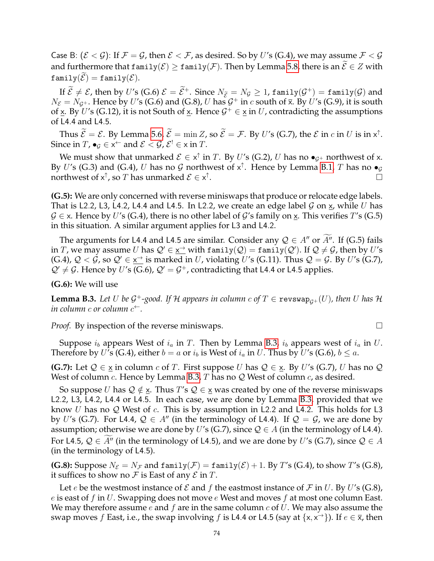Case B:  $(\mathcal{E} < \mathcal{G})$ : If  $\mathcal{F} = \mathcal{G}$ , then  $\mathcal{E} < \mathcal{F}$ , as desired. So by U's (G.4), we may assume  $\mathcal{F} < \mathcal{G}$ and furthermore that  $\text{family}(\mathcal{E}) \geq \text{family}(\mathcal{F})$ . Then by Lemma [5.8,](#page-13-1) there is an  $\widetilde{\mathcal{E}} \in Z$  with  $family(\mathcal{E}) = family(\mathcal{E}).$ 

If  $\mathcal{E} \neq \mathcal{E}$ , then by U's (G.6)  $\mathcal{E} = \mathcal{E}^+$ . Since  $N_{\mathcal{E}} = N_{\mathcal{G}} \ge 1$ , family( $\mathcal{G}^+$ ) = family( $\mathcal{G}$ ) and  $N_{\mathcal{E}}=N_{\mathcal{G}^+}$ . Hence by U's (G.6) and (G.8), U has  $\mathcal{G}^+$  in c south of  $\bar{x}$ . By U's (G.9), it is south of  $\underline{x}$ . By U's (G.12), it is not South of  $\underline{x}$ . Hence  $\mathcal{G}^+ \in \underline{x}$  in U, contradicting the assumptions of L4.4 and L4.5.

Thus  $\mathcal{E} = \mathcal{E}$ . By Lemma [5.6,](#page-13-0)  $\mathcal{E} = \min Z$ , so  $\mathcal{E} = \mathcal{F}$ . By U's (G.7), the  $\mathcal{E}$  in c in U is in  $x^{\uparrow}$ . Since in  $T$ ,  $\bullet_{\mathcal{G}} \in X^{\leftarrow}$  and  $\mathcal{E} < \mathcal{G}$ ,  $\mathcal{E}^{!} \in X$  in  $T$ .

We must show that unmarked  $\mathcal{E} \in x^{\uparrow}$  in T. By U's (G.2), U has no  $\bullet_{\mathcal{G}^+}$  northwest of x. By U's (G.3) and (G.4), U has no G northwest of  $x^{\uparrow}$ . Hence by Lemma [B.1,](#page-72-0) T has no  $\bullet_{\mathcal{G}}$ northwest of  $\mathsf{x}^\uparrow$ , so  $T$  has unmarked  $\mathcal{E} \in \mathsf{x}^\uparrow$ . В последните последните село в последните село в последните село в последните село в последните село в после<br>Село в последните село в последните село в последните село в последните село в последните село в последните се

**(G.5):** We are only concerned with reverse miniswaps that produce or relocate edge labels. That is L2.2, L3, L4.2, L4.4 and L4.5. In L2.2, we create an edge label  $\mathcal G$  on  $\underline{\mathbf x}$ , while  $U$  has  $\mathcal{G} \in \mathsf{x}$ . Hence by U's (G.4), there is no other label of G's family on  $\mathsf{x}$ . This verifies T's (G.5) in this situation. A similar argument applies for L3 and L4.2.

The arguments for L4.4 and L4.5 are similar. Consider any  $\mathcal{Q} \in A''$  or A''. If (G.5) fails in  $T$ , we may assume  $U$  has  $\mathcal{Q}'\in \underline{x^{\to}}$  with  $\texttt{family}(\mathcal{Q})=\texttt{family}(\mathcal{Q}')$ . If  $\mathcal{Q}\neq\mathcal{G}$ , then by  $U'$ s (G.4),  $Q < \hat{G}$ , so  $Q' \in \underline{x}^{\rightarrow}$  is marked in U, violating U's (G.11). Thus  $Q = G$ . By U's (G.7),  $\mathcal{Q}' \neq \mathcal{G}$ . Hence by U's (G.6),  $\mathcal{Q}' = \mathcal{G}^+$ , contradicting that L4.4 or L4.5 applies.

**(G.6):** We will use

<span id="page-73-0"></span>**Lemma B.3.** Let U be G<sup>+</sup>-good. If H appears in column  $c$  of  $T \in \text{revswap}_{\mathcal{G}^+}(U)$ , then U has H *in column* c *or column* c ←*.*

*Proof.* By inspection of the reverse miniswaps.  $\Box$ 

Suppose  $i_b$  appears West of  $i_a$  in T. Then by Lemma [B.3,](#page-73-0)  $i_b$  appears west of  $i_a$  in U. Therefore by U's (G.4), either  $b = a$  or  $i<sub>b</sub>$  is West of  $i<sub>a</sub>$  in U. Thus by U's (G.6),  $b \leq a$ .

**(G.7):** Let  $Q \in \underline{x}$  in column c of T. First suppose U has  $Q \in \underline{x}$ . By U's (G.7), U has no Q West of column c. Hence by Lemma [B.3,](#page-73-0) T has no  $\mathcal Q$  West of column c, as desired.

So suppose U has  $\mathcal{Q} \notin \mathbf{x}$ . Thus T's  $\mathcal{Q} \in \mathbf{x}$  was created by one of the reverse miniswaps L2.2, L3, L4.2, L4.4 or L4.5. In each case, we are done by Lemma [B.3,](#page-73-0) provided that we know U has no Q West of c. This is by assumption in L2.2 and L4.2. This holds for L3 by U's (G.7). For L4.4,  $\mathcal{Q} \in A''$  (in the terminology of L4.4). If  $\mathcal{Q} = \mathcal{G}$ , we are done by assumption; otherwise we are done by U's (G.7), since  $\mathcal{Q} \in A$  (in the terminology of L4.4). For L4.5,  $Q \in A''$  (in the terminology of L4.5), and we are done by U's (G.7), since  $Q \in A$ (in the terminology of L4.5).

**(G.8):** Suppose  $N_{\mathcal{E}} = N_{\mathcal{F}}$  and  $\text{family}(\mathcal{F}) = \text{family}(\mathcal{E}) + 1$ . By T's (G.4), to show T's (G.8), it suffices to show no  $\mathcal F$  is East of any  $\mathcal E$  in  $T$ .

Let e be the westmost instance of  $\mathcal E$  and f the eastmost instance of  $\mathcal F$  in U. By U's (G.8), e is east of f in U. Swapping does not move  $e$  West and moves f at most one column East. We may therefore assume  $e$  and  $f$  are in the same column  $c$  of  $U$ . We may also assume the swap moves  $f$  East, i.e., the swap involving  $f$  is L4.4 or L4.5 (say at  $\{x, x^{\rightarrow}\}$ ). If  $e \in \overline{x}$ , then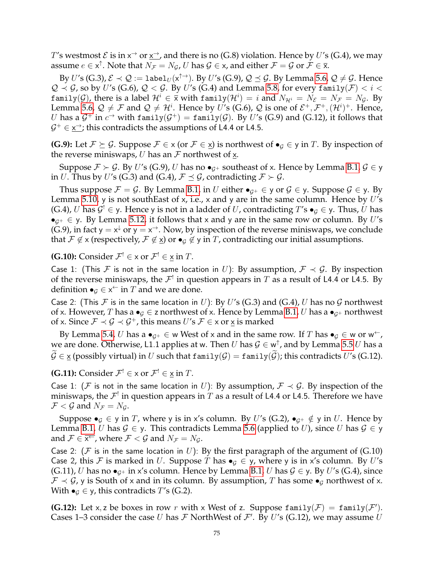$T$ 's westmost  $\mathcal E$  is in  $\mathsf x^{\to}$  or  $\underline{\mathsf x^{\to}}$ , and there is no (G.8) violation. Hence by  $U$ 's (G.4), we may assume  $e\in\mathsf{x}^\uparrow.$  Note that  $N_\mathcal{F}=N_\mathcal{G}$ ,  $U$  has  $\mathcal{G}\in\mathsf{x}$ , and either  $\mathcal{F}=\mathcal{G}$  or  $\mathcal{F}\in\bar{\mathsf{x}}.$ 

By  $U'$ s (G.3),  $\mathcal{E}\prec\mathcal{Q}:=\mathtt{label}_U(\mathsf{x}^{\uparrow\to}).$  By  $U'$ s (G.9),  $\mathcal{Q}\preceq\mathcal{G}.$  By Lemma [5.6,](#page-13-0)  $\mathcal{Q}\neq\mathcal{G}.$  Hence  $\mathcal{Q} \prec \mathcal{G}$ , so by U's (G.6),  $\mathcal{Q} \prec \mathcal{G}$ . By U's (G.4) and Lemma [5.8,](#page-13-1) for every family $(\mathcal{F}) < i <$ family( $\cal G$ ), there is a label  ${\cal H}^i\in\bar{\mathsf{x}}$  with family $({\cal H}^i)=i$  and  $N_{{\cal H}^i}=N_{\cal E}=N_{\cal F}=N_{\cal G}.$  By Lemma [5.6,](#page-13-0)  $\mathcal{Q} \neq \mathcal{F}$  and  $\mathcal{Q} \neq \mathcal{H}^i$ . Hence by U's (G.6),  $\mathcal{Q}$  is one of  $\mathcal{E}^+, \mathcal{F}^+, (\mathcal{H}^i)^+$ . Hence,  $U$  has a  ${\cal G}^+$  in  $c^{\rightarrow}$  with  $\texttt{family}({\cal G}^+)=\texttt{family}({\cal G}).$  By  $U'$ s (G.9) and (G.12), it follows that  $\mathcal{G}^+ \in \underline{\mathsf{x}}$  this contradicts the assumptions of L4.4 or L4.5.

**(G.9):** Let  $\mathcal{F} \succeq \mathcal{G}$ . Suppose  $\mathcal{F} \in \times$  (or  $\mathcal{F} \in \times$ ) is northwest of  $\bullet_{\mathcal{G}} \in \times$  in T. By inspection of the reverse miniswaps, U has an  $\mathcal F$  northwest of  $\underline{x}$ .

Suppose  $\mathcal{F} \succ \mathcal{G}$ . By U's (G.9), U has no  $\bullet_{\mathcal{G}^+}$  southeast of x. Hence by Lemma [B.1,](#page-72-0)  $\mathcal{G} \in \mathcal{Y}$ in U. Thus by U's (G.3) and (G.4),  $\mathcal{F} \preceq \mathcal{G}$ , contradicting  $\mathcal{F} \succ \mathcal{G}$ .

Thus suppose  $\mathcal{F} = \mathcal{G}$ . By Lemma [B.1,](#page-72-0) in U either  $\bullet_{\mathcal{G}^+} \in \mathcal{G}$  or  $\mathcal{G} \in \mathcal{G}$ . Suppose  $\mathcal{G} \in \mathcal{G}$ . By Lemma [5.10,](#page-14-0) y is not southEast of x, i.e., x and y are in the same column. Hence by  $U$ 's (G.4), U has  $\mathcal{G}^! \in \mathsf{y}$ . Hence y is not in a ladder of U, contradicting T's  $\bullet_\mathcal{G} \in \mathsf{y}$ . Thus, U has  $\bullet$ <sub>G+</sub>  $\in$  y. By Lemma [5.12,](#page-14-1) it follows that x and y are in the same row or column. By U's (G.9), in fact y =  $x^{\downarrow}$  or y =  $x^{\rightarrow}$ . Now, by inspection of the reverse miniswaps, we conclude that  $\mathcal{F} \notin \times$  (respectively,  $\mathcal{F} \notin \times$ ) or  $\bullet$ <sub>*G*</sub>  $\notin$  y in *T*, contradicting our initial assumptions.

**(G.10):** Consider  $\mathcal{F}^! \in \times$  or  $\mathcal{F}^! \in \underline{\times}$  in  $T$ .

Case 1: (This F is not in the same location in U): By assumption,  $\mathcal{F} \prec \mathcal{G}$ . By inspection of the reverse miniswaps, the  $\mathcal{F}^!$  in question appears in  $T$  as a result of L4.4 or L4.5. By definition  $\bullet_{\mathcal{G}} \in x^{\leftarrow}$  in  $T$  and we are done.

Case 2: (This F is in the same location in U): By U's (G.3) and (G.4), U has no G northwest of x. However, T has a  $\bullet_G \in \mathsf{z}$  northwest of x. Hence by Lemma [B.1,](#page-72-0) U has a  $\bullet_{G^+}$  northwest of x. Since  $\mathcal{F} \prec \mathcal{G} \prec \mathcal{G}^+$ , this means U's  $\mathcal{F} \in x$  or  $\underline{x}$  is marked

By Lemma [5.4,](#page-13-2) U has a  $\bullet_{\mathcal{G}^+}\in\mathsf{w}$  West of x and in the same row. If T has  $\bullet_{\mathcal{G}}\in\mathsf{w}$  or  $\mathsf{w}^{\leftarrow}$ , we are done. Otherwise, <code>L1.1</code> applies at w. Then  $U$  has  $\mathcal{G}\in\mathsf{w}^\uparrow$ , and by Lemma [5.5](#page-13-3)  $U$  has a  $\tilde{\mathcal{G}} \in$  x (possibly virtual) in U such that family( $\mathcal{G}$ ) = family( $\tilde{\mathcal{G}}$ ); this contradicts U's (G.12).

**(G.11):** Consider  $\mathcal{F}^! \in \times$  or  $\mathcal{F}^! \in \underline{\times}$  in  $T$ .

Case 1: (F is not in the same location in U): By assumption,  $\mathcal{F} \prec \mathcal{G}$ . By inspection of the miniswaps, the  $\mathcal{F}^!$  in question appears in  $T$  as a result of L4.4 or L4.5. Therefore we have  $\mathcal{F} < \mathcal{G}$  and  $N_{\mathcal{F}} = N_{\mathcal{G}}$ .

Suppose  $\bullet$ <sub>G</sub>  $\in$  y in T, where y is in x's column. By U's (G.2),  $\bullet$ <sub>G+</sub>  $\notin$  y in U. Hence by Lemma [B.1,](#page-72-0) U has  $G \in y$ . This contradicts Lemma [5.6](#page-13-0) (applied to U), since U has  $G \in y$ and  $\mathcal{F} \in \overline{\mathsf{x}^{\leftarrow}}$ , where  $\mathcal{F} < \mathcal{G}$  and  $N_{\mathcal{F}} = N_{\mathcal{G}}$ .

Case 2: (F is in the same location in U): By the first paragraph of the argument of (G.10) Case 2, this F is marked in U. Suppose T has  $\bullet$ <sub>G</sub>  $\in$  y, where y is in x's column. By U's (G.11), U has no  $\bullet_{G^+}$  in x's column. Hence by Lemma [B.1,](#page-72-0) U has  $\mathcal{G} \in \mathcal{Y}$ . By U's (G.4), since  $\mathcal{F} \prec \mathcal{G}$ , y is South of x and in its column. By assumption, T has some  $\bullet_{\mathcal{G}}$  northwest of x. With  $\bullet$ <sub>G</sub>  $\in$  y, this contradicts T's (G.2).

**(G.12):** Let x, z be boxes in row r with x West of z. Suppose  $\text{family}(\mathcal{F}) = \text{family}(\mathcal{F}')$ . Cases 1–3 consider the case U has  $\mathcal F$  NorthWest of  $\mathcal F'$ . By U's (G.12), we may assume U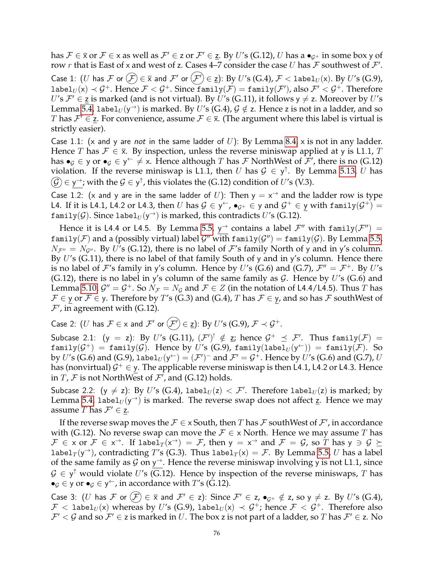has  $\mathcal{F}\in\overline{x}$  or  $\mathcal{F}\in\overline{x}$  as well as  $\mathcal{F}'\in$  z or  $\mathcal{F}'\in$  z. By  $U'$ s (G.12),  $U$  has a  $\bullet_{\mathcal{G}^+}$  in some box y of row r that is East of x and west of z. Cases 4–7 consider the case U has F southwest of  $\mathcal{F}'$ . Case 1:  $(U$  has  ${\cal F}$  or  $\bigl( \overline{{\cal F}}\bigr)\in\overline{\sf x}$  and  ${\cal F}'$  or  $\bigl( {\cal F}'\bigr)\in\underline{\sf z}\bigr)$ : By  $U' {\sf s}$   $({\rm G.4})$ ,  ${\cal F}< 1$ abe $1_U({\sf x}).$  By  $U' {\sf s}$   $({\rm G.9})$ , label $_{U}(\mathsf{x})\prec\mathcal{G}^{+}.$  Hence  $\mathcal{F}<\mathcal{G}^{+}.$  Since  $\texttt{family}(\mathcal{F})=\texttt{family}(\mathcal{F}'),$  also  $\mathcal{F}'<\mathcal{G}^{+}.$  Therefore U's  $\mathcal{F}' \in \underline{\mathsf{z}}$  is marked (and is not virtual). By U's (G.11), it follows  $y \neq z$ . Moreover by U's Lemma [5.4,](#page-13-2) label $_U({\sf y}^\to)$  is marked. By  $U'$ s (G.4),  ${\cal G} \notin$  z. Hence z is not in a ladder, and so T has  $\mathcal{F}' \in \underline{z}$ . For convenience, assume  $\mathcal{F} \in \overline{\mathsf{x}}$ . (The argument where this label is virtual is strictly easier).

Case 1.1: (x and y are *not* in the same ladder of U): By Lemma [8.4,](#page-25-0) x is not in any ladder. Hence T has  $\mathcal{F} \in \overline{\mathbf{x}}$ . By inspection, unless the reverse miniswap applied at y is L1.1, T has  $\bullet_G \in \mathsf{y}$  or  $\bullet_G \in \mathsf{y} \hookleftarrow \neq \mathsf{x}$ . Hence although T has F NorthWest of  $\mathcal{F}'$ , there is no (G.12) violation. If the reverse miniswap is L1.1, then U has  $\mathcal{G} \in \mathsf{y}^{\uparrow}$ . By Lemma [5.13,](#page-14-2) U has  $\widehat{\mathcal{G}}\! \in$  y $\rightarrow$ ; with the  $\mathcal{G}\in$  y $^\uparrow$ , this violates the (G.12) condition of  $U'$ s (V.3).

Case 1.2: (x and y are in the same ladder of U): Then  $y = x^{\rightarrow}$  and the ladder row is type L4. If it is L4.1, L4.2 or L4.3, then  $U$  has  $\mathcal{G}\in\mathsf{y}\subset\bullet$  ,  $\bullet_{\mathcal{G}^+}\in\mathsf{y}$  and  $\mathcal{G}^+\in\mathsf{y}$  with  $\mathtt{family}(\mathcal{G}^+)=\bullet$ <code>family(G)</code>. Since label $_U(y^\rightarrow)$  is marked, this contradicts  $U'$ s (G.12).

Hence it is L4.4 or L4.5. By Lemma [5.5,](#page-13-3)  $y^{\rightarrow}$  contains a label  $\mathcal{F}''$  with family $(\mathcal{F}'') =$ <code>family( ${\cal F})$ </code> and a (possibly virtual) label  ${\cal G}''$  with <code>family( ${\cal G}''$ )</code>  $=$  <code>family( ${\cal G}$ ). By Lemma [5.5,](#page-13-3)  $\,$ </code>  $N_{\mathcal{F}''}=N_{\mathcal{G}''}$ . By U's (G.12), there is no label of F's family North of y and in y's column. By  $U$ 's (G.11), there is no label of that family South of y and in y's column. Hence there is no label of F's family in y's column. Hence by U's (G.6) and (G.7),  $\mathcal{F}'' = \mathcal{F}^+$ . By U's (G.12), there is no label in y's column of the same family as  $G$ . Hence by U's (G.6) and Lemma [5.10,](#page-14-0)  $\mathcal{G}''=\mathcal{G}^+$ . So  $N_{\mathcal{F}}=N_{\mathcal{G}}$  and  $\mathcal{F}\in Z$  (in the notation of L4.4/L4.5). Thus  $T$  has  $\mathcal{F} \in \mathsf{y}$  or  $\mathcal{F} \in \mathsf{y}$ . Therefore by T's (G.3) and (G.4), T has  $\mathcal{F} \in \mathsf{y}$ , and so has  $\mathcal{F}$  southWest of  $\mathcal{F}'$ , in agreement with (G.12).

Case 2: (U has  $\mathcal{F} \in \times$  and  $\mathcal{F}'$  or  $(\mathcal{F}') \in \underline{z}$ ): By U's (G.9),  $\mathcal{F} \prec \mathcal{G}^+$ .

Subcase 2.1: (y = z): By U's (G.11),  $(\mathcal{F}')^! \notin \mathsf{z}$ ; hence  $\mathcal{G}^+ \preceq \mathcal{F}'$ . Thus family $(\mathcal{F})$  =  $\texttt{family}(\mathcal{G}^+)=\texttt{family}(\mathcal{G}).$  Hence by  $U'$ s (G.9),  $\texttt{family}(\texttt{label}_U(\mathsf{y}^{\leftarrow}))=\texttt{family}(\mathcal{F}).$  So by  $U'$ s (G.6) and (G.9),  $\mathtt{label}_U(\mathsf{y}^{\leftarrow}) = (\mathcal{F}')^{-}$  and  $\mathcal{F}' = \mathcal{G}^+ .$  Hence by  $U'$ s (G.6) and (G.7),  $U$ has (nonvirtual)  $\mathcal{G}^+ \in \mathsf{y}.$  The applicable reverse miniswap is then L4.1, L4.2 or L4.3. Hence in  $T$ ,  $\mathcal F$  is not NorthWest of  $\mathcal F'$ , and (G.12) holds.

Subcase 2.2: (y  $\neq$  z): By U's (G.4), label $_U(z) < \mathcal{F}'$ . Therefore label $_U(z)$  is marked; by Lemma [5.4,](#page-13-2) label $_U(y^{\rightarrow})$  is marked. The reverse swap does not affect z. Hence we may assume T has  $\mathcal{F}' \in \underline{z}$ .

If the reverse swap moves the  $\mathcal{F}\in \times$  South, then  $T$  has  $\mathcal F$  southWest of  $\mathcal F'$ , in accordance with (G.12). No reverse swap can move the  $\mathcal{F} \in X$  North. Hence we may assume T has  $\mathcal{F} \in \times$  or  $\mathcal{F} \in \times^{\rightarrow}$ . If label $_T(\mathsf{x}^{\rightarrow}) = \mathcal{F}$ , then  $\mathsf{y} = \mathsf{x}^{\rightarrow}$  and  $\mathcal{F} = \mathcal{G}$ , so  $T$  has  $\mathsf{y} \ni \mathcal{G} \succeq$ label $_T(y^{\rightarrow})$ , contradicting T's (G.3). Thus label $_T(x) = \mathcal{F}$ . By Lemma [5.5,](#page-13-3) U has a label of the same family as  $\mathcal G$  on  $y^{\rightarrow}$ . Hence the reverse miniswap involving y is not L1.1, since  $\mathcal{G} \in \mathsf{y}^{\uparrow}$  would violate U's (G.12). Hence by inspection of the reverse miniswaps, T has  $\bullet$ <sub>G</sub>  $\in$  y or  $\bullet$ <sub>G</sub>  $\in$  y<sup> $\leftarrow$ </sup>, in accordance with *T's* (G.12).

Case 3:  $(U$  has  $\mathcal F$  or  $(\mathcal F)\in\bar x$  and  $\mathcal F'\in$  z): Since  $\mathcal F'\in$  z,  $\bullet_{\mathcal G^+}\notin$  z, so  $\mathsf y\neq$  z. By  $U'$ s (G.4),  $\mathcal{F}\,<\,$  labe $1_U(\mathsf{x})$  whereas by  $U'$ s (G.9),  $1$ abe $1_U(\mathsf{x})\,\prec\,\mathcal{G}^+$ ; hence  $\mathcal{F}\,<\,\mathcal{G}^+.\,$  Therefore also  $\mathcal{F}' < \mathcal{G}$  and so  $\mathcal{F}' \in$  z is marked in  $U$ . The box z is not part of a ladder, so  $T$  has  $\mathcal{F}' \in$  z. No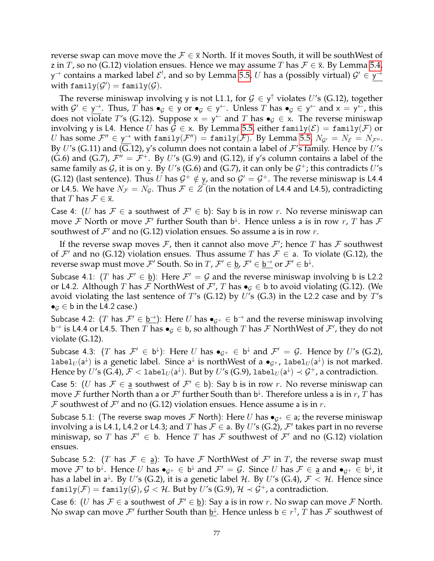reverse swap can move move the  $\mathcal{F} \in \overline{\mathbf{x}}$  North. If it moves South, it will be southWest of z in T, so no (G.12) violation ensues. Hence we may assume T has  $\mathcal{F} \in \overline{\mathbf{x}}$ . By Lemma [5.4,](#page-13-2) y $\rightarrow$  contains a marked label  $\mathcal{E}^!$ , and so by Lemma [5.5,](#page-13-3)  $U$  has a (possibly virtual)  $\mathcal{G}' \in \mathsf{y}^\rightarrow$ with  $\texttt{family}(\mathcal{G}') = \texttt{family}(\mathcal{G}).$ 

The reverse miniswap involving y is not L1.1, for  $\mathcal{G} \in \mathsf{y}^{\uparrow}$  violates U's (G.12), together with  $\mathcal{G}' \in \mathsf{y}^{\to}$ . Thus,  $T$  has  $\bullet_{\mathcal{G}} \in \mathsf{y}$  or  $\bullet_{\mathcal{G}} \in \mathsf{y}^{\leftarrow}$ . Unless  $T$  has  $\bullet_{\mathcal{G}} \in \mathsf{y}^{\leftarrow}$  and  $\mathsf{x} = \mathsf{y}^{\leftarrow}$ , this does not violate T's (G.12). Suppose  $x = y^{\leftarrow}$  and T has  $\bullet_{\mathcal{G}} \in x$ . The reverse miniswap involving y is L4. Hence U has  $G \in \mathsf{x}$ . By Lemma [5.5,](#page-13-3) either family( $\mathcal{E}$ ) = family( $\mathcal{F}$ ) or U has some  $\mathcal{F}'' \in \mathsf{y}^{\to}$  with family $(\mathcal{F}'') = \texttt{family}(\mathcal{F})$ . By Lemma [5.5,](#page-13-3)  $N_{\mathcal{G}'} = N_{\mathcal{E}} = N_{\mathcal{F}''}.$ By U's (G.11) and (G.12), y's column does not contain a label of  $\mathcal{F}'$ s family. Hence by U's (G.6) and (G.7),  $\mathcal{F}'' = \mathcal{F}^+$ . By U's (G.9) and (G.12), if y's column contains a label of the same family as  $\mathcal G$ , it is on y. By  $U'$ s (G.6) and (G.7), it can only be  $\mathcal G^+$ ; this contradicts  $U'$ s (G.12) (last sentence). Thus U has  $G^+ \notin y$ , and so  $G' = G^+$ . The reverse miniswap is L4.4 or L4.5. We have  $N_F = N_g$ . Thus  $F \in Z$  (in the notation of L4.4 and L4.5), contradicting that T has  $\mathcal{F} \in \overline{\mathsf{x}}$ .

Case 4: (U has  $\mathcal{F} \in$  a southwest of  $\mathcal{F}' \in$  b): Say b is in row r. No reverse miniswap can move  ${\cal F}$  North or move  ${\cal F}'$  further South than b<sup> $\downarrow$ </sup>. Hence unless a is in row  $r$ ,  $T$  has  ${\cal F}$ southwest of  $\mathcal{F}'$  and no (G.12) violation ensues. So assume a is in row r.

If the reverse swap moves  $\mathcal F$ , then it cannot also move  $\mathcal F'$ ; hence  $T$  has  $\mathcal F$  southwest of  $\mathcal{F}'$  and no (G.12) violation ensues. Thus assume T has  $\mathcal{F} \in$  a. To violate (G.12), the reverse swap must move  $\mathcal{F}'$  South. So in  $T$ ,  $\mathcal{F}'\in \underline{\mathsf{b}}$ ,  $\mathcal{F}'\in \underline{\mathsf{b}}^{\to}$  or  $\mathcal{F}'\in \mathsf{b}^{\downarrow}$ .

Subcase 4.1: (T has  $\mathcal{F}' \in \underline{b}$ ): Here  $\mathcal{F}' = \mathcal{G}$  and the reverse miniswap involving b is L2.2 or L4.2. Although T has  $\mathcal F$  NorthWest of  $\mathcal F'$ , T has  $\bullet_{\mathcal G}\in\mathsf b$  to avoid violating (G.12). (We avoid violating the last sentence of T's (G.12) by U's (G.3) in the L2.2 case and by T's  $\bullet$ <sub>G</sub>  $\in$  b in the L4.2 case.)

Subcase 4.2: (T has  $\mathcal{F}' \in \underline{b^{\to}}$ ): Here U has  $\bullet_{\mathcal{G}^+} \in \overline{b^{\to}}$  and the reverse miniswap involving b<sup> $\rightarrow$ </sup> is L4.4 or L4.5. Then  $T$  has  $\bullet$ <sub>*G*</sub>  $\in$  b, so although  $T$  has  $\mathcal F$  NorthWest of  $\mathcal F'$ , they do not violate (G.12).

Subcase 4.3:  $(T$  has  $\mathcal{F}'\,\in\, \mathsf{b}^{\downarrow})$ : Here  $U$  has  $\bullet_{\mathcal{G}^+}\,\in\, \mathsf{b}^{\downarrow}$  and  $\mathcal{F}'\,=\,\mathcal{G}.$  Hence by  $U'$ s (G.2), label $_{U}(\mathsf{a}^{\downarrow})$  is a genetic label. Since  $\mathsf{a}^{\downarrow}$  is northWest of a  $\bullet_{\mathcal{G}^+}$ , label $_{U}(\mathsf{a}^{\downarrow})$  is not marked. Hence by  $U'$ s (G.4),  $\mathcal{F}< 1$ abe $1_U(\mathsf{a}^\downarrow)$ . But by  $U'$ s (G.9),  $1$ abe $1_U(\mathsf{a}^\downarrow)\prec \mathcal{G}^+$ , a contradiction.

Case 5: (U has  $\mathcal{F} \in \underline{a}$  southwest of  $\mathcal{F}' \in \mathfrak{b}$ ): Say b is in row r. No reverse miniswap can move  ${\cal F}$  further North than a or  ${\cal F'}$  further South than b $\downarrow$ . Therefore unless a is in  $r$ ,  $T$  has  $\mathcal F$  southwest of  $\mathcal F'$  and no (G.12) violation ensues. Hence assume a is in  $r$ .

Subcase 5.1: (The reverse swap moves F North): Here U has  $\bullet_{G^+} \in \mathsf{a}$ ; the reverse miniswap involving a is L4.1, L4.2 or L4.3; and  $T$  has  $\mathcal{F} \in$  a. By  $U'$ s (G.2),  $\mathcal{F}'$  takes part in no reverse miniswap, so T has  $\mathcal{F}' \in$  b. Hence T has F southwest of  $\mathcal{F}'$  and no (G.12) violation ensues.

Subcase 5.2:  $(T \text{ has } \mathcal{F} \in \underline{\mathsf{a}})$ : To have  $\mathcal{F}$  NorthWest of  $\mathcal{F}'$  in  $T$ , the reverse swap must move  $\mathcal{F}'$  to b<sup> $\downarrow$ </sup>. Hence  $U$  has  $\bullet_{\mathcal{G}^+}\in$  b $\downarrow$  and  $\mathcal{F}'=\mathcal{G}$ . Since  $U$  has  $\mathcal{F}\in$  <u>a</u> and  $\bullet_{\mathcal{G}^+}\in$  b $\downarrow$ , it has a label in a<sup>↓</sup>. By U's (G.2), it is a genetic label H. By U's (G.4),  $\mathcal{F} < \mathcal{H}$ . Hence since family(*F*) = family(*G*),  $G < H$ . But by U's (G.9),  $H < G^+$ , a contradiction.

Case 6: (U has  $\mathcal{F} \in$  a southwest of  $\mathcal{F}' \in \underline{b}$ ): Say a is in row r. No swap can move  $\mathcal{F}$  North. No swap can move  $\mathcal{F}'$  further South than <u>b<sup>⊥</sup></u>. Hence unless b  $\in$  r<sup>↑</sup>,  $T$  has  $\mathcal F$  southwest of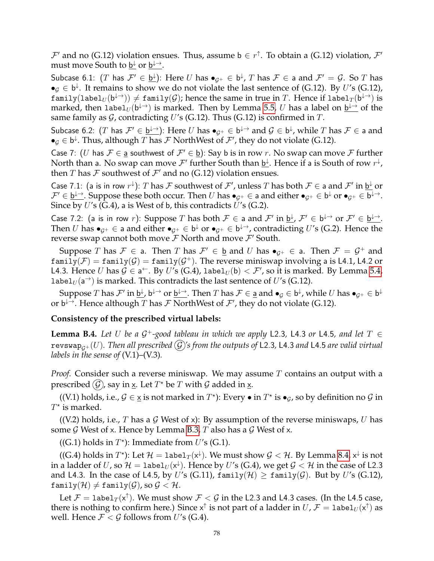$\mathcal{F}'$  and no (G.12) violation ensues. Thus, assume b  $\in$   $r^{\uparrow}$ . To obtain a (G.12) violation,  $\mathcal{F}'$ must move South to <u>b↓</u> or <u>b↓→</u>.

Subcase 6.1:  $(T$  has  $\mathcal{F}'\in \underline{\mathsf{b}}^{\downarrow}$ ): Here  $U$  has  $\bullet_{\mathcal{G}^+}\in \mathsf{b}^{\downarrow},$   $T$  has  $\mathcal{F}\in$  a and  $\mathcal{F}'=\mathcal{G}.$  So  $T$  has  $\bullet_{\mathcal{G}} \in \mathsf{b}^{\downarrow}$ . It remains to show we do not violate the last sentence of (G.12). By U's (G.12),  $\texttt{family}(\texttt{label}_U(\mathsf{b}^{\downarrow\to})) \neq \texttt{family}(\mathcal{G})\text{; hence the same in true in }T. \text{ Hence if } \texttt{label}_T (\mathsf{b}^{\downarrow\to}) \text{ is}$ marked, then  ${\tt label}_U({\sf b}^{\downarrow\rightarrow})$  is marked. Then by Lemma [5.5,](#page-13-3)  $U$  has a label on  $\underline{{\sf b}^{\downarrow\rightarrow}}$  of the same family as  $\mathcal G$ , contradicting U's (G.12). Thus (G.12) is confirmed in T.

Subcase 6.2:  $(T$  has  $\mathcal{F}'\in \underline{\mathsf{b}^{\downarrow\to}})$ : Here  $U$  has  $\bullet_{\mathcal{G}^+}\in \mathsf{b}^{\downarrow\to}$  and  $\mathcal{G}\in \mathsf{b}^\downarrow$ , while  $T$  has  $\mathcal{F}\in$  a and  $\bullet_{\mathcal{G}}\in\mathsf{b}^{\downarrow}$ . Thus, although  $T$  has  $\mathcal{F}$  NorthWest of  $\mathcal{F}'$ , they do not violate (G.12).

Case 7: (U has  $\mathcal{F} \in \underline{a}$  southwest of  $\mathcal{F}' \in \underline{b}$ ): Say b is in row r. No swap can move  $\mathcal{F}$  further North than a. No swap can move  $\mathcal{F}'$  further South than  $\underline{\mathsf{b}}^{\downarrow}$ . Hence if a is South of row  $r^{\downarrow}$ , then  $T$  has  $\mathcal F$  southwest of  $\mathcal F'$  and no (G.12) violation ensues.

Case 7.1: (a is in row  $r^{\downarrow}$ ): T has F southwest of F', unless T has both  $F \in$  a and F' in  $\underline{b^{\downarrow}}$  or  $\mathcal{F}'\in \underline{\mathsf{b}}^{\downarrow\to}$ . Suppose these both occur. Then  $U$  has  $\bullet_{\mathcal{G}^+}\in\mathsf{a}$  and either  $\bullet_{\mathcal{G}^+}\in\mathsf{b}^{\downarrow}$  or  $\bullet_{\mathcal{G}^+}\in\mathsf{b}^{\downarrow\to}$ . Since by  $U'$ s (G.4), a is West of b, this contradicts  $U'$ s (G.2).

Case 7.2: (a is in row r): Suppose T has both  $\mathcal{F} \in$  a and  $\mathcal{F}'$  in  $\underline{b}^{\downarrow}$ ,  $\mathcal{F}' \in$   $b^{\downarrow \rightarrow}$  or  $\mathcal{F}' \in \underline{b}^{\downarrow \rightarrow}$ . Then  $U$  has  $\bullet_{\mathcal{G}^+}\in$  a and either  $\bullet_{\mathcal{G}^+}\in \mathsf{b}^\downarrow$  or  $\bullet_{\mathcal{G}^+}\in \mathsf{b}^{\downarrow\to}$ , contradicting  $U'$ s (G.2). Hence the reverse swap cannot both move  $\mathcal F$  North and move  $\mathcal F'$  South.

Suppose T has  $\mathcal{F} \in$  a. Then T has  $\mathcal{F}' \in \underline{b}$  and U has  $\bullet_{\mathcal{G}^+} \in$  a. Then  $\mathcal{F} = \mathcal{G}^+$  and  $\texttt{family}(\mathcal{F})=\texttt{family}(\mathcal{G})=\texttt{family}(\mathcal{G}^+).$  The reverse miniswap involving a is L4.1, L4.2 or L4.3. Hence  $U$  has  $\mathcal{G}\in \mathsf{a}^\leftarrow$ . By  $U'$ s (G.4), label $_U(\mathsf{b})<\mathcal{F}'$ , so it is marked. By Lemma [5.4,](#page-13-2) label $_U$ (a<sup> $\rightarrow$ </sup>) is marked. This contradicts the last sentence of U's (G.12).

Suppose  $T$  has  $\mathcal F'$  in  $\underline{\mathsf b}^\downarrow$  ,  $\mathsf b^{\downarrow\to}$  or  $\underline{\mathsf b}^{\downarrow\to}$ . Then  $T$  has  $\mathcal F\in \underline{\mathsf a}$  and  $\bullet_{\mathcal G}\in \mathsf b^{\downarrow}$ , while  $U$  has  $\bullet_{\mathcal G^+}\in \mathsf b^{\downarrow}$ or b $\mapsto$ . Hence although  $T$  has  $\mathcal F$  NorthWest of  $\mathcal F'$ , they do not violate (G.12).

# **Consistency of the prescribed virtual labels:**

**Lemma B.4.** Let U be a  $G^+$ -good tableau in which we apply L2.3, L4.3 or L4.5, and let  $T \in$ revswap<sub> $G^+(U)$ . Then all prescribed  $(\mathcal{G})$ 's from the outputs of L2.3, L4.3 and L4.5 are valid virtual</sub> *labels in the sense of* (V.1)–(V.3)*.*

*Proof.* Consider such a reverse miniswap. We may assume T contains an output with a prescribed  $(\widehat {\mathcal G})$ , say in  $\underline{\mathsf x}.$  Let  $T^\star$  be  $T$  with  ${\mathcal G}$  added in  $\underline{\mathsf x}.$ 

((V.1) holds, i.e.,  $G \in \underline{x}$  is not marked in  $T^*$ ): Every • in  $T^*$  is  $\bullet_G$ , so by definition no  $G$  in  $T^*$  is marked.

((V.2) holds, i.e., T has a G West of x): By assumption of the reverse miniswaps, U has some  $G$  West of x. Hence by Lemma [B.3,](#page-73-0) T also has a  $G$  West of x.

((G.1) holds in  $T^*$ ): Immediate from U's (G.1).

((G.4) holds in  $T^{\star}$ ): Let  $\mathcal{H} =$  label $_T(\mathsf{x}^{\downarrow})$ . We must show  $\mathcal{G} < \mathcal{H}$ . By Lemma [8.4,](#page-25-0)  $\mathsf{x}^{\downarrow}$  is not in a ladder of  $U$ , so  $\mathcal{H} = \texttt{label}_U({\mathsf{x}}^\downarrow).$  Hence by  $U'$ s (G.4), we get  $\mathcal{G} < \mathcal{H}$  in the case of L2.3 and L4.3. In the case of L4.5, by U's (G.11),  $\text{family}(\mathcal{H}) \geq \text{family}(\mathcal{G})$ . But by U's (G.12),  $family(\mathcal{H}) \neq family(\mathcal{G})$ , so  $\mathcal{G} < \mathcal{H}$ .

Let  $\mathcal{F} = \texttt{label}_T(\textsf{x}^\uparrow).$  We must show  $\mathcal{F} < \mathcal{G}$  in the L2.3 and L4.3 cases. (In the L4.5 case, there is nothing to confirm here.) Since  $\mathsf{x}^\uparrow$  is not part of a ladder in  $U$ ,  $\mathcal{F} = \texttt{label}_U(\mathsf{x}^\uparrow)$  as well. Hence  $\mathcal{F} < \mathcal{G}$  follows from U's (G.4).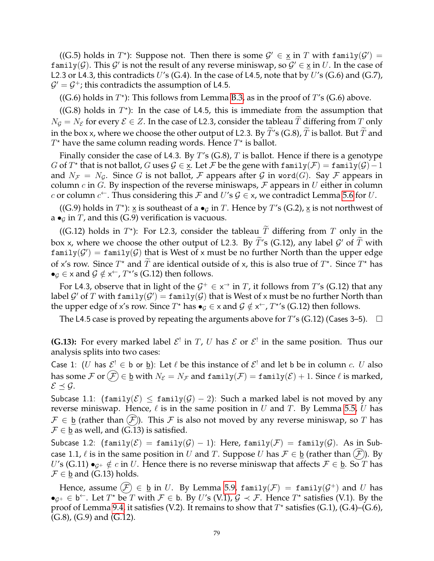((G.5) holds in  $T^*$ ): Suppose not. Then there is some  $\mathcal{G}' \in \underline{\mathsf{x}}$  in T with family( $\mathcal{G}'$ ) = family(G). This G' is not the result of any reverse miniswap, so  $\mathcal{G}' \in \underline{\mathsf{x}}$  in U. In the case of L2.3 or L4.3, this contradicts U's (G.4). In the case of L4.5, note that by U's (G.6) and (G.7),  $\mathcal{G}' = \mathcal{G}^+$ ; this contradicts the assumption of L4.5.

((G.6) holds in  $T^*$ ): This follows from Lemma [B.3,](#page-73-0) as in the proof of  $T$ 's (G.6) above.

((G.8) holds in  $T^*$ ): In the case of L4.5, this is immediate from the assumption that  $N_G = N_{\mathcal{E}}$  for every  $\mathcal{E} \in \mathbb{Z}$ . In the case of L2.3, consider the tableau  $\widetilde{T}$  differing from  $T$  only in the box x, where we choose the other output of L2.3. By  $\tilde{T}$ 's (G.8),  $\tilde{T}$  is ballot. But  $\tilde{T}$  and  $T^*$  have the same column reading words. Hence  $T^*$  is ballot.

Finally consider the case of L4.3. By T's  $(G.8)$ , T is ballot. Hence if there is a genotype *G* of  $T^*$  that is not ballot, *G* uses  $\mathcal{G} \in \underline{\mathsf{x}}$ . Let  $\mathcal{F}$  be the gene with family $(\mathcal{F}) = \mathtt{family}(\mathcal{G}) - 1$ and  $N_{\mathcal{F}} = N_{\mathcal{G}}$ . Since G is not ballot, F appears after G in word(G). Say F appears in column c in G. By inspection of the reverse miniswaps,  $\mathcal F$  appears in U either in column c or column  $c^{\leftarrow}$ . Thus considering this F and U's  $\mathcal{G} \in \mathsf{x}$ , we contradict Lemma [5.6](#page-13-0) for U.

((G.9) holds in  $T^*$ ):  $\underline{x}$  is southeast of a  $\bullet$ <sub>*g*</sub> in  $T$ . Hence by  $T$ 's (G.2),  $\underline{x}$  is not northwest of a  $\bullet$ <sub>G</sub> in T, and this (G.9) verification is vacuous.

((G.12) holds in  $T^*$ ): For L2.3, consider the tableau  $\overline{T}$  differing from  $\overline{T}$  only in the box x, where we choose the other output of L2.3. By  $\tilde{T}$ 's (G.12), any label  $\mathcal{G}'$  of  $\tilde{T}$  with <code>family(G</code>')  $=$  <code>family(G)</code> that is West of x must be no further North than the upper edge of x's row. Since  $T^*$  and  $\tilde{T}$  are identical outside of x, this is also true of  $T^*$ . Since  $T^*$  has  $\bullet_{\mathcal{G}} \in \times$  and  $\mathcal{G} \notin \times^{\leftarrow}$ ,  $T^{\star}$ 's (G.12) then follows.

For L4.3, observe that in light of the  $\mathcal{G}^+ \in \times^{\to}$  in  $T$ , it follows from  $T'$ s (G.12) that any label  $\mathcal G'$  of  $T$  with <code>family( $\mathcal G'$ )</code>  $=$  <code>family( $\mathcal G$ )</code> that is West of x must be no further North than the upper edge of x's row. Since  $T^*$  has  $\bullet_g \in \times$  and  $\mathcal{G} \notin \times^{\leftarrow}$ ,  $T^{*}$ 's (G.12) then follows.

The L4.5 case is proved by repeating the arguments above for  $T$ 's (G.12) (Cases 3–5).  $\Box$ 

**(G.13):** For every marked label  $\mathcal{E}^!$  in  $T$ ,  $U$  has  $\mathcal{E}$  or  $\mathcal{E}^!$  in the same position. Thus our analysis splits into two cases:

Case 1: (U has  $\mathcal{E}^! \in \mathfrak{b}$  or  $\underline{\mathfrak{b}}$ ): Let  $\ell$  be this instance of  $\mathcal{E}^!$  and let  $\mathfrak{b}$  be in column c. U also has some  $\mathcal F$  or  $(\widehat{\mathcal F}) \in \underline{\mathfrak b}$  with  $N_{\mathcal E} = N_{\mathcal F}$  and  $\text{family}(\mathcal F) = \text{family}(\mathcal E) + 1$ . Since  $\ell$  is marked,  $\mathcal{E} \preceq \mathcal{G}.$ 

Subcase 1.1: (family( $\mathcal{E}$ )  $\leq$  family( $\mathcal{G}$ ) – 2): Such a marked label is not moved by any reverse miniswap. Hence,  $\ell$  is in the same position in U and T. By Lemma [5.5,](#page-13-3) U has  $\mathcal{F} \in \underline{\mathfrak{b}}$  (rather than  $(\mathcal{F})$ ). This  $\mathcal F$  is also not moved by any reverse miniswap, so T has  $\mathcal{F} \in \underline{\mathsf{b}}$  as well, and (G.13) is satisfied.

Subcase 1.2:  $(\text{family}(\mathcal{E}) = \text{family}(\mathcal{G}) - 1)$ : Here,  $\text{family}(\mathcal{F}) = \text{family}(\mathcal{G})$ . As in Subcase 1.1,  $\ell$  is in the same position in U and T. Suppose U has  $\mathcal{F} \in \underline{\mathfrak{b}}$  (rather than  $(\mathcal{F})$ ). By U's (G.11)  $\bullet_{G^+} \notin c$  in U. Hence there is no reverse miniswap that affects  $\mathcal{F} \in \underline{\mathfrak{b}}$ . So T has  $\mathcal{F} \in \underline{\mathsf{b}}$  and (G.13) holds.

Hence, assume  $(\mathcal{F})\,\in\, \underline{\mathsf{b}}$  in  $U.$  By Lemma [5.9,](#page-13-4) family $(\mathcal{F})\,=\,$  family $(\mathcal{G}^+)$  and  $U$  has  $\bullet_{\mathcal{G}^+}\in \mathsf{b}^{\leftarrow}$ . Let  $T^*$  be  $T$  with  $\mathcal{F}\in \mathsf{b}$ . By  $U$ 's (V.1),  $\mathcal{G} \prec \mathcal{F}$ . Hence  $T^*$  satisfies (V.1). By the proof of Lemma [9.4,](#page-27-0) it satisfies (V.2). It remains to show that  $T^*$  satisfies (G.1), (G.4)–(G.6), (G.8), (G.9) and (G.12).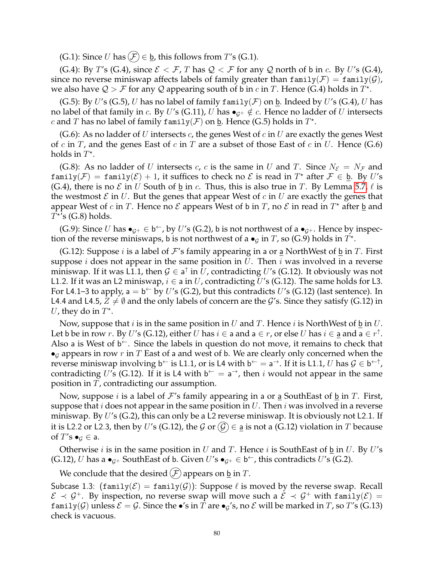(G.1): Since U has  $(F) \in \underline{\mathbf{b}}$ , this follows from T's (G.1).

(G.4): By T's (G.4), since  $\mathcal{E} < \mathcal{F}$ , T has  $\mathcal{Q} < \mathcal{F}$  for any  $\mathcal{Q}$  north of b in c. By U's (G.4), since no reverse miniswap affects labels of family greater than  $\text{family}(\mathcal{F}) = \text{family}(\mathcal{G})$ , we also have  $Q > F$  for any Q appearing south of b in c in T. Hence (G.4) holds in  $T^*$ .

(G.5): By U's (G.5), U has no label of family family( $\mathcal F$ ) on b. Indeed by U's (G.4), U has no label of that family in c. By U's (G.11), U has  $\bullet_{G^+} \notin c$ . Hence no ladder of U intersects c and T has no label of family family  $(\mathcal{F})$  on  $\underline{\mathsf{b}}$ . Hence (G.5) holds in  $T^*$ .

(G.6): As no ladder of U intersects c, the genes West of c in U are exactly the genes West of c in T, and the genes East of c in T are a subset of those East of c in U. Hence (G.6) holds in  $T^*$ .

(G.8): As no ladder of U intersects c, c is the same in U and T. Since  $N_{\mathcal{E}} = N_{\mathcal{F}}$  and  $\texttt{family}(\mathcal{F}) = \texttt{family}(\mathcal{E}) + 1$ , it suffices to check no  $\mathcal{E}$  is read in  $T^*$  after  $\mathcal{F} \in \underline{\mathfrak{b}}$ . By U's (G.4), there is no  $\mathcal E$  in U South of <u>b</u> in c. Thus, this is also true in T. By Lemma [5.7,](#page-13-5)  $\ell$  is the westmost  $\mathcal E$  in U. But the genes that appear West of c in U are exactly the genes that appear West of c in T. Hence no  $\mathcal E$  appears West of b in T, no  $\mathcal E$  in read in  $T^*$  after <u>b</u> and  $T^{\star}$ 's (G.8) holds.

(G.9): Since U has  $\bullet_{\mathcal{G}^+}\in \mathsf{b}^{\leftarrow}$ , by U's (G.2), b is not northwest of a  $\bullet_{\mathcal{G}^+}$ . Hence by inspection of the reverse miniswaps, b is not northwest of a  $\bullet$ <sub>G</sub> in T, so (G.9) holds in  $T^*$ .

(G.12): Suppose i is a label of F's family appearing in a or <u>a</u> NorthWest of <u>b</u> in T. First suppose *i* does not appear in the same position in U. Then *i* was involved in a reverse miniswap. If it was L1.1, then  $\mathcal{G} \in \mathsf{a}^\uparrow$  in  $U$ , contradicting  $U'$ s (G.12). It obviously was not L1.2. If it was an L2 miniswap,  $i \in a$  in U, contradicting U's (G.12). The same holds for L3. For L4.1–3 to apply, a = b<sup> $\leftarrow$ </sup> by  $U'$ s (G.2), but this contradicts  $U'$ s (G.12) (last sentence). In L4.4 and L4.5,  $Z \neq \emptyset$  and the only labels of concern are the G's. Since they satisfy (G.12) in U, they do in  $T^*$ .

Now, suppose that *i* is in the same position in *U* and *T*. Hence *i* is NorthWest of  $\underline{b}$  in *U*. Let b be in row r. By U's (G.12), either U has  $i \in \mathsf{a}$  and  $\mathsf{a} \in r$ , or else U has  $i \in \mathsf{a}$  and  $\mathsf{a} \in r^{\uparrow}$ . Also a is West of  $\mathfrak{b}^{\leftarrow}$ . Since the labels in question do not move, it remains to check that  $\bullet$  appears in row r in T East of a and west of b. We are clearly only concerned when the reverse miniswap involving b<sup> $\leftarrow$ </sup> is L1.1, or is L4 with b $\leftarrow$  = a $\rightarrow$ . If it is L1.1,  $U$  has  $\mathcal{G} \in$  b $\leftarrow$   $\uparrow$ , contradicting U's (G.12). If it is L4 with  $b^{\leftarrow} = a^{\rightarrow}$ , then i would not appear in the same position in  $T$ , contradicting our assumption.

Now, suppose *i* is a label of F's family appearing in a or <u>a</u> SouthEast of  $\underline{b}$  in T. First, suppose that i does not appear in the same position in U. Then i was involved in a reverse miniswap. By  $U'$ s (G.2), this can only be a L2 reverse miniswap. It is obviously not L2.1. If it is L2.2 or L2.3, then by U's (G.12), the G or  $(\mathcal{G}) \in \underline{\mathsf{a}}$  is not a (G.12) violation in T because of T's  $\bullet$ <sub>G</sub>  $\in$  a.

Otherwise *i* is in the same position in *U* and *T*. Hence *i* is SouthEast of  $\underline{b}$  in *U*. By *U*'s (G.12), U has a  $\bullet_{\mathcal{G}^+}$  SouthEast of b. Given U's  $\bullet_{\mathcal{G}^+} \in \mathsf{b}^{\leftarrow}$ , this contradicts U's (G.2).

We conclude that the desired  $(F)$  appears on  $\underline{b}$  in  $T$ .

Subcase 1.3:  $(\text{family}(\mathcal{E}) = \text{family}(\mathcal{G}))$ : Suppose  $\ell$  is moved by the reverse swap. Recall  $\mathcal{E} \prec \mathcal{G}^+$ . By inspection, no reverse swap will move such a  $\mathcal{E} \prec \mathcal{G}^+$  with family $(\mathcal{E})$  = family(G) unless  $\mathcal{E} = \mathcal{G}$ . Since the •'s in T are • $g'$ s, no  $\mathcal E$  will be marked in T, so T's (G.13) check is vacuous.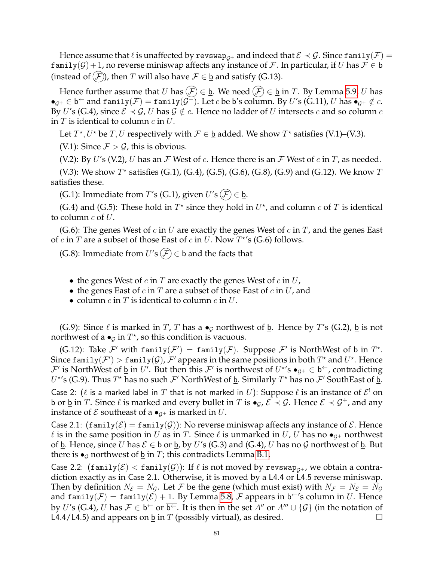Hence assume that  $\ell$  is unaffected by revswap<sub> $c+$ </sub> and indeed that  $\mathcal{E} \prec \mathcal{G}$ . Since family( $\mathcal{F}$ ) = family( $G$ ) + 1, no reverse miniswap affects any instance of F. In particular, if U has  $F \in \underline{b}$ (instead of  $(F)$ ), then T will also have  $F \in \underline{b}$  and satisfy (G.13).

Hence further assume that U has  $(F) \in \underline{b}$ . We need  $(F) \in \underline{b}$  in T. By Lemma [5.9,](#page-13-4) U has  $\bullet_{\mathcal{G}^+}\in\mathsf{b}^\leftarrow$  and  $\mathsf{family}(\mathcal{F})=\mathsf{family}(\mathcal{G}^\mp).$  Let  $c$  be  $\mathsf{b}'$ s column. By  $U'$ s (G.11),  $U$  has  $\bullet_{\mathcal{G}^+}\notin c.$ By U's (G.4), since  $\mathcal{E} \prec \mathcal{G}$ , U has  $\mathcal{G} \notin c$ . Hence no ladder of U intersects c and so column c in  $T$  is identical to column  $c$  in  $U$ .

Let  $T^*$ ,  $U^*$  be  $T$ ,  $U$  respectively with  $\mathcal{F} \in \underline{\mathsf{b}}$  added. We show  $T^*$  satisfies (V.1)–(V.3).

(V.1): Since  $\mathcal{F} > \mathcal{G}$ , this is obvious.

(V.2): By U's (V.2), U has an  $\mathcal F$  West of c. Hence there is an  $\mathcal F$  West of c in  $T$ , as needed.

(V.3): We show  $T^*$  satisfies (G.1), (G.4), (G.5), (G.6), (G.8), (G.9) and (G.12). We know T satisfies these.

(G.1): Immediate from T's (G.1), given  $U'$ s ( $\mathcal{F}$ )  $\in$  <u>b</u>.

(G.4) and (G.5): These hold in  $T^*$  since they hold in  $U^*$ , and column  $c$  of  $T$  is identical to column  $c$  of  $U$ .

(G.6): The genes West of c in U are exactly the genes West of c in T, and the genes East of  $c$  in  $T$  are a subset of those East of  $c$  in  $U$ . Now  $T^{\star}$ 's (G.6) follows.

(G.8): Immediate from  $U'$ s  $(F) \in \underline{b}$  and the facts that

- the genes West of c in T are exactly the genes West of c in  $U$ ,
- the genes East of  $c$  in  $T$  are a subset of those East of  $c$  in  $U$ , and
- column  $c$  in  $T$  is identical to column  $c$  in  $U$ .

(G.9): Since  $\ell$  is marked in T, T has a  $\bullet$ <sub>G</sub> northwest of <u>b</u>. Hence by T's (G.2), <u>b</u> is not northwest of a  $\bullet_{\mathcal{G}}$  in  $T^{\star}$ , so this condition is vacuous.

(G.12): Take F' with family( $\mathcal{F}'$ ) = family( $\mathcal{F}$ ). Suppose  $\mathcal{F}'$  is NorthWest of  $\underline{b}$  in  $T^*$ . Since  $\text{\sf family}(\mathcal{F}')>\text{\sf family}(\mathcal{G})$ ,  $\mathcal{F}'$  appears in the same positions in both  $T^\star$  and  $U^\star$ . Hence  $\mathcal{F}'$  is NorthWest of  $\underline{b}$  in  $U'$ . But then this  $\mathcal{F}'$  is northwest of  $U^{*'}s \bullet_{\mathcal{G}^+} \in \mathfrak{b}^{\leftarrow}$ , contradicting  $U^{\star}$ 's (G.9). Thus  $T^{\star}$  has no such  $\mathcal{F}'$  NorthWest of <u>b</u>. Similarly  $T^{\star}$  has no  $\mathcal{F}'$  SouthEast of <u>b</u>. Case 2: ( $\ell$  is a marked label in  $T$  that is not marked in  $U$ ): Suppose  $\ell$  is an instance of  $\mathcal{E}^!$  on b or <u>b</u> in T. Since  $\ell$  is marked and every bullet in T is  $\bullet_G$ ,  $\mathcal{E} \prec \mathcal{G}$ . Hence  $\mathcal{E} \prec \mathcal{G}^+$ , and any instance of  $\mathcal E$  southeast of a  $\bullet_{\mathcal G^+}$  is marked in  $U$ .

Case 2.1:  $(\text{family}(\mathcal{E}) = \text{family}(\mathcal{G}))$ : No reverse miniswap affects any instance of  $\mathcal{E}$ . Hence  $\ell$  is in the same position in U as in T. Since  $\ell$  is unmarked in U, U has no  $\bullet_{G^+}$  northwest of **b**. Hence, since U has  $\mathcal{E} \in$  b or **b**, by U's (G.3) and (G.4), U has no G northwest of **b**. But there is  $\bullet$ <sub>G</sub> northwest of <u>b</u> in *T*; this contradicts Lemma [B.1.](#page-72-0)

Case 2.2: (family( $\mathcal{E})$  < family( $\mathcal{G}$ )): If  $\ell$  is not moved by revswap<sub> $G^+$ </sub>, we obtain a contradiction exactly as in Case 2.1. Otherwise, it is moved by a L4.4 or L4.5 reverse miniswap. Then by definition  $N_{\mathcal{E}} = N_{\mathcal{G}}$ . Let F be the gene (which must exist) with  $N_{\mathcal{F}} = N_{\mathcal{E}} = N_{\mathcal{G}}$ and family $(\mathcal{F}) = \texttt{family}(\mathcal{E}) + 1$ . By Lemma [5.8,](#page-13-1)  $\mathcal F$  appears in b $\hookrightarrow$ 's column in  $U$ . Hence by U's (G.4), U has  $\mathcal{F}\in\mathsf{b}^\leftarrow$  or  $\overline{\mathsf{b}^\leftarrow}$ . It is then in the set  $A''$  or  $A''' \cup \{\mathcal{G}\}$  (in the notation of L4.4/L4.5) and appears on  $\underline{b}$  in  $T$  (possibly virtual), as desired.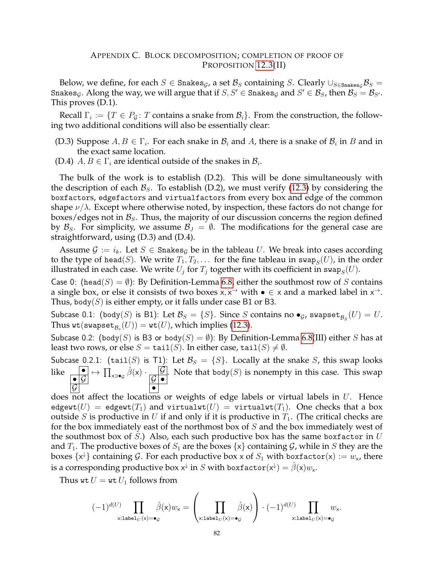# APPENDIX C. BLOCK DECOMPOSITION; COMPLETION OF PROOF OF PROPOSITION [12.3\(](#page-43-0)II)

Below, we define, for each  $S \in$  Snakes<sub>G</sub>, a set  $\mathcal{B}_S$  containing S. Clearly  $\cup_{S \in$ Snakes<sub>G</sub>  $\mathcal{B}_S$  = Snakes $_g$ . Along the way, we will argue that if  $S,S'\in\mathrm{S}$ nakes $_g$  and  $S'\in\mathcal{B}_S$ , then  $\mathcal{B}_S=\mathcal{B}_{S'}$ . This proves (D.1).

Recall  $\Gamma_i := \{T \in P_{\mathcal{G}} \colon T \text{ contains a snake from } \mathcal{B}_i\}.$  From the construction, the following two additional conditions will also be essentially clear:

- (D.3) Suppose  $A, B \in \Gamma_i$ . For each snake in  $\mathcal{B}_i$  and  $A$ , there is a snake of  $\mathcal{B}_i$  in  $B$  and in the exact same location.
- (D.4)  $A, B \in \Gamma_i$  are identical outside of the snakes in  $\mathcal{B}_i$ .

The bulk of the work is to establish (D.2). This will be done simultaneously with the description of each  $\mathcal{B}_s$ . To establish (D.2), we must verify [\(12.3\)](#page-44-0) by considering the boxfactors, edgefactors and virtualfactors from every box and edge of the common shape  $\nu/\lambda$ . Except where otherwise noted, by inspection, these factors do not change for boxes/edges not in  $\mathcal{B}_S$ . Thus, the majority of our discussion concerns the region defined by  $\mathcal{B}_S$ . For simplicity, we assume  $\mathcal{B}_J = \emptyset$ . The modifications for the general case are straightforward, using (D.3) and (D.4).

Assume  $\mathcal{G} := i_k$ . Let  $S \in$  Snakes<sub>G</sub> be in the tableau U. We break into cases according to the type of head(S). We write  $T_1, T_2, \ldots$  for the fine tableau in swap $_S(U)$ , in the order illustrated in each case. We write  $U_j$  for  $T_j$  together with its coefficient in  $\mathsf{swap}_S(U).$ 

Case 0: (head(S) =  $\emptyset$ ): By Definition-Lemma [6.8,](#page-17-0) either the southmost row of S contains a single box, or else it consists of two boxes  $x, x^{\rightarrow}$  with  $\bullet \in x$  and a marked label in  $x^{\rightarrow}$ . Thus, body( $S$ ) is either empty, or it falls under case B1 or B3.

Subcase 0.1: (body $(S)$  is B1): Let  $\mathcal{B}_S = \{S\}$ . Since  $S$  contains no  $\bullet_{\mathcal{G}}$ , swapse $\mathsf{t}_{\mathcal{B}_S}(U) = U.$ Thus  $\textsf{wt}(\textsf{swapset}_{\mathcal{B}_s}(U)) = \textsf{wt}(U)$ , which implies [\(12.3\)](#page-44-0).

Subcase 0.2: (body(S) is B3 or body(S) =  $\emptyset$ ): By Definition-Lemma [6.8\(](#page-17-0)III) either S has at least two rows, or else  $S = \text{tail}(S)$ . In either case,  $\text{tail}(S) \neq \emptyset$ .

Subcase 0.2.1: (tail(S) is T1): Let  $\mathcal{B}_S = \{S\}$ . Locally at the snake S, this swap looks like  $\overline{\phantom{a}}$  $\overline{\phantom{a}}$   $\overline{\phantom{a}}$  $\overline{\mathcal{G}}$  $\mapsto \prod_{\mathsf{x}\ni\bullet\mathsf{g}}\hat{\beta}(\mathsf{x})\cdot\frac{\mathcal{G}}{\mathcal{G}}$  $\overline{\mathcal{G} \hspace{0.5pt}|\bullet}$ • . Note that body $(S)$  is nonempty in this case. This swap

does not affect the locations or weights of edge labels or virtual labels in  $U$ . Hence edgewt(U) = edgewt(T<sub>1</sub>) and virtualwt(U) = virtualwt(T<sub>1</sub>). One checks that a box outside S is productive in U if and only if it is productive in  $T_1$ . (The critical checks are for the box immediately east of the northmost box of S and the box immediately west of the southmost box of  $S$ .) Also, each such productive box has the same boxfactor in  $U$ and  $T_1$ . The productive boxes of  $S_1$  are the boxes  $\{x\}$  containing  $\mathcal G$ , while in  $S$  they are the boxes  $\{ \mathsf{x} \}$  containing  $\mathcal{G}.$  For each productive box x of  $S_1$  with boxfactor(x)  $:=w_\mathsf{x}$ , there is a corresponding productive box  $\mathsf{x}^{\downarrow}$  in  $S$  with boxfactor $(\mathsf{x}^{\downarrow}) = \hat{\beta}(\mathsf{x})w_\mathsf{x}.$ 

Thus wt  $U =$  wt  $U_1$  follows from

$$
(-1)^{d(U)}\prod_{\mathbf{x}: \mathbf{label}_U(\mathbf{x})=\bullet_{\mathcal{G}}}\hat{\beta}(\mathbf{x})w_{\mathbf{x}} = \left(\prod_{\mathbf{x}: \mathbf{label}_U(\mathbf{x})=\bullet_{\mathcal{G}}}\hat{\beta}(\mathbf{x})\right) \cdot (-1)^{d(U)}\prod_{\mathbf{x}: \mathbf{label}_U(\mathbf{x})=\bullet_{\mathcal{G}}}w_{\mathbf{x}}.
$$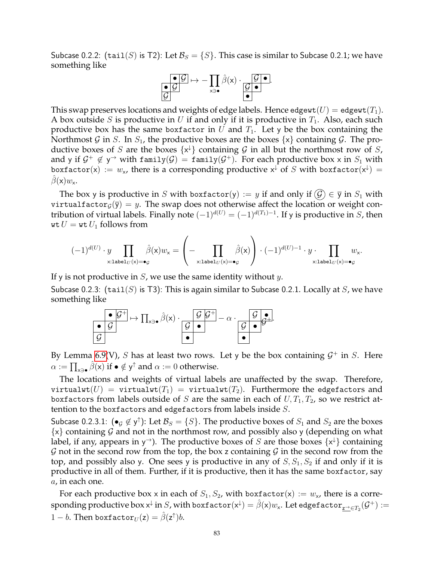Subcase 0.2.2: (tail(S) is T2): Let  $\mathcal{B}_S = \{S\}$ . This case is similar to Subcase 0.2.1; we have something like

$$
\begin{array}{c}\n\bullet \mathcal{G} \\
\hline\n\mathcal{G}\n\end{array}\n\mapsto -\prod_{x\ni\bullet} \hat{\beta}(x) \cdot \underbrace{\mathcal{G} \bullet}_{\bullet}.
$$

This swap preserves locations and weights of edge labels. Hence edgewt $(U) =$  edgewt $(T_1)$ . A box outside S is productive in U if and only if it is productive in  $T_1$ . Also, each such productive box has the same boxfactor in U and  $T_1$ . Let y be the box containing the Northmost G in S. In  $S_1$ , the productive boxes are the boxes  $\{x\}$  containing G. The productive boxes of S are the boxes  $\{x^{\downarrow}\}$  containing G in all but the northmost row of S, and y if  $\mathcal{G}^+ \notin \mathsf{y}$  with family $(\mathcal{G}) = \mathtt{family}(\mathcal{G}^+).$  For each productive box x in  $S_1$  with boxfactor(x) :=  $w_{\mathsf{x}}$ , there is a corresponding productive  $\mathsf{x}^{\downarrow}$  of  $S$  with boxfactor( $\mathsf{x}^{\downarrow}$ ) =  $\beta(\mathsf{x})w_{\mathsf{x}}$ .

The box y is productive in S with boxfactor(y) := y if and only if  $(\mathcal{G}) \in \overline{y}$  in  $S_1$  with virtualfactor<sub>G</sub> $(\bar{y}) = y$ . The swap does not otherwise affect the location or weight contribution of virtual labels. Finally note  $(-1)^{d(U)} = (-1)^{d(T_1)-1}$ . If y is productive in S, then wt  $U =$  wt  $U_1$  follows from

$$
(-1)^{d(U)}\cdot y\prod_{\mathsf{x}: \texttt{label}_U(\mathsf{x})=\bullet_{\mathcal{G}}}\hat{\beta}(\mathsf{x})w_{\mathsf{x}}=\left(-\prod_{\mathsf{x}: \texttt{label}_U(\mathsf{x})=\bullet_{\mathcal{G}}}\hat{\beta}(\mathsf{x})\right)\cdot (-1)^{d(U)-1}\cdot y\cdot\prod_{\mathsf{x}: \texttt{label}_U(\mathsf{x})=\bullet_{\mathcal{G}}}w_{\mathsf{x}}.
$$

If y is not productive in  $S$ , we use the same identity without y.

Subcase 0.2.3: (tail(S) is T3): This is again similar to Subcase 0.2.1. Locally at S, we have something like



By Lemma [6.9\(](#page-17-1)V), S has at least two rows. Let y be the box containing  $\mathcal{G}^+$  in S. Here  $\alpha := \prod_{\mathsf{x}\ni\bullet} \hat{\beta}(\mathsf{x})$  if  $\bullet \notin \mathsf{y}^\uparrow$  and  $\alpha := 0$  otherwise.

The locations and weights of virtual labels are unaffected by the swap. Therefore, virtualwt $(U)$  = virtualwt $(T_1)$  = virtualwt $(T_2)$ . Furthermore the edgefactors and boxfactors from labels outside of S are the same in each of  $U, T_1, T_2$ , so we restrict attention to the boxfactors and edgefactors from labels inside S.

Subcase 0.2.3.1:  $(\bullet_g \notin \mathsf{y}^\dagger)$ : Let  $\mathcal{B}_S = \{S\}$ . The productive boxes of  $S_1$  and  $S_2$  are the boxes  $\{x\}$  containing G and not in the northmost row, and possibly also y (depending on what label, if any, appears in y<sup> $\rightarrow$ </sup>). The productive boxes of S are those boxes  $\{x^{\downarrow}\}$  containing  $G$  not in the second row from the top, the box z containing  $G$  in the second row from the top, and possibly also y. One sees y is productive in any of  $S, S_1, S_2$  if and only if it is productive in all of them. Further, if it is productive, then it has the same boxfactor, say a, in each one.

For each productive box x in each of  $S_1, S_2$ , with boxfactor(x) :=  $w_x$ , there is a corre- ${\rm sponding}\> \overline{{\rm productive}\, {\rm box}\, {\sf x}^\downarrow}$  in  $S$ , with  ${\rm boxfactor}({\sf x}^\downarrow) = \hat\beta({\sf x})w_{\sf x}.$  Let edge ${\rm factor}_{\underline{z^\to}\in T_2}({\cal G}^+):=$  $1-b.$  Then boxfactor $_U(\mathsf{z}) = \hat{\beta}(\mathsf{z}^\uparrow) b.$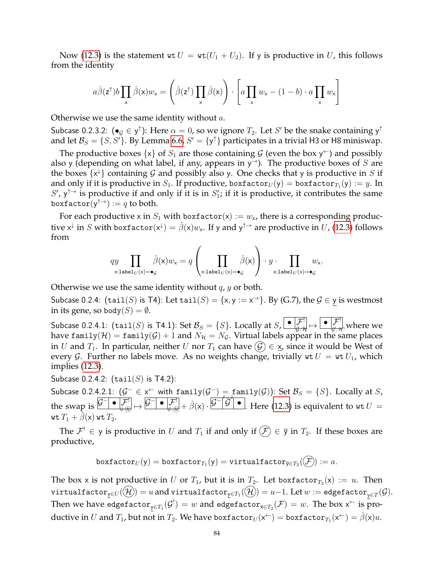Now [\(12.3\)](#page-44-0) is the statement wt  $U = wt(U_1 + U_2)$ . If y is productive in U, this follows from the identity

$$
a\hat{\beta}(z^{\uparrow})b\prod_{x}\hat{\beta}(x)w_{x} = \left(\hat{\beta}(z^{\uparrow})\prod_{x}\hat{\beta}(x)\right)\cdot\left[a\prod_{x}w_{x} - (1-b)\cdot a\prod_{x}w_{x}\right]
$$

Otherwise we use the same identity without a.

Subcase 0.2.3.2:  $(\bullet_{\mathcal{G}} \in \mathsf{y}^{\uparrow})$ : Here  $\alpha = 0$ , so we ignore  $T_2$ . Let  $S'$  be the snake containing  $\mathsf{y}^{\uparrow}$ and let  $\mathcal{B}_S = \{S, S'\}$ . By Lemma [6.6,](#page-16-0)  $S' = \{y^\uparrow\}$  participates in a trivial H3 or H8 miniswap.

The productive boxes  $\{x\}$  of  $S_1$  are those containing  $\mathcal G$  (even the box  $y^{\leftarrow}$ ) and possibly also y (depending on what label, if any, appears in  $y^{\rightarrow}$ ). The productive boxes of S are the boxes  $\{x^{\downarrow}\}$  containing G and possibly also y. One checks that y is productive in S if and only if it is productive in  $S_1.$  If productive, boxfactor $_{U}(\mathsf{y}) =$  boxfactor $_{T_1}(\mathsf{y}) := y.$  In  $S'$ ,  $y^{\uparrow \rightarrow}$  is productive if and only if it is in  $S'$ ; if it is productive, it contributes the same boxfactor $(\mathsf{y}^{\uparrow\rightarrow}) := q$  to both.

For each productive x in  $S_1$  with boxfactor(x) :=  $w_x$ , there is a corresponding productive  $x^\downarrow$  in  $S$  with boxfactor $(x^\downarrow) = \hat{\beta}(x)w_x$ . If y and  $y^{\uparrow\rightarrow}$  are productive in  $U$ , [\(12.3\)](#page-44-0) follows from

$$
\underset{\mathsf{x}: \texttt{label}_U(\mathsf{x}) = \bullet_{\mathcal{G}}}{\prod} \hat{\beta}(\mathsf{x}) w_{\mathsf{x}} = q \left( \prod_{\mathsf{x}: \texttt{label}_U(\mathsf{x}) = \bullet_{\mathcal{G}}} \hat{\beta}(\mathsf{x}) \right) \cdot y \cdot \prod_{\mathsf{x}: \texttt{label}_U(\mathsf{x}) = \bullet_{\mathcal{G}}} w_{\mathsf{x}}.
$$

Otherwise we use the same identity without  $q$ ,  $y$  or both.

Subcase 0.2.4:  $(\text{tail}(S)$  is T4): Let  $\text{tail}(S) = \{x, y := x^{\rightarrow}\}\$ . By (G.7), the  $\mathcal{G} \in \mathsf{y}$  is westmost in its gene, so body $(S) = \emptyset$ .

Subcase 0.2.4.1:  $(\texttt{tail}(S)$  is T4.1): Set  $\mathcal{B}_S = \{S\}.$  Locally at  $S, \bigsqcup_{\mathcal{G}, \mathcal{H}} \bigsqcup_{\mathcal{G}, \mathcal{H}} \bigsqcup_{\mathcal{G}, \mathcal{H}} \mathcal{F}^!_{\mathcal{G}, \mathcal{H}}$  where we have family(H) = family(G) + 1 and  $N_{\mathcal{H}} = N_{\mathcal{G}}$ . Virtual labels appear in the same places in U and  $T_1$ . In particular, neither U nor  $T_1$  can have  $(\mathcal{G}) \in \mathbf{x}$ , since it would be West of every G. Further no labels move. As no weights change, trivially  $w \cdot U = w \cdot U_1$ , which implies [\(12.3\)](#page-44-0).

Subcase 0.2.4.2:  $(tail(S)$  is T4.2):

Subcase 0.2.4.2.1:  $(\mathcal{G}^- \in x^{\leftarrow})$  with family $(\mathcal{G}^-) = \text{family}(\mathcal{G}))$ : Set  $\mathcal{B}_S = \{S\}$ . Locally at  $S$ , the swap is  $\boxed{\mathcal{G}^- \bullet \mathcal{F}^!} \mapsto \boxed{\mathcal{G}^- \bullet \mathcal{F}^!} \mapsto \hat{\beta}(x) \cdot \boxed{\mathcal{G}^- \mathcal{G}^-} \bullet$ . — ⊥<br>7<del>∀४7ा</del> Here [\(12.3\)](#page-44-0) is equivalent to  $\texttt{wt} \, U =$ wt  $T_1 + \hat{\beta}(x)$  wt  $T_2$ .

The  $\mathcal{F}^! \in \mathsf{y}$  is productive in U and  $T_1$  if and only if  $(\mathcal{F}) \in \overline{\mathsf{y}}$  in  $T_2$ . If these boxes are productive,

$$
\mathtt{boxfactor}_U(\mathsf{y}) = \mathtt{boxfactor}_{T_1}(\mathsf{y}) = \mathtt{virtualfactor}_{\overline{\mathsf{y}} \in T_2}((\mathcal{F})) := a.
$$

The box x is not productive in  $U$  or  $T_1$ , but it is in  $T_2$ . Let boxfactor $_{T_2}(\mathsf{x}) \ := \ u.$  Then  $\texttt{virtualfactor}_{\underline{y}\in U}(\mathcal{H})=u$  and  $\texttt{virtualfactor}_{\underline{y}\in T_1}(\mathcal{H}))=u-1.$  Let  $w:=\texttt{edgefactor}_{\underline{y}\in T}(\mathcal{G}).$ Then we have edgefacto $\mathbf{r}_{\mathsf{y}\in T_1}(\mathcal{G}^!) = w$  and edgefacto $\mathbf{r}_{\overline{\mathsf{x}}\in T_2}(\mathcal{F}) = w.$  The box  $\mathsf{x}^\leftarrow$  is productive in  $U$  and  $T_1$ , but not in  $T_2.$  We have boxfactor $_U(\mathsf{x}^{\leftarrow}) =$  boxfactor $_{T_1}(\mathsf{x}^{\leftarrow}) = \hat{\beta}(\mathsf{x})u.$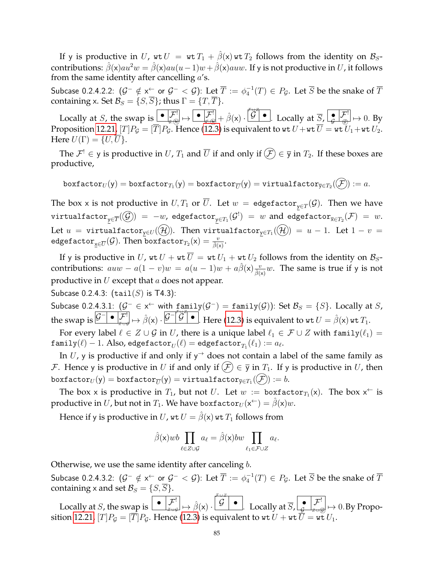If y is productive in U, wt  $U = wt T_1 + \hat{\beta}(x)wt T_2$  follows from the identity on  $\mathcal{B}_{S}$ contributions:  $\hat{\beta}(x)au^2w = \hat{\beta}(x)au(u-1)w + \hat{\beta}(x)auw$ . If y is not productive in U, it follows from the same identity after cancelling  $a$ 's.

Subcase 0.2.4.2.2:  $(\mathcal{G}^{-}\notin\times^{\leftarrow}$  or  $\mathcal{G}^{-}<\mathcal{G})$ : Let  $\overline{T}:=\phi_{4}^{-1}(T)\in P_{\mathcal{G}}.$  Let  $\overline{S}$  be the snake of  $\overline{T}$ containing x. Set  $\mathcal{B}_S = \{S, \overline{S}\}\;$ ; thus  $\Gamma = \{T, \overline{T}\}\$ .

Locally at S, the swap is  $\begin{array}{|c|c|c|c|c|}\n\bullet & \mathcal{F}^1 & \bullet & \mathcal{F}^1 \\\hline\n\vdots & \vdots & \vdots & \vdots \\\hline\n\end{array}$ F ∪ <sup>Z</sup> Locally at  $\overline{S}$ ,  $\left\lfloor \frac{\bullet}{\mathcal{G}} \right\rfloor \overline{\mathcal{G}}$   $\mapsto 0$ . By Proposition [12.21,](#page-52-0)  $[T]P_\mathcal{G}=[T]P_\mathcal{G}$ . Hence [\(12.3\)](#page-44-0) is equivalent to wt  $U+$  wt  $\overline{U} =$  wt  $U_1+$  wt  $U_2.$ Here  $U(\Gamma) = \{U, U\}.$ 

The  $\mathcal{F}^! \in \mathsf{y}$  is productive in  $U$ ,  $T_1$  and  $\overline{U}$  if and only if  $(\mathcal{F}) \in \overline{\mathsf{y}}$  in  $T_2$ . If these boxes are productive,

$$
\texttt{boxfactor}_U(y) = \texttt{boxfactor}_{T_1}(y) = \texttt{boxfactor}_{\overline{U}}(y) = \texttt{virtualfactor}_{\overline{y} \in T_2}(\overline{\mathcal{F}}) := a.
$$

The box x is not productive in  $U,T_1$  or  $\overline{U}.$  Let  $w\,=\,$  edgef $\texttt{actor}_{\mathsf{y}\in T}(\mathcal{G}).$  Then we have  $\texttt{virtualfactor}_{\mathsf{y}\in\overline{T}}(\mathcal{G})\texttt{)}\ =\ -w$ , edge $\texttt{factor}_{\mathsf{y}\in T_1}(\mathcal{G}^!)\ =\ w$  and edge $\texttt{factor}_{\overline{\mathsf{x}}\in T_2}(\mathcal{F})\ =\ w.$ Let  $u$  = virtualfactor $_{\mathsf{y}\in U}(\mathcal{(H)})$ . Then virtualfactor $_{\mathsf{y}\in T_1}(\mathcal{(H)})\ =\ u\ -\ 1.$  Let  $1\ -\ v\ =\ 1$  $\texttt{edgefactor}_{\underline{x}\in \overline{U}}(\mathcal{G}).$  Then  $\texttt{boxfactor}_{T_2}(\mathsf{x})=\frac{v}{\hat{\beta}(\mathsf{x})}.$ 

If y is productive in U, wt  $U + wt \overline{U} = wt U_1 + wt U_2$  follows from the identity on  $\mathcal{B}_{S}$ contributions:  $auw - a(1 - v)w = a(u - 1)w + a\hat{\beta}(x)\frac{v}{\hat{\beta}(x)}w$ . The same is true if y is not productive in  $U$  except that  $a$  does not appear.

Subcase 0.2.4.3:  $(tail(S)$  is T4.3):

Subcase 0.2.4.3.1:  $(\mathcal{G}^- \in x^{\leftarrow}$  with  $\underline{\text{family}}(\mathcal{G}^-) = \underline{\text{family}}(\mathcal{G}))$ : Set  $\mathcal{B}_S = \{S\}$ . Locally at  $S$ , the swap is  $\overline{\mathcal{G}^-}$  •  $\overline{\mathcal{F}}'$   $\mapsto \hat{\beta}(x) \cdot \overline{\mathcal{G}^-} \overline{\mathcal{G}}^-$  • . ⊥aiii<br><del>/ ∪∡</del> Here [\(12.3\)](#page-44-0) is equivalent to wt  $U = \hat{\beta}(\mathsf{x})$  wt  $T_1$ .

For every label  $\ell \in Z \cup G$  in U, there is a unique label  $\ell_1 \in \mathcal{F} \cup Z$  with family $(\ell_1) =$  $\texttt{family}(\ell)-1. \text{ Also, edgefactor}_U(\ell) = \texttt{edgefactor}_{T_1}(\ell_1) := a_\ell.$ 

In U, y is productive if and only if  $y^{\rightarrow}$  does not contain a label of the same family as F. Hence y is productive in U if and only if  $(F) \in \overline{y}$  in  $T_1$ . If y is productive in U, then  $\texttt{boxfactor}_U(\mathsf{y}) = \texttt{boxfactor}_{\overline{U}}(\mathsf{y}) = \texttt{virtualfactor}_{\overline{\mathsf{y}} \in T_1}((\mathcal{F})) := b.$ 

The box x is productive in  $T_1$ , but not U. Let  $w :=$  boxfactor $T_1(x)$ . The box  $x^{\leftarrow}$  is productive in  $U$ , but not in  $T_1.$  We have boxfactor $_U(\mathsf{x}^{\leftarrow}) = \hat{\beta}(\mathsf{x}) w.$ 

Hence if y is productive in U, wt  $U = \hat{\beta}(x)$  wt  $T_1$  follows from

$$
\hat{\beta}(\mathbf{x})wb \prod_{\ell \in Z \cup \mathcal{G}} a_{\ell} = \hat{\beta}(\mathbf{x})bw \prod_{\ell_1 \in \mathcal{F} \cup Z} a_{\ell}.
$$

Otherwise, we use the same identity after canceling  $b$ .

Subcase 0.2.4.3.2:  $(\mathcal{G}^{-}\notin\times^{\leftarrow}$  or  $\mathcal{G}^{-}<\mathcal{G})$ : Let  $\overline{T}:=\phi_{4}^{-1}(T)\in P_{\mathcal{G}}.$  Let  $\overline{S}$  be the snake of  $\overline{T}$ containing x and set  $\mathcal{B}_S = \{S, \overline{S}\}.$ F ∪ <sup>Z</sup>

Locally at S, the swap is  $\left[\begin{array}{c} \bullet \\ \end{array}\right] \mathcal{F}^! \left[\rightarrow \hat{\beta}(x) \cdot \left[\begin{array}{c} \mathcal{G} \\ \end{array}\right] \bullet \right]$ . Locally at  $\overline{S}_r \Big| \overset{\bullet}{\underset{\mathcal{G}}{\bullet}} \Big| \overset{\mathcal{F}^!}{\mathcal{F}^!} \Big| \mapsto 0.$  By Propo-sition [12.21,](#page-52-0)  $[T]P_{\mathcal{G}} = [T]P_{\mathcal{G}}.$  Hence [\(12.3\)](#page-44-0) is equivalent to wt  $U +$  wt  $U =$  wt  $U_1.$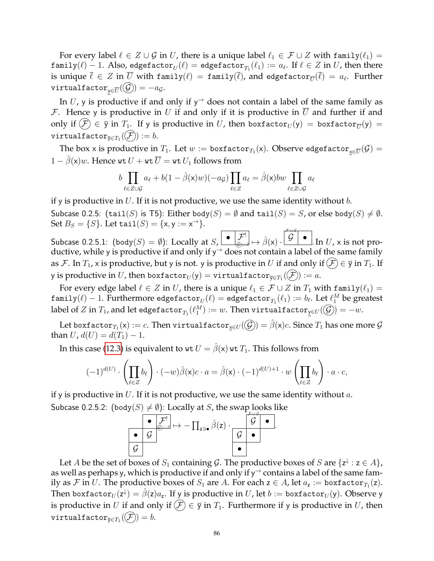For every label  $\ell \in Z \cup G$  in U, there is a unique label  $\ell_1 \in \mathcal{F} \cup Z$  with family $(\ell_1)$  = <code>family( $\ell$ )  $-$  1. Also, edgefactor $_U(\ell) =$  edgefactor $_{T_1}(\ell_1) := a_{\ell}.$  If  $\ell \in Z$  in  $U$ , then there  $\ell$ </sup></code> is unique  $\overline{\ell} \, \in \, Z$  in  $\overline{U}$  with family $(\ell) \, = \, \texttt{family}(\overline{\ell}),$  and edgefactor $_{\overline{U}}(\overline{\ell}) \, = \, a_\ell.$  Further  $\texttt{virtualfactor}_{\mathsf{y}\in \overline{U}}(\mathcal{G})=-a_{\mathcal{G}}.$ 

In U, y is productive if and only if  $y^{\rightarrow}$  does not contain a label of the same family as  $F$ . Hence y is productive in U if and only if it is productive in U and further if and only if  $(\mathcal{F}) \in \overline{\mathsf{y}}$  in  $T_1.$  If y is productive in  $U$ , then boxfactor $_U(\mathsf{y})\,=\,\mathtt{boxfactor}_{\overline{U}}(\mathsf{y})\,=\,$  $\texttt{virtualfactor}_{\overline{{\textnormal{y}}}\in T_1}((\mathcal{F})) := b.$ 

The box x is productive in  $T_1.$  Let  $w:=\texttt{boxfactor}_{T_1}(\mathsf{x}).$  Observe edge $\texttt{factor}_{\underline{\mathsf{x}}\in\overline{U}}(\mathcal{G})=$  $1 - \hat{\beta}(\mathsf{x})w$ . Hence wt  $U + \mathsf{wt}\,\overline{U} = \mathsf{wt}\,U_1$  follows from

$$
b \prod_{\ell \in Z \cup \mathcal{G}} a_{\ell} + b(1 - \hat{\beta}(\mathbf{x})w)(-a_{\mathcal{G}}) \prod_{\ell \in Z} a_{\ell} = \hat{\beta}(\mathbf{x})bw \prod_{\ell \in Z \cup \mathcal{G}} a_{\ell}
$$

if y is productive in  $U$ . If it is not productive, we use the same identity without  $b$ .

Subcase 0.2.5: (tail(S) is T5): Either body(S) =  $\emptyset$  and tail(S) = S, or else body(S)  $\neq \emptyset$ . Set  $B_S = \{S\}$ . Let  $\text{tail}(S) = \{\mathsf{x}, \mathsf{y} := \mathsf{x}^{\to}\}.$ F ∪ <sup>Z</sup>

Subcase 0.2.5.1:  $(\text{body}(S) = \emptyset)$ : Locally at  $S, \begin{bmatrix} \bullet & \mathcal{F}^! \\ \bullet & \mathcal{F}^! \end{bmatrix} \mapsto \hat{\beta}(x) \cdot \begin{bmatrix} \mathcal{G} & \bullet \end{bmatrix}$ . In  $U$ , x is not productive, while y is productive if and only if y<sup> $\rightarrow$ </sup> does not contain a label of the same family as F. In  $T_1$ , x is productive, but y is not. y is productive in U if and only if  $(F) \in \overline{y}$  in  $T_1$ . If y is productive in  $U$ , then boxfactor $_{U}(\mathsf{y}) = \mathtt{virtualfactor}_{\overline{\mathsf{y}} \in T_1}(\mathcal{F}) := a.$ 

For every edge label  $\ell \in Z$  in U, there is a unique  $\ell_1 \in \mathcal{F} \cup Z$  in  $T_1$  with family $(\ell_1)$  = <code>family( $\ell) - 1.$  Furthermore edgefactor $_{U}(\ell) =$  edgefactor $_{T_{1}}(\ell_{1}) := b_{\ell}.$  Let  $\ell_{1}^{M}$  be greatest</code> label of  $Z$  in  $T_1$ , and let edgefactor $_{T_1}(\ell_1^M):=w.$  Then virtualfactor $_{\underline{y}\in U}(\mathcal{G})=-w.$ 

Let boxfactor $_{T_1}({\sf x}):=c.$  Then virtualfactor $_{\sf x\in U}(\widehat{\cal G})=\hat\beta({\sf x})c.$  Since  $T_1$  has one more  ${\cal G}$ than  $U$ ,  $d(U) = d(T_1) - 1$ .

In this case [\(12.3\)](#page-44-0) is equivalent to  $w \tau U = \hat{\beta}(x) w \tau T_1$ . This follows from

$$
(-1)^{d(U)} \cdot \left(\prod_{\ell \in Z} b_{\ell}\right) \cdot (-w)\hat{\beta}(\mathbf{x})c \cdot a = \hat{\beta}(\mathbf{x}) \cdot (-1)^{d(U)+1} \cdot w\left(\prod_{\ell \in Z} b_{\ell}\right) \cdot a \cdot c,
$$

if y is productive in  $U$ . If it is not productive, we use the same identity without  $a$ . Subcase 0.2.5.2:  $(\text{body}(S) \neq \emptyset)$ : Locally at S, the swap looks like



Let A be the set of boxes of  $S_1$  containing  $\mathcal G$ . The productive boxes of S are  $\{z^\downarrow : z \in A\}$ , as well as perhaps y, which is productive if and only if y $\rightarrow$  contains a label of the same family as  ${\cal F}$  in  $U.$  The productive boxes of  $S_1$  are  $A.$  For each  ${\sf z}\in A$ , let  $a_{\sf z}:=\texttt{boxfactor}_{T_1}({\sf z}).$ Then boxfactor ${}_{U}(\mathsf{z}^{\downarrow}) = \hat{\beta}(\mathsf{z}) a_{\mathsf{z}}.$  If y is productive in  $U$ , let  $b := \texttt{boxfactor}_U(\mathsf{y}).$  Observe y is productive in U if and only if  $\mathcal{F} \in \overline{y}$  in  $T_1$ . Furthermore if y is productive in U, then  $\texttt{virtualfactor}_{\overline{\mathsf{y}} \in T_1}((\mathcal{F})) = b.$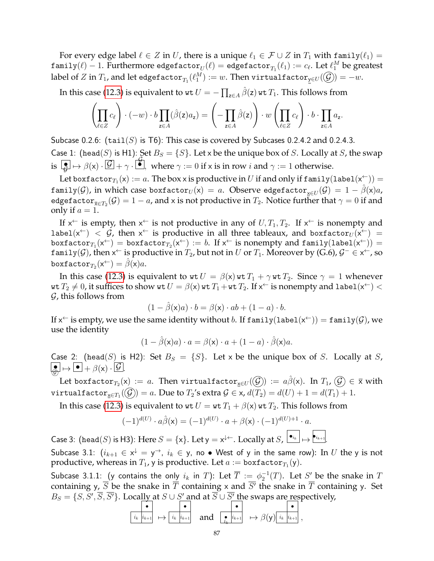For every edge label  $\ell \in Z$  in U, there is a unique  $\ell_1 \in \mathcal{F} \cup Z$  in  $T_1$  with family $(\ell_1)$  = <code>family( $\ell) - 1$ . Furthermore edgefactor $_{U}(\ell) =$  edgefactor $_{T_{1}}(\ell_{1}) := c_{\ell}.$  Let  $\ell_{1}^{M}$  be greatest</code> label of  $Z$  in  $T_1$ , and let edgefactor $_{T_1}(\ell_1^M):=w.$  Then virtualfactor $_{\underline{\mathsf{y}}\in U}(\widehat{\mathcal{G}})=-w.$ 

In this case [\(12.3\)](#page-44-0) is equivalent to  $\texttt{wt}\, U = -\prod_{\mathsf{z}\in A} \hat\beta(\mathsf{z})\, \texttt{wt}\, T_1.$  This follows from

$$
\left(\prod_{\ell\in Z}c_{\ell}\right)\cdot(-w)\cdot b\prod_{z\in A}(\hat{\beta}(z)a_z)=\left(-\prod_{z\in A}\hat{\beta}(z)\right)\cdot w\left(\prod_{\ell\in Z}c_{\ell}\right)\cdot b\cdot\prod_{z\in A}a_z.
$$

Subcase 0.2.6:  $(tail(S)$  is T6): This case is covered by Subcases 0.2.4.2 and 0.2.4.3. Case 1: (head(S) is H1): Set  $B_S = \{S\}$ . Let x be the unique box of S. Locally at S, the swap is  $\boxed{\bullet} \mapsto \beta(x) \cdot \boxed{\mathcal{G}} + \gamma \cdot \boxed{\bullet}$ where  $\gamma := 0$  if x is in row  $i$  and  $\gamma := 1$  otherwise.

Let boxfactor $_{T_1}(\mathsf{x}) := a$ . The box x is productive in  $U$  if and only if family $(\mathtt{label}(\mathsf{x}^\leftarrow)) =$  $\texttt{family}(\mathcal{G})$ , in which case boxfacto $\text{r}_U(\textsf{x})\,=\,a.$  Observe edgefacto $\text{r}_{\textsf{x}\in U}(\mathcal{G})\,=\,1-\hat{\beta}(\textsf{x})a$ , edgefactor $_{\overline{\mathsf{x}}\in T_2}(\mathcal{G})=1-a$ , and x is not productive in  $T_2.$  Notice further that  $\gamma=0$  if and only if  $a = 1$ .

If  $x^{\leftarrow}$  is empty, then  $x^{\leftarrow}$  is not productive in any of  $U, T_1, T_2$ . If  $x^{\leftarrow}$  is nonempty and label(x<sup>+</sup>) <  $\mathcal{G}$ , then x<sup>+</sup> is productive in all three tableaux, and boxfactor $U(x^+)$  =  ${\tt boxfactor}_{T_1}({\sf x}^{\leftarrow})\, =\, {\tt boxfactor}_{T_2}({\sf x}^{\leftarrow})\, :=\, b.$  If  ${\sf x}^{\leftarrow}$  is nonempty and  ${\tt family}({\tt label}({\sf x}^{\leftarrow}))\, =\,$ family(G), then  $x^{\leftarrow}$  is productive in  $T_2$ , but not in  $U$  or  $T_1$ . Moreover by (G.6),  $\mathcal{G}^{-} \in x^{\leftarrow}$ , so boxf $\texttt{actor}_{T_2}(\mathsf{x}^{\leftarrow}) = \hat{\beta}(\mathsf{x}) a.$ 

In this case [\(12.3\)](#page-44-0) is equivalent to  $\text{wt } U = \beta(\text{x}) \text{wt } T_1 + \gamma \text{wt } T_2$ . Since  $\gamma = 1$  whenever wt  $T_2\neq 0$ , it suffices to show wt  $U=\beta({\sf x})$  wt  $T_1+$ wt  $T_2.$  If  ${\sf x}^\leftarrow$  is nonempty and label $({\sf x}^\leftarrow)<$  $G$ , this follows from

$$
(1 - \hat{\beta}(\mathbf{x})a) \cdot b = \beta(\mathbf{x}) \cdot ab + (1 - a) \cdot b.
$$

If  $x^\leftarrow$  is empty, we use the same identity without  $b.$  If  $\texttt{family}(\texttt{label}(x^\leftarrow)) = \texttt{family}(\mathcal{G})$ , we use the identity

$$
(1 - \hat{\beta}(\mathbf{x})a) \cdot a = \beta(\mathbf{x}) \cdot a + (1 - a) \cdot \hat{\beta}(\mathbf{x})a.
$$

Case 2: (head(S) is H2): Set  $B_S = \{S\}$ . Let x be the unique box of S. Locally at S,  $\boxed{\bullet}$   $\mapsto \boxed{\bullet} + \beta(x) \cdot \boxed{\mathcal{G}}$ .

Let boxfactor $_{T_2}({\sf x})$  :=  $a.$  Then virtualfactor $_{\sf x\in U}(\widehat{\cal G})$  :=  $a\hat\beta({\sf x}).$  In  $T_1$ ,  $\widehat{\cal G})\in\bar{\sf x}$  with virtualfactor $_{\underline{x}\in T_1}((\mathcal{G}))=a.$  Due to  $T_2$ 's extra  $\mathcal{G}\in$  x,  $d(T_2)=d(U)+1=d(T_1)+1.$ 

In this case [\(12.3\)](#page-44-0) is equivalent to  $w \in U = w \in T_1 + \beta(x)$  wt  $T_2$ . This follows from

$$
(-1)^{d(U)} \cdot a\widehat{\beta}(\mathsf{x}) = (-1)^{d(U)} \cdot a + \beta(\mathsf{x}) \cdot (-1)^{d(U)+1} \cdot a.
$$

Case 3: (head(S) is H3): Here  $S = \{x\}$ . Let  $y = x^{\downarrow \leftarrow}$ . Locally at  $S$ ,  $\boxed{\bullet_{i_k}} \mapsto \boxed{\bullet_{i_{k+1}}}$ . Subcase 3.1:  $(i_{k+1}\in \mathsf{x}^\downarrow=\mathsf{y}^\rightarrow,~i_k\in \mathsf{y},$  no  $\bullet$  West of  $\mathsf{y}$  in the same row): In  $U$  the  $\mathsf{y}$  is not

productive, whereas in  $T_1$ , y is productive. Let  $a:=\texttt{boxfactor}_{T_1}(\mathsf{y}).$ 

Subcase 3.1.1: (y contains the only  $i_k$  in T): Let  $\overline{T} := \phi_2^{-1}(T)$ . Let  $S'$  be the snake in  $T$ containing y,  $\overline{S}$  be the snake in  $\overline{T}$  containing x and  $\overline{S'}$  the snake in  $\overline{T}$  containing y. Set  $B_S = \{S, S', \overline{S}, \overline{S'}\}$ . Locally at  $S \cup S'$  and at  $\overline{S} \cup \overline{S'}$  the swaps are respectively,

$$
\begin{array}{c}\n\bullet \\
\hline\ni_k \n\end{array}\n\mapsto\n\begin{array}{c}\n\bullet \\
\hline\ni_k \n\end{array}\n\quad \text{and} \quad\n\begin{array}{c}\n\bullet \\
\bullet \\
\hline\ni_k \n\end{array}\n\mapsto\n\beta(y)\begin{array}{c}\n\bullet \\
\hline\ni_k \n\end{array},
$$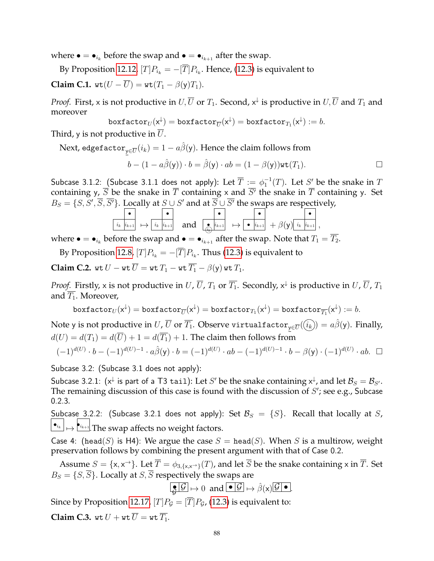where  $\bullet = \bullet_{i_k}$  before the swap and  $\bullet = \bullet_{i_{k+1}}$  after the swap.

By Proposition [12.12,](#page-48-0)  $[T]P_{i_k} = -[T]P_{i_k}.$  Hence, [\(12.3\)](#page-44-0) is equivalent to **Claim C.1.**  $wt(U - \overline{U}) = wt(T_1 - \beta(y)T_1)$ .

*Proof.* First, x is not productive in  $U,\overline{U}$  or  $T_1$ . Second,  $x^{\downarrow}$  is productive in  $U,\overline{U}$  and  $T_1$  and moreover

 $\texttt{boxfactor}_U(\mathsf{x}^\downarrow) = \texttt{boxfactor}_{\overline{U}}(\mathsf{x}^\downarrow) = \texttt{boxfactor}_{T_1}(\mathsf{x}^\downarrow) := b.$ 

Third, y is not productive in  $\overline{U}$ .

Next, edgefacto $\mathbf{r}_{\mathsf{y}\in\overline{U}}(i_k)=1-a\hat{\beta}(\mathsf{y}).$  Hence the claim follows from

$$
b - (1 - a\hat{\beta}(y)) \cdot b = \hat{\beta}(y) \cdot ab = (1 - \beta(y))\text{wt}(T_1).
$$

Subcase 3.1.2: (Subcase 3.1.1 does not apply): Let  $\overline{T}:=\phi_1^{-1}(T).$  Let  $S'$  be the snake in  $T$ containing y,  $\overline{S}$  be the snake in  $\overline{T}$  containing x and  $\overline{S'}$  the snake in  $\overline{T}$  containing y. Set  $B_S = \{S, S', \overline{S}, \overline{S'}\}$ . Locally at  $S \cup S'$  and at  $\overline{S} \cup \overline{S'}$  the swaps are respectively,

$$
\begin{array}{|c|c|c|c|c|}\hline \bullet & \bullet & \bullet \\ \hline i_k & i_{k+1} & \mapsto & i_k & i_{k+1} \\ \hline \end{array} \text{ and } \begin{array}{|c|c|c|c|}\hline \bullet & \bullet & \bullet & \bullet \\ \hline \bullet & i_{k+1} & \mapsto & \bullet & i_{k+1} \\ \hline \bullet & \bullet & \bullet & \bullet & \bullet & \bullet \\ \hline \end{array} \text{ and } \begin{array}{|c|c|c|c|}\hline \bullet & \bullet & \bullet & \bullet \\ \hline \bullet & i_{k+1} & \mapsto & \bullet & i_{k+1} \\ \hline \bullet & \bullet & \bullet & \bullet & \bullet & \bullet \\ \hline \end{array}
$$

where  $\bullet = \bullet_{i_k}$  before the swap and  $\bullet = \bullet_{i_{k+1}}$  after the swap. Note that  $T_1 = \overline{T_2}$ .

By Proposition [12.8,](#page-46-0)  $[T]P_{i_k} = -[\overline{T}]P_{i_k}.$  Thus [\(12.3\)](#page-44-0) is equivalent to

**Claim C.2.** wt  $U - \text{wt } \overline{U} = \text{wt } T_1 - \text{wt } \overline{T_1} - \beta(\mathsf{y})$  wt  $T_1$ .

*Proof.* Firstly, x is not productive in  $U$ ,  $\overline{U}$ ,  $T_1$  or  $\overline{T_1}$ . Secondly,  $\mathsf{x}^\downarrow$  is productive in  $U$ ,  $\overline{U}$ ,  $T_1$ and  $\overline{T_1}$ . Moreover,

$$
\mathtt{boxfactor}_U(\mathsf{x}^\downarrow) = \mathtt{boxfactor}_{\overline{U}}(\mathsf{x}^\downarrow) = \mathtt{boxfactor}_{T_1}(\mathsf{x}^\downarrow) = \mathtt{boxfactor}_{\overline{T_1}}(\mathsf{x}^\downarrow) := b.
$$

Note y is not productive in  $U$ ,  $\overline{U}$  or  $\overline{T_1}.$  Observe virtualfactor ${}_{\mathsf{y}\in\overline{U}}(\widehat{(i_k)})=a\hat\beta(\mathsf{y}).$  Finally,  $d(U) = d(T_1) = d(\overline{U}) + 1 = d(\overline{T_1}) + 1$ . The claim then follows from

$$
(-1)^{d(U)} \cdot b - (-1)^{d(U)-1} \cdot a\hat{\beta}(y) \cdot b = (-1)^{d(U)} \cdot ab - (-1)^{d(U)-1} \cdot b - \beta(y) \cdot (-1)^{d(U)} \cdot ab. \quad \Box
$$

Subcase 3.2: (Subcase 3.1 does not apply):

Subcase 3.2.1: ( $x^\downarrow$  is part of a T3 tail): Let  $S'$  be the snake containing  $x^\downarrow$ , and let  $\mathcal{B}_S=\mathcal{B}_{S'}.$ The remaining discussion of this case is found with the discussion of  $S'$ ; see e.g., Subcase 0.2.3.

Subcase 3.2.2: (Subcase 3.2.1 does not apply): Set  $\mathcal{B}_S = \{S\}$ . Recall that locally at S,  $\left|\bullet_{i_k}\right|\mapsto \left|\bullet_{i_{k+1}}\right|$ . The swap affects no weight factors.

Case 4: (head(S) is H4): We argue the case  $S = \text{head}(S)$ . When S is a multirow, weight preservation follows by combining the present argument with that of Case 0.2.

Assume  $S = \{x, x^{\to}\}\.$  Let  $\overline{T} = \phi_{3,\{x, x^{\to}\}}(T)$ , and let  $\overline{S}$  be the snake containing x in  $\overline{T}$ . Set  $B_S = \{S, \overline{S}\}\$ . Locally at  $S, \overline{S}$  respectively the swaps are

$$
\boxed{\bullet \boxed{\mathcal{G}} \mapsto 0 \text{ and } \boxed{\bullet \boxed{\mathcal{G}} \mapsto \hat{\beta}(x)\boxed{\mathcal{G} \boxed{\bullet}}}
$$

Since by Proposition [12.17,](#page-51-0)  $[T]P_G = [\overline{T}]P_G$ , [\(12.3\)](#page-44-0) is equivalent to: **Claim C.3.** wt  $U + \text{wt } \overline{U} = \text{wt } \overline{T_1}$ .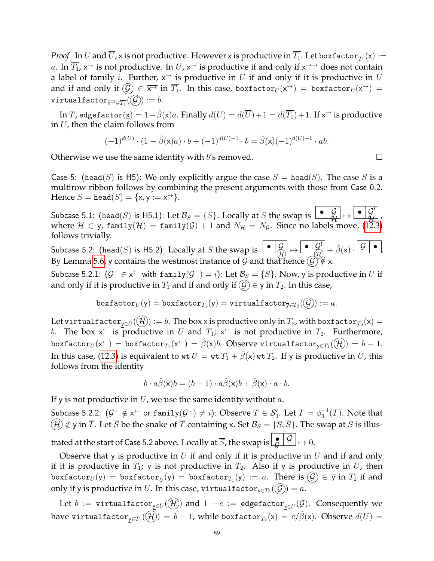*Proof.* In  $U$  and  $U$ , x is not productive. However x is productive in  $T_1.$  Let boxfactor $_{\overline{T_1}}({\sf x}) :=$ a. In  $\overline{T_1}$ ,  $x^{\to}$  is not productive. In  $U$ ,  $x^{\to}$  is productive if and only if  $x^{\to\to}$  does not contain a label of family  $i.$  Further,  $\mathsf{x}^{\rightarrow}$  is productive in  $U$  if and only if it is productive in  $\overline{U}$ and if and only if  $(\mathcal{G})\in\overline{{\sf x}^{\to}}$  in  $\overline{T_1}.$  In this case, boxfactor $_U({\sf x}^{\to})\,=\,\text{boxfactor}_{\overline{U}}({\sf x}^{\to})\,=\,$  $\texttt{virtualfactor}_{\overline{\mathsf{x}}\rightarrow \in \overline{T_1}}(\mathcal{G}) := b.$ 

In  $T$ , edgefactor $(\underline{\mathsf{x}}) = 1-\hat{\beta}(\mathsf{x})a.$  Finally  $d(U) = d(\overline{U}) + 1 = d(\overline{T_1}) + 1.$  If  $\mathsf{x}^\rightarrow$  is productive in  $U$ , then the claim follows from

$$
(-1)^{d(U)} \cdot (1-\hat{\beta}(\mathbf{x})a) \cdot b + (-1)^{d(U)-1} \cdot b = \hat{\beta}(\mathbf{x})(-1)^{d(U)-1} \cdot ab.
$$

Otherwise we use the same identity with b's removed.  $\Box$ 

Case 5: (head(S) is H5): We only explicitly argue the case  $S = \text{head}(S)$ . The case S is a multirow ribbon follows by combining the present arguments with those from Case 0.2. Hence  $S = \text{head}(S) = \{x, y := x^{\rightarrow}\}.$ 

Subcase 5.1: (head(S) is H5.1): Let  $\mathcal{B}_S = \{S\}$ . Locally at S the swap is  $\begin{bmatrix} \bullet & \mathcal{G} \\ \mathcal{H} \end{bmatrix}$  $\begin{equation} \begin{bmatrix} \mathcal{G} \\ \mathcal{H} \end{bmatrix} \mapsto \begin{bmatrix} \bullet & \mathcal{G}^! \\ \bullet & \mathcal{H}^! \end{bmatrix}, \end{equation}$ ! where  $\mathcal{H} \in$  y, family $(\mathcal{H})\,$  = family $(\mathcal{G})+1$  and  $N_\mathcal{H}\,=\,N_\mathcal{G}.$  Since no labels move, [\(12.3\)](#page-44-0) follows trivially.

Subcase 5.2: (head(S) is H5.2): Locally at S the swap is  $\begin{array}{|c|c|c|c|c|}\hline \bullet & \mathcal{G} & \bullet & \mathcal{G} \end{array} \rightarrow \begin{array}{|c|c|c|c|c|}\hline \bullet & \mathcal{G} & \bullet & \mathcal{G} \end{array} \rightarrow \begin{array}{|c|c|c|c|c|c|c|c|c|c|c|c|c|c} \hline \bullet & \mathcal{G} & \bullet & \mathcal{G} \end{array}$ By Lemma [5.6,](#page-13-0) y contains the westmost instance of G and that hence  $(\mathcal{G})\notin \underline{\mathsf{x}}$ .

Subcase 5.2.1:  $(\mathcal{G}^{-}\in \mathsf{x}^{\leftarrow}$  with  $\texttt{family}(\mathcal{G}^{-})=i)$ : Let  $\mathcal{B}_{S}=\{S\}.$  Now, y is productive in  $U$  if and only if it is productive in  $T_1$  and if and only if  $\mathcal{G} \in \overline{y}$  in  $T_2$ . In this case,

$$
\mathtt{boxfactor}_U(\mathsf{y}) = \mathtt{boxfactor}_{T_1}(\mathsf{y}) = \mathtt{virtualfactor}_{\overline{\jmath}\in T_2}(\mathcal{G}) := a.
$$

Let virtualfacto $\mathbf{r}_{\mathsf{y}\in U}(\mathcal(H)):=b.$  The box x is productive only in  $T_2$ , with boxfacto $\mathbf{r}_{T_2}(\mathsf{x})=0$ b. The box  $x^{\leftarrow}$  is productive in U and  $T_1$ ;  $x^{\leftarrow}$  is not productive in  $T_2$ . Furthermore, boxfactor $_{U}(\mathsf{x}^{\leftarrow})\, =\,$ boxfactor $_{T_{1}}(\mathsf{x}^{\leftarrow})\, =\, \hat{\beta}(\mathsf{x})b.$  Observe virtualfactor $_{\mathsf{y}\in T_{1}}(\widehat{\mathcal{H}})\, =\, b\, -\, 1.$ In this case, [\(12.3\)](#page-44-0) is equivalent to  $wt U = wt T_1 + \hat{\beta}(x) wt T_2$ . If y is productive in U, this follows from the identity

$$
b \cdot a\hat{\beta}(\mathsf{x})b = (b-1) \cdot a\hat{\beta}(\mathsf{x})b + \hat{\beta}(\mathsf{x}) \cdot a \cdot b.
$$

If y is not productive in  $U$ , we use the same identity without  $a$ .

Subcase 5.2.2:  $(\mathcal{G}^{-}\notin \mathsf{x}^{\leftarrow}$  or  $\text{\sf family}(\mathcal{G}^{-})\neq i)$ : Observe  $T\in \mathcal{S}_3'.$  Let  $\overline{T}=\phi_3^{-1}(T).$  Note that  $H(\mathcal{H}) \notin \mathsf{y}$  in  $\overline{T}$ . Let  $\overline{S}$  be the snake of  $\overline{T}$  containing x. Set  $\mathcal{B}_S = \{S, \overline{S}\}\$ . The swap at S is illustrated at the start of Case 5.2 above. Locally at  $\overline{S}$ , the swap is  $\lfloor\frac{\bullet}{\mathcal{G}}\rfloor\frac{\mathcal{G}}{\mapsto}$   $\mapsto 0.$ 

Observe that y is productive in U if and only if it is productive in  $\overline{U}$  and if and only if it is productive in  $T_1$ ; y is not productive in  $T_2$ . Also if y is productive in U, then boxfactor $_{U}(\mathsf{y})\,=\,\text{\rm boxfactor}_{\overline{U}}(\mathsf{y})\,=\,\text{\rm boxfactor}_{T_1}(\mathsf{y})\,:=\,a.$  There is  $(\mathcal{G})\,\in\,\overline{\mathsf{y}}$  in  $T_2$  if and only if y is productive in  $U.$  In this case, virtualfactor ${}_{\overline{\mathsf{y}}\in T_2}(\mathcal{G})=a.$ 

Let  $b$  := virtualfactor $_{\underline y\in U}((\mathcal H))$  and  $1-c$  := edgefactor $_{\underline x\in \overline U}(\mathcal G).$  Consequently we have virtualfactor $_{\mathsf{y}\in T_1}(\mathcal{H})=b-1$ , while boxfactor $_{T_2}(\mathsf{x})=c/\hat{\beta}(\mathsf{x}).$  Observe  $d(U)=$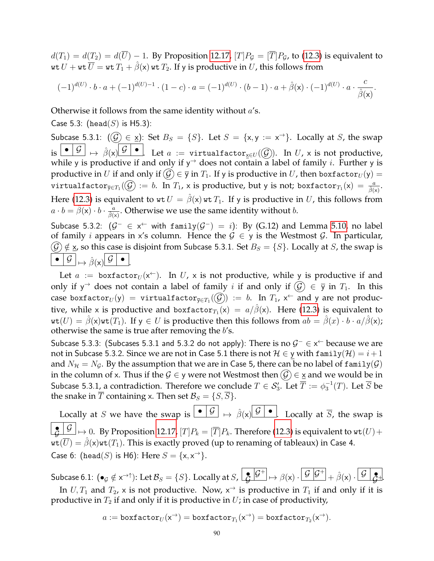$d(T_1) = d(T_2) = d(\overline{U}) - 1$ . By Proposition [12.17,](#page-51-0)  $[T]P$ <sup> $G$ </sup> =  $[\overline{T}]P$ <sup> $G$ </sup>, to [\(12.3\)](#page-44-0) is equivalent to wt  $U + w_t \overline{U} = w_t T_1 + \hat{\beta}(x) w_t T_2$ . If y is productive in U, this follows from

$$
(-1)^{d(U)} \cdot b \cdot a + (-1)^{d(U)-1} \cdot (1-c) \cdot a = (-1)^{d(U)} \cdot (b-1) \cdot a + \hat{\beta}(\mathbf{x}) \cdot (-1)^{d(U)} \cdot a \cdot \frac{c}{\hat{\beta}(\mathbf{x})}.
$$

Otherwise it follows from the same identity without  $a$ 's.

Case 5.3: (head(S) is H5.3):

Subcase 5.3.1:  $(Q) \in \underline{x}$ ): Set  $B_S = \{S\}$ . Let  $S = \{x, y := x^{\rightarrow}\}$ . Locally at S, the swap is  $\begin{array}{c|c|c} \bullet & \mathcal{G} & \mapsto & \hat{\beta}( \times ) \end{array}$   $\mathcal{G}$   $\begin{array}{c|c} \bullet & \bullet \end{array}$  . Let  $a$  := virtualfactor $_{\mathsf{x}\in U}(\mathcal{G})$ ). In  $U$ , x is not productive, while y is productive if and only if  $y^{\rightarrow}$  does not contain a label of family *i*. Further y is productive in U if and only if  $\mathcal{G} \in \overline{y}$  in  $T_1$ . If y is productive in U, then boxfactor $U(y) =$ virtualfactor ${}_{\overline{y}\in T_1}(\widehat{\mathcal{G}}):=b.$  In  $T_1$ , x is productive, but y is not; boxfactor ${}_{T_1}(\mathsf{x})=\frac{a}{\hat{\beta}(\mathsf{x})}.$ Here [\(12.3\)](#page-44-0) is equivalent to  $wt U = \hat{\beta}(x)wt T_1$ . If y is productive in U, this follows from  $a\cdot b=\hat{\beta}(\mathsf{x})\cdot b\cdot \frac{a}{\hat{\beta}(\mathsf{x})}.$  Otherwise we use the same identity without  $b.$ Subcase 5.3.2:  $(\mathcal{G}^{-} \in \times^{\leftarrow}$  with family $(\mathcal{G}^{-}) = i$ ): By (G.12) and Lemma [5.10,](#page-14-0) no label

of family *i* appears in x's column. Hence the  $G \in y$  is the Westmost G. In particular,  $(\mathcal{G}) \notin \Sigma$ , so this case is disjoint from Subcase 5.3.1. Set  $B_S = \{S\}$ . Locally at S, the swap is  $\bullet$   $\boxed{\mathcal{G}}$   $\mapsto$   $\hat{\beta}(x)$   $\boxed{\mathcal{G}}$   $\bullet$ .

Let  $a := \text{box}_{U}(x^+)$ . In U, x is not productive, while y is productive if and only if y<sup>→</sup> does not contain a label of family i if and only if  $(\mathcal{G}) \in \bar{y}$  in  $T_1$ . In this case boxfactor $_{U}(\mathsf{y})$   $=$  virtualfactor $_{\overline{\mathsf{y}} \in T_1}(\widehat{\mathcal{G}})$   $:=$   $b.$  In  $T_1$ ,  $\mathsf{x}^{\leftarrow}$  and  $\mathsf{y}$  are not productive, while x is productive and boxfactor $_{T_1}(\mathsf{x})\ =\ a/\hat\beta(\mathsf{x}).\,$  Here [\(12.3\)](#page-44-0) is equivalent to  $wt(U) = \hat{\beta}(x)wt(T_1)$ . If  $y \in U$  is productive then this follows from  $ab = \hat{\beta}(x) \cdot b \cdot a/\hat{\beta}(x)$ ; otherwise the same is true after removing the  $b$ 's.

Subcase 5.3.3: (Subcases 5.3.1 and 5.3.2 do not apply): There is no  $\mathcal{G}^- \in x^{\leftarrow}$  because we are not in Subcase 5.3.2. Since we are not in Case 5.1 there is not  $\mathcal{H} \in \mathsf{y}$  with family $(\mathcal{H}) = i + 1$ and  $N_{\mathcal{H}} = N_{\mathcal{G}}$ . By the assumption that we are in Case 5, there can be no label of family( $\mathcal{G}$ ) in the column of x. Thus if the  $\mathcal{G} \in \mathsf{y}$  were not Westmost then  $(\mathcal{G}) \in \mathsf{x}$  and we would be in Subcase 5.3.1, a contradiction. Therefore we conclude  $T\in \mathcal{S}_3'.$  Let  $\overline{T}:=\phi_3^{-1}(T).$  Let  $\overline{S}$  be the snake in  $\overline{T}$  containing x. Then set  $\mathcal{B}_S = \{S, \overline{S}\}.$ 

Locally at S we have the swap is  $\begin{array}{c} \bullet \ \vert \mathcal{G} \end{array} \mapsto \hat{\beta}(x) \begin{array}{c} \mathcal{G} \ \vert \bullet \end{array}$ . Locally at  $\overline{S}$ , the swap is  $\frac{\bullet}{\mathcal{G}}\left|\frac{\mathcal{G}}{\rightarrow}\right.$   $\mapsto$   $0.$  By Proposition [12.17,](#page-51-0)  $[T]P_k=[\overline{T}]P_k.$  Therefore [\(12.3\)](#page-44-0) is equivalent to  $\texttt{wt}(U)+$  $\mathbf{wt}(\overline{U}) = \hat{\beta}(x)\mathbf{wt}(T_1)$ . This is exactly proved (up to renaming of tableaux) in Case 4. Case 6: (head(S) is H6): Here  $S = \{x, x^{\rightarrow}\}.$ 

Subcase 6.1:  $(\bullet_{\mathcal{G}}\notin\mathsf{x}^{\rightarrow\uparrow})$ : Let  $\mathcal{B}_S=\{S\}$ . Locally at  $S$ ,  $\left\lfloor\frac{\mathsf{e}}{\mathsf{G}}\big\vert\frac{\mathsf{G}^+}{\mathsf{G}}\right\rfloor\mapsto\beta(\mathsf{x})\cdot\left\lfloor\frac{\mathsf{G}}{\mathsf{G}}\big\vert\frac{\mathsf{G}^+}{\mathsf{G}}\right\rfloor+\hat{\beta}(\mathsf{x})\cdot\left\lfloor\frac{\mathsf{G}}{\mathsf{G}}\big\rfloor\frac{\mathsf{$ In  $U, T_1$  and  $T_2$ , x is not productive. Now,  $x^{\rightarrow}$  is productive in  $T_1$  if and only if it is productive in  $T_2$  if and only if it is productive in  $U$ ; in case of productivity,

$$
a := \texttt{boxfactor}_U(\mathsf{x}^\rightarrow) = \texttt{boxfactor}_{T_1}(\mathsf{x}^\rightarrow) = \texttt{boxfactor}_{T_2}(\mathsf{x}^\rightarrow).
$$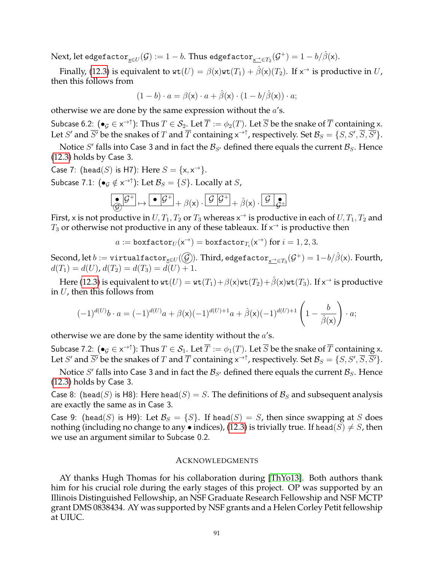${\rm Next}$ , let edgefacto ${\rm r}_{\underline{{\sf x}} \in U}(\mathcal{G}):=1-b.$  Thus edgefacto ${\rm r}_{\underline{{\sf x}} \to \in T_2}(\mathcal{G}^+)=1-b/\hat{\beta}({\sf x}).$ 

Finally, [\(12.3\)](#page-44-0) is equivalent to  $\texttt{wt}(U) = \beta(\textsf{x})\texttt{wt}(T_1) + \hat{\beta}(\textsf{x})(T_2)$ . If  $\textsf{x}^{\rightarrow}$  is productive in  $U$ , then this follows from

$$
(1-b) \cdot a = \beta(\mathsf{x}) \cdot a + \hat{\beta}(\mathsf{x}) \cdot (1-b/\hat{\beta}(\mathsf{x})) \cdot a;
$$

otherwise we are done by the same expression without the  $a$ 's.

Subcase 6.2:  $(\bullet_{\mathcal{G}}\in\times^{\to\uparrow})$ : Thus  $T\in\mathcal{S}_2.$  Let  $\overline{T}:=\phi_2(T).$  Let  $\overline{S}$  be the snake of  $\overline{T}$  containing x. Let  $S'$  and  $\overline{S'}$  be the snakes of  $T$  and  $\overline{T}$  containing  $x^{\to \uparrow}$ , respectively. Set  $\mathcal{B}_S = \{S, S', \overline{S}, \overline{S'}\}$ .

Notice S' falls into Case 3 and in fact the  $\mathcal{B}_{S'}$  defined there equals the current  $\mathcal{B}_{S}$ . Hence [\(12.3\)](#page-44-0) holds by Case 3.

Case 7: (head(S) is H7): Here  $S = \{x, x^{\rightarrow}\}.$ 

Subcase 7.1:  $(\bullet_{\mathcal{G}} \notin x^{\to \uparrow})$ : Let  $\mathcal{B}_S = \{S\}$ . Locally at  $S$ ,

$$
\boxed{\bullet\,\mathcal{G}^+}\mapsto\boxed{\bullet\,\mathcal{G}^+}+\beta(x)\cdot\boxed{\mathcal{G}\,\mathcal{G}^+}+\hat{\beta}(x)\cdot\boxed{\mathcal{G}\,\mathcal{G}^+}
$$

First, x is not productive in  $U, T_1, T_2$  or  $T_3$  whereas  $\times^{\rightarrow}$  is productive in each of  $U, T_1, T_2$  and  $T_3$  or otherwise not productive in any of these tableaux. If  $\times^{\rightarrow}$  is productive then

 $a := \text{boxfactor}_U(\mathsf{x}^\rightarrow) = \text{boxfactor}_{T_i}(\mathsf{x}^\rightarrow)$  for  $i = 1, 2, 3.$ 

 $\text{Second, let } b:=\texttt{virtualfactor}_{\underline{\mathsf{x}}\in U}(\mathcal{G})$ ). Third, edge $\texttt{factor}_{\underline{\mathsf{x}}\to\in T_3}(\mathcal{G}^+)=1-b/\hat{\beta}(\mathsf{x})$ . Fourth,  $d(T_1) = d(U)$ ,  $d(T_2) = d(T_3) = d(U) + 1$ .

Here [\(12.3\)](#page-44-0) is equivalent to  $\texttt{wt}(U) = \texttt{wt}(T_1) + \beta(\textsf{x})\texttt{wt}(T_2) + \hat{\beta}(\textsf{x})\texttt{wt}(T_3).$  If  $\textsf{x}^{\rightarrow}$  is productive in  $U$ , then this follows from

$$
(-1)^{d(U)}b \cdot a = (-1)^{d(U)}a + \beta(\mathbf{x})(-1)^{d(U)+1}a + \hat{\beta}(\mathbf{x})(-1)^{d(U)+1}\left(1 - \frac{b}{\hat{\beta}(\mathbf{x})}\right) \cdot a;
$$

otherwise we are done by the same identity without the  $a$ 's.

Subcase 7.2:  $(\bullet_{\mathcal{G}}\in\times^{\to\uparrow})$ : Thus  $T\in\mathcal{S}_1.$  Let  $\overline{T}:=\phi_1(T).$  Let  $\overline{S}$  be the snake of  $\overline{T}$  containing x. Let  $S'$  and  $\overline{S'}$  be the snakes of  $T$  and  $\overline{T}$  containing  $x^{\to \uparrow}$ , respectively. Set  $\mathcal{B}_S = \{S, S', \overline{S}, \overline{S'}\}$ .

Notice S' falls into Case 3 and in fact the  $\mathcal{B}_{S'}$  defined there equals the current  $\mathcal{B}_S$ . Hence [\(12.3\)](#page-44-0) holds by Case 3.

Case 8: (head(S) is H8): Here head(S) = S. The definitions of  $\mathcal{B}_S$  and subsequent analysis are exactly the same as in Case 3.

Case 9: (head(S) is H9): Let  $\mathcal{B}_S = \{S\}$ . If head(S) = S, then since swapping at S does nothing (including no change to any • indices), [\(12.3\)](#page-44-0) is trivially true. If head( $S \neq S$ , then we use an argument similar to Subcase 0.2.

#### ACKNOWLEDGMENTS

AY thanks Hugh Thomas for his collaboration during [\[ThYo13\]](#page-92-0). Both authors thank him for his crucial role during the early stages of this project. OP was supported by an Illinois Distinguished Fellowship, an NSF Graduate Research Fellowship and NSF MCTP grant DMS 0838434. AY was supported by NSF grants and a Helen Corley Petit fellowship at UIUC.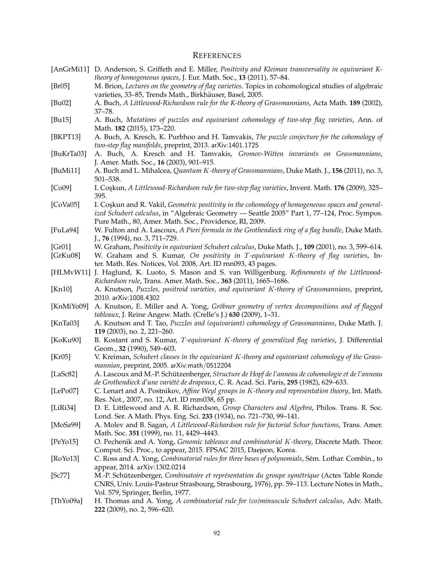#### **REFERENCES**

- [AnGrMi11] D. Anderson, S. Griffeth and E. Miller, *Positivity and Kleiman transversality in equivariant Ktheory of homogeneous spaces*, J. Eur. Math. Soc., **13** (2011), 57–84.
- [Br05] M. Brion, *Lectures on the geometry of flag varieties*. Topics in cohomological studies of algebraic varieties, 33–85, Trends Math., Birkhäuser, Basel, 2005.
- [Bu02] A. Buch, *A Littlewood-Richardson rule for the K-theory of Grassmannians*, Acta Math. **189** (2002), 37–78.
- [Bu15] A. Buch, *Mutations of puzzles and equivariant cohomology of two-step flag varieties*, Ann. of Math. **182** (2015), 173–220.
- [BKPT13] A. Buch, A. Kresch, K. Purbhoo and H. Tamvakis, *The puzzle conjecture for the cohomology of two-step flag manifolds*, preprint, 2013. arXiv:1401.1725
- [BuKrTa03] A. Buch, A. Kresch and H. Tamvakis, *Gromov-Witten invariants on Grassmannians*, J. Amer. Math. Soc., **16** (2003), 901–915.
- [BuMi11] A. Buch and L. Mihalcea, *Quantum* K*-theory of Grassmannians*, Duke Math. J., **156** (2011), no. 3, 501–538.
- [Co09] I. Cos¸kun, *A Littlewood-Richardson rule for two-step flag varieties*, Invent. Math. **176** (2009), 325– 395.
- [CoVa05] I. Coskun and R. Vakil, *Geometric positivity in the cohomology of homogeneous spaces and generalized Schubert calculus*, in "Algebraic Geometry — Seattle 2005" Part 1, 77–124, Proc. Sympos. Pure Math., 80, Amer. Math. Soc., Providence, RI, 2009.
- [FuLa94] W. Fulton and A. Lascoux, *A Pieri formula in the Grothendieck ring of a flag bundle*, Duke Math. J., **76** (1994), no. 3, 711–729.
- [Gr01] W. Graham, *Positivity in equivariant Schubert calculus*, Duke Math. J., **109** (2001), no. 3, 599–614.
- [GrKu08] W. Graham and S. Kumar, *On positivity in* T*-equivariant* K*-theory of flag varieties*, Inter. Math. Res. Notices, Vol. 2008, Art. ID rnn093, 43 pages.
- [HLMvW11] J. Haglund, K. Luoto, S. Mason and S. van Willigenburg. *Refinements of the Littlewood-Richardson rule*, Trans. Amer. Math. Soc., **363** (2011), 1665–1686.
- [Kn10] A. Knutson, *Puzzles, positroid varieties, and equivariant* K*-theory of Grassmannians*, preprint, 2010. arXiv:1008.4302
- [KnMiYo09] A. Knutson, E. Miller and A. Yong, *Gröbner geometry of vertex decompositions and of flagged tableaux*, J. Reine Angew. Math. (Crelle's J.) **630** (2009), 1–31.
- [KnTa03] A. Knutson and T. Tao, *Puzzles and (equivariant) cohomology of Grassmannians*, Duke Math. J. **119** (2003), no. 2, 221–260.
- [KoKu90] B. Kostant and S. Kumar, T*-equivariant* K*-theory of generalized flag varieties*, J. Differential Geom., **32** (1990), 549–603.
- [Kr05] V. Kreiman, *Schubert classes in the equivariant* K*-theory and equivariant cohomology of the Grassmannian*, preprint, 2005. arXiv:math/0512204
- [LaSc82] A. Lascoux and M.-P. Schützenberger, *Structure de Hopf de l'anneau de cohomologie et de l'anneau de Grothendieck d'une vari´et´e de drapeaux*, C. R. Acad. Sci. Paris, **295** (1982), 629–633.
- [LePo07] C. Lenart and A. Postnikov, *Affine Weyl groups in* K*-theory and representation theory*, Int. Math. Res. Not., 2007, no. 12, Art. ID rnm038, 65 pp.
- [LiRi34] D. E. Littlewood and A. R. Richardson, *Group Characters and Algebra*, Philos. Trans. R. Soc. Lond. Ser. A Math. Phys. Eng. Sci. **233** (1934), no. 721–730, 99–141.
- [MoSa99] A. Molev and B. Sagan, *A Littlewood-Richardson rule for factorial Schur functions*, Trans. Amer. Math. Soc. **351** (1999), no. 11, 4429–4443.
- [PeYo15] O. Pechenik and A. Yong, *Genomic tableaux and combinatorial* K*-theory*, Discrete Math. Theor. Comput. Sci. Proc., to appear, 2015. FPSAC 2015, Daejeon, Korea.
- [RoYo13] C. Ross and A. Yong, *Combinatorial rules for three bases of polynomials*, Sém. Lothar. Combin., to appear, 2014. arXiv:1302.0214
- [Sc77] M.-P. Schützenberger, *Combinatoire et représentation du groupe symétrique* (Actes Table Ronde CNRS, Univ. Louis-Pasteur Strasbourg, Strasbourg, 1976), pp. 59–113. Lecture Notes in Math., Vol. 579, Springer, Berlin, 1977.
- [ThYo09a] H. Thomas and A. Yong, *A combinatorial rule for (co)minuscule Schubert calculus*, Adv. Math. **222** (2009), no. 2, 596–620.